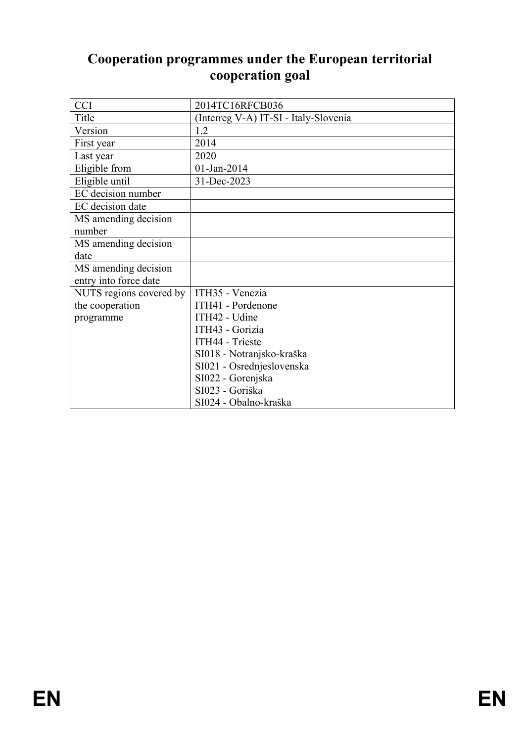# **Cooperation programmes under the European territorial cooperation goal**

| <b>CCI</b>              | 2014TC16RFCB036                       |
|-------------------------|---------------------------------------|
| Title                   | (Interreg V-A) IT-SI - Italy-Slovenia |
| Version                 | 1.2                                   |
| First year              | 2014                                  |
| Last year               | 2020                                  |
| Eligible from           | 01-Jan-2014                           |
| Eligible until          | 31-Dec-2023                           |
| EC decision number      |                                       |
| EC decision date        |                                       |
| MS amending decision    |                                       |
| number                  |                                       |
| MS amending decision    |                                       |
| date                    |                                       |
| MS amending decision    |                                       |
| entry into force date   |                                       |
| NUTS regions covered by | ITH35 - Venezia                       |
| the cooperation         | ITH41 - Pordenone                     |
| programme               | ITH42 - Udine                         |
|                         | ITH43 - Gorizia                       |
|                         | ITH44 - Trieste                       |
|                         | SI018 - Notranjsko-kraška             |
|                         | SI021 - Osrednjeslovenska             |
|                         | SI022 - Gorenjska                     |
|                         | SI023 - Goriška                       |
|                         | SI024 - Obalno-kraška                 |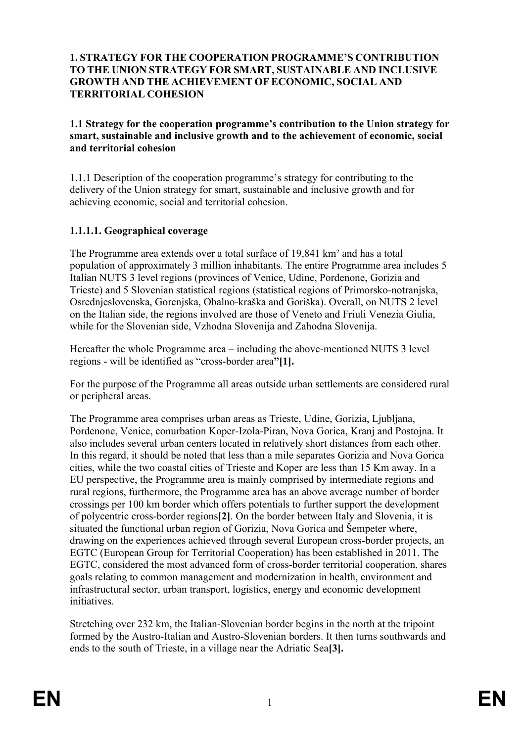#### **1. STRATEGY FOR THE COOPERATION PROGRAMME'S CONTRIBUTION TO THE UNION STRATEGY FOR SMART, SUSTAINABLE AND INCLUSIVE GROWTH AND THE ACHIEVEMENT OF ECONOMIC, SOCIAL AND TERRITORIAL COHESION**

**1.1 Strategy for the cooperation programme's contribution to the Union strategy for smart, sustainable and inclusive growth and to the achievement of economic, social and territorial cohesion**

1.1.1 Description of the cooperation programme's strategy for contributing to the delivery of the Union strategy for smart, sustainable and inclusive growth and for achieving economic, social and territorial cohesion.

### **1.1.1.1. Geographical coverage**

The Programme area extends over a total surface of 19,841 km² and has a total population of approximately 3 million inhabitants. The entire Programme area includes 5 Italian NUTS 3 level regions (provinces of Venice, Udine, Pordenone, Gorizia and Trieste) and 5 Slovenian statistical regions (statistical regions of Primorsko-notranjska, Osrednjeslovenska, Gorenjska, Obalno-kraška and Goriška). Overall, on NUTS 2 level on the Italian side, the regions involved are those of Veneto and Friuli Venezia Giulia, while for the Slovenian side, Vzhodna Slovenija and Zahodna Slovenija.

Hereafter the whole Programme area – including the above-mentioned NUTS 3 level regions - will be identified as "cross-border area**"[1].**

For the purpose of the Programme all areas outside urban settlements are considered rural or peripheral areas.

The Programme area comprises urban areas as Trieste, Udine, Gorizia, Ljubljana, Pordenone, Venice, conurbation Koper-Izola-Piran, Nova Gorica, Kranj and Postojna. It also includes several urban centers located in relatively short distances from each other. In this regard, it should be noted that less than a mile separates Gorizia and Nova Gorica cities, while the two coastal cities of Trieste and Koper are less than 15 Km away. In a EU perspective, the Programme area is mainly comprised by intermediate regions and rural regions, furthermore, the Programme area has an above average number of border crossings per 100 km border which offers potentials to further support the development of polycentric cross-border regions**[2]**. On the border between Italy and Slovenia, it is situated the functional urban region of Gorizia, Nova Gorica and Šempeter where, drawing on the experiences achieved through several European cross-border projects, an EGTC (European Group for Territorial Cooperation) has been established in 2011. The EGTC, considered the most advanced form of cross-border territorial cooperation, shares goals relating to common management and modernization in health, environment and infrastructural sector, urban transport, logistics, energy and economic development initiatives.

Stretching over 232 km, the Italian-Slovenian border begins in the north at the tripoint formed by the Austro-Italian and Austro-Slovenian borders. It then turns southwards and ends to the south of Trieste, in a village near the Adriatic Sea**[3].**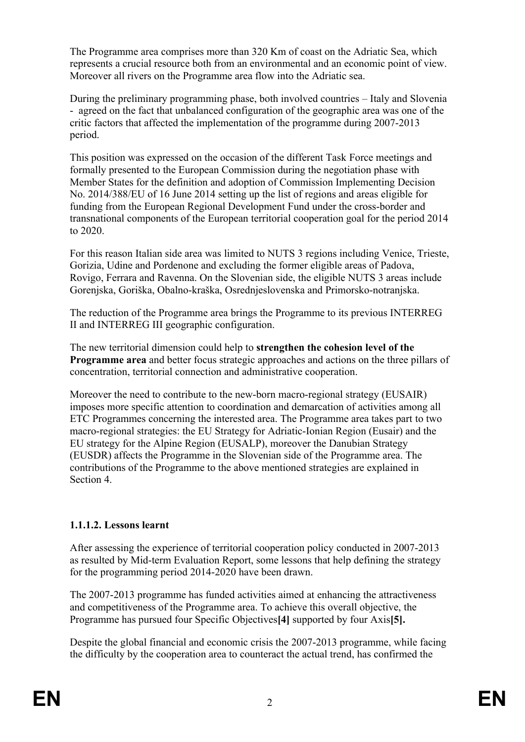The Programme area comprises more than 320 Km of coast on the Adriatic Sea, which represents a crucial resource both from an environmental and an economic point of view. Moreover all rivers on the Programme area flow into the Adriatic sea.

During the preliminary programming phase, both involved countries – Italy and Slovenia - agreed on the fact that unbalanced configuration of the geographic area was one of the critic factors that affected the implementation of the programme during 2007-2013 period.

This position was expressed on the occasion of the different Task Force meetings and formally presented to the European Commission during the negotiation phase with Member States for the definition and adoption of Commission Implementing Decision No. 2014/388/EU of 16 June 2014 setting up the list of regions and areas eligible for funding from the European Regional Development Fund under the cross-border and transnational components of the European territorial cooperation goal for the period 2014 to 2020.

For this reason Italian side area was limited to NUTS 3 regions including Venice, Trieste, Gorizia, Udine and Pordenone and excluding the former eligible areas of Padova, Rovigo, Ferrara and Ravenna. On the Slovenian side, the eligible NUTS 3 areas include Gorenjska, Goriška, Obalno-kraška, Osrednjeslovenska and Primorsko-notranjska.

The reduction of the Programme area brings the Programme to its previous INTERREG II and INTERREG III geographic configuration.

The new territorial dimension could help to **strengthen the cohesion level of the Programme area** and better focus strategic approaches and actions on the three pillars of concentration, territorial connection and administrative cooperation.

Moreover the need to contribute to the new-born macro-regional strategy (EUSAIR) imposes more specific attention to coordination and demarcation of activities among all ETC Programmes concerning the interested area. The Programme area takes part to two macro-regional strategies: the EU Strategy for Adriatic-Ionian Region (Eusair) and the EU strategy for the Alpine Region (EUSALP), moreover the Danubian Strategy (EUSDR) affects the Programme in the Slovenian side of the Programme area. The contributions of the Programme to the above mentioned strategies are explained in Section 4.

# **1.1.1.2. Lessons learnt**

After assessing the experience of territorial cooperation policy conducted in 2007-2013 as resulted by Mid-term Evaluation Report, some lessons that help defining the strategy for the programming period 2014-2020 have been drawn.

The 2007-2013 programme has funded activities aimed at enhancing the attractiveness and competitiveness of the Programme area. To achieve this overall objective, the Programme has pursued four Specific Objectives**[4]** supported by four Axis**[5].**

Despite the global financial and economic crisis the 2007-2013 programme, while facing the difficulty by the cooperation area to counteract the actual trend, has confirmed the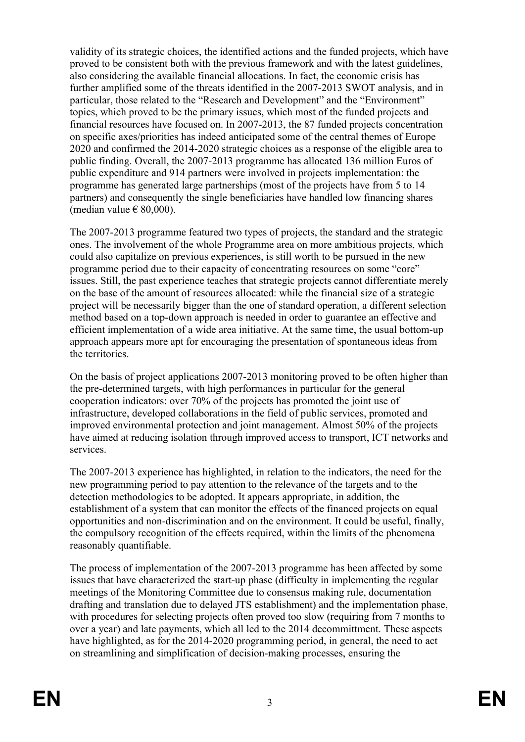validity of its strategic choices, the identified actions and the funded projects, which have proved to be consistent both with the previous framework and with the latest guidelines, also considering the available financial allocations. In fact, the economic crisis has further amplified some of the threats identified in the 2007-2013 SWOT analysis, and in particular, those related to the "Research and Development" and the "Environment" topics, which proved to be the primary issues, which most of the funded projects and financial resources have focused on. In 2007-2013, the 87 funded projects concentration on specific axes/priorities has indeed anticipated some of the central themes of Europe 2020 and confirmed the 2014-2020 strategic choices as a response of the eligible area to public finding. Overall, the 2007-2013 programme has allocated 136 million Euros of public expenditure and 914 partners were involved in projects implementation: the programme has generated large partnerships (most of the projects have from 5 to 14 partners) and consequently the single beneficiaries have handled low financing shares (median value  $\in$  80,000).

The 2007-2013 programme featured two types of projects, the standard and the strategic ones. The involvement of the whole Programme area on more ambitious projects, which could also capitalize on previous experiences, is still worth to be pursued in the new programme period due to their capacity of concentrating resources on some "core" issues. Still, the past experience teaches that strategic projects cannot differentiate merely on the base of the amount of resources allocated: while the financial size of a strategic project will be necessarily bigger than the one of standard operation, a different selection method based on a top-down approach is needed in order to guarantee an effective and efficient implementation of a wide area initiative. At the same time, the usual bottom-up approach appears more apt for encouraging the presentation of spontaneous ideas from the territories.

On the basis of project applications 2007-2013 monitoring proved to be often higher than the pre-determined targets, with high performances in particular for the general cooperation indicators: over 70% of the projects has promoted the joint use of infrastructure, developed collaborations in the field of public services, promoted and improved environmental protection and joint management. Almost 50% of the projects have aimed at reducing isolation through improved access to transport, ICT networks and services.

The 2007-2013 experience has highlighted, in relation to the indicators, the need for the new programming period to pay attention to the relevance of the targets and to the detection methodologies to be adopted. It appears appropriate, in addition, the establishment of a system that can monitor the effects of the financed projects on equal opportunities and non-discrimination and on the environment. It could be useful, finally, the compulsory recognition of the effects required, within the limits of the phenomena reasonably quantifiable.

The process of implementation of the 2007-2013 programme has been affected by some issues that have characterized the start-up phase (difficulty in implementing the regular meetings of the Monitoring Committee due to consensus making rule, documentation drafting and translation due to delayed JTS establishment) and the implementation phase, with procedures for selecting projects often proved too slow (requiring from 7 months to over a year) and late payments, which all led to the 2014 decommittment. These aspects have highlighted, as for the 2014-2020 programming period, in general, the need to act on streamlining and simplification of decision-making processes, ensuring the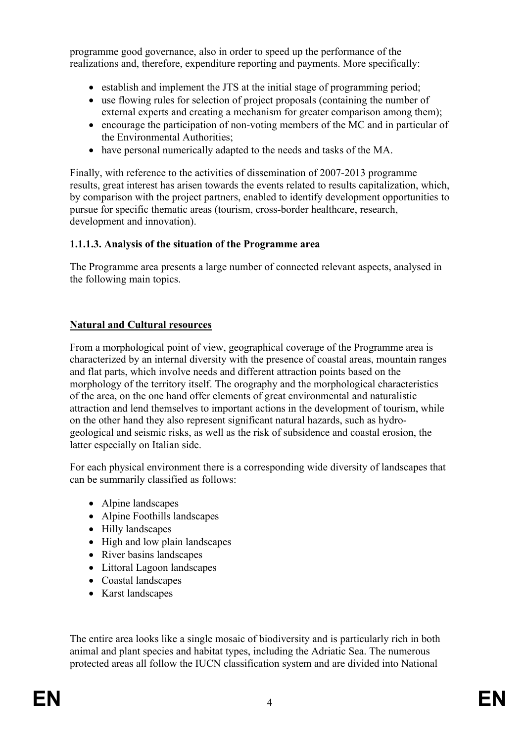programme good governance, also in order to speed up the performance of the realizations and, therefore, expenditure reporting and payments. More specifically:

- establish and implement the JTS at the initial stage of programming period;
- use flowing rules for selection of project proposals (containing the number of external experts and creating a mechanism for greater comparison among them);
- encourage the participation of non-voting members of the MC and in particular of the Environmental Authorities;
- have personal numerically adapted to the needs and tasks of the MA.

Finally, with reference to the activities of dissemination of 2007-2013 programme results, great interest has arisen towards the events related to results capitalization, which, by comparison with the project partners, enabled to identify development opportunities to pursue for specific thematic areas (tourism, cross-border healthcare, research, development and innovation).

# **1.1.1.3. Analysis of the situation of the Programme area**

The Programme area presents a large number of connected relevant aspects, analysed in the following main topics.

# **Natural and Cultural resources**

From a morphological point of view, geographical coverage of the Programme area is characterized by an internal diversity with the presence of coastal areas, mountain ranges and flat parts, which involve needs and different attraction points based on the morphology of the territory itself. The orography and the morphological characteristics of the area, on the one hand offer elements of great environmental and naturalistic attraction and lend themselves to important actions in the development of tourism, while on the other hand they also represent significant natural hazards, such as hydrogeological and seismic risks, as well as the risk of subsidence and coastal erosion, the latter especially on Italian side.

For each physical environment there is a corresponding wide diversity of landscapes that can be summarily classified as follows:

- Alpine landscapes
- Alpine Foothills landscapes
- Hilly landscapes
- High and low plain landscapes
- River basins landscapes
- Littoral Lagoon landscapes
- Coastal landscapes
- Karst landscapes

The entire area looks like a single mosaic of biodiversity and is particularly rich in both animal and plant species and habitat types, including the Adriatic Sea. The numerous protected areas all follow the IUCN classification system and are divided into National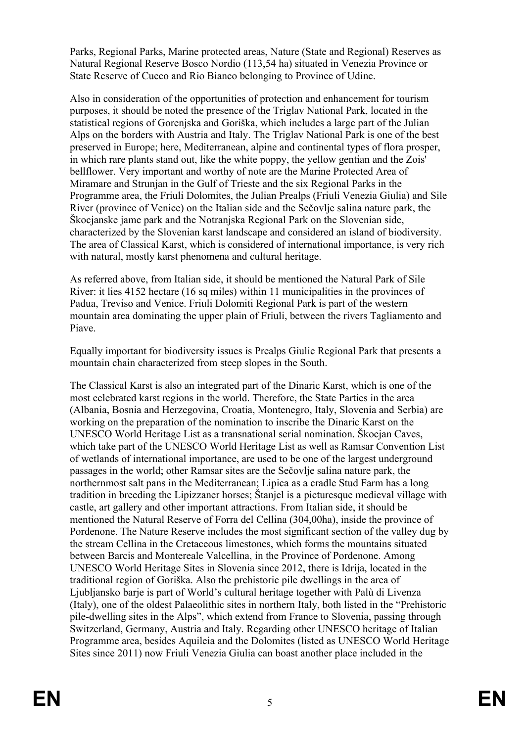Parks, Regional Parks, Marine protected areas, Nature (State and Regional) Reserves as Natural Regional Reserve Bosco Nordio (113,54 ha) situated in Venezia Province or State Reserve of Cucco and Rio Bianco belonging to Province of Udine.

Also in consideration of the opportunities of protection and enhancement for tourism purposes, it should be noted the presence of the Triglav National Park, located in the statistical regions of Gorenjska and Goriška, which includes a large part of the Julian Alps on the borders with Austria and Italy. The Triglav National Park is one of the best preserved in Europe; here, Mediterranean, alpine and continental types of flora prosper, in which rare plants stand out, like the white poppy, the yellow gentian and the Zois' bellflower. Very important and worthy of note are the Marine Protected Area of Miramare and Strunjan in the Gulf of Trieste and the six Regional Parks in the Programme area, the Friuli Dolomites, the Julian Prealps (Friuli Venezia Giulia) and Sile River (province of Venice) on the Italian side and the Sečovlje salina nature park, the Škocjanske jame park and the Notranjska Regional Park on the Slovenian side, characterized by the Slovenian karst landscape and considered an island of biodiversity. The area of Classical Karst, which is considered of international importance, is very rich with natural, mostly karst phenomena and cultural heritage.

As referred above, from Italian side, it should be mentioned the Natural Park of Sile River: it lies 4152 hectare (16 sq miles) within 11 municipalities in the provinces of Padua, Treviso and Venice. Friuli Dolomiti Regional Park is part of the western mountain area dominating the upper plain of Friuli, between the rivers Tagliamento and Piave.

Equally important for biodiversity issues is Prealps Giulie Regional Park that presents a mountain chain characterized from steep slopes in the South.

The Classical Karst is also an integrated part of the Dinaric Karst, which is one of the most celebrated karst regions in the world. Therefore, the State Parties in the area (Albania, Bosnia and Herzegovina, Croatia, Montenegro, Italy, Slovenia and Serbia) are working on the preparation of the nomination to inscribe the Dinaric Karst on the UNESCO World Heritage List as a transnational serial nomination. Škocjan Caves, which take part of the UNESCO World Heritage List as well as Ramsar Convention List of wetlands of international importance, are used to be one of the largest underground passages in the world; other Ramsar sites are the Sečovlje salina nature park, the northernmost salt pans in the Mediterranean; Lipica as a cradle Stud Farm has a long tradition in breeding the Lipizzaner horses; Štanjel is a picturesque medieval village with castle, art gallery and other important attractions. From Italian side, it should be mentioned the Natural Reserve of Forra del Cellina (304,00ha), inside the province of Pordenone. The Nature Reserve includes the most significant section of the valley dug by the stream Cellina in the Cretaceous limestones, which forms the mountains situated between Barcis and Montereale Valcellina, in the Province of Pordenone. Among UNESCO World Heritage Sites in Slovenia since 2012, there is Idrija, located in the traditional region of Goriška. Also the prehistoric pile dwellings in the area of Ljubljansko barje is part of World's cultural heritage together with Palù di Livenza (Italy), one of the oldest Palaeolithic sites in northern Italy, both listed in the "Prehistoric pile-dwelling sites in the Alps", which extend from France to Slovenia, passing through Switzerland, Germany, Austria and Italy. Regarding other UNESCO heritage of Italian Programme area, besides Aquileia and the Dolomites (listed as UNESCO World Heritage Sites since 2011) now Friuli Venezia Giulia can boast another place included in the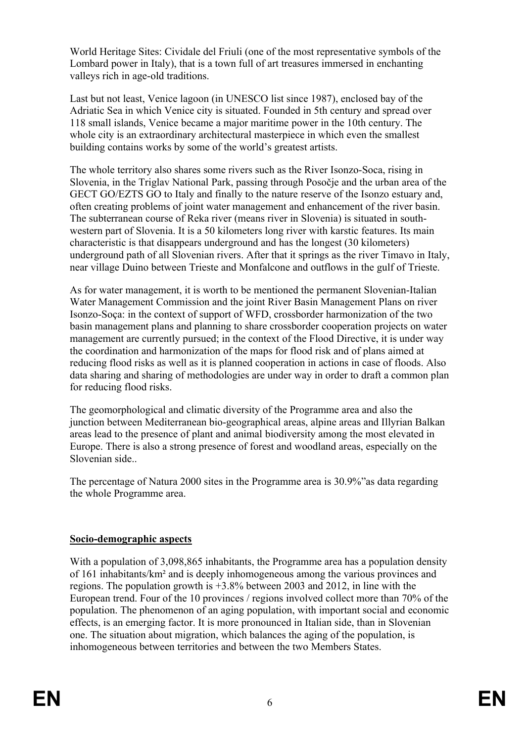World Heritage Sites: Cividale del Friuli (one of the most representative symbols of the Lombard power in Italy), that is a town full of art treasures immersed in enchanting valleys rich in age-old traditions.

Last but not least, Venice lagoon (in UNESCO list since 1987), enclosed bay of the Adriatic Sea in which Venice city is situated. Founded in 5th century and spread over 118 small islands, Venice became a major maritime power in the 10th century. The whole city is an extraordinary architectural masterpiece in which even the smallest building contains works by some of the world's greatest artists.

The whole territory also shares some rivers such as the River Isonzo-Soca, rising in Slovenia, in the Triglav National Park, passing through Posočje and the urban area of the GECT GO/EZTS GO to Italy and finally to the nature reserve of the Isonzo estuary and, often creating problems of joint water management and enhancement of the river basin. The subterranean course of Reka river (means river in Slovenia) is situated in southwestern part of Slovenia. It is a 50 kilometers long river with karstic features. Its main characteristic is that disappears underground and has the longest (30 kilometers) underground path of all Slovenian rivers. After that it springs as the river Timavo in Italy, near village Duino between Trieste and Monfalcone and outflows in the gulf of Trieste.

As for water management, it is worth to be mentioned the permanent Slovenian-Italian Water Management Commission and the joint River Basin Management Plans on river Isonzo-Soça: in the context of support of WFD, crossborder harmonization of the two basin management plans and planning to share crossborder cooperation projects on water management are currently pursued; in the context of the Flood Directive, it is under way the coordination and harmonization of the maps for flood risk and of plans aimed at reducing flood risks as well as it is planned cooperation in actions in case of floods. Also data sharing and sharing of methodologies are under way in order to draft a common plan for reducing flood risks.

The geomorphological and climatic diversity of the Programme area and also the junction between Mediterranean bio-geographical areas, alpine areas and Illyrian Balkan areas lead to the presence of plant and animal biodiversity among the most elevated in Europe. There is also a strong presence of forest and woodland areas, especially on the Slovenian side..

The percentage of Natura 2000 sites in the Programme area is 30.9%"as data regarding the whole Programme area.

### **Socio-demographic aspects**

With a population of 3,098,865 inhabitants, the Programme area has a population density of 161 inhabitants/km² and is deeply inhomogeneous among the various provinces and regions. The population growth is +3.8% between 2003 and 2012, in line with the European trend. Four of the 10 provinces / regions involved collect more than 70% of the population. The phenomenon of an aging population, with important social and economic effects, is an emerging factor. It is more pronounced in Italian side, than in Slovenian one. The situation about migration, which balances the aging of the population, is inhomogeneous between territories and between the two Members States.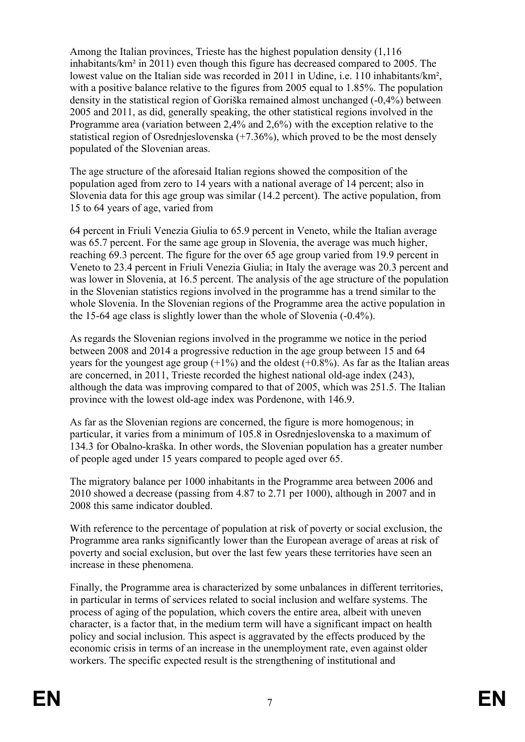Among the Italian provinces, Trieste has the highest population density (1,116 inhabitants/km² in 2011) even though this figure has decreased compared to 2005. The lowest value on the Italian side was recorded in 2011 in Udine, i.e. 110 inhabitants/km², with a positive balance relative to the figures from 2005 equal to 1.85%. The population density in the statistical region of Goriška remained almost unchanged (-0,4%) between 2005 and 2011, as did, generally speaking, the other statistical regions involved in the Programme area (variation between 2,4% and 2,6%) with the exception relative to the statistical region of Osrednjeslovenska (+7.36%), which proved to be the most densely populated of the Slovenian areas.

The age structure of the aforesaid Italian regions showed the composition of the population aged from zero to 14 years with a national average of 14 percent; also in Slovenia data for this age group was similar (14.2 percent). The active population, from 15 to 64 years of age, varied from

64 percent in Friuli Venezia Giulia to 65.9 percent in Veneto, while the Italian average was 65.7 percent. For the same age group in Slovenia, the average was much higher, reaching 69.3 percent. The figure for the over 65 age group varied from 19.9 percent in Veneto to 23.4 percent in Friuli Venezia Giulia; in Italy the average was 20.3 percent and was lower in Slovenia, at 16.5 percent. The analysis of the age structure of the population in the Slovenian statistics regions involved in the programme has a trend similar to the whole Slovenia. In the Slovenian regions of the Programme area the active population in the 15-64 age class is slightly lower than the whole of Slovenia (-0.4%).

As regards the Slovenian regions involved in the programme we notice in the period between 2008 and 2014 a progressive reduction in the age group between 15 and 64 years for the youngest age group  $(+1\%)$  and the oldest  $(+0.8\%)$ . As far as the Italian areas are concerned, in 2011, Trieste recorded the highest national old-age index (243), although the data was improving compared to that of 2005, which was 251.5. The Italian province with the lowest old-age index was Pordenone, with 146.9.

As far as the Slovenian regions are concerned, the figure is more homogenous; in particular, it varies from a minimum of 105.8 in Osrednjeslovenska to a maximum of 134.3 for Obalno-kraška. In other words, the Slovenian population has a greater number of people aged under 15 years compared to people aged over 65.

The migratory balance per 1000 inhabitants in the Programme area between 2006 and 2010 showed a decrease (passing from 4.87 to 2.71 per 1000), although in 2007 and in 2008 this same indicator doubled.

With reference to the percentage of population at risk of poverty or social exclusion, the Programme area ranks significantly lower than the European average of areas at risk of poverty and social exclusion, but over the last few years these territories have seen an increase in these phenomena.

Finally, the Programme area is characterized by some unbalances in different territories, in particular in terms of services related to social inclusion and welfare systems. The process of aging of the population, which covers the entire area, albeit with uneven character, is a factor that, in the medium term will have a significant impact on health policy and social inclusion. This aspect is aggravated by the effects produced by the economic crisis in terms of an increase in the unemployment rate, even against older workers. The specific expected result is the strengthening of institutional and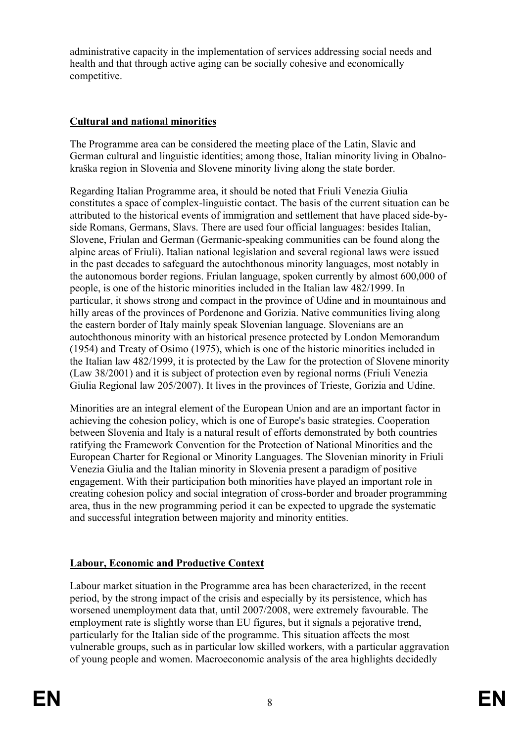administrative capacity in the implementation of services addressing social needs and health and that through active aging can be socially cohesive and economically competitive.

# **Cultural and national minorities**

The Programme area can be considered the meeting place of the Latin, Slavic and German cultural and linguistic identities; among those, Italian minority living in Obalnokraška region in Slovenia and Slovene minority living along the state border.

Regarding Italian Programme area, it should be noted that Friuli Venezia Giulia constitutes a space of complex-linguistic contact. The basis of the current situation can be attributed to the historical events of immigration and settlement that have placed side-byside Romans, Germans, Slavs. There are used four official languages: besides Italian, Slovene, Friulan and German (Germanic-speaking communities can be found along the alpine areas of Friuli). Italian national legislation and several regional laws were issued in the past decades to safeguard the autochthonous minority languages, most notably in the autonomous border regions. Friulan language, spoken currently by almost 600,000 of people, is one of the historic minorities included in the Italian law 482/1999. In particular, it shows strong and compact in the province of Udine and in mountainous and hilly areas of the provinces of Pordenone and Gorizia. Native communities living along the eastern border of Italy mainly speak Slovenian language. Slovenians are an autochthonous minority with an historical presence protected by London Memorandum (1954) and Treaty of Osimo (1975), which is one of the historic minorities included in the Italian law 482/1999, it is protected by the Law for the protection of Slovene minority (Law 38/2001) and it is subject of protection even by regional norms (Friuli Venezia Giulia Regional law 205/2007). It lives in the provinces of Trieste, Gorizia and Udine.

Minorities are an integral element of the European Union and are an important factor in achieving the cohesion policy, which is one of Europe's basic strategies. Cooperation between Slovenia and Italy is a natural result of efforts demonstrated by both countries ratifying the Framework Convention for the Protection of National Minorities and the European Charter for Regional or Minority Languages. The Slovenian minority in Friuli Venezia Giulia and the Italian minority in Slovenia present a paradigm of positive engagement. With their participation both minorities have played an important role in creating cohesion policy and social integration of cross-border and broader programming area, thus in the new programming period it can be expected to upgrade the systematic and successful integration between majority and minority entities.

# **Labour, Economic and Productive Context**

Labour market situation in the Programme area has been characterized, in the recent period, by the strong impact of the crisis and especially by its persistence, which has worsened unemployment data that, until 2007/2008, were extremely favourable. The employment rate is slightly worse than EU figures, but it signals a pejorative trend, particularly for the Italian side of the programme. This situation affects the most vulnerable groups, such as in particular low skilled workers, with a particular aggravation of young people and women. Macroeconomic analysis of the area highlights decidedly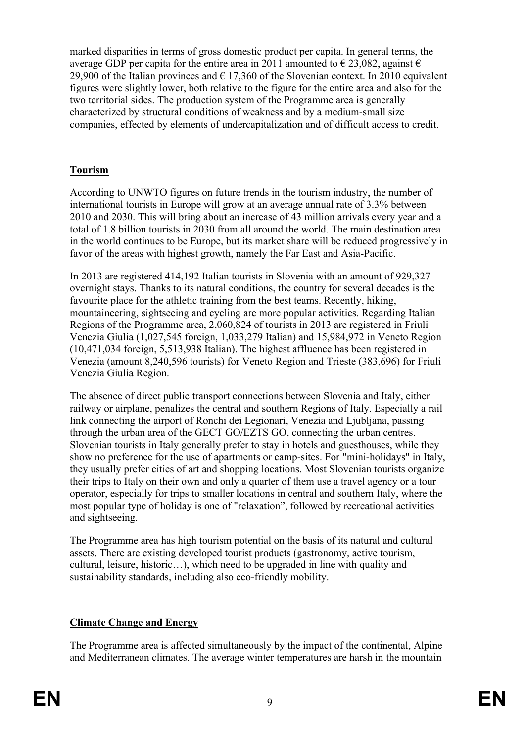marked disparities in terms of gross domestic product per capita. In general terms, the average GDP per capita for the entire area in 2011 amounted to  $\epsilon$  23.082, against  $\epsilon$ 29,900 of the Italian provinces and  $\epsilon$  17,360 of the Slovenian context. In 2010 equivalent figures were slightly lower, both relative to the figure for the entire area and also for the two territorial sides. The production system of the Programme area is generally characterized by structural conditions of weakness and by a medium-small size companies, effected by elements of undercapitalization and of difficult access to credit.

# **Tourism**

According to UNWTO figures on future trends in the tourism industry, the number of international tourists in Europe will grow at an average annual rate of 3.3% between 2010 and 2030. This will bring about an increase of 43 million arrivals every year and a total of 1.8 billion tourists in 2030 from all around the world. The main destination area in the world continues to be Europe, but its market share will be reduced progressively in favor of the areas with highest growth, namely the Far East and Asia-Pacific.

In 2013 are registered 414,192 Italian tourists in Slovenia with an amount of 929,327 overnight stays. Thanks to its natural conditions, the country for several decades is the favourite place for the athletic training from the best teams. Recently, hiking, mountaineering, sightseeing and cycling are more popular activities. Regarding Italian Regions of the Programme area, 2,060,824 of tourists in 2013 are registered in Friuli Venezia Giulia (1,027,545 foreign, 1,033,279 Italian) and 15,984,972 in Veneto Region (10,471,034 foreign, 5,513,938 Italian). The highest affluence has been registered in Venezia (amount 8,240,596 tourists) for Veneto Region and Trieste (383,696) for Friuli Venezia Giulia Region.

The absence of direct public transport connections between Slovenia and Italy, either railway or airplane, penalizes the central and southern Regions of Italy. Especially a rail link connecting the airport of Ronchi dei Legionari, Venezia and Ljubljana, passing through the urban area of the GECT GO/EZTS GO, connecting the urban centres. Slovenian tourists in Italy generally prefer to stay in hotels and guesthouses, while they show no preference for the use of apartments or camp-sites. For "mini-holidays" in Italy, they usually prefer cities of art and shopping locations. Most Slovenian tourists organize their trips to Italy on their own and only a quarter of them use a travel agency or a tour operator, especially for trips to smaller locations in central and southern Italy, where the most popular type of holiday is one of "relaxation", followed by recreational activities and sightseeing.

The Programme area has high tourism potential on the basis of its natural and cultural assets. There are existing developed tourist products (gastronomy, active tourism, cultural, leisure, historic…), which need to be upgraded in line with quality and sustainability standards, including also eco-friendly mobility.

# **Climate Change and Energy**

The Programme area is affected simultaneously by the impact of the continental, Alpine and Mediterranean climates. The average winter temperatures are harsh in the mountain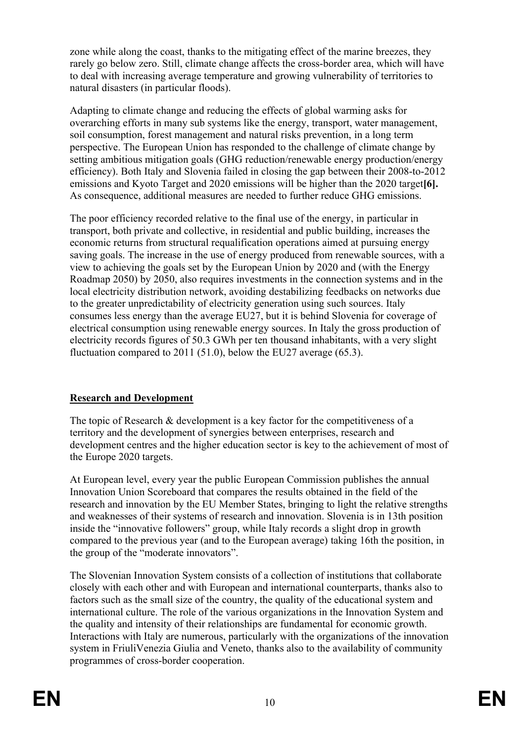zone while along the coast, thanks to the mitigating effect of the marine breezes, they rarely go below zero. Still, climate change affects the cross-border area, which will have to deal with increasing average temperature and growing vulnerability of territories to natural disasters (in particular floods).

Adapting to climate change and reducing the effects of global warming asks for overarching efforts in many sub systems like the energy, transport, water management, soil consumption, forest management and natural risks prevention, in a long term perspective. The European Union has responded to the challenge of climate change by setting ambitious mitigation goals (GHG reduction/renewable energy production/energy efficiency). Both Italy and Slovenia failed in closing the gap between their 2008-to-2012 emissions and Kyoto Target and 2020 emissions will be higher than the 2020 target**[6].** As consequence, additional measures are needed to further reduce GHG emissions.

The poor efficiency recorded relative to the final use of the energy, in particular in transport, both private and collective, in residential and public building, increases the economic returns from structural requalification operations aimed at pursuing energy saving goals. The increase in the use of energy produced from renewable sources, with a view to achieving the goals set by the European Union by 2020 and (with the Energy Roadmap 2050) by 2050, also requires investments in the connection systems and in the local electricity distribution network, avoiding destabilizing feedbacks on networks due to the greater unpredictability of electricity generation using such sources. Italy consumes less energy than the average EU27, but it is behind Slovenia for coverage of electrical consumption using renewable energy sources. In Italy the gross production of electricity records figures of 50.3 GWh per ten thousand inhabitants, with a very slight fluctuation compared to 2011 (51.0), below the EU27 average  $(65.3)$ .

### **Research and Development**

The topic of Research & development is a key factor for the competitiveness of a territory and the development of synergies between enterprises, research and development centres and the higher education sector is key to the achievement of most of the Europe 2020 targets.

At European level, every year the public European Commission publishes the annual Innovation Union Scoreboard that compares the results obtained in the field of the research and innovation by the EU Member States, bringing to light the relative strengths and weaknesses of their systems of research and innovation. Slovenia is in 13th position inside the "innovative followers" group, while Italy records a slight drop in growth compared to the previous year (and to the European average) taking 16th the position, in the group of the "moderate innovators".

The Slovenian Innovation System consists of a collection of institutions that collaborate closely with each other and with European and international counterparts, thanks also to factors such as the small size of the country, the quality of the educational system and international culture. The role of the various organizations in the Innovation System and the quality and intensity of their relationships are fundamental for economic growth. Interactions with Italy are numerous, particularly with the organizations of the innovation system in FriuliVenezia Giulia and Veneto, thanks also to the availability of community programmes of cross-border cooperation.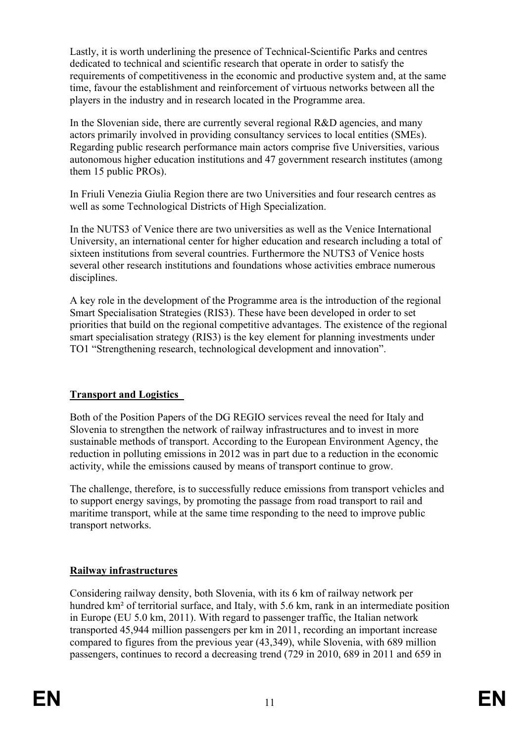Lastly, it is worth underlining the presence of Technical-Scientific Parks and centres dedicated to technical and scientific research that operate in order to satisfy the requirements of competitiveness in the economic and productive system and, at the same time, favour the establishment and reinforcement of virtuous networks between all the players in the industry and in research located in the Programme area.

In the Slovenian side, there are currently several regional R&D agencies, and many actors primarily involved in providing consultancy services to local entities (SMEs). Regarding public research performance main actors comprise five Universities, various autonomous higher education institutions and 47 government research institutes (among them 15 public PROs).

In Friuli Venezia Giulia Region there are two Universities and four research centres as well as some Technological Districts of High Specialization.

In the NUTS3 of Venice there are two universities as well as the Venice International University, an international center for higher education and research including a total of sixteen institutions from several countries. Furthermore the NUTS3 of Venice hosts several other research institutions and foundations whose activities embrace numerous disciplines.

A key role in the development of the Programme area is the introduction of the regional Smart Specialisation Strategies (RIS3). These have been developed in order to set priorities that build on the regional competitive advantages. The existence of the regional smart specialisation strategy (RIS3) is the key element for planning investments under TO1 "Strengthening research, technological development and innovation".

# **Transport and Logistics**

Both of the Position Papers of the DG REGIO services reveal the need for Italy and Slovenia to strengthen the network of railway infrastructures and to invest in more sustainable methods of transport. According to the European Environment Agency, the reduction in polluting emissions in 2012 was in part due to a reduction in the economic activity, while the emissions caused by means of transport continue to grow.

The challenge, therefore, is to successfully reduce emissions from transport vehicles and to support energy savings, by promoting the passage from road transport to rail and maritime transport, while at the same time responding to the need to improve public transport networks.

### **Railway infrastructures**

Considering railway density, both Slovenia, with its 6 km of railway network per hundred km<sup>2</sup> of territorial surface, and Italy, with 5.6 km, rank in an intermediate position in Europe (EU 5.0 km, 2011). With regard to passenger traffic, the Italian network transported 45,944 million passengers per km in 2011, recording an important increase compared to figures from the previous year (43,349), while Slovenia, with 689 million passengers, continues to record a decreasing trend (729 in 2010, 689 in 2011 and 659 in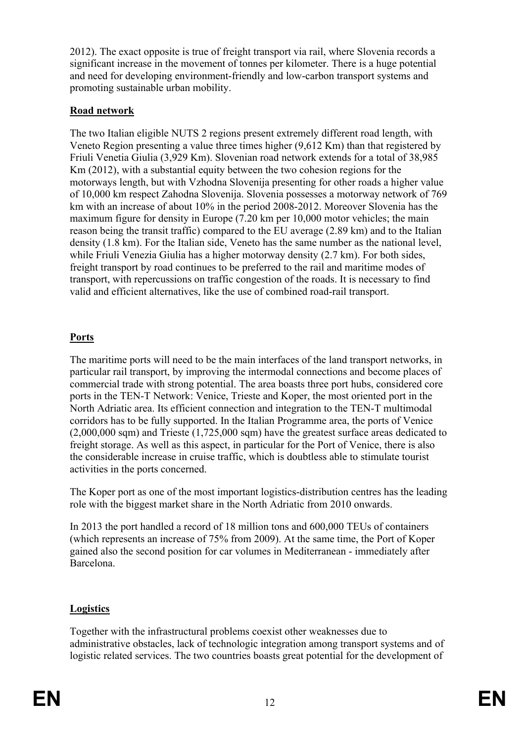2012). The exact opposite is true of freight transport via rail, where Slovenia records a significant increase in the movement of tonnes per kilometer. There is a huge potential and need for developing environment-friendly and low-carbon transport systems and promoting sustainable urban mobility.

# **Road network**

The two Italian eligible NUTS 2 regions present extremely different road length, with Veneto Region presenting a value three times higher (9,612 Km) than that registered by Friuli Venetia Giulia (3,929 Km). Slovenian road network extends for a total of 38,985 Km (2012), with a substantial equity between the two cohesion regions for the motorways length, but with Vzhodna Slovenija presenting for other roads a higher value of 10,000 km respect Zahodna Slovenija. Slovenia possesses a motorway network of 769 km with an increase of about 10% in the period 2008-2012. Moreover Slovenia has the maximum figure for density in Europe (7.20 km per 10,000 motor vehicles; the main reason being the transit traffic) compared to the EU average (2.89 km) and to the Italian density (1.8 km). For the Italian side, Veneto has the same number as the national level, while Friuli Venezia Giulia has a higher motorway density (2.7 km). For both sides, freight transport by road continues to be preferred to the rail and maritime modes of transport, with repercussions on traffic congestion of the roads. It is necessary to find valid and efficient alternatives, like the use of combined road-rail transport.

# **Ports**

The maritime ports will need to be the main interfaces of the land transport networks, in particular rail transport, by improving the intermodal connections and become places of commercial trade with strong potential. The area boasts three port hubs, considered core ports in the TEN-T Network: Venice, Trieste and Koper, the most oriented port in the North Adriatic area. Its efficient connection and integration to the TEN-T multimodal corridors has to be fully supported. In the Italian Programme area, the ports of Venice (2,000,000 sqm) and Trieste (1,725,000 sqm) have the greatest surface areas dedicated to freight storage. As well as this aspect, in particular for the Port of Venice, there is also the considerable increase in cruise traffic, which is doubtless able to stimulate tourist activities in the ports concerned.

The Koper port as one of the most important logistics-distribution centres has the leading role with the biggest market share in the North Adriatic from 2010 onwards.

In 2013 the port handled a record of 18 million tons and 600,000 TEUs of containers (which represents an increase of 75% from 2009). At the same time, the Port of Koper gained also the second position for car volumes in Mediterranean - immediately after Barcelona.

# **Logistics**

Together with the infrastructural problems coexist other weaknesses due to administrative obstacles, lack of technologic integration among transport systems and of logistic related services. The two countries boasts great potential for the development of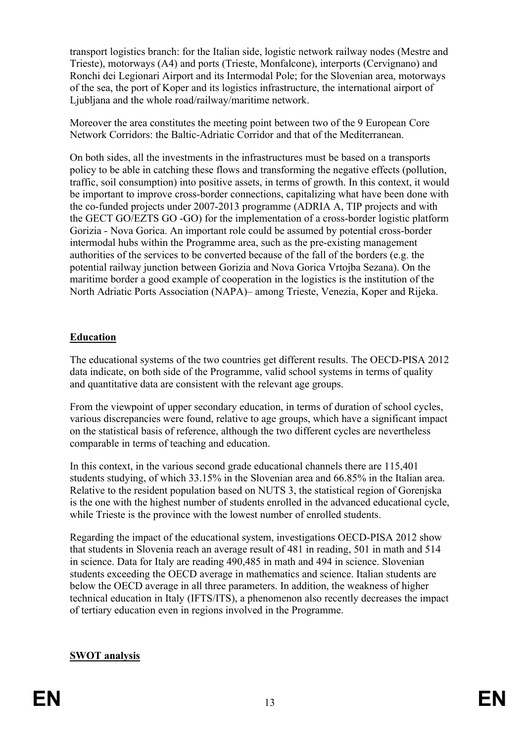transport logistics branch: for the Italian side, logistic network railway nodes (Mestre and Trieste), motorways (A4) and ports (Trieste, Monfalcone), interports (Cervignano) and Ronchi dei Legionari Airport and its Intermodal Pole; for the Slovenian area, motorways of the sea, the port of Koper and its logistics infrastructure, the international airport of Ljubljana and the whole road/railway/maritime network.

Moreover the area constitutes the meeting point between two of the 9 European Core Network Corridors: the Baltic-Adriatic Corridor and that of the Mediterranean.

On both sides, all the investments in the infrastructures must be based on a transports policy to be able in catching these flows and transforming the negative effects (pollution, traffic, soil consumption) into positive assets, in terms of growth. In this context, it would be important to improve cross-border connections, capitalizing what have been done with the co-funded projects under 2007-2013 programme (ADRIA A, TIP projects and with the GECT GO/EZTS GO -GO) for the implementation of a cross-border logistic platform Gorizia - Nova Gorica. An important role could be assumed by potential cross-border intermodal hubs within the Programme area, such as the pre-existing management authorities of the services to be converted because of the fall of the borders (e.g. the potential railway junction between Gorizia and Nova Gorica Vrtojba Sezana). On the maritime border a good example of cooperation in the logistics is the institution of the North Adriatic Ports Association (NAPA)– among Trieste, Venezia, Koper and Rijeka.

### **Education**

The educational systems of the two countries get different results. The OECD-PISA 2012 data indicate, on both side of the Programme, valid school systems in terms of quality and quantitative data are consistent with the relevant age groups.

From the viewpoint of upper secondary education, in terms of duration of school cycles, various discrepancies were found, relative to age groups, which have a significant impact on the statistical basis of reference, although the two different cycles are nevertheless comparable in terms of teaching and education.

In this context, in the various second grade educational channels there are 115,401 students studying, of which 33.15% in the Slovenian area and 66.85% in the Italian area. Relative to the resident population based on NUTS 3, the statistical region of Gorenjska is the one with the highest number of students enrolled in the advanced educational cycle, while Trieste is the province with the lowest number of enrolled students.

Regarding the impact of the educational system, investigations OECD-PISA 2012 show that students in Slovenia reach an average result of 481 in reading, 501 in math and 514 in science. Data for Italy are reading 490,485 in math and 494 in science. Slovenian students exceeding the OECD average in mathematics and science. Italian students are below the OECD average in all three parameters. In addition, the weakness of higher technical education in Italy (IFTS/ITS), a phenomenon also recently decreases the impact of tertiary education even in regions involved in the Programme.

# **SWOT analysis**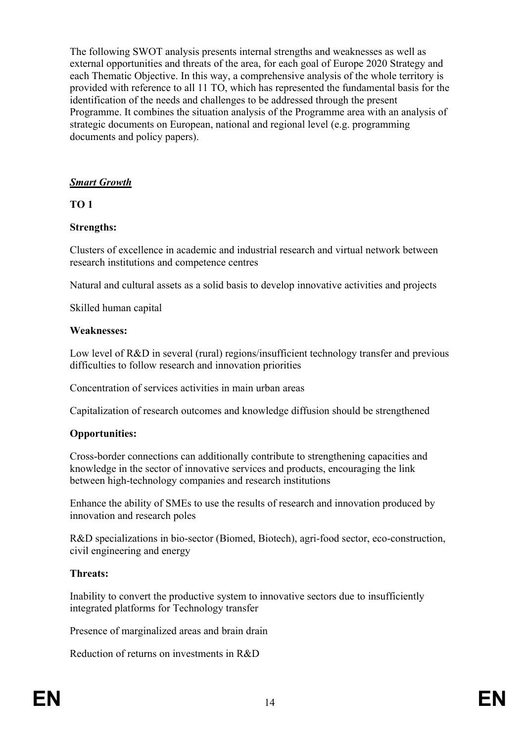The following SWOT analysis presents internal strengths and weaknesses as well as external opportunities and threats of the area, for each goal of Europe 2020 Strategy and each Thematic Objective. In this way, a comprehensive analysis of the whole territory is provided with reference to all 11 TO, which has represented the fundamental basis for the identification of the needs and challenges to be addressed through the present Programme. It combines the situation analysis of the Programme area with an analysis of strategic documents on European, national and regional level (e.g. programming documents and policy papers).

#### *Smart Growth*

#### **TO 1**

#### **Strengths:**

Clusters of excellence in academic and industrial research and virtual network between research institutions and competence centres

Natural and cultural assets as a solid basis to develop innovative activities and projects

Skilled human capital

#### **Weaknesses:**

Low level of R&D in several (rural) regions/insufficient technology transfer and previous difficulties to follow research and innovation priorities

Concentration of services activities in main urban areas

Capitalization of research outcomes and knowledge diffusion should be strengthened

### **Opportunities:**

Cross-border connections can additionally contribute to strengthening capacities and knowledge in the sector of innovative services and products, encouraging the link between high-technology companies and research institutions

Enhance the ability of SMEs to use the results of research and innovation produced by innovation and research poles

R&D specializations in bio-sector (Biomed, Biotech), agri-food sector, eco-construction, civil engineering and energy

#### **Threats:**

Inability to convert the productive system to innovative sectors due to insufficiently integrated platforms for Technology transfer

Presence of marginalized areas and brain drain

Reduction of returns on investments in R&D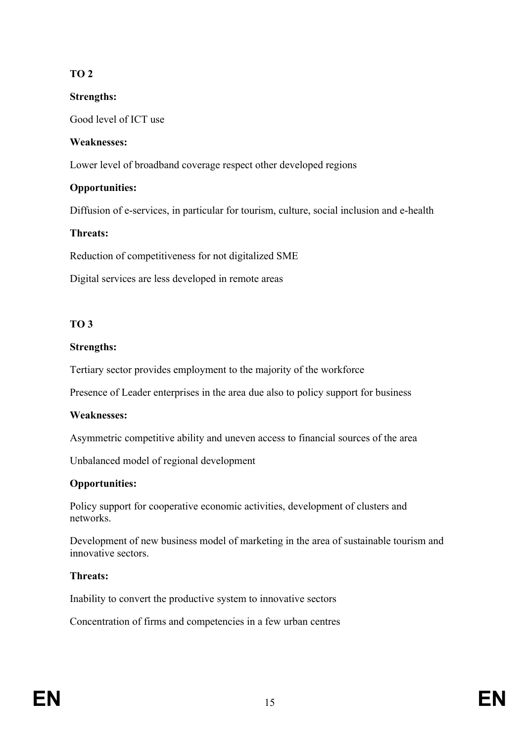# **TO 2**

# **Strengths:**

Good level of ICT use

# **Weaknesses:**

Lower level of broadband coverage respect other developed regions

# **Opportunities:**

Diffusion of e-services, in particular for tourism, culture, social inclusion and e-health

# **Threats:**

Reduction of competitiveness for not digitalized SME

Digital services are less developed in remote areas

# **TO 3**

# **Strengths:**

Tertiary sector provides employment to the majority of the workforce

Presence of Leader enterprises in the area due also to policy support for business

# **Weaknesses:**

Asymmetric competitive ability and uneven access to financial sources of the area

Unbalanced model of regional development

# **Opportunities:**

Policy support for cooperative economic activities, development of clusters and networks.

Development of new business model of marketing in the area of sustainable tourism and innovative sectors.

# **Threats:**

Inability to convert the productive system to innovative sectors

Concentration of firms and competencies in a few urban centres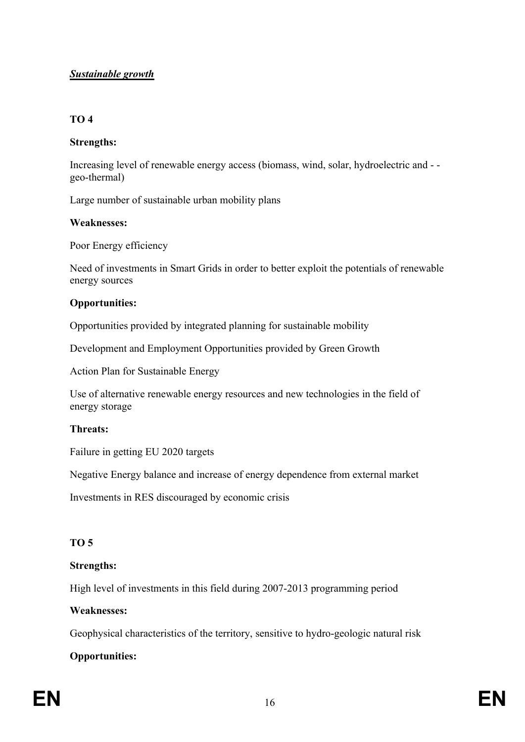# *Sustainable growth*

#### **TO 4**

#### **Strengths:**

Increasing level of renewable energy access (biomass, wind, solar, hydroelectric and - geo-thermal)

Large number of sustainable urban mobility plans

#### **Weaknesses:**

Poor Energy efficiency

Need of investments in Smart Grids in order to better exploit the potentials of renewable energy sources

#### **Opportunities:**

Opportunities provided by integrated planning for sustainable mobility

Development and Employment Opportunities provided by Green Growth

Action Plan for Sustainable Energy

Use of alternative renewable energy resources and new technologies in the field of energy storage

#### **Threats:**

Failure in getting EU 2020 targets

Negative Energy balance and increase of energy dependence from external market

Investments in RES discouraged by economic crisis

### **TO 5**

### **Strengths:**

High level of investments in this field during 2007-2013 programming period

#### **Weaknesses:**

Geophysical characteristics of the territory, sensitive to hydro-geologic natural risk

### **Opportunities:**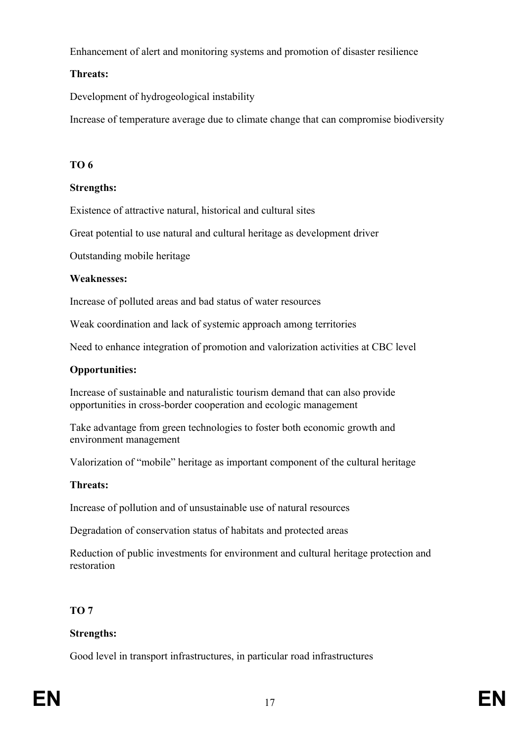Enhancement of alert and monitoring systems and promotion of disaster resilience

# **Threats:**

Development of hydrogeological instability

Increase of temperature average due to climate change that can compromise biodiversity

# **TO 6**

# **Strengths:**

Existence of attractive natural, historical and cultural sites

Great potential to use natural and cultural heritage as development driver

Outstanding mobile heritage

# **Weaknesses:**

Increase of polluted areas and bad status of water resources

Weak coordination and lack of systemic approach among territories

Need to enhance integration of promotion and valorization activities at CBC level

# **Opportunities:**

Increase of sustainable and naturalistic tourism demand that can also provide opportunities in cross-border cooperation and ecologic management

Take advantage from green technologies to foster both economic growth and environment management

Valorization of "mobile" heritage as important component of the cultural heritage

# **Threats:**

Increase of pollution and of unsustainable use of natural resources

Degradation of conservation status of habitats and protected areas

Reduction of public investments for environment and cultural heritage protection and restoration

# **TO 7**

# **Strengths:**

Good level in transport infrastructures, in particular road infrastructures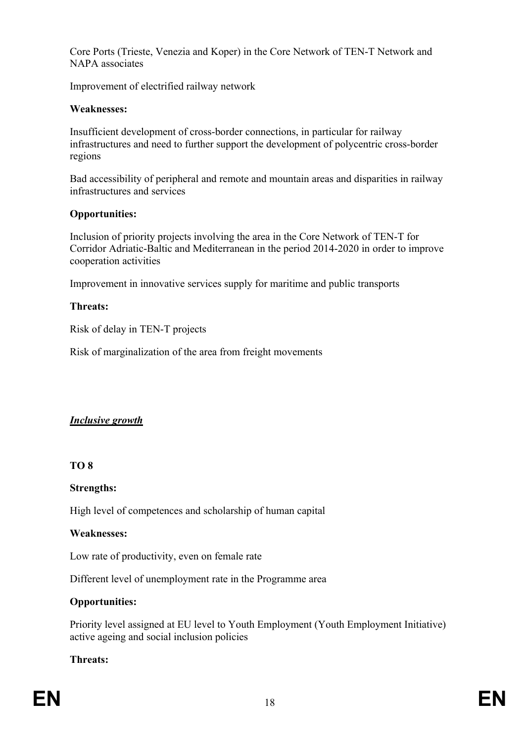Core Ports (Trieste, Venezia and Koper) in the Core Network of TEN-T Network and NAPA associates

Improvement of electrified railway network

#### **Weaknesses:**

Insufficient development of cross-border connections, in particular for railway infrastructures and need to further support the development of polycentric cross-border regions

Bad accessibility of peripheral and remote and mountain areas and disparities in railway infrastructures and services

#### **Opportunities:**

Inclusion of priority projects involving the area in the Core Network of TEN-T for Corridor Adriatic-Baltic and Mediterranean in the period 2014-2020 in order to improve cooperation activities

Improvement in innovative services supply for maritime and public transports

#### **Threats:**

Risk of delay in TEN-T projects

Risk of marginalization of the area from freight movements

### *Inclusive growth*

#### **TO 8**

#### **Strengths:**

High level of competences and scholarship of human capital

#### **Weaknesses:**

Low rate of productivity, even on female rate

Different level of unemployment rate in the Programme area

### **Opportunities:**

Priority level assigned at EU level to Youth Employment (Youth Employment Initiative) active ageing and social inclusion policies

### **Threats:**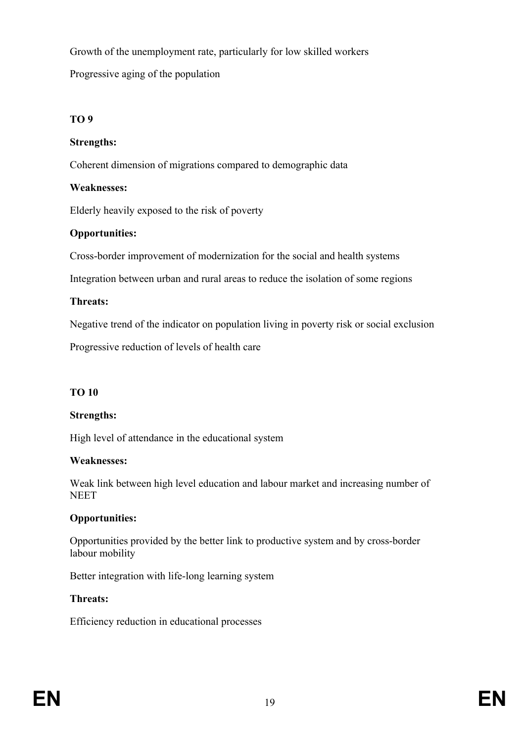Growth of the unemployment rate, particularly for low skilled workers Progressive aging of the population

### **TO 9**

# **Strengths:**

Coherent dimension of migrations compared to demographic data

### **Weaknesses:**

Elderly heavily exposed to the risk of poverty

# **Opportunities:**

Cross-border improvement of modernization for the social and health systems

Integration between urban and rural areas to reduce the isolation of some regions

# **Threats:**

Negative trend of the indicator on population living in poverty risk or social exclusion

Progressive reduction of levels of health care

# **TO 10**

# **Strengths:**

High level of attendance in the educational system

### **Weaknesses:**

Weak link between high level education and labour market and increasing number of **NEET** 

# **Opportunities:**

Opportunities provided by the better link to productive system and by cross-border labour mobility

Better integration with life-long learning system

# **Threats:**

Efficiency reduction in educational processes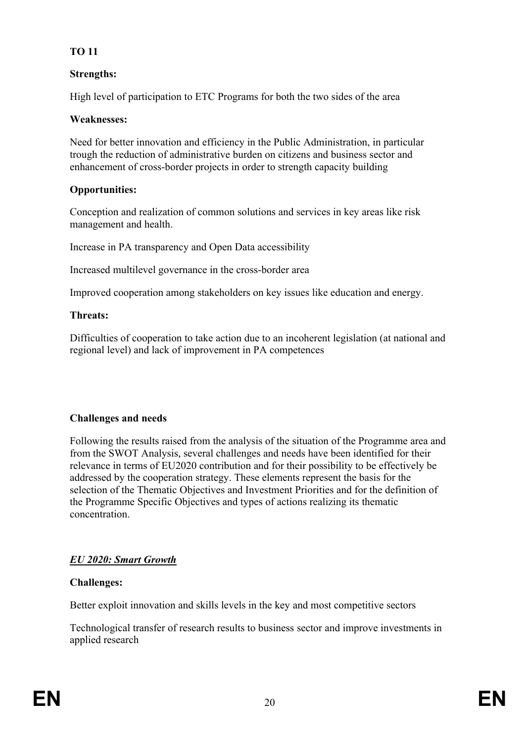# **TO 11**

# **Strengths:**

High level of participation to ETC Programs for both the two sides of the area

### **Weaknesses:**

Need for better innovation and efficiency in the Public Administration, in particular trough the reduction of administrative burden on citizens and business sector and enhancement of cross-border projects in order to strength capacity building

# **Opportunities:**

Conception and realization of common solutions and services in key areas like risk management and health.

Increase in PA transparency and Open Data accessibility

Increased multilevel governance in the cross-border area

Improved cooperation among stakeholders on key issues like education and energy.

### **Threats:**

Difficulties of cooperation to take action due to an incoherent legislation (at national and regional level) and lack of improvement in PA competences

### **Challenges and needs**

Following the results raised from the analysis of the situation of the Programme area and from the SWOT Analysis, several challenges and needs have been identified for their relevance in terms of EU2020 contribution and for their possibility to be effectively be addressed by the cooperation strategy. These elements represent the basis for the selection of the Thematic Objectives and Investment Priorities and for the definition of the Programme Specific Objectives and types of actions realizing its thematic concentration.

# *EU 2020: Smart Growth*

### **Challenges:**

Better exploit innovation and skills levels in the key and most competitive sectors

Technological transfer of research results to business sector and improve investments in applied research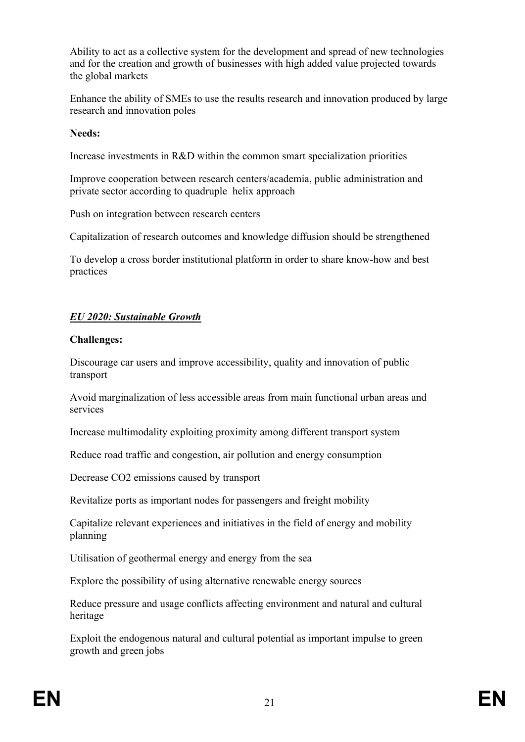Ability to act as a collective system for the development and spread of new technologies and for the creation and growth of businesses with high added value projected towards the global markets

Enhance the ability of SMEs to use the results research and innovation produced by large research and innovation poles

#### **Needs:**

Increase investments in R&D within the common smart specialization priorities

Improve cooperation between research centers/academia, public administration and private sector according to quadruple helix approach

Push on integration between research centers

Capitalization of research outcomes and knowledge diffusion should be strengthened

To develop a cross border institutional platform in order to share know-how and best practices

# *EU 2020: Sustainable Growth*

#### **Challenges:**

Discourage car users and improve accessibility, quality and innovation of public transport

Avoid marginalization of less accessible areas from main functional urban areas and services

Increase multimodality exploiting proximity among different transport system

Reduce road traffic and congestion, air pollution and energy consumption

Decrease CO2 emissions caused by transport

Revitalize ports as important nodes for passengers and freight mobility

Capitalize relevant experiences and initiatives in the field of energy and mobility planning

Utilisation of geothermal energy and energy from the sea

Explore the possibility of using alternative renewable energy sources

Reduce pressure and usage conflicts affecting environment and natural and cultural heritage

Exploit the endogenous natural and cultural potential as important impulse to green growth and green jobs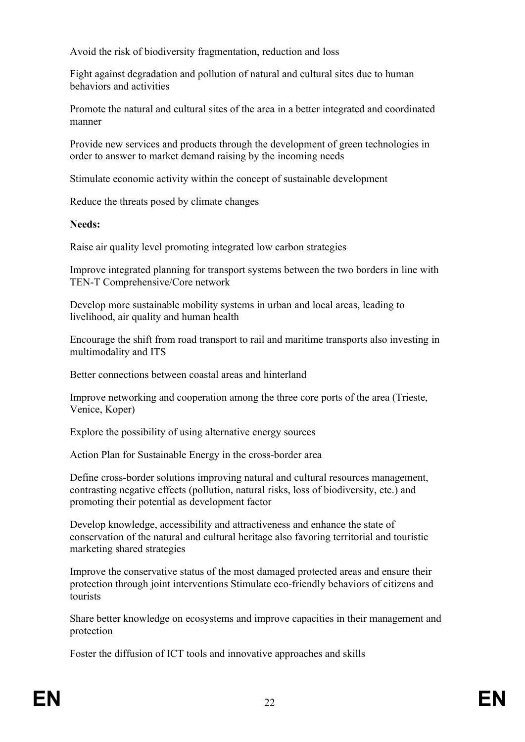Avoid the risk of biodiversity fragmentation, reduction and loss

Fight against degradation and pollution of natural and cultural sites due to human behaviors and activities

Promote the natural and cultural sites of the area in a better integrated and coordinated manner

Provide new services and products through the development of green technologies in order to answer to market demand raising by the incoming needs

Stimulate economic activity within the concept of sustainable development

Reduce the threats posed by climate changes

#### **Needs:**

Raise air quality level promoting integrated low carbon strategies

Improve integrated planning for transport systems between the two borders in line with TEN-T Comprehensive/Core network

Develop more sustainable mobility systems in urban and local areas, leading to livelihood, air quality and human health

Encourage the shift from road transport to rail and maritime transports also investing in multimodality and ITS

Better connections between coastal areas and hinterland

Improve networking and cooperation among the three core ports of the area (Trieste, Venice, Koper)

Explore the possibility of using alternative energy sources

Action Plan for Sustainable Energy in the cross-border area

Define cross-border solutions improving natural and cultural resources management, contrasting negative effects (pollution, natural risks, loss of biodiversity, etc.) and promoting their potential as development factor

Develop knowledge, accessibility and attractiveness and enhance the state of conservation of the natural and cultural heritage also favoring territorial and touristic marketing shared strategies

Improve the conservative status of the most damaged protected areas and ensure their protection through joint interventions Stimulate eco-friendly behaviors of citizens and tourists

Share better knowledge on ecosystems and improve capacities in their management and protection

Foster the diffusion of ICT tools and innovative approaches and skills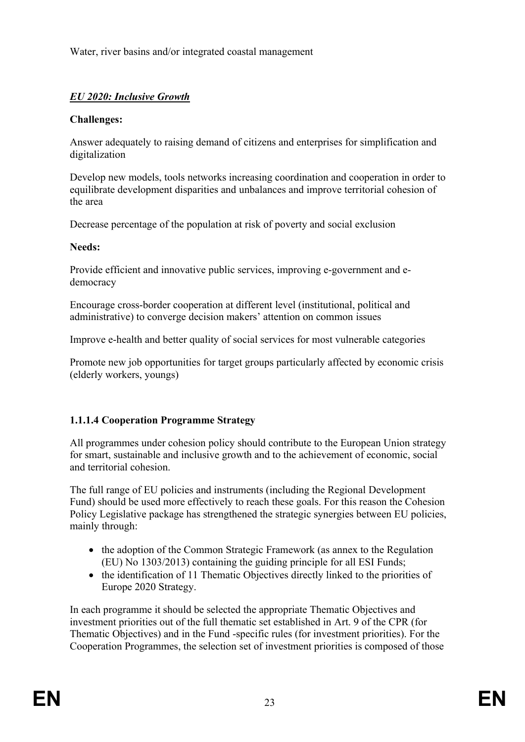Water, river basins and/or integrated coastal management

# *EU 2020: Inclusive Growth*

### **Challenges:**

Answer adequately to raising demand of citizens and enterprises for simplification and digitalization

Develop new models, tools networks increasing coordination and cooperation in order to equilibrate development disparities and unbalances and improve territorial cohesion of the area

Decrease percentage of the population at risk of poverty and social exclusion

### **Needs:**

Provide efficient and innovative public services, improving e-government and edemocracy

Encourage cross-border cooperation at different level (institutional, political and administrative) to converge decision makers' attention on common issues

Improve e-health and better quality of social services for most vulnerable categories

Promote new job opportunities for target groups particularly affected by economic crisis (elderly workers, youngs)

# **1.1.1.4 Cooperation Programme Strategy**

All programmes under cohesion policy should contribute to the European Union strategy for smart, sustainable and inclusive growth and to the achievement of economic, social and territorial cohesion.

The full range of EU policies and instruments (including the Regional Development Fund) should be used more effectively to reach these goals. For this reason the Cohesion Policy Legislative package has strengthened the strategic synergies between EU policies, mainly through:

- the adoption of the Common Strategic Framework (as annex to the Regulation (EU) No 1303/2013) containing the guiding principle for all ESI Funds;
- the identification of 11 Thematic Objectives directly linked to the priorities of Europe 2020 Strategy.

In each programme it should be selected the appropriate Thematic Objectives and investment priorities out of the full thematic set established in Art. 9 of the CPR (for Thematic Objectives) and in the Fund -specific rules (for investment priorities). For the Cooperation Programmes, the selection set of investment priorities is composed of those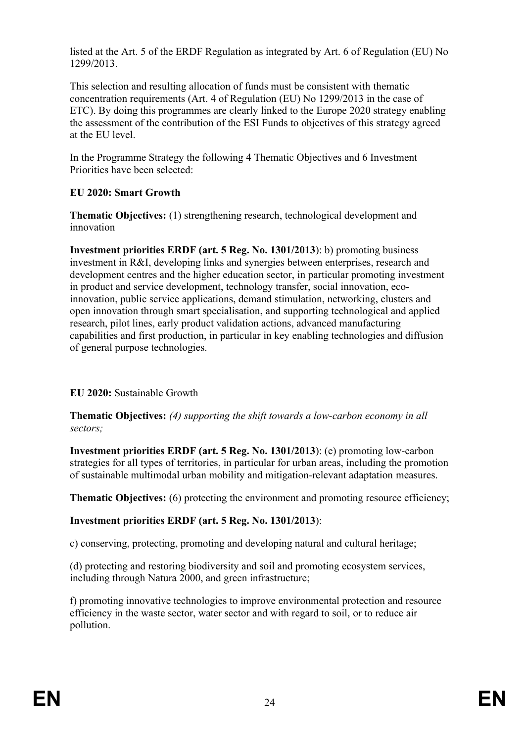listed at the Art. 5 of the ERDF Regulation as integrated by Art. 6 of Regulation (EU) No 1299/2013.

This selection and resulting allocation of funds must be consistent with thematic concentration requirements (Art. 4 of Regulation (EU) No 1299/2013 in the case of ETC). By doing this programmes are clearly linked to the Europe 2020 strategy enabling the assessment of the contribution of the ESI Funds to objectives of this strategy agreed at the EU level.

In the Programme Strategy the following 4 Thematic Objectives and 6 Investment Priorities have been selected<sup>.</sup>

# **EU 2020: Smart Growth**

**Thematic Objectives:** (1) strengthening research, technological development and innovation

**Investment priorities ERDF (art. 5 Reg. No. 1301/2013**): b) promoting business investment in R&I, developing links and synergies between enterprises, research and development centres and the higher education sector, in particular promoting investment in product and service development, technology transfer, social innovation, ecoinnovation, public service applications, demand stimulation, networking, clusters and open innovation through smart specialisation, and supporting technological and applied research, pilot lines, early product validation actions, advanced manufacturing capabilities and first production, in particular in key enabling technologies and diffusion of general purpose technologies.

# **EU 2020:** Sustainable Growth

**Thematic Objectives:** *(4) supporting the shift towards a low-carbon economy in all sectors;*

**Investment priorities ERDF (art. 5 Reg. No. 1301/2013**): (e) promoting low-carbon strategies for all types of territories, in particular for urban areas, including the promotion of sustainable multimodal urban mobility and mitigation-relevant adaptation measures.

**Thematic Objectives:** (6) protecting the environment and promoting resource efficiency;

# **Investment priorities ERDF (art. 5 Reg. No. 1301/2013**):

c) conserving, protecting, promoting and developing natural and cultural heritage;

(d) protecting and restoring biodiversity and soil and promoting ecosystem services, including through Natura 2000, and green infrastructure;

f) promoting innovative technologies to improve environmental protection and resource efficiency in the waste sector, water sector and with regard to soil, or to reduce air pollution.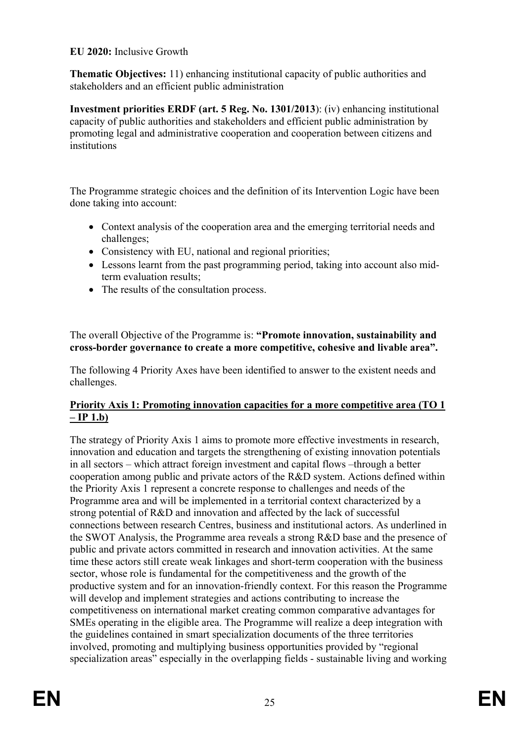### **EU 2020:** Inclusive Growth

**Thematic Objectives:** 11) enhancing institutional capacity of public authorities and stakeholders and an efficient public administration

**Investment priorities ERDF (art. 5 Reg. No. 1301/2013**): (iv) enhancing institutional capacity of public authorities and stakeholders and efficient public administration by promoting legal and administrative cooperation and cooperation between citizens and institutions

The Programme strategic choices and the definition of its Intervention Logic have been done taking into account:

- Context analysis of the cooperation area and the emerging territorial needs and challenges;
- Consistency with EU, national and regional priorities;
- Lessons learnt from the past programming period, taking into account also midterm evaluation results:
- The results of the consultation process.

The overall Objective of the Programme is: **"Promote innovation, sustainability and cross-border governance to create a more competitive, cohesive and livable area".**

The following 4 Priority Axes have been identified to answer to the existent needs and challenges.

# **Priority Axis 1: Promoting innovation capacities for a more competitive area (TO 1 – IP 1.b)**

The strategy of Priority Axis 1 aims to promote more effective investments in research, innovation and education and targets the strengthening of existing innovation potentials in all sectors – which attract foreign investment and capital flows –through a better cooperation among public and private actors of the R&D system. Actions defined within the Priority Axis 1 represent a concrete response to challenges and needs of the Programme area and will be implemented in a territorial context characterized by a strong potential of R&D and innovation and affected by the lack of successful connections between research Centres, business and institutional actors. As underlined in the SWOT Analysis, the Programme area reveals a strong R&D base and the presence of public and private actors committed in research and innovation activities. At the same time these actors still create weak linkages and short-term cooperation with the business sector, whose role is fundamental for the competitiveness and the growth of the productive system and for an innovation-friendly context. For this reason the Programme will develop and implement strategies and actions contributing to increase the competitiveness on international market creating common comparative advantages for SMEs operating in the eligible area. The Programme will realize a deep integration with the guidelines contained in smart specialization documents of the three territories involved, promoting and multiplying business opportunities provided by "regional specialization areas" especially in the overlapping fields - sustainable living and working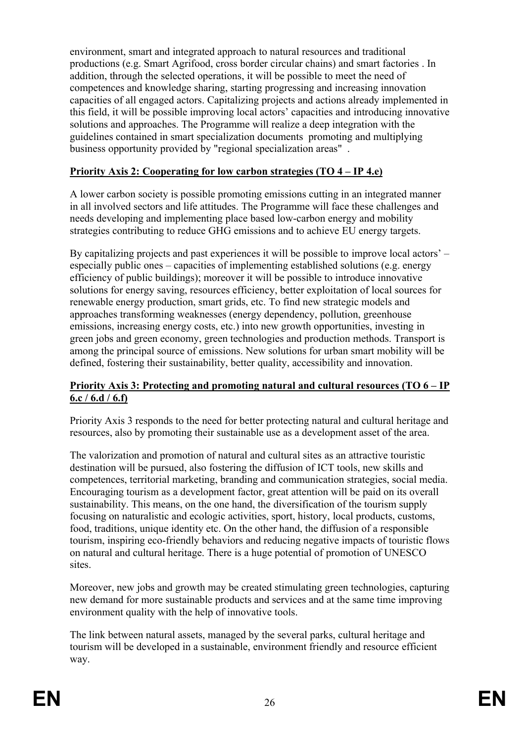environment, smart and integrated approach to natural resources and traditional productions (e.g. Smart Agrifood, cross border circular chains) and smart factories . In addition, through the selected operations, it will be possible to meet the need of competences and knowledge sharing, starting progressing and increasing innovation capacities of all engaged actors. Capitalizing projects and actions already implemented in this field, it will be possible improving local actors' capacities and introducing innovative solutions and approaches. The Programme will realize a deep integration with the guidelines contained in smart specialization documents promoting and multiplying business opportunity provided by "regional specialization areas" .

### **Priority Axis 2: Cooperating for low carbon strategies (TO 4 – IP 4.e)**

A lower carbon society is possible promoting emissions cutting in an integrated manner in all involved sectors and life attitudes. The Programme will face these challenges and needs developing and implementing place based low-carbon energy and mobility strategies contributing to reduce GHG emissions and to achieve EU energy targets.

By capitalizing projects and past experiences it will be possible to improve local actors' – especially public ones – capacities of implementing established solutions (e.g. energy efficiency of public buildings); moreover it will be possible to introduce innovative solutions for energy saving, resources efficiency, better exploitation of local sources for renewable energy production, smart grids, etc. To find new strategic models and approaches transforming weaknesses (energy dependency, pollution, greenhouse emissions, increasing energy costs, etc.) into new growth opportunities, investing in green jobs and green economy, green technologies and production methods. Transport is among the principal source of emissions. New solutions for urban smart mobility will be defined, fostering their sustainability, better quality, accessibility and innovation.

### **Priority Axis 3: Protecting and promoting natural and cultural resources (TO 6 – IP 6.c / 6.d / 6.f)**

Priority Axis 3 responds to the need for better protecting natural and cultural heritage and resources, also by promoting their sustainable use as a development asset of the area.

The valorization and promotion of natural and cultural sites as an attractive touristic destination will be pursued, also fostering the diffusion of ICT tools, new skills and competences, territorial marketing, branding and communication strategies, social media. Encouraging tourism as a development factor, great attention will be paid on its overall sustainability. This means, on the one hand, the diversification of the tourism supply focusing on naturalistic and ecologic activities, sport, history, local products, customs, food, traditions, unique identity etc. On the other hand, the diffusion of a responsible tourism, inspiring eco-friendly behaviors and reducing negative impacts of touristic flows on natural and cultural heritage. There is a huge potential of promotion of UNESCO sites.

Moreover, new jobs and growth may be created stimulating green technologies, capturing new demand for more sustainable products and services and at the same time improving environment quality with the help of innovative tools.

The link between natural assets, managed by the several parks, cultural heritage and tourism will be developed in a sustainable, environment friendly and resource efficient way.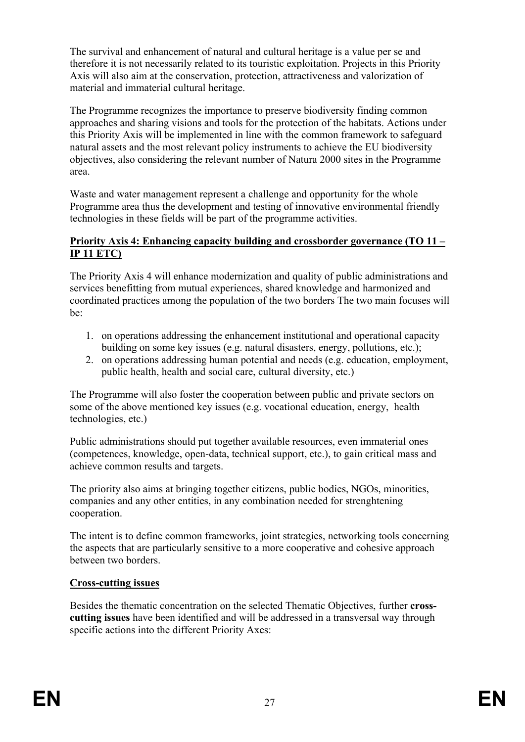The survival and enhancement of natural and cultural heritage is a value per se and therefore it is not necessarily related to its touristic exploitation. Projects in this Priority Axis will also aim at the conservation, protection, attractiveness and valorization of material and immaterial cultural heritage.

The Programme recognizes the importance to preserve biodiversity finding common approaches and sharing visions and tools for the protection of the habitats. Actions under this Priority Axis will be implemented in line with the common framework to safeguard natural assets and the most relevant policy instruments to achieve the EU biodiversity objectives, also considering the relevant number of Natura 2000 sites in the Programme area.

Waste and water management represent a challenge and opportunity for the whole Programme area thus the development and testing of innovative environmental friendly technologies in these fields will be part of the programme activities.

### **Priority Axis 4: Enhancing capacity building and crossborder governance (TO 11 – IP 11 ETC)**

The Priority Axis 4 will enhance modernization and quality of public administrations and services benefitting from mutual experiences, shared knowledge and harmonized and coordinated practices among the population of the two borders The two main focuses will be:

- 1. on operations addressing the enhancement institutional and operational capacity building on some key issues (e.g. natural disasters, energy, pollutions, etc.);
- 2. on operations addressing human potential and needs (e.g. education, employment, public health, health and social care, cultural diversity, etc.)

The Programme will also foster the cooperation between public and private sectors on some of the above mentioned key issues (e.g. vocational education, energy, health technologies, etc.)

Public administrations should put together available resources, even immaterial ones (competences, knowledge, open-data, technical support, etc.), to gain critical mass and achieve common results and targets.

The priority also aims at bringing together citizens, public bodies, NGOs, minorities, companies and any other entities, in any combination needed for strenghtening cooperation.

The intent is to define common frameworks, joint strategies, networking tools concerning the aspects that are particularly sensitive to a more cooperative and cohesive approach between two borders.

# **Cross-cutting issues**

Besides the thematic concentration on the selected Thematic Objectives, further **crosscutting issues** have been identified and will be addressed in a transversal way through specific actions into the different Priority Axes: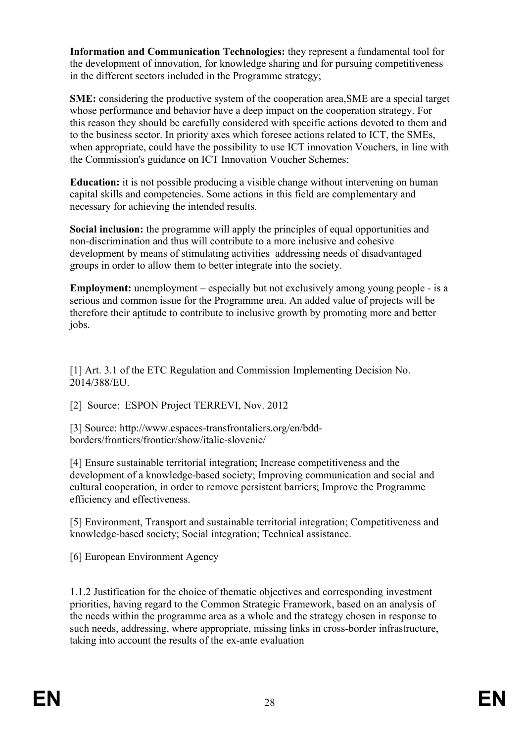**Information and Communication Technologies:** they represent a fundamental tool for the development of innovation, for knowledge sharing and for pursuing competitiveness in the different sectors included in the Programme strategy;

**SME:** considering the productive system of the cooperation area,SME are a special target whose performance and behavior have a deep impact on the cooperation strategy. For this reason they should be carefully considered with specific actions devoted to them and to the business sector. In priority axes which foresee actions related to ICT, the SMEs, when appropriate, could have the possibility to use ICT innovation Vouchers, in line with the Commission's guidance on ICT Innovation Voucher Schemes;

**Education:** it is not possible producing a visible change without intervening on human capital skills and competencies. Some actions in this field are complementary and necessary for achieving the intended results.

**Social inclusion:** the programme will apply the principles of equal opportunities and non-discrimination and thus will contribute to a more inclusive and cohesive development by means of stimulating activities addressing needs of disadvantaged groups in order to allow them to better integrate into the society.

**Employment:** unemployment – especially but not exclusively among young people - is a serious and common issue for the Programme area. An added value of projects will be therefore their aptitude to contribute to inclusive growth by promoting more and better jobs.

[1] Art. 3.1 of the ETC Regulation and Commission Implementing Decision No. 2014/388/EU.

[2] Source: ESPON Project TERREVI, Nov. 2012

[3] Source: http://www.espaces-transfrontaliers.org/en/bddborders/frontiers/frontier/show/italie-slovenie/

[4] Ensure sustainable territorial integration; Increase competitiveness and the development of a knowledge-based society; Improving communication and social and cultural cooperation, in order to remove persistent barriers; Improve the Programme efficiency and effectiveness.

[5] Environment, Transport and sustainable territorial integration; Competitiveness and knowledge-based society; Social integration; Technical assistance.

[6] European Environment Agency

1.1.2 Justification for the choice of thematic objectives and corresponding investment priorities, having regard to the Common Strategic Framework, based on an analysis of the needs within the programme area as a whole and the strategy chosen in response to such needs, addressing, where appropriate, missing links in cross-border infrastructure, taking into account the results of the ex-ante evaluation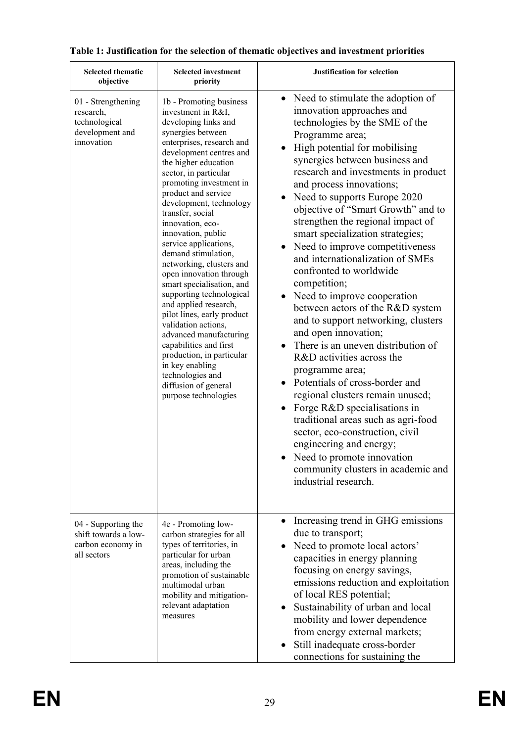| <b>Selected thematic</b><br>objective                                             | <b>Selected investment</b><br>priority                                                                                                                                                                                                                                                                                                                                                                                                                                                                                                                                                                                                                                                                                                                               | <b>Justification for selection</b>                                                                                                                                                                                                                                                                                                                                                                                                                                                                                                                                                                                                                                                                                                                                                                                                                                                                                                                                                                                                                          |
|-----------------------------------------------------------------------------------|----------------------------------------------------------------------------------------------------------------------------------------------------------------------------------------------------------------------------------------------------------------------------------------------------------------------------------------------------------------------------------------------------------------------------------------------------------------------------------------------------------------------------------------------------------------------------------------------------------------------------------------------------------------------------------------------------------------------------------------------------------------------|-------------------------------------------------------------------------------------------------------------------------------------------------------------------------------------------------------------------------------------------------------------------------------------------------------------------------------------------------------------------------------------------------------------------------------------------------------------------------------------------------------------------------------------------------------------------------------------------------------------------------------------------------------------------------------------------------------------------------------------------------------------------------------------------------------------------------------------------------------------------------------------------------------------------------------------------------------------------------------------------------------------------------------------------------------------|
| 01 - Strengthening<br>research,<br>technological<br>development and<br>innovation | 1b - Promoting business<br>investment in R&I,<br>developing links and<br>synergies between<br>enterprises, research and<br>development centres and<br>the higher education<br>sector, in particular<br>promoting investment in<br>product and service<br>development, technology<br>transfer, social<br>innovation, eco-<br>innovation, public<br>service applications,<br>demand stimulation,<br>networking, clusters and<br>open innovation through<br>smart specialisation, and<br>supporting technological<br>and applied research,<br>pilot lines, early product<br>validation actions,<br>advanced manufacturing<br>capabilities and first<br>production, in particular<br>in key enabling<br>technologies and<br>diffusion of general<br>purpose technologies | • Need to stimulate the adoption of<br>innovation approaches and<br>technologies by the SME of the<br>Programme area;<br>High potential for mobilising<br>synergies between business and<br>research and investments in product<br>and process innovations;<br>Need to supports Europe 2020<br>objective of "Smart Growth" and to<br>strengthen the regional impact of<br>smart specialization strategies;<br>Need to improve competitiveness<br>and internationalization of SMEs<br>confronted to worldwide<br>competition;<br>Need to improve cooperation<br>between actors of the R&D system<br>and to support networking, clusters<br>and open innovation;<br>There is an uneven distribution of<br>R&D activities across the<br>programme area;<br>Potentials of cross-border and<br>regional clusters remain unused;<br>Forge R&D specialisations in<br>traditional areas such as agri-food<br>sector, eco-construction, civil<br>engineering and energy;<br>Need to promote innovation<br>community clusters in academic and<br>industrial research. |
| 04 - Supporting the<br>shift towards a low-<br>carbon economy in<br>all sectors   | 4e - Promoting low-<br>carbon strategies for all<br>types of territories, in<br>particular for urban<br>areas, including the<br>promotion of sustainable<br>multimodal urban<br>mobility and mitigation-<br>relevant adaptation<br>measures                                                                                                                                                                                                                                                                                                                                                                                                                                                                                                                          | Increasing trend in GHG emissions<br>$\bullet$<br>due to transport;<br>Need to promote local actors'<br>capacities in energy planning<br>focusing on energy savings,<br>emissions reduction and exploitation<br>of local RES potential;<br>Sustainability of urban and local<br>mobility and lower dependence<br>from energy external markets;<br>Still inadequate cross-border<br>connections for sustaining the                                                                                                                                                                                                                                                                                                                                                                                                                                                                                                                                                                                                                                           |

# **Table 1: Justification for the selection of thematic objectives and investment priorities**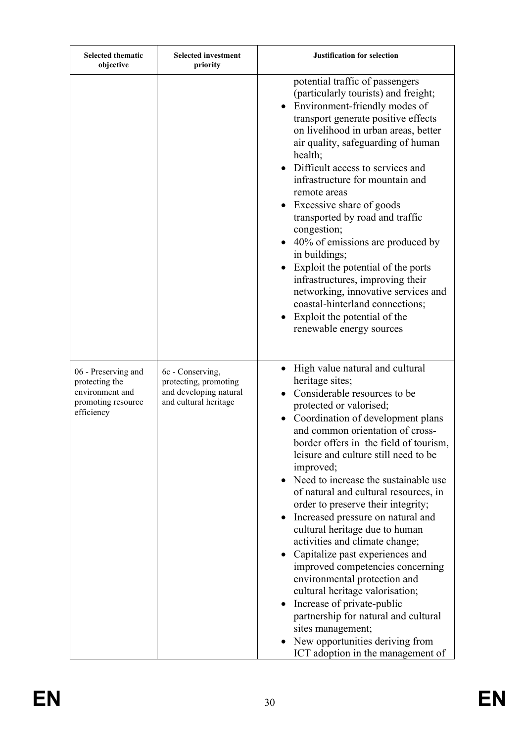| <b>Selected thematic</b><br>objective                                                        | <b>Selected investment</b><br>priority                                                       | <b>Justification for selection</b>                                                                                                                                                                                                                                                                                                                                                                                                                                                                                                                                                                                                                                                                                                                                                                                                 |
|----------------------------------------------------------------------------------------------|----------------------------------------------------------------------------------------------|------------------------------------------------------------------------------------------------------------------------------------------------------------------------------------------------------------------------------------------------------------------------------------------------------------------------------------------------------------------------------------------------------------------------------------------------------------------------------------------------------------------------------------------------------------------------------------------------------------------------------------------------------------------------------------------------------------------------------------------------------------------------------------------------------------------------------------|
|                                                                                              |                                                                                              | potential traffic of passengers<br>(particularly tourists) and freight;<br>Environment-friendly modes of<br>transport generate positive effects<br>on livelihood in urban areas, better<br>air quality, safeguarding of human<br>health;<br>• Difficult access to services and<br>infrastructure for mountain and<br>remote areas<br>• Excessive share of goods<br>transported by road and traffic<br>congestion;<br>• 40% of emissions are produced by<br>in buildings;<br>Exploit the potential of the ports<br>infrastructures, improving their<br>networking, innovative services and<br>coastal-hinterland connections;<br>Exploit the potential of the<br>renewable energy sources                                                                                                                                           |
| 06 - Preserving and<br>protecting the<br>environment and<br>promoting resource<br>efficiency | 6c - Conserving,<br>protecting, promoting<br>and developing natural<br>and cultural heritage | High value natural and cultural<br>heritage sites;<br>Considerable resources to be<br>protected or valorised;<br>Coordination of development plans<br>and common orientation of cross-<br>border offers in the field of tourism,<br>leisure and culture still need to be<br>improved;<br>Need to increase the sustainable use<br>of natural and cultural resources, in<br>order to preserve their integrity;<br>Increased pressure on natural and<br>cultural heritage due to human<br>activities and climate change;<br>Capitalize past experiences and<br>improved competencies concerning<br>environmental protection and<br>cultural heritage valorisation;<br>Increase of private-public<br>partnership for natural and cultural<br>sites management;<br>New opportunities deriving from<br>ICT adoption in the management of |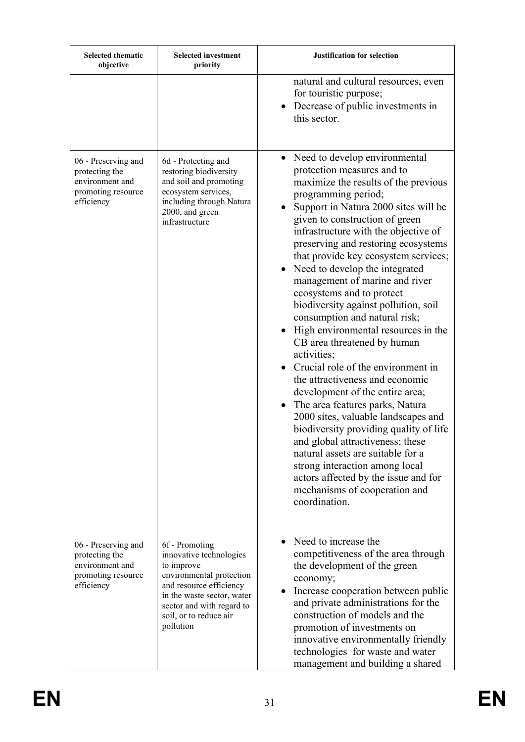| <b>Selected thematic</b><br>objective                                                        | <b>Selected investment</b><br>priority                                                                                                                                                                           | <b>Justification for selection</b>                                                                                                                                                                                                                                                                                                                                                                                                                                                                                                                                                                                                                                                                                                                                                                                                                                                                                                                                                                                                                        |
|----------------------------------------------------------------------------------------------|------------------------------------------------------------------------------------------------------------------------------------------------------------------------------------------------------------------|-----------------------------------------------------------------------------------------------------------------------------------------------------------------------------------------------------------------------------------------------------------------------------------------------------------------------------------------------------------------------------------------------------------------------------------------------------------------------------------------------------------------------------------------------------------------------------------------------------------------------------------------------------------------------------------------------------------------------------------------------------------------------------------------------------------------------------------------------------------------------------------------------------------------------------------------------------------------------------------------------------------------------------------------------------------|
|                                                                                              |                                                                                                                                                                                                                  | natural and cultural resources, even<br>for touristic purpose;<br>Decrease of public investments in<br>this sector.                                                                                                                                                                                                                                                                                                                                                                                                                                                                                                                                                                                                                                                                                                                                                                                                                                                                                                                                       |
| 06 - Preserving and<br>protecting the<br>environment and<br>promoting resource<br>efficiency | 6d - Protecting and<br>restoring biodiversity<br>and soil and promoting<br>ecosystem services,<br>including through Natura<br>2000, and green<br>infrastructure                                                  | Need to develop environmental<br>$\bullet$<br>protection measures and to<br>maximize the results of the previous<br>programming period;<br>Support in Natura 2000 sites will be<br>given to construction of green<br>infrastructure with the objective of<br>preserving and restoring ecosystems<br>that provide key ecosystem services;<br>Need to develop the integrated<br>$\bullet$<br>management of marine and river<br>ecosystems and to protect<br>biodiversity against pollution, soil<br>consumption and natural risk;<br>High environmental resources in the<br>CB area threatened by human<br>activities;<br>Crucial role of the environment in<br>the attractiveness and economic<br>development of the entire area;<br>The area features parks, Natura<br>2000 sites, valuable landscapes and<br>biodiversity providing quality of life<br>and global attractiveness; these<br>natural assets are suitable for a<br>strong interaction among local<br>actors affected by the issue and for<br>mechanisms of cooperation and<br>coordination. |
| 06 - Preserving and<br>protecting the<br>environment and<br>promoting resource<br>efficiency | 6f - Promoting<br>innovative technologies<br>to improve<br>environmental protection<br>and resource efficiency<br>in the waste sector, water<br>sector and with regard to<br>soil, or to reduce air<br>pollution | Need to increase the<br>$\bullet$<br>competitiveness of the area through<br>the development of the green<br>economy;<br>Increase cooperation between public<br>$\bullet$<br>and private administrations for the<br>construction of models and the<br>promotion of investments on<br>innovative environmentally friendly<br>technologies for waste and water<br>management and building a shared                                                                                                                                                                                                                                                                                                                                                                                                                                                                                                                                                                                                                                                           |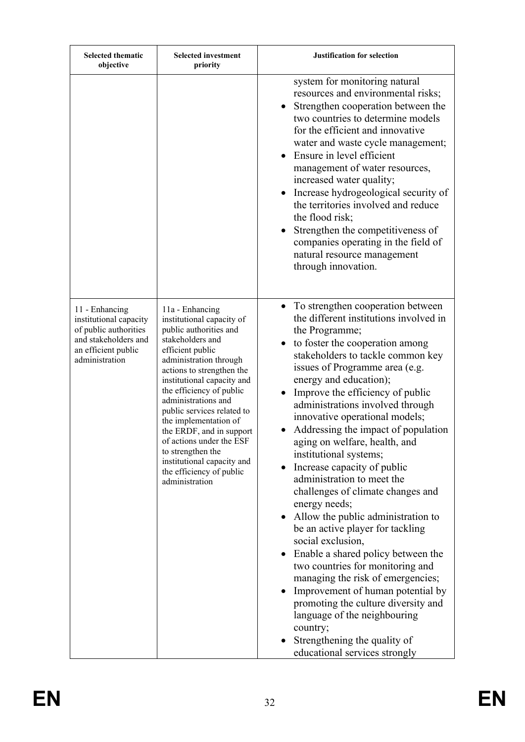| <b>Selected thematic</b><br>objective                                                                                              | <b>Selected investment</b><br>priority                                                                                                                                                                                                                                                                                                                                                                                                                                 | <b>Justification for selection</b>                                                                                                                                                                                                                                                                                                                                                                                                                                                                                                                                                                                                                                                                                                                                                                                                                                                                                                                                                                             |
|------------------------------------------------------------------------------------------------------------------------------------|------------------------------------------------------------------------------------------------------------------------------------------------------------------------------------------------------------------------------------------------------------------------------------------------------------------------------------------------------------------------------------------------------------------------------------------------------------------------|----------------------------------------------------------------------------------------------------------------------------------------------------------------------------------------------------------------------------------------------------------------------------------------------------------------------------------------------------------------------------------------------------------------------------------------------------------------------------------------------------------------------------------------------------------------------------------------------------------------------------------------------------------------------------------------------------------------------------------------------------------------------------------------------------------------------------------------------------------------------------------------------------------------------------------------------------------------------------------------------------------------|
|                                                                                                                                    |                                                                                                                                                                                                                                                                                                                                                                                                                                                                        | system for monitoring natural<br>resources and environmental risks;<br>Strengthen cooperation between the<br>two countries to determine models<br>for the efficient and innovative<br>water and waste cycle management;<br>Ensure in level efficient<br>management of water resources,<br>increased water quality;<br>Increase hydrogeological security of<br>the territories involved and reduce<br>the flood risk;<br>Strengthen the competitiveness of<br>companies operating in the field of<br>natural resource management<br>through innovation.                                                                                                                                                                                                                                                                                                                                                                                                                                                         |
| 11 - Enhancing<br>institutional capacity<br>of public authorities<br>and stakeholders and<br>an efficient public<br>administration | 11a - Enhancing<br>institutional capacity of<br>public authorities and<br>stakeholders and<br>efficient public<br>administration through<br>actions to strengthen the<br>institutional capacity and<br>the efficiency of public<br>administrations and<br>public services related to<br>the implementation of<br>the ERDF, and in support<br>of actions under the ESF<br>to strengthen the<br>institutional capacity and<br>the efficiency of public<br>administration | To strengthen cooperation between<br>the different institutions involved in<br>the Programme;<br>to foster the cooperation among<br>stakeholders to tackle common key<br>issues of Programme area (e.g.<br>energy and education);<br>Improve the efficiency of public<br>administrations involved through<br>innovative operational models;<br>Addressing the impact of population<br>aging on welfare, health, and<br>institutional systems;<br>Increase capacity of public<br>administration to meet the<br>challenges of climate changes and<br>energy needs;<br>Allow the public administration to<br>$\bullet$<br>be an active player for tackling<br>social exclusion,<br>Enable a shared policy between the<br>$\bullet$<br>two countries for monitoring and<br>managing the risk of emergencies;<br>Improvement of human potential by<br>$\bullet$<br>promoting the culture diversity and<br>language of the neighbouring<br>country;<br>Strengthening the quality of<br>educational services strongly |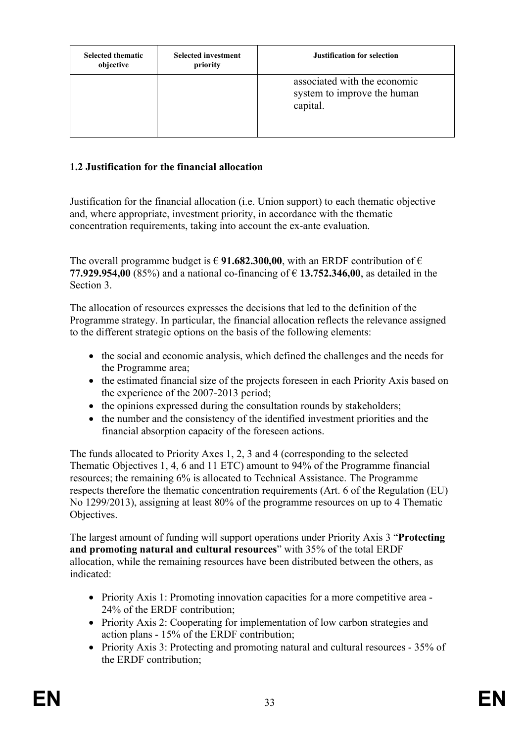| <b>Selected thematic</b><br>objective | <b>Selected investment</b><br>priority | Justification for selection                                             |
|---------------------------------------|----------------------------------------|-------------------------------------------------------------------------|
|                                       |                                        | associated with the economic<br>system to improve the human<br>capital. |

# **1.2 Justification for the financial allocation**

Justification for the financial allocation (i.e. Union support) to each thematic objective and, where appropriate, investment priority, in accordance with the thematic concentration requirements, taking into account the ex-ante evaluation.

The overall programme budget is  $\in$  91.682.300,00, with an ERDF contribution of  $\in$ **77.929.954,00** (85%) and a national co-financing of € **13.752.346,00**, as detailed in the Section 3.

The allocation of resources expresses the decisions that led to the definition of the Programme strategy. In particular, the financial allocation reflects the relevance assigned to the different strategic options on the basis of the following elements:

- the social and economic analysis, which defined the challenges and the needs for the Programme area;
- the estimated financial size of the projects foreseen in each Priority Axis based on the experience of the 2007-2013 period;
- the opinions expressed during the consultation rounds by stakeholders;
- the number and the consistency of the identified investment priorities and the financial absorption capacity of the foreseen actions.

The funds allocated to Priority Axes 1, 2, 3 and 4 (corresponding to the selected Thematic Objectives 1, 4, 6 and 11 ETC) amount to 94% of the Programme financial resources; the remaining 6% is allocated to Technical Assistance. The Programme respects therefore the thematic concentration requirements (Art. 6 of the Regulation (EU) No 1299/2013), assigning at least 80% of the programme resources on up to 4 Thematic Objectives.

The largest amount of funding will support operations under Priority Axis 3 "**Protecting and promoting natural and cultural resources**" with 35% of the total ERDF allocation, while the remaining resources have been distributed between the others, as indicated:

- Priority Axis 1: Promoting innovation capacities for a more competitive area -24% of the ERDF contribution;
- Priority Axis 2: Cooperating for implementation of low carbon strategies and action plans - 15% of the ERDF contribution;
- Priority Axis 3: Protecting and promoting natural and cultural resources 35% of the ERDF contribution;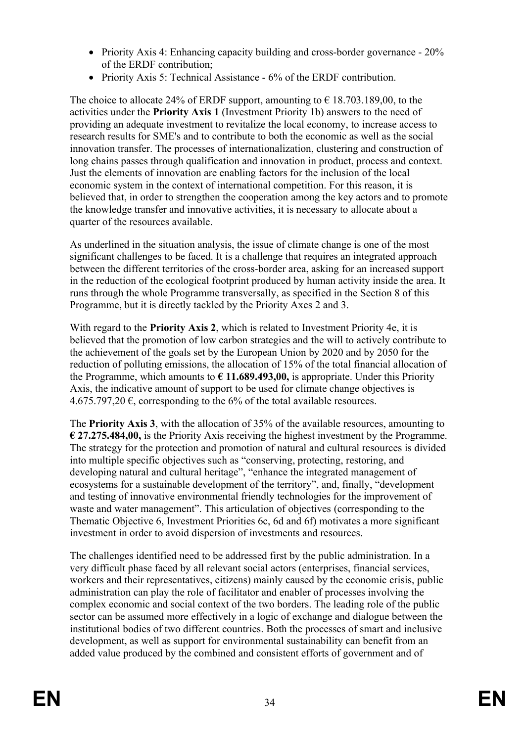- Priority Axis 4: Enhancing capacity building and cross-border governance 20% of the ERDF contribution;
- Priority Axis 5: Technical Assistance 6% of the ERDF contribution.

The choice to allocate 24% of ERDF support, amounting to  $\epsilon$  18.703.189,00, to the activities under the **Priority Axis 1** (Investment Priority 1b) answers to the need of providing an adequate investment to revitalize the local economy, to increase access to research results for SME's and to contribute to both the economic as well as the social innovation transfer. The processes of internationalization, clustering and construction of long chains passes through qualification and innovation in product, process and context. Just the elements of innovation are enabling factors for the inclusion of the local economic system in the context of international competition. For this reason, it is believed that, in order to strengthen the cooperation among the key actors and to promote the knowledge transfer and innovative activities, it is necessary to allocate about a quarter of the resources available.

As underlined in the situation analysis, the issue of climate change is one of the most significant challenges to be faced. It is a challenge that requires an integrated approach between the different territories of the cross-border area, asking for an increased support in the reduction of the ecological footprint produced by human activity inside the area. It runs through the whole Programme transversally, as specified in the Section 8 of this Programme, but it is directly tackled by the Priority Axes 2 and 3.

With regard to the **Priority Axis 2**, which is related to Investment Priority 4e, it is believed that the promotion of low carbon strategies and the will to actively contribute to the achievement of the goals set by the European Union by 2020 and by 2050 for the reduction of polluting emissions, the allocation of 15% of the total financial allocation of the Programme, which amounts to **€ 11.689.493,00,** is appropriate. Under this Priority Axis, the indicative amount of support to be used for climate change objectives is 4.675.797,20  $\epsilon$ , corresponding to the 6% of the total available resources.

The **Priority Axis 3**, with the allocation of 35% of the available resources, amounting to **€ 27.275.484,00,** is the Priority Axis receiving the highest investment by the Programme. The strategy for the protection and promotion of natural and cultural resources is divided into multiple specific objectives such as "conserving, protecting, restoring, and developing natural and cultural heritage", "enhance the integrated management of ecosystems for a sustainable development of the territory", and, finally, "development and testing of innovative environmental friendly technologies for the improvement of waste and water management". This articulation of objectives (corresponding to the Thematic Objective 6, Investment Priorities 6c, 6d and 6f) motivates a more significant investment in order to avoid dispersion of investments and resources.

The challenges identified need to be addressed first by the public administration. In a very difficult phase faced by all relevant social actors (enterprises, financial services, workers and their representatives, citizens) mainly caused by the economic crisis, public administration can play the role of facilitator and enabler of processes involving the complex economic and social context of the two borders. The leading role of the public sector can be assumed more effectively in a logic of exchange and dialogue between the institutional bodies of two different countries. Both the processes of smart and inclusive development, as well as support for environmental sustainability can benefit from an added value produced by the combined and consistent efforts of government and of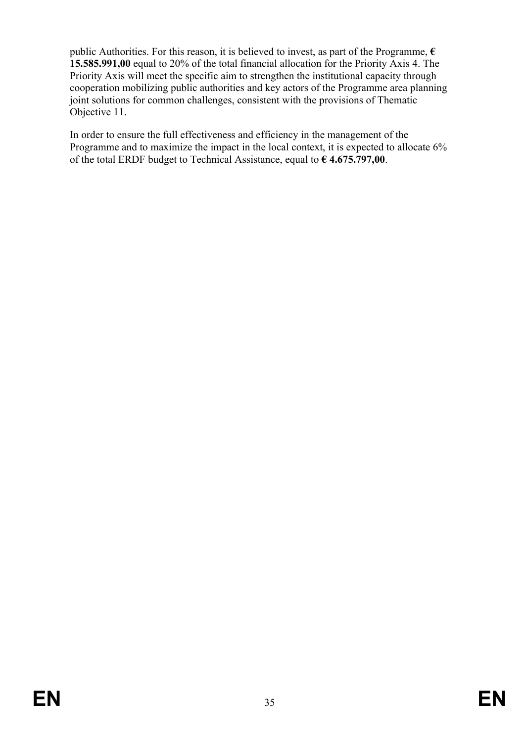public Authorities. For this reason, it is believed to invest, as part of the Programme, **€ 15.585.991,00** equal to 20% of the total financial allocation for the Priority Axis 4. The Priority Axis will meet the specific aim to strengthen the institutional capacity through cooperation mobilizing public authorities and key actors of the Programme area planning joint solutions for common challenges, consistent with the provisions of Thematic Objective 11.

In order to ensure the full effectiveness and efficiency in the management of the Programme and to maximize the impact in the local context, it is expected to allocate 6% of the total ERDF budget to Technical Assistance, equal to **€ 4.675.797,00**.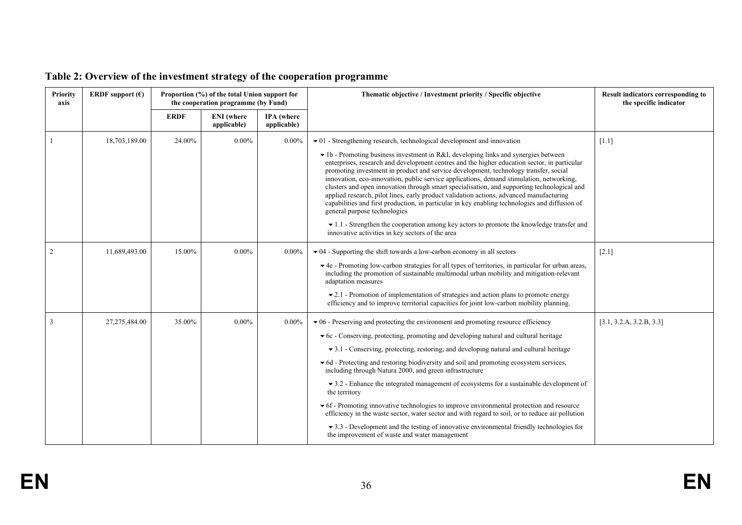| Priority<br>axis | ERDF support $(\epsilon)$ | Proportion (%) of the total Union support for<br>the cooperation programme (by Fund) |                                  |                                  | Thematic objective / Investment priority / Specific objective                                                                                                                                                                                                                                                                                                                                                                                                                                                                                                                                                                                                                                                                                                                                                                                                                                                                                           | Result indicators corresponding to<br>the specific indicator |
|------------------|---------------------------|--------------------------------------------------------------------------------------|----------------------------------|----------------------------------|---------------------------------------------------------------------------------------------------------------------------------------------------------------------------------------------------------------------------------------------------------------------------------------------------------------------------------------------------------------------------------------------------------------------------------------------------------------------------------------------------------------------------------------------------------------------------------------------------------------------------------------------------------------------------------------------------------------------------------------------------------------------------------------------------------------------------------------------------------------------------------------------------------------------------------------------------------|--------------------------------------------------------------|
|                  |                           | <b>ERDF</b>                                                                          | <b>ENI</b> (where<br>applicable) | <b>IPA</b> (where<br>applicable) |                                                                                                                                                                                                                                                                                                                                                                                                                                                                                                                                                                                                                                                                                                                                                                                                                                                                                                                                                         |                                                              |
|                  | 18,703,189.00             | 24.00%                                                                               | $0.00\%$                         | $0.00\%$                         | $\bullet$ 01 - Strengthening research, technological development and innovation<br>$\bullet$ 1b - Promoting business investment in R&I, developing links and synergies between<br>enterprises, research and development centres and the higher education sector, in particular<br>promoting investment in product and service development, technology transfer, social<br>innovation, eco-innovation, public service applications, demand stimulation, networking,<br>clusters and open innovation through smart specialisation, and supporting technological and<br>applied research, pilot lines, early product validation actions, advanced manufacturing<br>capabilities and first production, in particular in key enabling technologies and diffusion of<br>general purpose technologies<br>$\bullet$ 1.1 - Strengthen the cooperation among key actors to promote the knowledge transfer and<br>innovative activities in key sectors of the area | $[1.1]$                                                      |
| 2                | 11,689,493.00             | 15.00%                                                                               | $0.00\%$                         | $0.00\%$                         | $\bullet$ 04 - Supporting the shift towards a low-carbon economy in all sectors<br>▼ 4e - Promoting low-carbon strategies for all types of territories, in particular for urban areas,<br>including the promotion of sustainable multimodal urban mobility and mitigation-relevant<br>adaptation measures<br>$\bullet$ 2.1 - Promotion of implementation of strategies and action plans to promote energy<br>efficiency and to improve territorial capacities for joint low-carbon mobility planning.                                                                                                                                                                                                                                                                                                                                                                                                                                                   | $[2.1]$                                                      |
|                  | 27,275,484.00             | 35.00%                                                                               | $0.00\%$                         | $0.00\%$                         | $\blacktriangleright$ 06 - Preserving and protecting the environment and promoting resource efficiency<br>▼ 6c - Conserving, protecting, promoting and developing natural and cultural heritage<br>$\bullet$ 3.1 - Conserving, protecting, restoring, and developing natural and cultural heritage<br>▼ 6d - Protecting and restoring biodiversity and soil and promoting ecosystem services,<br>including through Natura 2000, and green infrastructure<br>$\bullet$ 3.2 - Enhance the integrated management of ecosystems for a sustainable development of<br>the territory<br>• 6f - Promoting innovative technologies to improve environmental protection and resource<br>efficiency in the waste sector, water sector and with regard to soil, or to reduce air pollution<br>$\blacktriangleright$ 3.3 - Development and the testing of innovative environmental friendly technologies for<br>the improvement of waste and water management        | [3.1, 3.2.A, 3.2.B, 3.3]                                     |

# **Table 2: Overview of the investment strategy of the cooperation programme**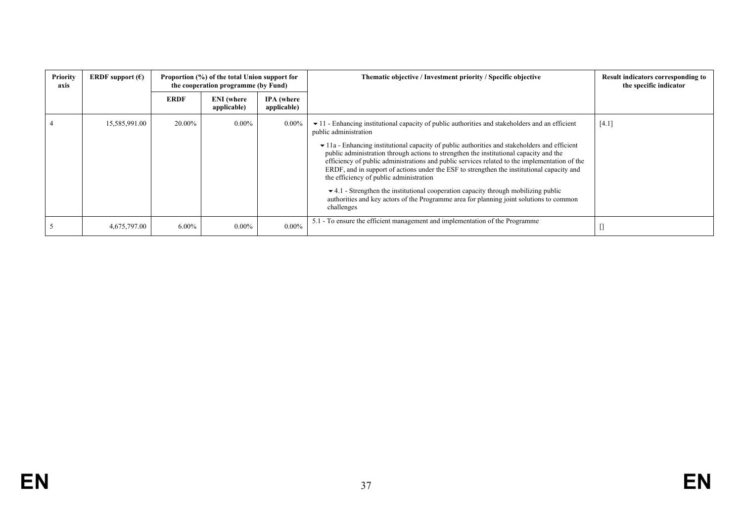| Priority<br>axis | ERDF support $(\epsilon)$ | Proportion (%) of the total Union support for<br>the cooperation programme (by Fund) |                                  |                                  | Thematic objective / Investment priority / Specific objective                                                                                                                                                                                                                                                                                                                                                                                                                                                                                        | Result indicators corresponding to<br>the specific indicator |
|------------------|---------------------------|--------------------------------------------------------------------------------------|----------------------------------|----------------------------------|------------------------------------------------------------------------------------------------------------------------------------------------------------------------------------------------------------------------------------------------------------------------------------------------------------------------------------------------------------------------------------------------------------------------------------------------------------------------------------------------------------------------------------------------------|--------------------------------------------------------------|
|                  |                           | <b>ERDF</b>                                                                          | <b>ENI</b> (where<br>applicable) | <b>IPA</b> (where<br>applicable) |                                                                                                                                                                                                                                                                                                                                                                                                                                                                                                                                                      |                                                              |
|                  | 15,585,991.00             | 20.00%                                                                               | $0.00\%$                         | $0.00\%$                         | $\bullet$ 11 - Enhancing institutional capacity of public authorities and stakeholders and an efficient<br>public administration                                                                                                                                                                                                                                                                                                                                                                                                                     | $[4.1]$                                                      |
|                  |                           |                                                                                      |                                  |                                  | $\bullet$ 11a - Enhancing institutional capacity of public authorities and stakeholders and efficient<br>public administration through actions to strengthen the institutional capacity and the<br>efficiency of public administrations and public services related to the implementation of the<br>ERDF, and in support of actions under the ESF to strengthen the institutional capacity and<br>the efficiency of public administration<br>$\blacktriangleright$ 4.1 - Strengthen the institutional cooperation capacity through mobilizing public |                                                              |
|                  |                           |                                                                                      |                                  |                                  | authorities and key actors of the Programme area for planning joint solutions to common<br>challenges                                                                                                                                                                                                                                                                                                                                                                                                                                                |                                                              |
|                  | 4,675,797.00              | $6.00\%$                                                                             | $0.00\%$                         | $0.00\%$                         | 5.1 - To ensure the efficient management and implementation of the Programme                                                                                                                                                                                                                                                                                                                                                                                                                                                                         |                                                              |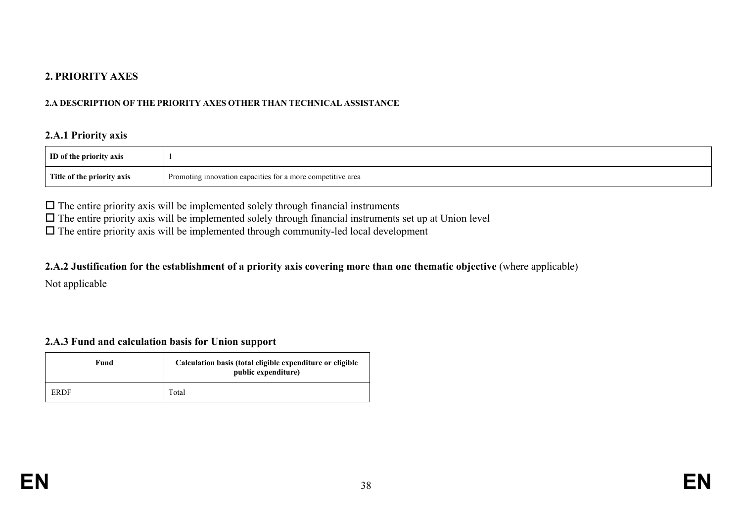## **2. PRIORITY AXES**

#### **2.A DESCRIPTION OF THE PRIORITY AXES OTHER THAN TECHNICAL ASSISTANCE**

#### **2.A.1 Priority axis**

| ID of the priority axis              |                                                                           |
|--------------------------------------|---------------------------------------------------------------------------|
| Title<br>e of the<br>e priority axis | a more competitive area<br>Promoting innova<br>tion capacities<br>s tor a |

 $\Box$  The entire priority axis will be implemented solely through financial instruments

 $\Box$  The entire priority axis will be implemented solely through financial instruments set up at Union level

 $\Box$  The entire priority axis will be implemented through community-led local development

#### 2.A.2 Justification for the establishment of a priority axis covering more than one thematic objective (where applicable)

Not applicable

## **2.A.3 Fund and calculation basis for Union support**

| Fund | Calculation basis (total eligible expenditure or eligible<br>public expenditure) |  |
|------|----------------------------------------------------------------------------------|--|
| ERDF | Total                                                                            |  |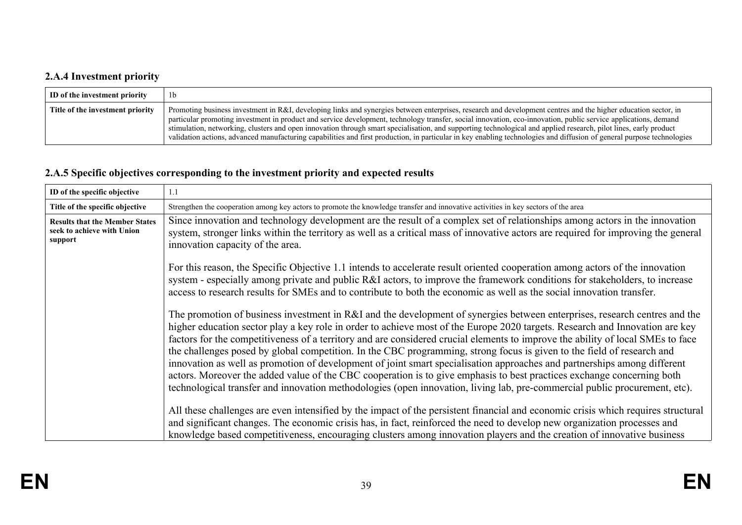# **2.A.4 Investment priority**

| ID of the investment priority    | 1b                                                                                                                                                                                                                                                                                                                                                                                                                                                                                                                                                                                                                                                                               |
|----------------------------------|----------------------------------------------------------------------------------------------------------------------------------------------------------------------------------------------------------------------------------------------------------------------------------------------------------------------------------------------------------------------------------------------------------------------------------------------------------------------------------------------------------------------------------------------------------------------------------------------------------------------------------------------------------------------------------|
| Title of the investment priority | Promoting business investment in R&I, developing links and synergies between enterprises, research and development centres and the higher education sector, in<br>particular promoting investment in product and service development, technology transfer, social innovation, eco-innovation, public service applications, demand<br>stimulation, networking, clusters and open innovation through smart specialisation, and supporting technological and applied research, pilot lines, early product<br>validation actions, advanced manufacturing capabilities and first production, in particular in key enabling technologies and diffusion of general purpose technologies |

# **2.A.5 Specific objectives corresponding to the investment priority and expected results**

| ID of the specific objective                                                   | 1.1                                                                                                                                                                                                                                                                                                                                                                                                                                                                                                                                                                                                                                                                                                                                                                                                                                                                                                         |  |  |
|--------------------------------------------------------------------------------|-------------------------------------------------------------------------------------------------------------------------------------------------------------------------------------------------------------------------------------------------------------------------------------------------------------------------------------------------------------------------------------------------------------------------------------------------------------------------------------------------------------------------------------------------------------------------------------------------------------------------------------------------------------------------------------------------------------------------------------------------------------------------------------------------------------------------------------------------------------------------------------------------------------|--|--|
| Title of the specific objective                                                | Strengthen the cooperation among key actors to promote the knowledge transfer and innovative activities in key sectors of the area                                                                                                                                                                                                                                                                                                                                                                                                                                                                                                                                                                                                                                                                                                                                                                          |  |  |
| <b>Results that the Member States</b><br>seek to achieve with Union<br>support | Since innovation and technology development are the result of a complex set of relationships among actors in the innovation<br>system, stronger links within the territory as well as a critical mass of innovative actors are required for improving the general<br>innovation capacity of the area.                                                                                                                                                                                                                                                                                                                                                                                                                                                                                                                                                                                                       |  |  |
|                                                                                | For this reason, the Specific Objective 1.1 intends to accelerate result oriented cooperation among actors of the innovation<br>system - especially among private and public R&I actors, to improve the framework conditions for stakeholders, to increase<br>access to research results for SMEs and to contribute to both the economic as well as the social innovation transfer.                                                                                                                                                                                                                                                                                                                                                                                                                                                                                                                         |  |  |
|                                                                                | The promotion of business investment in R&I and the development of synergies between enterprises, research centres and the<br>higher education sector play a key role in order to achieve most of the Europe 2020 targets. Research and Innovation are key<br>factors for the competitiveness of a territory and are considered crucial elements to improve the ability of local SMEs to face<br>the challenges posed by global competition. In the CBC programming, strong focus is given to the field of research and<br>innovation as well as promotion of development of joint smart specialisation approaches and partnerships among different<br>actors. Moreover the added value of the CBC cooperation is to give emphasis to best practices exchange concerning both<br>technological transfer and innovation methodologies (open innovation, living lab, pre-commercial public procurement, etc). |  |  |
|                                                                                | All these challenges are even intensified by the impact of the persistent financial and economic crisis which requires structural<br>and significant changes. The economic crisis has, in fact, reinforced the need to develop new organization processes and                                                                                                                                                                                                                                                                                                                                                                                                                                                                                                                                                                                                                                               |  |  |
|                                                                                | knowledge based competitiveness, encouraging clusters among innovation players and the creation of innovative business                                                                                                                                                                                                                                                                                                                                                                                                                                                                                                                                                                                                                                                                                                                                                                                      |  |  |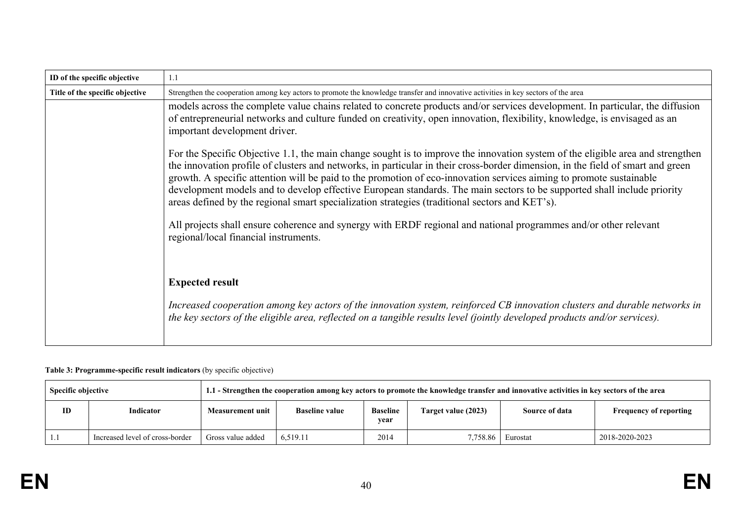| ID of the specific objective    | 1.1                                                                                                                                                                                                                                                                                                                                                                                                                                                                                                                                                                                                                   |
|---------------------------------|-----------------------------------------------------------------------------------------------------------------------------------------------------------------------------------------------------------------------------------------------------------------------------------------------------------------------------------------------------------------------------------------------------------------------------------------------------------------------------------------------------------------------------------------------------------------------------------------------------------------------|
| Title of the specific objective | Strengthen the cooperation among key actors to promote the knowledge transfer and innovative activities in key sectors of the area                                                                                                                                                                                                                                                                                                                                                                                                                                                                                    |
|                                 | models across the complete value chains related to concrete products and/or services development. In particular, the diffusion<br>of entrepreneurial networks and culture funded on creativity, open innovation, flexibility, knowledge, is envisaged as an<br>important development driver.                                                                                                                                                                                                                                                                                                                          |
|                                 | For the Specific Objective 1.1, the main change sought is to improve the innovation system of the eligible area and strengthen<br>the innovation profile of clusters and networks, in particular in their cross-border dimension, in the field of smart and green<br>growth. A specific attention will be paid to the promotion of eco-innovation services aiming to promote sustainable<br>development models and to develop effective European standards. The main sectors to be supported shall include priority<br>areas defined by the regional smart specialization strategies (traditional sectors and KET's). |
|                                 | All projects shall ensure coherence and synergy with ERDF regional and national programmes and/or other relevant<br>regional/local financial instruments.                                                                                                                                                                                                                                                                                                                                                                                                                                                             |
|                                 | <b>Expected result</b><br>Increased cooperation among key actors of the innovation system, reinforced CB innovation clusters and durable networks in<br>the key sectors of the eligible area, reflected on a tangible results level (jointly developed products and/or services).                                                                                                                                                                                                                                                                                                                                     |

#### **Table 3: Programme-specific result indicators** (by specific objective)

| <b>Specific objective</b> |                                 | 1.1 - Strengthen the cooperation among key actors to promote the knowledge transfer and innovative activities in key sectors of the area |                       |                         |                     |                       |                               |
|---------------------------|---------------------------------|------------------------------------------------------------------------------------------------------------------------------------------|-----------------------|-------------------------|---------------------|-----------------------|-------------------------------|
| ID                        | Indicator                       | <b>Measurement unit</b>                                                                                                                  | <b>Baseline value</b> | <b>Baseline</b><br>year | Target value (2023) | <b>Source of data</b> | <b>Frequency of reporting</b> |
|                           | Increased level of cross-border | Gross value added                                                                                                                        | 6.519.11              | 2014                    | 7.758.86            | Eurostat              | 2018-2020-2023                |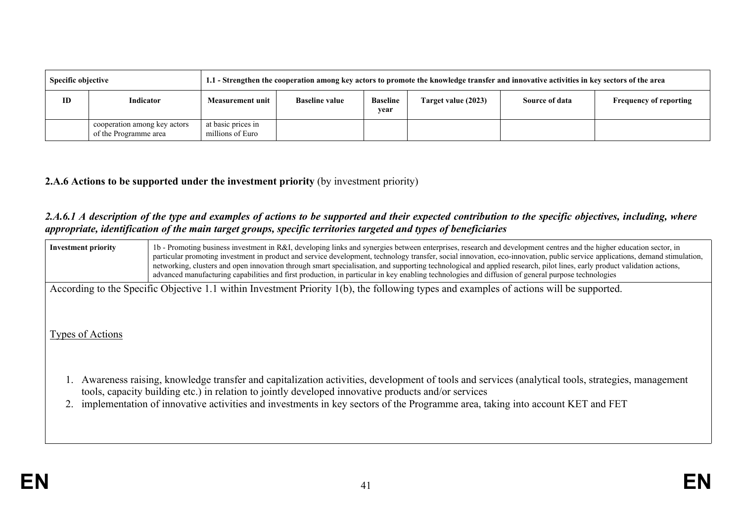| <b>Specific objective</b> |                                                       | 1.1 - Strengthen the cooperation among key actors to promote the knowledge transfer and innovative activities in key sectors of the area |                       |                         |                     |                |                               |  |
|---------------------------|-------------------------------------------------------|------------------------------------------------------------------------------------------------------------------------------------------|-----------------------|-------------------------|---------------------|----------------|-------------------------------|--|
| ID                        | Indicator                                             | <b>Measurement unit</b>                                                                                                                  | <b>Baseline value</b> | <b>Baseline</b><br>year | Target value (2023) | Source of data | <b>Frequency of reporting</b> |  |
|                           | cooperation among key actors<br>of the Programme area | at basic prices in<br>millions of Euro                                                                                                   |                       |                         |                     |                |                               |  |

## **2.A.6 Actions to be supported under the investment priority** (by investment priority)

### 2.A.6.1 A description of the type and examples of actions to be supported and their expected contribution to the specific objectives, including, where *appropriate, identification of the main target groups, specific territories targeted and types of beneficiaries*

| <b>Investment priority</b> | 1b - Promoting business investment in R&I, developing links and synergies between enterprises, research and development centres and the higher education sector, in<br>particular promoting investment in product and service development, technology transfer, social innovation, eco-innovation, public service applications, demand stimulation,<br>networking, clusters and open innovation through smart specialisation, and supporting technological and applied research, pilot lines, early product validation actions,<br>advanced manufacturing capabilities and first production, in particular in key enabling technologies and diffusion of general purpose technologies |
|----------------------------|---------------------------------------------------------------------------------------------------------------------------------------------------------------------------------------------------------------------------------------------------------------------------------------------------------------------------------------------------------------------------------------------------------------------------------------------------------------------------------------------------------------------------------------------------------------------------------------------------------------------------------------------------------------------------------------|
|                            | According to the Specific Objective 1.1 within Investment Priority 1(b), the following types and examples of actions will be supported.                                                                                                                                                                                                                                                                                                                                                                                                                                                                                                                                               |
| Types of Actions           |                                                                                                                                                                                                                                                                                                                                                                                                                                                                                                                                                                                                                                                                                       |
|                            | Awareness raising, knowledge transfer and capitalization activities, development of tools and services (analytical tools, strategies, management<br>tools, capacity building etc.) in relation to jointly developed innovative products and/or services                                                                                                                                                                                                                                                                                                                                                                                                                               |
|                            | implementation of innovative activities and investments in key sectors of the Programme area, taking into account KET and FET                                                                                                                                                                                                                                                                                                                                                                                                                                                                                                                                                         |
|                            |                                                                                                                                                                                                                                                                                                                                                                                                                                                                                                                                                                                                                                                                                       |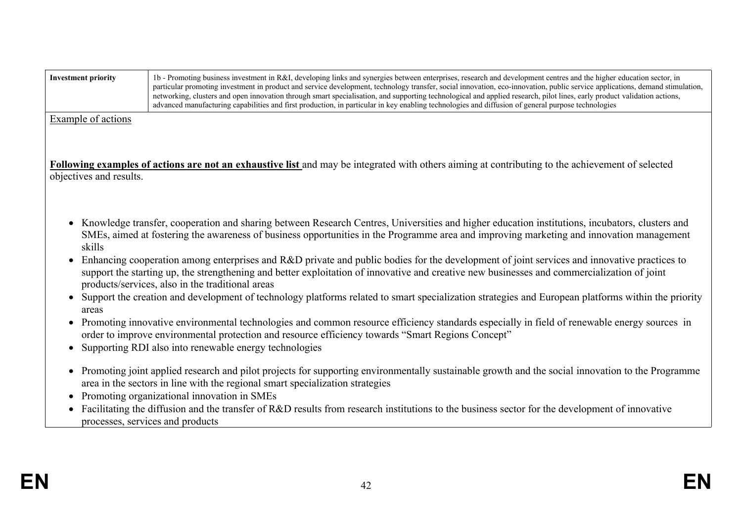| <b>Investment priority</b> | 1b - Promoting business investment in R&I, developing links and synergies between enterprises, research and development centres and the higher education sector, in<br>particular promoting investment in product and service development, technology transfer, social innovation, eco-innovation, public service applications, demand stimulation,<br>networking, clusters and open innovation through smart specialisation, and supporting technological and applied research, pilot lines, early product validation actions,<br>advanced manufacturing capabilities and first production, in particular in key enabling technologies and diffusion of general purpose technologies |  |  |  |  |
|----------------------------|---------------------------------------------------------------------------------------------------------------------------------------------------------------------------------------------------------------------------------------------------------------------------------------------------------------------------------------------------------------------------------------------------------------------------------------------------------------------------------------------------------------------------------------------------------------------------------------------------------------------------------------------------------------------------------------|--|--|--|--|
| Example of actions         | <b>Following examples of actions are not an exhaustive list</b> and may be integrated with others aiming at contributing to the achievement of selected                                                                                                                                                                                                                                                                                                                                                                                                                                                                                                                               |  |  |  |  |
| objectives and results.    |                                                                                                                                                                                                                                                                                                                                                                                                                                                                                                                                                                                                                                                                                       |  |  |  |  |
| skills                     | Knowledge transfer, cooperation and sharing between Research Centres, Universities and higher education institutions, incubators, clusters and<br>SMEs, aimed at fostering the awareness of business opportunities in the Programme area and improving marketing and innovation management                                                                                                                                                                                                                                                                                                                                                                                            |  |  |  |  |
|                            | Enhancing cooperation among enterprises and R&D private and public bodies for the development of joint services and innovative practices to<br>support the starting up, the strengthening and better exploitation of innovative and creative new businesses and commercialization of joint<br>products/services, also in the traditional areas                                                                                                                                                                                                                                                                                                                                        |  |  |  |  |
| areas                      | Support the creation and development of technology platforms related to smart specialization strategies and European platforms within the priority                                                                                                                                                                                                                                                                                                                                                                                                                                                                                                                                    |  |  |  |  |
|                            | Promoting innovative environmental technologies and common resource efficiency standards especially in field of renewable energy sources in<br>order to improve environmental protection and resource efficiency towards "Smart Regions Concept"                                                                                                                                                                                                                                                                                                                                                                                                                                      |  |  |  |  |
|                            | Supporting RDI also into renewable energy technologies                                                                                                                                                                                                                                                                                                                                                                                                                                                                                                                                                                                                                                |  |  |  |  |
|                            | • Promoting joint applied research and pilot projects for supporting environmentally sustainable growth and the social innovation to the Programme<br>area in the sectors in line with the regional smart specialization strategies                                                                                                                                                                                                                                                                                                                                                                                                                                                   |  |  |  |  |
|                            | Promoting organizational innovation in SMEs<br>Facilitating the diffusion and the transfer of R&D results from research institutions to the business sector for the development of innovative<br>processes, services and products                                                                                                                                                                                                                                                                                                                                                                                                                                                     |  |  |  |  |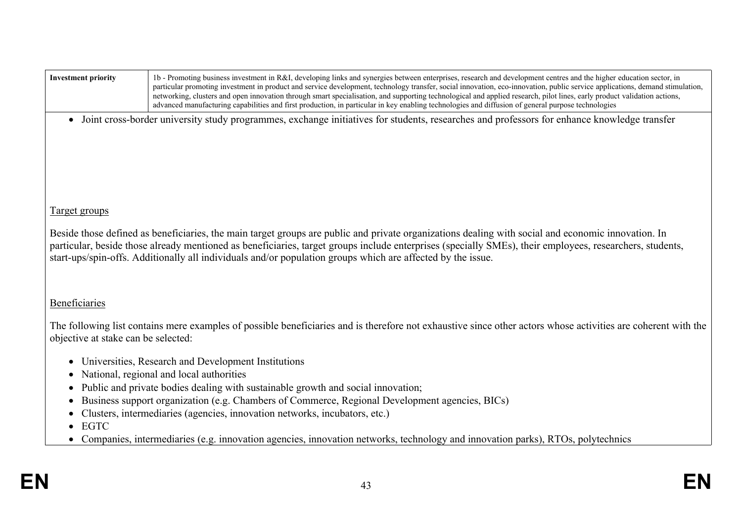| <b>Investment priority</b>                                                                                                                                                                                                                                                                                                                                                                                                    | 1b - Promoting business investment in R&I, developing links and synergies between enterprises, research and development centres and the higher education sector, in<br>particular promoting investment in product and service development, technology transfer, social innovation, eco-innovation, public service applications, demand stimulation,<br>networking, clusters and open innovation through smart specialisation, and supporting technological and applied research, pilot lines, early product validation actions,<br>advanced manufacturing capabilities and first production, in particular in key enabling technologies and diffusion of general purpose technologies |  |  |  |  |  |
|-------------------------------------------------------------------------------------------------------------------------------------------------------------------------------------------------------------------------------------------------------------------------------------------------------------------------------------------------------------------------------------------------------------------------------|---------------------------------------------------------------------------------------------------------------------------------------------------------------------------------------------------------------------------------------------------------------------------------------------------------------------------------------------------------------------------------------------------------------------------------------------------------------------------------------------------------------------------------------------------------------------------------------------------------------------------------------------------------------------------------------|--|--|--|--|--|
|                                                                                                                                                                                                                                                                                                                                                                                                                               | • Joint cross-border university study programmes, exchange initiatives for students, researches and professors for enhance knowledge transfer                                                                                                                                                                                                                                                                                                                                                                                                                                                                                                                                         |  |  |  |  |  |
|                                                                                                                                                                                                                                                                                                                                                                                                                               |                                                                                                                                                                                                                                                                                                                                                                                                                                                                                                                                                                                                                                                                                       |  |  |  |  |  |
|                                                                                                                                                                                                                                                                                                                                                                                                                               |                                                                                                                                                                                                                                                                                                                                                                                                                                                                                                                                                                                                                                                                                       |  |  |  |  |  |
|                                                                                                                                                                                                                                                                                                                                                                                                                               |                                                                                                                                                                                                                                                                                                                                                                                                                                                                                                                                                                                                                                                                                       |  |  |  |  |  |
|                                                                                                                                                                                                                                                                                                                                                                                                                               |                                                                                                                                                                                                                                                                                                                                                                                                                                                                                                                                                                                                                                                                                       |  |  |  |  |  |
| <b>Target groups</b>                                                                                                                                                                                                                                                                                                                                                                                                          |                                                                                                                                                                                                                                                                                                                                                                                                                                                                                                                                                                                                                                                                                       |  |  |  |  |  |
| Beside those defined as beneficiaries, the main target groups are public and private organizations dealing with social and economic innovation. In<br>particular, beside those already mentioned as beneficiaries, target groups include enterprises (specially SMEs), their employees, researchers, students,<br>start-ups/spin-offs. Additionally all individuals and/or population groups which are affected by the issue. |                                                                                                                                                                                                                                                                                                                                                                                                                                                                                                                                                                                                                                                                                       |  |  |  |  |  |
| Beneficiaries                                                                                                                                                                                                                                                                                                                                                                                                                 |                                                                                                                                                                                                                                                                                                                                                                                                                                                                                                                                                                                                                                                                                       |  |  |  |  |  |
| objective at stake can be selected:                                                                                                                                                                                                                                                                                                                                                                                           | The following list contains mere examples of possible beneficiaries and is therefore not exhaustive since other actors whose activities are coherent with the                                                                                                                                                                                                                                                                                                                                                                                                                                                                                                                         |  |  |  |  |  |
|                                                                                                                                                                                                                                                                                                                                                                                                                               | Universities, Research and Development Institutions                                                                                                                                                                                                                                                                                                                                                                                                                                                                                                                                                                                                                                   |  |  |  |  |  |
| $\bullet$                                                                                                                                                                                                                                                                                                                                                                                                                     | National, regional and local authorities                                                                                                                                                                                                                                                                                                                                                                                                                                                                                                                                                                                                                                              |  |  |  |  |  |
|                                                                                                                                                                                                                                                                                                                                                                                                                               | Public and private bodies dealing with sustainable growth and social innovation;<br>Business support organization (e.g. Chambers of Commerce, Regional Development agencies, BICs)                                                                                                                                                                                                                                                                                                                                                                                                                                                                                                    |  |  |  |  |  |
|                                                                                                                                                                                                                                                                                                                                                                                                                               | Clusters, intermediaries (agencies, innovation networks, incubators, etc.)                                                                                                                                                                                                                                                                                                                                                                                                                                                                                                                                                                                                            |  |  |  |  |  |
| <b>EGTC</b><br>$\bullet$                                                                                                                                                                                                                                                                                                                                                                                                      |                                                                                                                                                                                                                                                                                                                                                                                                                                                                                                                                                                                                                                                                                       |  |  |  |  |  |
|                                                                                                                                                                                                                                                                                                                                                                                                                               | • Companies, intermediaries (e.g. innovation agencies, innovation networks, technology and innovation parks), RTOs, polytechnics                                                                                                                                                                                                                                                                                                                                                                                                                                                                                                                                                      |  |  |  |  |  |
|                                                                                                                                                                                                                                                                                                                                                                                                                               |                                                                                                                                                                                                                                                                                                                                                                                                                                                                                                                                                                                                                                                                                       |  |  |  |  |  |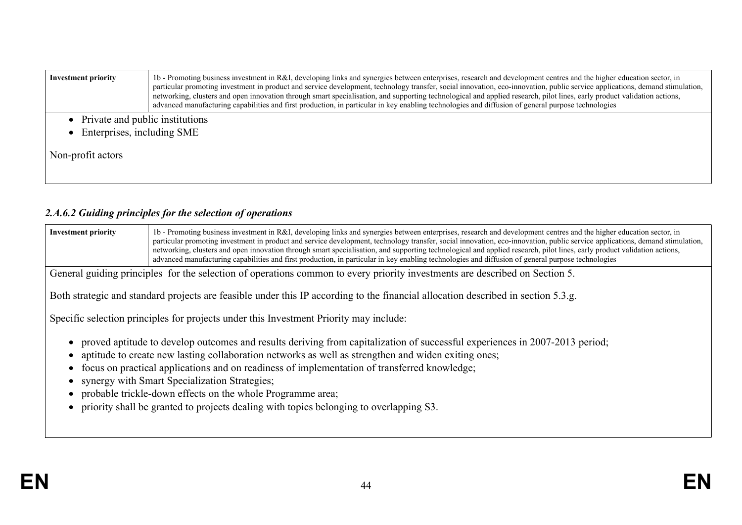| advanced manufacturing capabilities and first production, in particular in key enabling technologies and diffusion of general purpose technologies | <b>Investment priority</b> | 1b - Promoting business investment in R&I, developing links and synergies between enterprises, research and development centres and the higher education sector, in<br>particular promoting investment in product and service development, technology transfer, social innovation, eco-innovation, public service applications, demand stimulation,<br>networking, clusters and open innovation through smart specialisation, and supporting technological and applied research, pilot lines, early product validation actions, |
|----------------------------------------------------------------------------------------------------------------------------------------------------|----------------------------|---------------------------------------------------------------------------------------------------------------------------------------------------------------------------------------------------------------------------------------------------------------------------------------------------------------------------------------------------------------------------------------------------------------------------------------------------------------------------------------------------------------------------------|
| • Private and public institutions<br>• Enterprises, including SME<br>Non-profit actors                                                             |                            |                                                                                                                                                                                                                                                                                                                                                                                                                                                                                                                                 |

# *2.A.6.2 Guiding principles for the selection of operations*

| 1b - Promoting business investment in R&I, developing links and synergies between enterprises, research and development centres and the higher education sector, in<br><b>Investment priority</b><br>particular promoting investment in product and service development, technology transfer, social innovation, eco-innovation, public service applications, demand stimulation,<br>networking, clusters and open innovation through smart specialisation, and supporting technological and applied research, pilot lines, early product validation actions,<br>advanced manufacturing capabilities and first production, in particular in key enabling technologies and diffusion of general purpose technologies<br>General guiding principles for the selection of operations common to every priority investments are described on Section 5.<br>Both strategic and standard projects are feasible under this IP according to the financial allocation described in section 5.3.g.<br>Specific selection principles for projects under this Investment Priority may include:<br>proved aptitude to develop outcomes and results deriving from capitalization of successful experiences in 2007-2013 period;<br>aptitude to create new lasting collaboration networks as well as strengthen and widen exiting ones;<br>focus on practical applications and on readiness of implementation of transferred knowledge;<br>synergy with Smart Specialization Strategies;<br>probable trickle-down effects on the whole Programme area;<br>priority shall be granted to projects dealing with topics belonging to overlapping S3. |  |
|----------------------------------------------------------------------------------------------------------------------------------------------------------------------------------------------------------------------------------------------------------------------------------------------------------------------------------------------------------------------------------------------------------------------------------------------------------------------------------------------------------------------------------------------------------------------------------------------------------------------------------------------------------------------------------------------------------------------------------------------------------------------------------------------------------------------------------------------------------------------------------------------------------------------------------------------------------------------------------------------------------------------------------------------------------------------------------------------------------------------------------------------------------------------------------------------------------------------------------------------------------------------------------------------------------------------------------------------------------------------------------------------------------------------------------------------------------------------------------------------------------------------------------------------------------------------------------------------------------------------------------|--|
|                                                                                                                                                                                                                                                                                                                                                                                                                                                                                                                                                                                                                                                                                                                                                                                                                                                                                                                                                                                                                                                                                                                                                                                                                                                                                                                                                                                                                                                                                                                                                                                                                                  |  |
|                                                                                                                                                                                                                                                                                                                                                                                                                                                                                                                                                                                                                                                                                                                                                                                                                                                                                                                                                                                                                                                                                                                                                                                                                                                                                                                                                                                                                                                                                                                                                                                                                                  |  |
|                                                                                                                                                                                                                                                                                                                                                                                                                                                                                                                                                                                                                                                                                                                                                                                                                                                                                                                                                                                                                                                                                                                                                                                                                                                                                                                                                                                                                                                                                                                                                                                                                                  |  |
|                                                                                                                                                                                                                                                                                                                                                                                                                                                                                                                                                                                                                                                                                                                                                                                                                                                                                                                                                                                                                                                                                                                                                                                                                                                                                                                                                                                                                                                                                                                                                                                                                                  |  |
|                                                                                                                                                                                                                                                                                                                                                                                                                                                                                                                                                                                                                                                                                                                                                                                                                                                                                                                                                                                                                                                                                                                                                                                                                                                                                                                                                                                                                                                                                                                                                                                                                                  |  |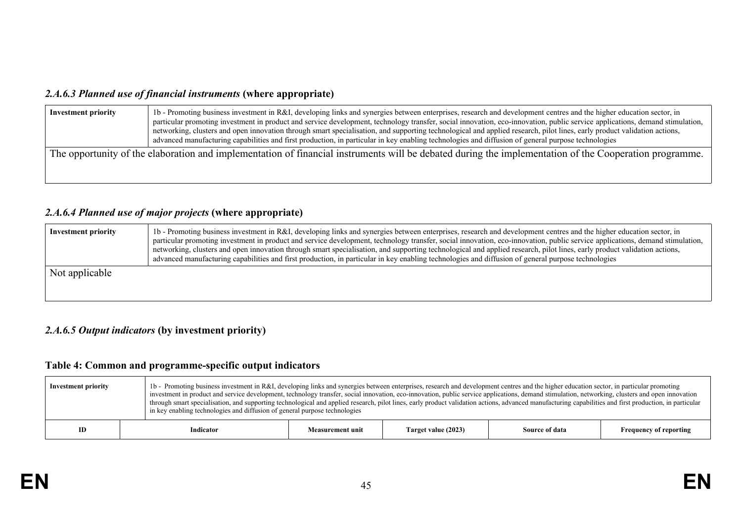## *2.A.6.3 Planned use of financial instruments* **(where appropriate)**

| <b>Investment priority</b> | 1b - Promoting business investment in R&I, developing links and synergies between enterprises, research and development centres and the higher education sector, in<br>particular promoting investment in product and service development, technology transfer, social innovation, eco-innovation, public service applications, demand stimulation,<br>networking, clusters and open innovation through smart specialisation, and supporting technological and applied research, pilot lines, early product validation actions,<br>advanced manufacturing capabilities and first production, in particular in key enabling technologies and diffusion of general purpose technologies |
|----------------------------|---------------------------------------------------------------------------------------------------------------------------------------------------------------------------------------------------------------------------------------------------------------------------------------------------------------------------------------------------------------------------------------------------------------------------------------------------------------------------------------------------------------------------------------------------------------------------------------------------------------------------------------------------------------------------------------|
|                            | The opportunity of the elaboration and implementation of financial instruments will be debated during the implementation of the Cooperation programme.                                                                                                                                                                                                                                                                                                                                                                                                                                                                                                                                |

## *2.A.6.4 Planned use of major projects* **(where appropriate)**

| <b>Investment priority</b> | 1b - Promoting business investment in R&I, developing links and synergies between enterprises, research and development centres and the higher education sector, in<br>particular promoting investment in product and service development, technology transfer, social innovation, eco-innovation, public service applications, demand stimulation,<br>networking, clusters and open innovation through smart specialisation, and supporting technological and applied research, pilot lines, early product validation actions,<br>advanced manufacturing capabilities and first production, in particular in key enabling technologies and diffusion of general purpose technologies |
|----------------------------|---------------------------------------------------------------------------------------------------------------------------------------------------------------------------------------------------------------------------------------------------------------------------------------------------------------------------------------------------------------------------------------------------------------------------------------------------------------------------------------------------------------------------------------------------------------------------------------------------------------------------------------------------------------------------------------|
| Not applicable             |                                                                                                                                                                                                                                                                                                                                                                                                                                                                                                                                                                                                                                                                                       |

## *2.A.6.5 Output indicators* **(by investment priority)**

# **Table 4: Common and programme-specific output indicators**

| <b>Investment priority</b> | 1b - Promoting business investment in R&I, developing links and synergies between enterprises, research and development centres and the higher education sector, in particular promoting<br>investment in product and service development, technology transfer, social innovation, eco-innovation, public service applications, demand stimulation, networking, clusters and open innovation<br>through smart specialisation, and supporting technological and applied research, pilot lines, early product validation actions, advanced manufacturing capabilities and first production, in particular<br>in key enabling technologies and diffusion of general purpose technologies |  |  |  |                |                               |
|----------------------------|---------------------------------------------------------------------------------------------------------------------------------------------------------------------------------------------------------------------------------------------------------------------------------------------------------------------------------------------------------------------------------------------------------------------------------------------------------------------------------------------------------------------------------------------------------------------------------------------------------------------------------------------------------------------------------------|--|--|--|----------------|-------------------------------|
| ID                         | Target value (2023)<br>Indicator<br><b>Measurement unit</b>                                                                                                                                                                                                                                                                                                                                                                                                                                                                                                                                                                                                                           |  |  |  | Source of data | <b>Frequency of reporting</b> |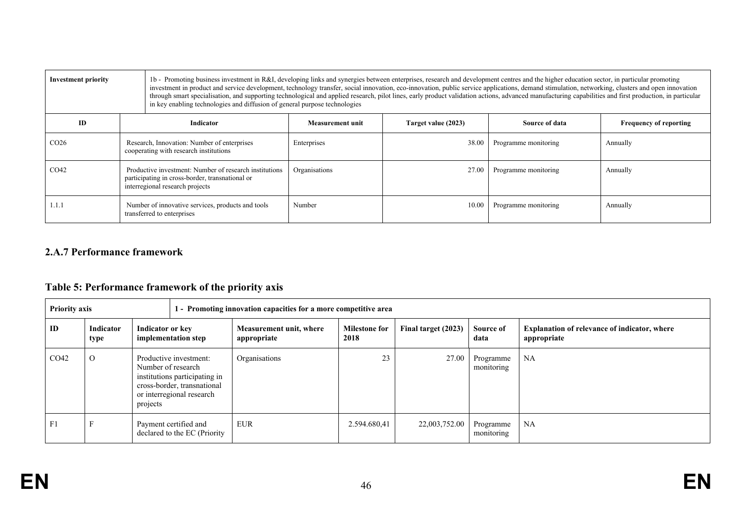| <b>Investment priority</b> |                                                                                                                                              | in key enabling technologies and diffusion of general purpose technologies | 1b - Promoting business investment in R&I, developing links and synergies between enterprises, research and development centres and the higher education sector, in particular promoting<br>investment in product and service development, technology transfer, social innovation, eco-innovation, public service applications, demand stimulation, networking, clusters and open innovation<br>through smart specialisation, and supporting technological and applied research, pilot lines, early product validation actions, advanced manufacturing capabilities and first production, in particular |                     |                      |                               |  |
|----------------------------|----------------------------------------------------------------------------------------------------------------------------------------------|----------------------------------------------------------------------------|---------------------------------------------------------------------------------------------------------------------------------------------------------------------------------------------------------------------------------------------------------------------------------------------------------------------------------------------------------------------------------------------------------------------------------------------------------------------------------------------------------------------------------------------------------------------------------------------------------|---------------------|----------------------|-------------------------------|--|
| ID                         |                                                                                                                                              | Indicator                                                                  | <b>Measurement unit</b>                                                                                                                                                                                                                                                                                                                                                                                                                                                                                                                                                                                 | Target value (2023) | Source of data       | <b>Frequency of reporting</b> |  |
| CO <sub>26</sub>           | Research, Innovation: Number of enterprises<br>cooperating with research institutions                                                        |                                                                            | Enterprises                                                                                                                                                                                                                                                                                                                                                                                                                                                                                                                                                                                             | 38.00               | Programme monitoring | Annually                      |  |
| CO <sub>42</sub>           | Productive investment: Number of research institutions<br>participating in cross-border, transnational or<br>interregional research projects |                                                                            | Organisations                                                                                                                                                                                                                                                                                                                                                                                                                                                                                                                                                                                           | 27.00               | Programme monitoring | Annually                      |  |
| 1.1.1                      | Number of innovative services, products and tools<br>transferred to enterprises                                                              |                                                                            | Number                                                                                                                                                                                                                                                                                                                                                                                                                                                                                                                                                                                                  | 10.00               | Programme monitoring | Annually                      |  |

## **2.A.7 Performance framework**

# **Table 5: Performance framework of the priority axis**

| <b>Priority axis</b><br>1 - Promoting innovation capacities for a more competitive area |                   |                                         |                                                                                                                     |                                        |                              |                     |                         |                                                                    |
|-----------------------------------------------------------------------------------------|-------------------|-----------------------------------------|---------------------------------------------------------------------------------------------------------------------|----------------------------------------|------------------------------|---------------------|-------------------------|--------------------------------------------------------------------|
| ID                                                                                      | Indicator<br>type | Indicator or key<br>implementation step |                                                                                                                     | Measurement unit, where<br>appropriate | <b>Milestone for</b><br>2018 | Final target (2023) | Source of<br>data       | <b>Explanation of relevance of indicator, where</b><br>appropriate |
| CO <sub>42</sub>                                                                        | $\Omega$          | Number of research<br>projects          | Productive investment:<br>institutions participating in<br>cross-border, transnational<br>or interregional research | Organisations                          | 23                           | 27.00               | Programme<br>monitoring | NA                                                                 |
| F1                                                                                      |                   |                                         | Payment certified and<br>declared to the EC (Priority                                                               | <b>EUR</b>                             | 2.594.680,41                 | 22,003,752.00       | Programme<br>monitoring | <b>NA</b>                                                          |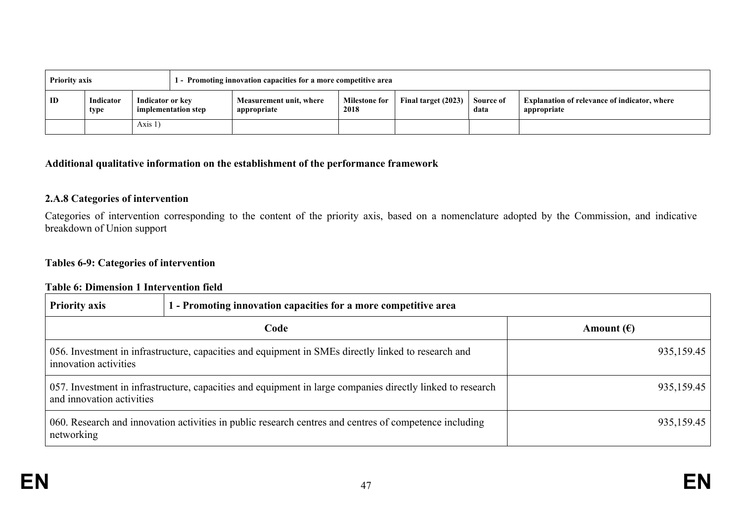| 1 - Promoting innovation capacities for a more competitive area<br><b>Priority axis</b> |                   |                                         |  |                                        |                              |                     |                   |                                                                    |
|-----------------------------------------------------------------------------------------|-------------------|-----------------------------------------|--|----------------------------------------|------------------------------|---------------------|-------------------|--------------------------------------------------------------------|
| ID                                                                                      | Indicator<br>type | Indicator or key<br>implementation step |  | Measurement unit, where<br>appropriate | <b>Milestone for</b><br>2018 | Final target (2023) | Source of<br>data | <b>Explanation of relevance of indicator, where</b><br>appropriate |
|                                                                                         |                   | Axis $1)$                               |  |                                        |                              |                     |                   |                                                                    |

### **Additional qualitative information on the establishment of the performance framework**

## **2.A.8 Categories of intervention**

Categories of intervention corresponding to the content of the priority axis, based on a nomenclature adopted by the Commission, and indicative breakdown of Union support

### **Tables 6-9: Categories of intervention**

#### **Table 6: Dimension 1 Intervention field**

| <b>Priority axis</b>                                                                                                                    | 1 - Promoting innovation capacities for a more competitive area                                     |                     |  |  |  |  |
|-----------------------------------------------------------------------------------------------------------------------------------------|-----------------------------------------------------------------------------------------------------|---------------------|--|--|--|--|
|                                                                                                                                         | Code                                                                                                | Amount $(\epsilon)$ |  |  |  |  |
| innovation activities                                                                                                                   | 056. Investment in infrastructure, capacities and equipment in SMEs directly linked to research and | 935,159.45          |  |  |  |  |
| 057. Investment in infrastructure, capacities and equipment in large companies directly linked to research<br>and innovation activities |                                                                                                     | 935,159.45          |  |  |  |  |
| 060. Research and innovation activities in public research centres and centres of competence including<br>networking                    |                                                                                                     | 935,159.45          |  |  |  |  |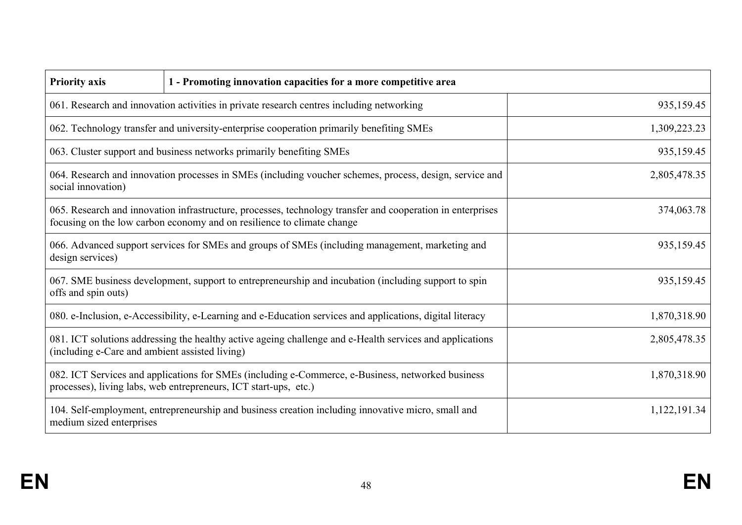| <b>Priority axis</b>                                                                                                                                                                  | 1 - Promoting innovation capacities for a more competitive area                                                                                                                                    |              |  |  |  |
|---------------------------------------------------------------------------------------------------------------------------------------------------------------------------------------|----------------------------------------------------------------------------------------------------------------------------------------------------------------------------------------------------|--------------|--|--|--|
|                                                                                                                                                                                       | 935,159.45<br>061. Research and innovation activities in private research centres including networking                                                                                             |              |  |  |  |
|                                                                                                                                                                                       | 062. Technology transfer and university-enterprise cooperation primarily benefiting SMEs                                                                                                           | 1,309,223.23 |  |  |  |
|                                                                                                                                                                                       | 063. Cluster support and business networks primarily benefiting SMEs                                                                                                                               | 935,159.45   |  |  |  |
| social innovation)                                                                                                                                                                    | 064. Research and innovation processes in SMEs (including voucher schemes, process, design, service and                                                                                            | 2,805,478.35 |  |  |  |
|                                                                                                                                                                                       | 374,063.78<br>065. Research and innovation infrastructure, processes, technology transfer and cooperation in enterprises<br>focusing on the low carbon economy and on resilience to climate change |              |  |  |  |
| 935,159.45<br>066. Advanced support services for SMEs and groups of SMEs (including management, marketing and<br>design services)                                                     |                                                                                                                                                                                                    |              |  |  |  |
| 935,159.45<br>067. SME business development, support to entrepreneurship and incubation (including support to spin<br>offs and spin outs)                                             |                                                                                                                                                                                                    |              |  |  |  |
|                                                                                                                                                                                       | 080. e-Inclusion, e-Accessibility, e-Learning and e-Education services and applications, digital literacy                                                                                          | 1,870,318.90 |  |  |  |
| 081. ICT solutions addressing the healthy active ageing challenge and e-Health services and applications<br>2,805,478.35<br>(including e-Care and ambient assisted living)            |                                                                                                                                                                                                    |              |  |  |  |
| 1,870,318.90<br>082. ICT Services and applications for SMEs (including e-Commerce, e-Business, networked business<br>processes), living labs, web entrepreneurs, ICT start-ups, etc.) |                                                                                                                                                                                                    |              |  |  |  |
| 104. Self-employment, entrepreneurship and business creation including innovative micro, small and<br>1,122,191.34<br>medium sized enterprises                                        |                                                                                                                                                                                                    |              |  |  |  |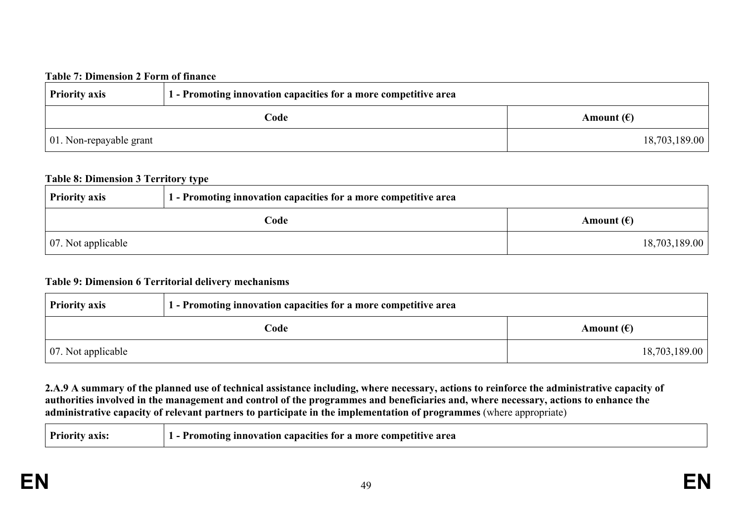### **Table 7: Dimension 2 Form of finance**

| <b>Priority axis</b>            | 1 - Promoting innovation capacities for a more competitive area |                     |  |
|---------------------------------|-----------------------------------------------------------------|---------------------|--|
|                                 | Code                                                            | Amount $(\epsilon)$ |  |
| $\vert$ 01. Non-repayable grant |                                                                 | 18,703,189.00       |  |

#### **Table 8: Dimension 3 Territory type**

| <b>Priority axis</b>       | 1 - Promoting innovation capacities for a more competitive area |                     |  |  |
|----------------------------|-----------------------------------------------------------------|---------------------|--|--|
|                            | Code                                                            | Amount $(\epsilon)$ |  |  |
| $\vert$ 07. Not applicable |                                                                 | 18,703,189.00       |  |  |

### **Table 9: Dimension 6 Territorial delivery mechanisms**

| <b>Priority axis</b>       | 1 - Promoting innovation capacities for a more competitive area |                     |  |  |
|----------------------------|-----------------------------------------------------------------|---------------------|--|--|
|                            | Code                                                            | Amount $(\epsilon)$ |  |  |
| $\vert$ 07. Not applicable |                                                                 | 18,703,189.00       |  |  |

2.A.9 A summary of the planned use of technical assistance including, where necessary, actions to reinforce the administrative capacity of authorities involved in the management and control of the programmes and beneficiaries and, where necessary, actions to enhance the **administrative capacity of relevant partners to participate in the implementation of programmes** (where appropriate)

| $P_{\rm T10}$<br>аліз. | area<br><b>Innovation capacities</b><br>. more<br>- 10 r<br>: comnet<br>romoı |
|------------------------|-------------------------------------------------------------------------------|
|------------------------|-------------------------------------------------------------------------------|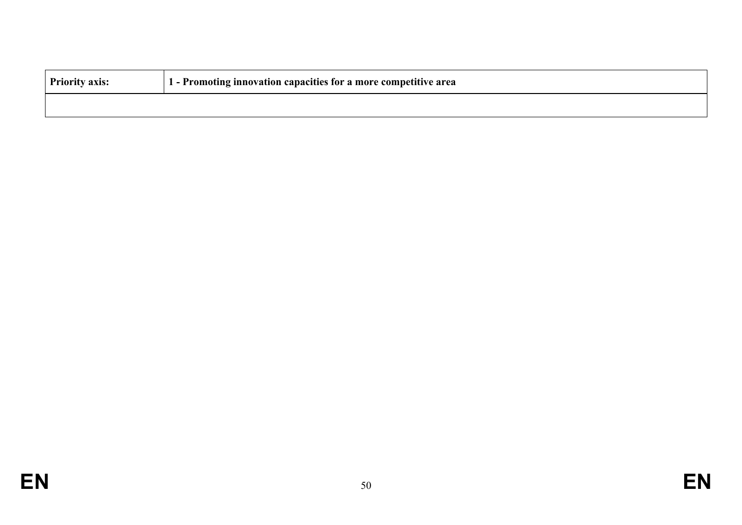| <b>Priority axis:</b> | 1 - Promoting innovation capacities for a more competitive area |
|-----------------------|-----------------------------------------------------------------|
|                       |                                                                 |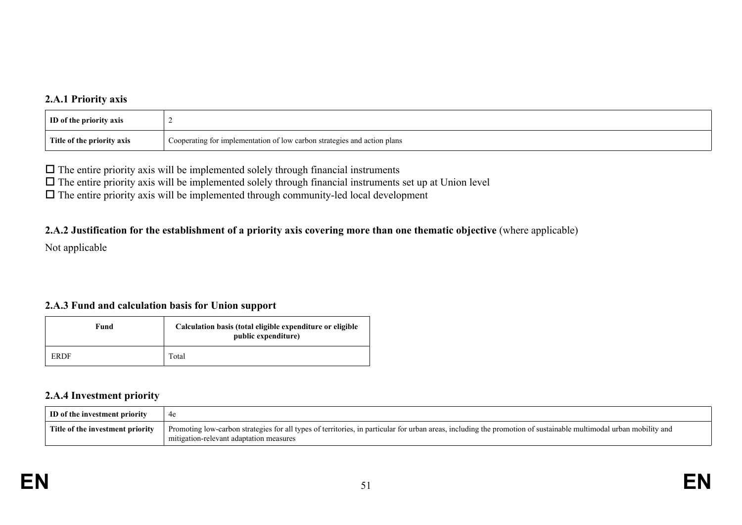## **2.A.1 Priority axis**

| <b>ID</b> of the priority axis |                                                                          |
|--------------------------------|--------------------------------------------------------------------------|
| Title of the priority axis     | Cooperating for implementation of low carbon strategies and action plans |

 $\Box$  <br> The entire priority axis will be implemented solely through financial instruments

 $\Box$  The entire priority axis will be implemented solely through financial instruments set up at Union level

 $\Box$  The entire priority axis will be implemented through community-led local development

### 2.A.2 Justification for the establishment of a priority axis covering more than one thematic objective (where applicable)

Not applicable

## **2.A.3 Fund and calculation basis for Union support**

| Fund        | Calculation basis (total eligible expenditure or eligible<br>public expenditure) |
|-------------|----------------------------------------------------------------------------------|
| <b>ERDF</b> | Total                                                                            |

### **2.A.4 Investment priority**

| ID of the investment priority    | 4e                                                                                                                                                                                                           |
|----------------------------------|--------------------------------------------------------------------------------------------------------------------------------------------------------------------------------------------------------------|
| Title of the investment priority | Promoting low-carbon strategies for all types of territories, in particular for urban areas, including the promotion of sustainable multimodal urban mobility and<br>mitigation-relevant adaptation measures |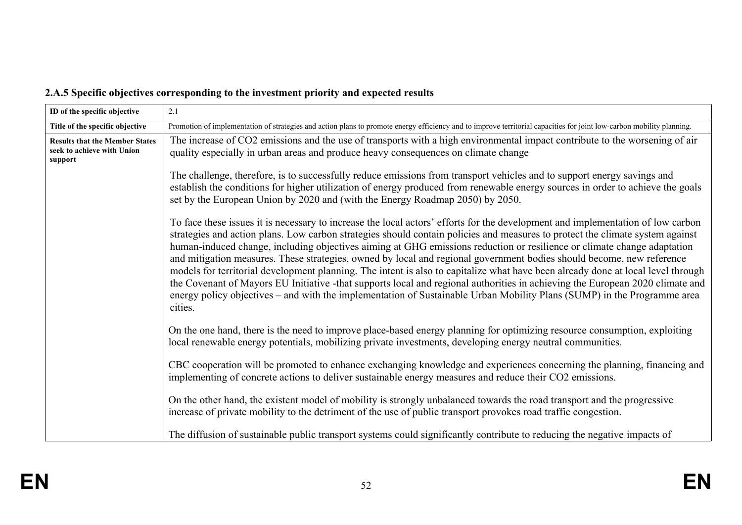# **2.A.5 Specific objectives corresponding to the investment priority and expected results**

| ID of the specific objective                                                   | 2.1                                                                                                                                                                                                                                                                                                                                                                                                                                                                                                                                                                                                                                                                                                                                                                                                                                                                                                                             |  |
|--------------------------------------------------------------------------------|---------------------------------------------------------------------------------------------------------------------------------------------------------------------------------------------------------------------------------------------------------------------------------------------------------------------------------------------------------------------------------------------------------------------------------------------------------------------------------------------------------------------------------------------------------------------------------------------------------------------------------------------------------------------------------------------------------------------------------------------------------------------------------------------------------------------------------------------------------------------------------------------------------------------------------|--|
| Title of the specific objective                                                | Promotion of implementation of strategies and action plans to promote energy efficiency and to improve territorial capacities for joint low-carbon mobility planning.                                                                                                                                                                                                                                                                                                                                                                                                                                                                                                                                                                                                                                                                                                                                                           |  |
| <b>Results that the Member States</b><br>seek to achieve with Union<br>support | The increase of CO2 emissions and the use of transports with a high environmental impact contribute to the worsening of air<br>quality especially in urban areas and produce heavy consequences on climate change                                                                                                                                                                                                                                                                                                                                                                                                                                                                                                                                                                                                                                                                                                               |  |
|                                                                                | The challenge, therefore, is to successfully reduce emissions from transport vehicles and to support energy savings and<br>establish the conditions for higher utilization of energy produced from renewable energy sources in order to achieve the goals<br>set by the European Union by 2020 and (with the Energy Roadmap 2050) by 2050.                                                                                                                                                                                                                                                                                                                                                                                                                                                                                                                                                                                      |  |
|                                                                                | To face these issues it is necessary to increase the local actors' efforts for the development and implementation of low carbon<br>strategies and action plans. Low carbon strategies should contain policies and measures to protect the climate system against<br>human-induced change, including objectives aiming at GHG emissions reduction or resilience or climate change adaptation<br>and mitigation measures. These strategies, owned by local and regional government bodies should become, new reference<br>models for territorial development planning. The intent is also to capitalize what have been already done at local level through<br>the Covenant of Mayors EU Initiative -that supports local and regional authorities in achieving the European 2020 climate and<br>energy policy objectives – and with the implementation of Sustainable Urban Mobility Plans (SUMP) in the Programme area<br>cities. |  |
|                                                                                | On the one hand, there is the need to improve place-based energy planning for optimizing resource consumption, exploiting<br>local renewable energy potentials, mobilizing private investments, developing energy neutral communities.                                                                                                                                                                                                                                                                                                                                                                                                                                                                                                                                                                                                                                                                                          |  |
|                                                                                | CBC cooperation will be promoted to enhance exchanging knowledge and experiences concerning the planning, financing and<br>implementing of concrete actions to deliver sustainable energy measures and reduce their CO2 emissions.                                                                                                                                                                                                                                                                                                                                                                                                                                                                                                                                                                                                                                                                                              |  |
|                                                                                | On the other hand, the existent model of mobility is strongly unbalanced towards the road transport and the progressive<br>increase of private mobility to the detriment of the use of public transport provokes road traffic congestion.                                                                                                                                                                                                                                                                                                                                                                                                                                                                                                                                                                                                                                                                                       |  |
|                                                                                | The diffusion of sustainable public transport systems could significantly contribute to reducing the negative impacts of                                                                                                                                                                                                                                                                                                                                                                                                                                                                                                                                                                                                                                                                                                                                                                                                        |  |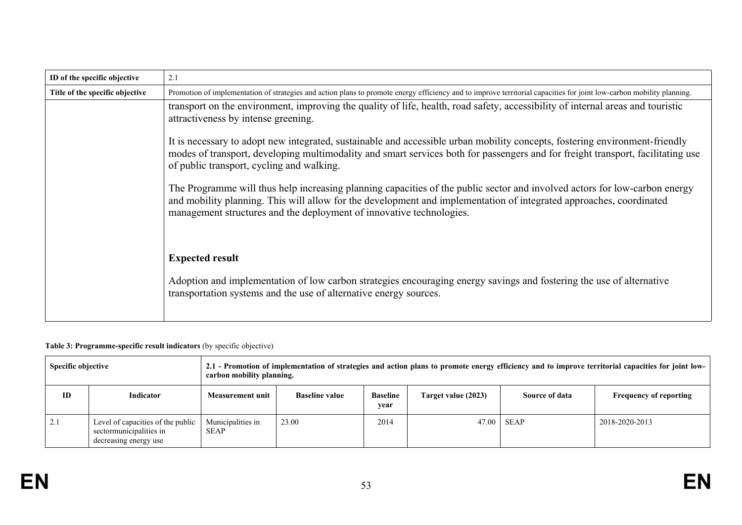| ID of the specific objective    | 2.1                                                                                                                                                                                                                                                                                                                       |  |  |  |
|---------------------------------|---------------------------------------------------------------------------------------------------------------------------------------------------------------------------------------------------------------------------------------------------------------------------------------------------------------------------|--|--|--|
| Title of the specific objective | Promotion of implementation of strategies and action plans to promote energy efficiency and to improve territorial capacities for joint low-carbon mobility planning.                                                                                                                                                     |  |  |  |
|                                 | transport on the environment, improving the quality of life, health, road safety, accessibility of internal areas and touristic<br>attractiveness by intense greening.                                                                                                                                                    |  |  |  |
|                                 | It is necessary to adopt new integrated, sustainable and accessible urban mobility concepts, fostering environment-friendly<br>modes of transport, developing multimodality and smart services both for passengers and for freight transport, facilitating use<br>of public transport, cycling and walking.               |  |  |  |
|                                 | The Programme will thus help increasing planning capacities of the public sector and involved actors for low-carbon energy<br>and mobility planning. This will allow for the development and implementation of integrated approaches, coordinated<br>management structures and the deployment of innovative technologies. |  |  |  |
|                                 | <b>Expected result</b><br>Adoption and implementation of low carbon strategies encouraging energy savings and fostering the use of alternative<br>transportation systems and the use of alternative energy sources.                                                                                                       |  |  |  |

#### **Table 3: Programme-specific result indicators** (by specific objective)

| <b>Specific objective</b> |                                                                                       | 2.1 - Promotion of implementation of strategies and action plans to promote energy efficiency and to improve territorial capacities for joint low-<br>carbon mobility planning. |                       |                         |                     |                |                               |
|---------------------------|---------------------------------------------------------------------------------------|---------------------------------------------------------------------------------------------------------------------------------------------------------------------------------|-----------------------|-------------------------|---------------------|----------------|-------------------------------|
| ID                        | Indicator                                                                             | Measurement unit                                                                                                                                                                | <b>Baseline value</b> | <b>Baseline</b><br>year | Target value (2023) | Source of data | <b>Frequency of reporting</b> |
| 2.1                       | Level of capacities of the public<br>sectormunicipalities in<br>decreasing energy use | Municipalities in<br><b>SEAP</b>                                                                                                                                                | 23.00                 | 2014                    | 47.00               | <b>SEAP</b>    | 2018-2020-2013                |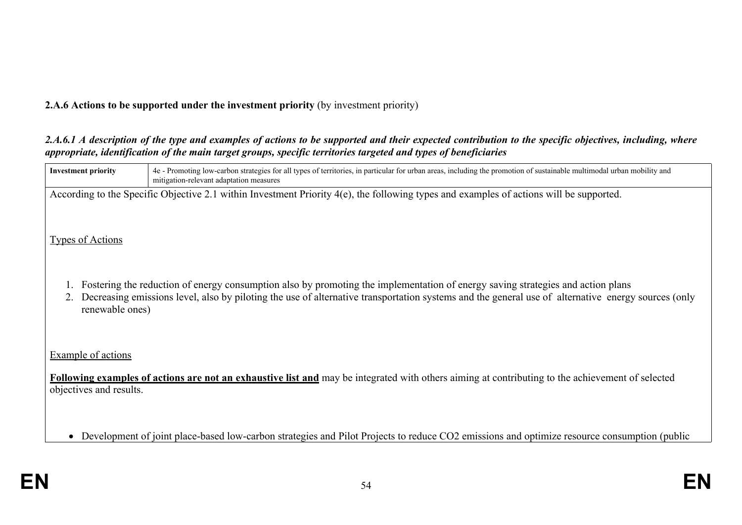## **2.A.6 Actions to be supported under the investment priority** (by investment priority)

## 2.A.6.1 A description of the type and examples of actions to be supported and their expected contribution to the specific objectives, including, where *appropriate, identification of the main target groups, specific territories targeted and types of beneficiaries*

| <b>Investment priority</b> | 4e - Promoting low-carbon strategies for all types of territories, in particular for urban areas, including the promotion of sustainable multimodal urban mobility and<br>mitigation-relevant adaptation measures |
|----------------------------|-------------------------------------------------------------------------------------------------------------------------------------------------------------------------------------------------------------------|
|                            | According to the Specific Objective 2.1 within Investment Priority 4(e), the following types and examples of actions will be supported.                                                                           |
|                            |                                                                                                                                                                                                                   |
| <b>Types of Actions</b>    |                                                                                                                                                                                                                   |
|                            |                                                                                                                                                                                                                   |
|                            | Fostering the reduction of energy consumption also by promoting the implementation of energy saving strategies and action plans                                                                                   |
| renewable ones)            | Decreasing emissions level, also by piloting the use of alternative transportation systems and the general use of alternative energy sources (only                                                                |
|                            |                                                                                                                                                                                                                   |
| Example of actions         |                                                                                                                                                                                                                   |
|                            | Following examples of actions are not an exhaustive list and may be integrated with others aiming at contributing to the achievement of selected                                                                  |
| objectives and results.    |                                                                                                                                                                                                                   |
|                            |                                                                                                                                                                                                                   |
|                            | Development of joint place-based low-carbon strategies and Pilot Projects to reduce CO2 emissions and optimize resource consumption (public                                                                       |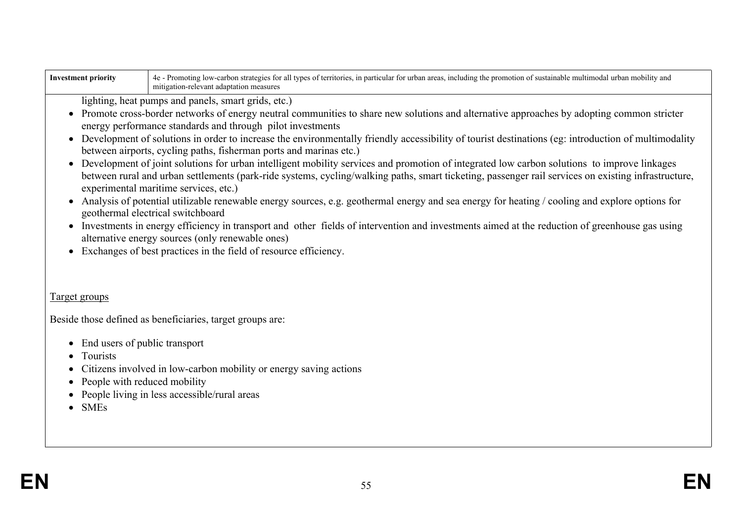| <b>Investment priority</b>                                                                                                                                                                                                                                                                                                                                                                                                                                                                                                                                                                                                                                                                                                                                                                                                                                                                                                                                                                                                                                                                                                                                                                                                                                                                                                             | 4e - Promoting low-carbon strategies for all types of territories, in particular for urban areas, including the promotion of sustainable multimodal urban mobility and<br>mitigation-relevant adaptation measures |  |  |  |
|----------------------------------------------------------------------------------------------------------------------------------------------------------------------------------------------------------------------------------------------------------------------------------------------------------------------------------------------------------------------------------------------------------------------------------------------------------------------------------------------------------------------------------------------------------------------------------------------------------------------------------------------------------------------------------------------------------------------------------------------------------------------------------------------------------------------------------------------------------------------------------------------------------------------------------------------------------------------------------------------------------------------------------------------------------------------------------------------------------------------------------------------------------------------------------------------------------------------------------------------------------------------------------------------------------------------------------------|-------------------------------------------------------------------------------------------------------------------------------------------------------------------------------------------------------------------|--|--|--|
| lighting, heat pumps and panels, smart grids, etc.)<br>Promote cross-border networks of energy neutral communities to share new solutions and alternative approaches by adopting common stricter<br>energy performance standards and through pilot investments<br>• Development of solutions in order to increase the environmentally friendly accessibility of tourist destinations (eg: introduction of multimodality<br>between airports, cycling paths, fisherman ports and marinas etc.)<br>Development of joint solutions for urban intelligent mobility services and promotion of integrated low carbon solutions to improve linkages<br>between rural and urban settlements (park-ride systems, cycling/walking paths, smart ticketing, passenger rail services on existing infrastructure,<br>experimental maritime services, etc.)<br>Analysis of potential utilizable renewable energy sources, e.g. geothermal energy and sea energy for heating / cooling and explore options for<br>$\bullet$<br>geothermal electrical switchboard<br>Investments in energy efficiency in transport and other fields of intervention and investments aimed at the reduction of greenhouse gas using<br>$\bullet$<br>alternative energy sources (only renewable ones)<br>Exchanges of best practices in the field of resource efficiency. |                                                                                                                                                                                                                   |  |  |  |
| Target groups                                                                                                                                                                                                                                                                                                                                                                                                                                                                                                                                                                                                                                                                                                                                                                                                                                                                                                                                                                                                                                                                                                                                                                                                                                                                                                                          |                                                                                                                                                                                                                   |  |  |  |
|                                                                                                                                                                                                                                                                                                                                                                                                                                                                                                                                                                                                                                                                                                                                                                                                                                                                                                                                                                                                                                                                                                                                                                                                                                                                                                                                        | Beside those defined as beneficiaries, target groups are:                                                                                                                                                         |  |  |  |
| • End users of public transport<br>Tourists<br>Citizens involved in low-carbon mobility or energy saving actions<br>People with reduced mobility<br>People living in less accessible/rural areas<br>$\bullet$ SMEs                                                                                                                                                                                                                                                                                                                                                                                                                                                                                                                                                                                                                                                                                                                                                                                                                                                                                                                                                                                                                                                                                                                     |                                                                                                                                                                                                                   |  |  |  |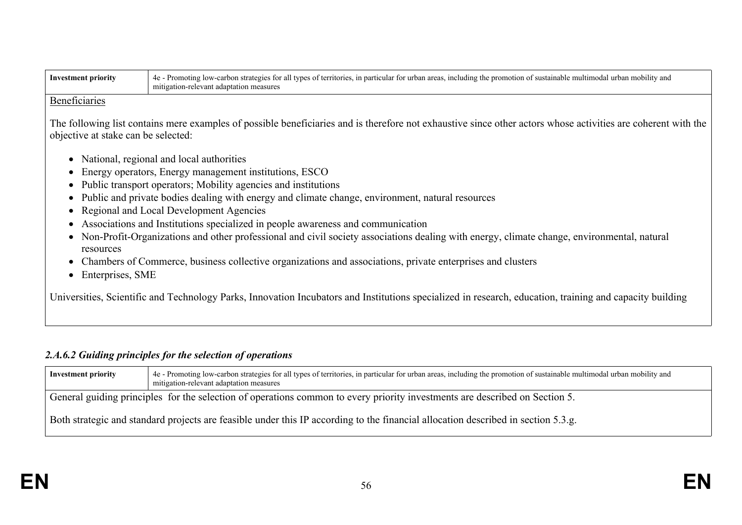| <b>Investment priority</b>                                                                                                                                                                           | 4e - Promoting low-carbon strategies for all types of territories, in particular for urban areas, including the promotion of sustainable multimodal urban mobility and<br>mitigation-relevant adaptation measures |  |  |
|------------------------------------------------------------------------------------------------------------------------------------------------------------------------------------------------------|-------------------------------------------------------------------------------------------------------------------------------------------------------------------------------------------------------------------|--|--|
| Beneficiaries                                                                                                                                                                                        |                                                                                                                                                                                                                   |  |  |
| The following list contains mere examples of possible beneficiaries and is therefore not exhaustive since other actors whose activities are coherent with the<br>objective at stake can be selected: |                                                                                                                                                                                                                   |  |  |
|                                                                                                                                                                                                      | National, regional and local authorities                                                                                                                                                                          |  |  |
|                                                                                                                                                                                                      | Energy operators, Energy management institutions, ESCO                                                                                                                                                            |  |  |
|                                                                                                                                                                                                      | • Public transport operators; Mobility agencies and institutions                                                                                                                                                  |  |  |
|                                                                                                                                                                                                      | • Public and private bodies dealing with energy and climate change, environment, natural resources                                                                                                                |  |  |
|                                                                                                                                                                                                      | • Regional and Local Development Agencies                                                                                                                                                                         |  |  |
|                                                                                                                                                                                                      | Associations and Institutions specialized in people awareness and communication                                                                                                                                   |  |  |
| resources                                                                                                                                                                                            | • Non-Profit-Organizations and other professional and civil society associations dealing with energy, climate change, environmental, natural                                                                      |  |  |
|                                                                                                                                                                                                      | Chambers of Commerce, business collective organizations and associations, private enterprises and clusters<br>Enterprises, SME                                                                                    |  |  |
| Universities, Scientific and Technology Parks, Innovation Incubators and Institutions specialized in research, education, training and capacity building                                             |                                                                                                                                                                                                                   |  |  |

# *2.A.6.2 Guiding principles for the selection of operations*

| 4e - Promoting low-carbon strategies for all types of territories, in particular for urban areas, including the promotion of sustainable multimodal urban mobility and<br><b>Investment priority</b><br>mitigation-relevant adaptation measures |                                                                                                                                   |  |  |
|-------------------------------------------------------------------------------------------------------------------------------------------------------------------------------------------------------------------------------------------------|-----------------------------------------------------------------------------------------------------------------------------------|--|--|
|                                                                                                                                                                                                                                                 | General guiding principles for the selection of operations common to every priority investments are described on Section 5.       |  |  |
|                                                                                                                                                                                                                                                 | Both strategic and standard projects are feasible under this IP according to the financial allocation described in section 5.3.g. |  |  |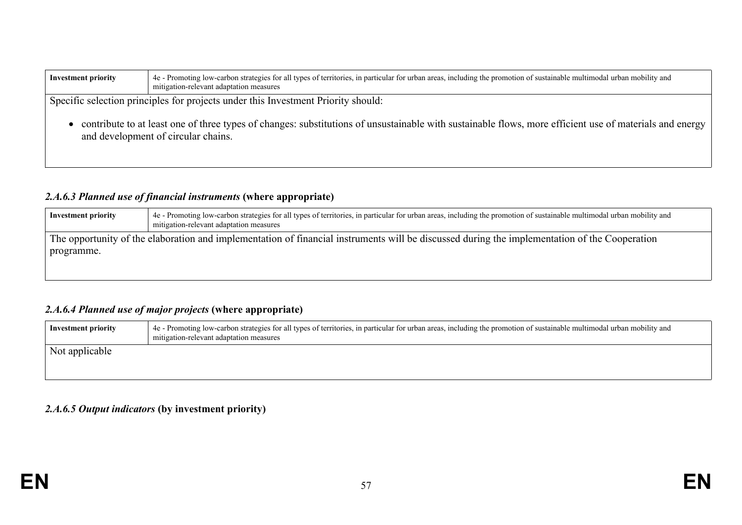| 4e - Promoting low-carbon strategies for all types of territories, in particular for urban areas, including the promotion of sustainable multimodal urban mobility and<br><b>Investment priority</b><br>mitigation-relevant adaptation measures |                                                                                                                                                                                                |  |
|-------------------------------------------------------------------------------------------------------------------------------------------------------------------------------------------------------------------------------------------------|------------------------------------------------------------------------------------------------------------------------------------------------------------------------------------------------|--|
| Specific selection principles for projects under this Investment Priority should:                                                                                                                                                               |                                                                                                                                                                                                |  |
|                                                                                                                                                                                                                                                 | contribute to at least one of three types of changes: substitutions of unsustainable with sustainable flows, more efficient use of materials and energy<br>and development of circular chains. |  |

## *2.A.6.3 Planned use of financial instruments* **(where appropriate)**

| Investment priority                                                                                                                           | 4e - Promoting low-carbon strategies for all types of territories, in particular for urban areas, including the promotion of sustainable multimodal urban mobility and<br>mitigation-relevant adaptation measures |
|-----------------------------------------------------------------------------------------------------------------------------------------------|-------------------------------------------------------------------------------------------------------------------------------------------------------------------------------------------------------------------|
| The opportunity of the elaboration and implementation of financial instruments will be discussed during the implementation of the Cooperation |                                                                                                                                                                                                                   |
| programme.                                                                                                                                    |                                                                                                                                                                                                                   |
|                                                                                                                                               |                                                                                                                                                                                                                   |

## *2.A.6.4 Planned use of major projects* **(where appropriate)**

| Investment priority | 4e - Promoting low-carbon strategies for all types of territories, in particular for urban areas, including the promotion of sustainable multimodal urban mobility and<br>mitigation-relevant adaptation measures |
|---------------------|-------------------------------------------------------------------------------------------------------------------------------------------------------------------------------------------------------------------|
| Not applicable      |                                                                                                                                                                                                                   |

### *2.A.6.5 Output indicators* **(by investment priority)**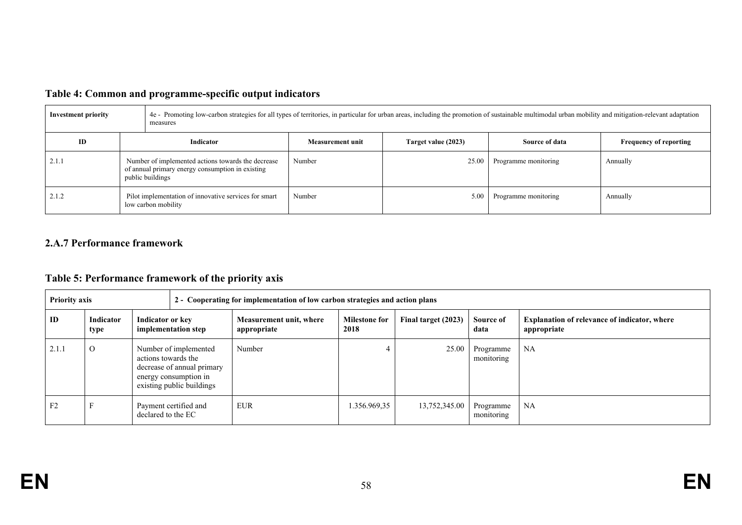|  |  |  | Table 4: Common and programme-specific output indicators |  |
|--|--|--|----------------------------------------------------------|--|
|--|--|--|----------------------------------------------------------|--|

| Investment priority | 4e - Promoting low-carbon strategies for all types of territories, in particular for urban areas, including the promotion of sustainable multimodal urban mobility and mitigation-relevant adaptation<br>measures |                  |                     |                      |                               |  |  |
|---------------------|-------------------------------------------------------------------------------------------------------------------------------------------------------------------------------------------------------------------|------------------|---------------------|----------------------|-------------------------------|--|--|
| ID                  | <b>Indicator</b>                                                                                                                                                                                                  | Measurement unit | Target value (2023) | Source of data       | <b>Frequency of reporting</b> |  |  |
| 2.1.1               | Number of implemented actions towards the decrease<br>of annual primary energy consumption in existing<br>public buildings                                                                                        | Number           | 25.00               | Programme monitoring | Annually                      |  |  |
| 2.1.2               | Pilot implementation of innovative services for smart<br>low carbon mobility                                                                                                                                      | Number           | 5.00                | Programme monitoring | Annually                      |  |  |

## **2.A.7 Performance framework**

# **Table 5: Performance framework of the priority axis**

| <b>Priority axis</b> |                   |                     |                                                                                                           | 2 - Cooperating for implementation of low carbon strategies and action plans |                              |                     |                         |                                                                    |
|----------------------|-------------------|---------------------|-----------------------------------------------------------------------------------------------------------|------------------------------------------------------------------------------|------------------------------|---------------------|-------------------------|--------------------------------------------------------------------|
| ID                   | Indicator<br>type | Indicator or key    | implementation step                                                                                       | Measurement unit, where<br>appropriate                                       | <b>Milestone for</b><br>2018 | Final target (2023) | Source of<br>data       | <b>Explanation of relevance of indicator, where</b><br>appropriate |
| 2.1.1                | $\Omega$          | actions towards the | Number of implemented<br>decrease of annual primary<br>energy consumption in<br>existing public buildings | Number                                                                       |                              | 25.00               | Programme<br>monitoring | NA                                                                 |
| F <sub>2</sub>       |                   | declared to the EC  | Payment certified and                                                                                     | <b>EUR</b>                                                                   | .356.969,35                  | 13,752,345.00       | Programme<br>monitoring | NA                                                                 |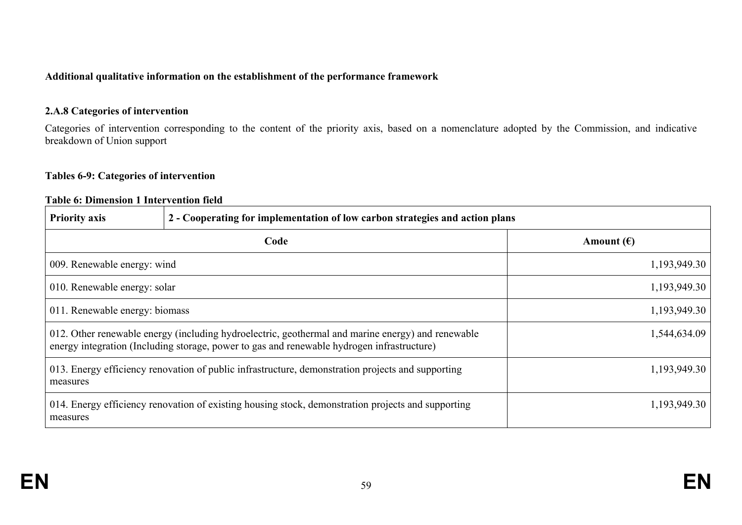## **Additional qualitative information on the establishment of the performance framework**

## **2.A.8 Categories of intervention**

Categories of intervention corresponding to the content of the priority axis, based on a nomenclature adopted by the Commission, and indicative breakdown of Union support

## **Tables 6-9: Categories of intervention**

### **Table 6: Dimension 1 Intervention field**

| <b>Priority axis</b>                                                                                                                                                                            | 2 - Cooperating for implementation of low carbon strategies and action plans                       |                     |
|-------------------------------------------------------------------------------------------------------------------------------------------------------------------------------------------------|----------------------------------------------------------------------------------------------------|---------------------|
|                                                                                                                                                                                                 | Code                                                                                               | Amount $(\epsilon)$ |
| 009. Renewable energy: wind                                                                                                                                                                     |                                                                                                    | 1,193,949.30        |
| 1,193,949.30<br>010. Renewable energy: solar                                                                                                                                                    |                                                                                                    |                     |
| 1,193,949.30<br>011. Renewable energy: biomass                                                                                                                                                  |                                                                                                    |                     |
| 012. Other renewable energy (including hydroelectric, geothermal and marine energy) and renewable<br>energy integration (Including storage, power to gas and renewable hydrogen infrastructure) | 1,544,634.09                                                                                       |                     |
| 013. Energy efficiency renovation of public infrastructure, demonstration projects and supporting<br>1,193,949.30<br>measures                                                                   |                                                                                                    |                     |
| measures                                                                                                                                                                                        | 014. Energy efficiency renovation of existing housing stock, demonstration projects and supporting | 1,193,949.30        |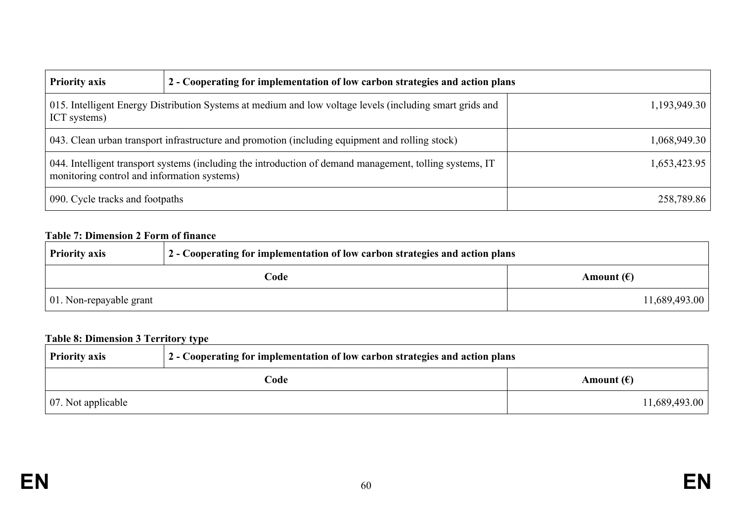| <b>Priority axis</b>                                                                                                                                    | 2 - Cooperating for implementation of low carbon strategies and action plans |              |
|---------------------------------------------------------------------------------------------------------------------------------------------------------|------------------------------------------------------------------------------|--------------|
| 015. Intelligent Energy Distribution Systems at medium and low voltage levels (including smart grids and<br>1,193,949.30<br>ICT systems)                |                                                                              |              |
| 043. Clean urban transport infrastructure and promotion (including equipment and rolling stock)                                                         |                                                                              | 1,068,949.30 |
| 044. Intelligent transport systems (including the introduction of demand management, tolling systems, IT<br>monitoring control and information systems) |                                                                              | 1,653,423.95 |
| 090. Cycle tracks and footpaths                                                                                                                         |                                                                              | 258,789.86   |

## **Table 7: Dimension 2 Form of finance**

| $\frac{1}{2}$ - Cooperating for implementation of low carbon strategies and action plans<br><b>Priority axis</b> |  |                     |
|------------------------------------------------------------------------------------------------------------------|--|---------------------|
| Code                                                                                                             |  | Amount $(\epsilon)$ |
| $\vert$ 01. Non-repayable grant                                                                                  |  | 11,689,493.00       |

# **Table 8: Dimension 3 Territory type**

| 2 - Cooperating for implementation of low carbon strategies and action plans<br><b>Priority axis</b> |  |                     |
|------------------------------------------------------------------------------------------------------|--|---------------------|
| Code                                                                                                 |  | Amount $(\epsilon)$ |
| $\vert$ 07. Not applicable                                                                           |  | 11,689,493.00       |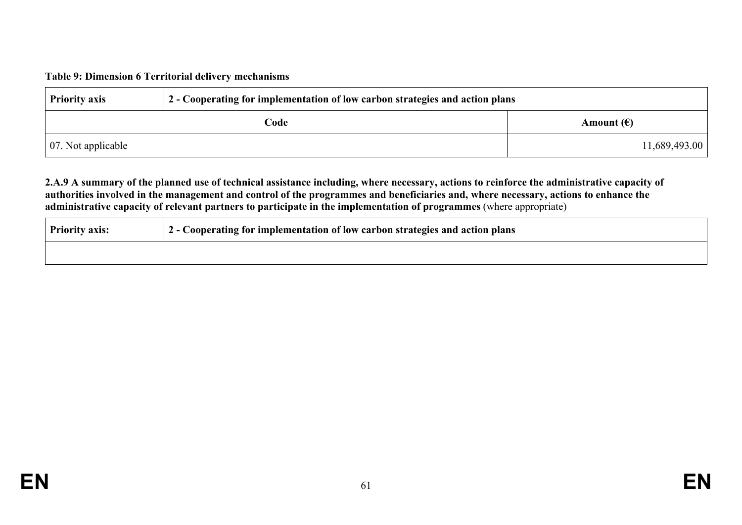### **Table 9: Dimension 6 Territorial delivery mechanisms**

| <b>Priority axis</b>       | 2 - Cooperating for implementation of low carbon strategies and action plans |                     |  |
|----------------------------|------------------------------------------------------------------------------|---------------------|--|
| Code                       |                                                                              | Amount $(\epsilon)$ |  |
| $\vert$ 07. Not applicable |                                                                              | 11,689,493.00       |  |

### 2.A.9 A summary of the planned use of technical assistance including, where necessary, actions to reinforce the administrative capacity of authorities involved in the management and control of the programmes and beneficiaries and, where necessary, actions to enhance the **administrative capacity of relevant partners to participate in the implementation of programmes** (where appropriate)

| <b>Priority axis:</b> | 2 - Cooperating for implementation of low carbon strategies and action plans |
|-----------------------|------------------------------------------------------------------------------|
|                       |                                                                              |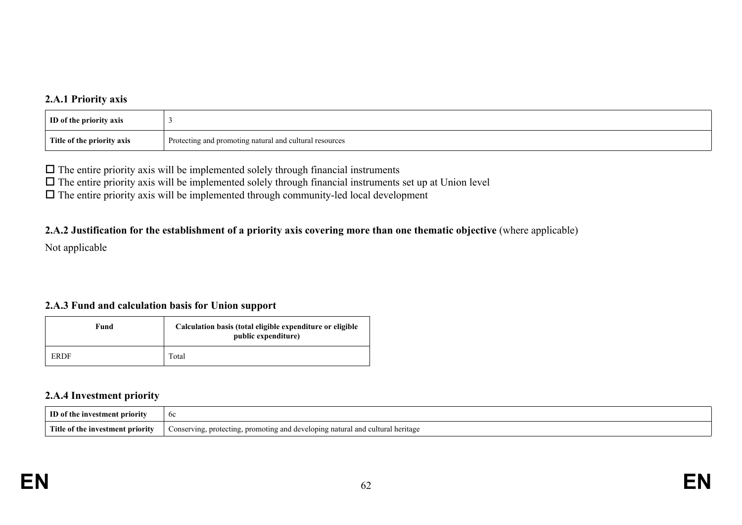## **2.A.1 Priority axis**

| <b>ID</b> of the priority axis |                                                         |
|--------------------------------|---------------------------------------------------------|
| Title of the priority axis     | Protecting and promoting natural and cultural resources |

 $\Box$  The entire priority axis will be implemented solely through financial instruments

 $\Box$  The entire priority axis will be implemented solely through financial instruments set up at Union level

 $\Box$  The entire priority axis will be implemented through community-led local development

### 2.A.2 Justification for the establishment of a priority axis covering more than one thematic objective (where applicable)

Not applicable

### **2.A.3 Fund and calculation basis for Union support**

| Fund        | Calculation basis (total eligible expenditure or eligible<br>public expenditure) |
|-------------|----------------------------------------------------------------------------------|
| <b>ERDF</b> | Total                                                                            |

### **2.A.4 Investment priority**

| m<br>`^nt prìorit<br>m                  | <sub>0</sub> c                                                                                                                               |
|-----------------------------------------|----------------------------------------------------------------------------------------------------------------------------------------------|
| Title of the .<br>e investment priority | cultura<br>' heritage<br>Conserving.<br>, protecting<br>iatural and<br>iting and<br>$d$ $\alpha$<br>. promo<br>∠elonino -<br><br>້<br>$\sim$ |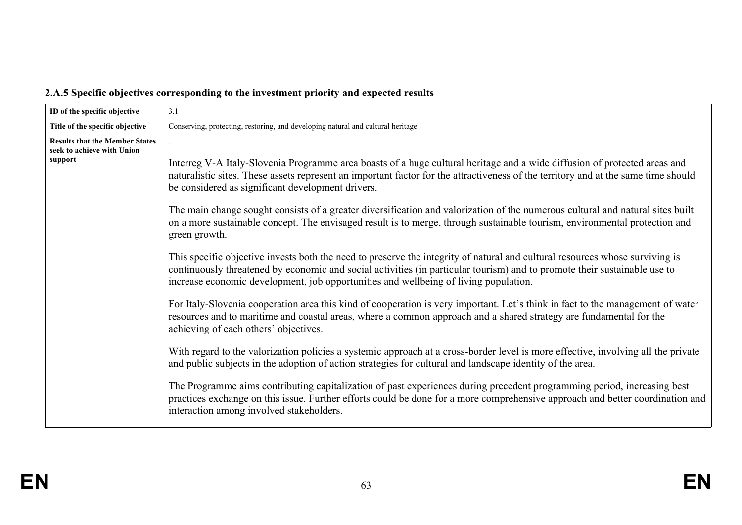|  |  |  | 2.A.5 Specific objectives corresponding to the investment priority and expected results |
|--|--|--|-----------------------------------------------------------------------------------------|
|  |  |  |                                                                                         |

| ID of the specific objective                                                   | 3.1                                                                                                                                                                                                                                                                                                                                                                                                                                                                                                                                                                                                                                                                                                                                                                                                                                                                                                                                                                                                                              |
|--------------------------------------------------------------------------------|----------------------------------------------------------------------------------------------------------------------------------------------------------------------------------------------------------------------------------------------------------------------------------------------------------------------------------------------------------------------------------------------------------------------------------------------------------------------------------------------------------------------------------------------------------------------------------------------------------------------------------------------------------------------------------------------------------------------------------------------------------------------------------------------------------------------------------------------------------------------------------------------------------------------------------------------------------------------------------------------------------------------------------|
| Title of the specific objective                                                | Conserving, protecting, restoring, and developing natural and cultural heritage                                                                                                                                                                                                                                                                                                                                                                                                                                                                                                                                                                                                                                                                                                                                                                                                                                                                                                                                                  |
| <b>Results that the Member States</b><br>seek to achieve with Union<br>support | Interreg V-A Italy-Slovenia Programme area boasts of a huge cultural heritage and a wide diffusion of protected areas and<br>naturalistic sites. These assets represent an important factor for the attractiveness of the territory and at the same time should<br>be considered as significant development drivers.<br>The main change sought consists of a greater diversification and valorization of the numerous cultural and natural sites built<br>on a more sustainable concept. The envisaged result is to merge, through sustainable tourism, environmental protection and<br>green growth.<br>This specific objective invests both the need to preserve the integrity of natural and cultural resources whose surviving is                                                                                                                                                                                                                                                                                            |
|                                                                                | continuously threatened by economic and social activities (in particular tourism) and to promote their sustainable use to<br>increase economic development, job opportunities and wellbeing of living population.<br>For Italy-Slovenia cooperation area this kind of cooperation is very important. Let's think in fact to the management of water<br>resources and to maritime and coastal areas, where a common approach and a shared strategy are fundamental for the<br>achieving of each others' objectives.<br>With regard to the valorization policies a systemic approach at a cross-border level is more effective, involving all the private<br>and public subjects in the adoption of action strategies for cultural and landscape identity of the area.<br>The Programme aims contributing capitalization of past experiences during precedent programming period, increasing best<br>practices exchange on this issue. Further efforts could be done for a more comprehensive approach and better coordination and |
|                                                                                | interaction among involved stakeholders.                                                                                                                                                                                                                                                                                                                                                                                                                                                                                                                                                                                                                                                                                                                                                                                                                                                                                                                                                                                         |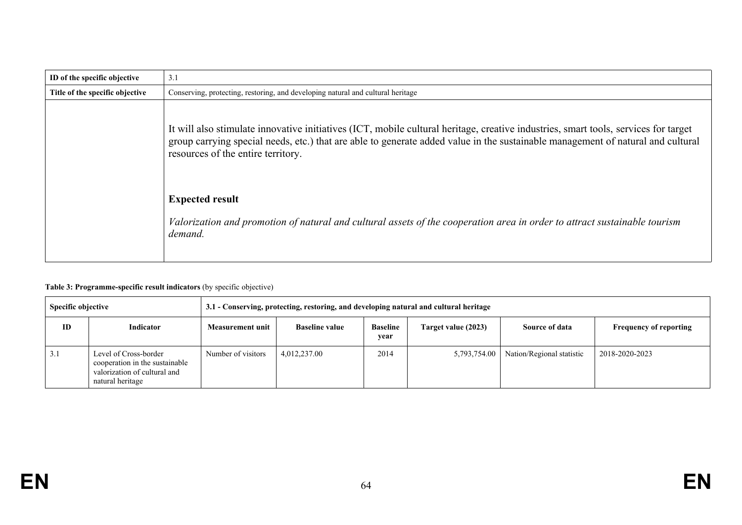| ID of the specific objective    | 3.1                                                                                                                                                                                                                                                                                                          |
|---------------------------------|--------------------------------------------------------------------------------------------------------------------------------------------------------------------------------------------------------------------------------------------------------------------------------------------------------------|
| Title of the specific objective | Conserving, protecting, restoring, and developing natural and cultural heritage                                                                                                                                                                                                                              |
|                                 | It will also stimulate innovative initiatives (ICT, mobile cultural heritage, creative industries, smart tools, services for target<br>group carrying special needs, etc.) that are able to generate added value in the sustainable management of natural and cultural<br>resources of the entire territory. |
|                                 | <b>Expected result</b><br>Valorization and promotion of natural and cultural assets of the cooperation area in order to attract sustainable tourism<br>demand.                                                                                                                                               |

#### **Table 3: Programme-specific result indicators** (by specific objective)

| Specific objective |                                                                                                             | 3.1 - Conserving, protecting, restoring, and developing natural and cultural heritage |                       |                         |                     |                           |                               |
|--------------------|-------------------------------------------------------------------------------------------------------------|---------------------------------------------------------------------------------------|-----------------------|-------------------------|---------------------|---------------------------|-------------------------------|
| ID                 | Indicator                                                                                                   | Measurement unit                                                                      | <b>Baseline value</b> | <b>Baseline</b><br>year | Target value (2023) | Source of data            | <b>Frequency of reporting</b> |
| 3.1                | Level of Cross-border<br>cooperation in the sustainable<br>valorization of cultural and<br>natural heritage | Number of visitors                                                                    | 4,012,237.00          | 2014                    | 5,793,754.00        | Nation/Regional statistic | 2018-2020-2023                |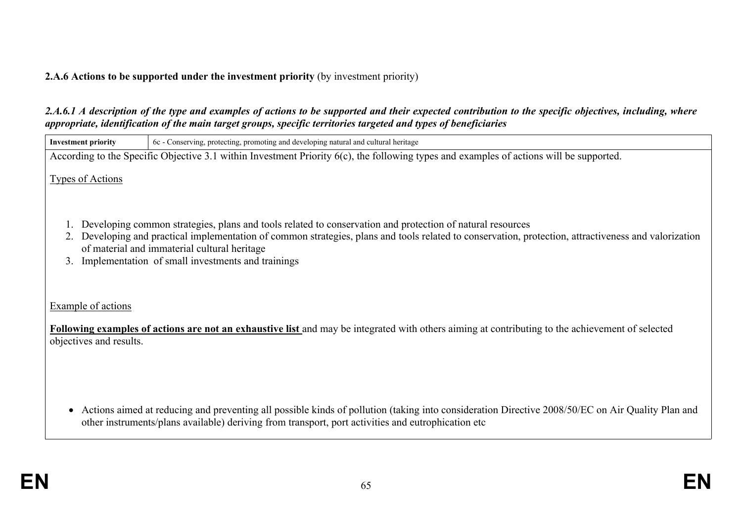## **2.A.6 Actions to be supported under the investment priority** (by investment priority)

## 2.A.6.1 A description of the type and examples of actions to be supported and their expected contribution to the specific objectives, including, where *appropriate, identification of the main target groups, specific territories targeted and types of beneficiaries*

| <b>Investment priority</b> | 6c - Conserving, protecting, promoting and developing natural and cultural heritage                                                                                                                                                                                                                                                                                  |
|----------------------------|----------------------------------------------------------------------------------------------------------------------------------------------------------------------------------------------------------------------------------------------------------------------------------------------------------------------------------------------------------------------|
|                            | According to the Specific Objective 3.1 within Investment Priority 6(c), the following types and examples of actions will be supported.                                                                                                                                                                                                                              |
| <b>Types of Actions</b>    |                                                                                                                                                                                                                                                                                                                                                                      |
| 3.                         | Developing common strategies, plans and tools related to conservation and protection of natural resources<br>Developing and practical implementation of common strategies, plans and tools related to conservation, protection, attractiveness and valorization<br>of material and immaterial cultural heritage<br>Implementation of small investments and trainings |
| Example of actions         |                                                                                                                                                                                                                                                                                                                                                                      |
| objectives and results.    | Following examples of actions are not an exhaustive list and may be integrated with others aiming at contributing to the achievement of selected                                                                                                                                                                                                                     |
|                            | $\lambda$ if $\lambda$ if $\lambda$ if $\lambda$ if $\lambda$ if $\lambda$ if $\lambda$ if $\lambda$ if $\lambda$ if $\lambda$ if $\lambda$ if $\lambda$ if $\lambda$ if $\lambda$                                                                                                                                                                                   |

 Actions aimed at reducing and preventing all possible kinds of pollution (taking into consideration Directive 2008/50/EC on Air Quality Plan and other instruments/plans available) deriving from transport, port activities and eutrophication etc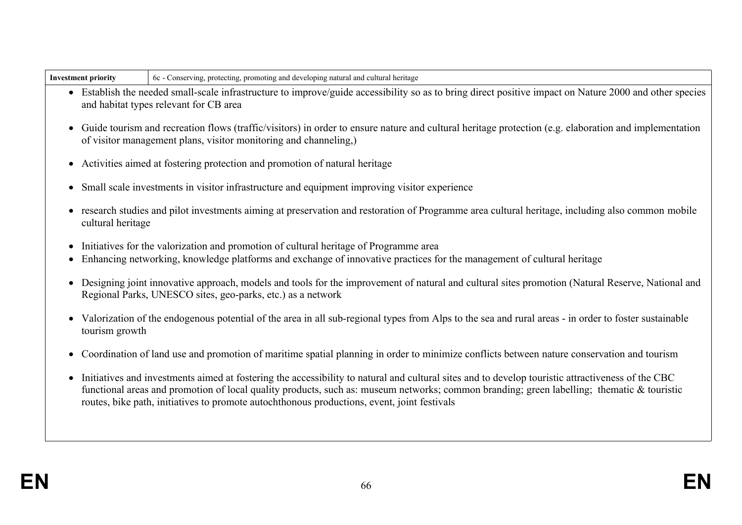| - Investment priority | z, promoting and developing natural and cultural<br>heritage<br>protecting.<br>- 6c<br>Conserving |
|-----------------------|---------------------------------------------------------------------------------------------------|
|-----------------------|---------------------------------------------------------------------------------------------------|

- Establish the needed small-scale infrastructure to improve/guide accessibility so as to bring direct positive impact on Nature 2000 and other species and habitat types relevant for CB area
- Guide tourism and recreation flows (traffic/visitors) in order to ensure nature and cultural heritage protection (e.g. elaboration and implementation of visitor management plans, visitor monitoring and channeling,)
- Activities aimed at fostering protection and promotion of natural heritage
- Small scale investments in visitor infrastructure and equipment improving visitor experience
- research studies and pilot investments aiming at preservation and restoration of Programme area cultural heritage, including also common mobile cultural heritage
- Initiatives for the valorization and promotion of cultural heritage of Programme area
- Enhancing networking, knowledge platforms and exchange of innovative practices for the management of cultural heritage
- Designing joint innovative approach, models and tools for the improvement of natural and cultural sites promotion (Natural Reserve, National and Regional Parks, UNESCO sites, geo-parks, etc.) as a network
- Valorization of the endogenous potential of the area in all sub-regional types from Alps to the sea and rural areas in order to foster sustainable tourism growth
- Coordination of land use and promotion of maritime spatial planning in order to minimize conflicts between nature conservation and tourism
- Initiatives and investments aimed at fostering the accessibility to natural and cultural sites and to develop touristic attractiveness of the CBC functional areas and promotion of local quality products, such as: museum networks; common branding; green labelling; thematic & touristic routes, bike path, initiatives to promote autochthonous productions, event, joint festivals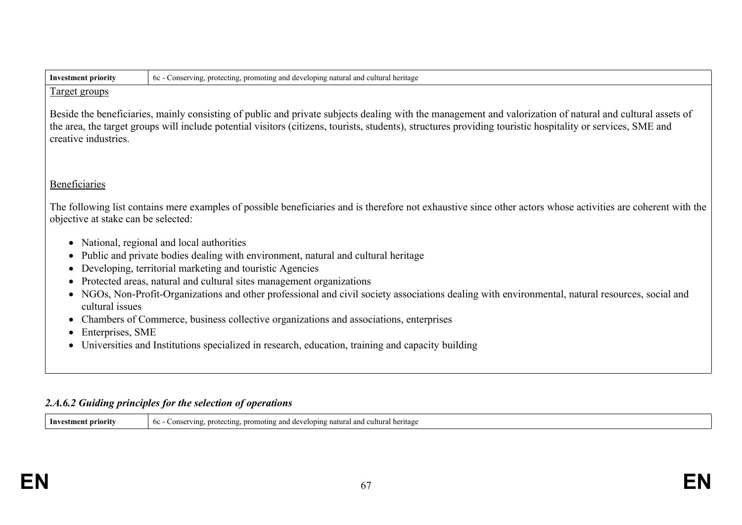| <b>Investment priority</b>                                                                                                                                                                                                                                                                                                                       | 6c - Conserving, protecting, promoting and developing natural and cultural heritage                                                                                                                  |  |  |
|--------------------------------------------------------------------------------------------------------------------------------------------------------------------------------------------------------------------------------------------------------------------------------------------------------------------------------------------------|------------------------------------------------------------------------------------------------------------------------------------------------------------------------------------------------------|--|--|
| Target groups                                                                                                                                                                                                                                                                                                                                    |                                                                                                                                                                                                      |  |  |
| Beside the beneficiaries, mainly consisting of public and private subjects dealing with the management and valorization of natural and cultural assets of<br>the area, the target groups will include potential visitors (citizens, tourists, students), structures providing touristic hospitality or services, SME and<br>creative industries. |                                                                                                                                                                                                      |  |  |
| Beneficiaries                                                                                                                                                                                                                                                                                                                                    |                                                                                                                                                                                                      |  |  |
|                                                                                                                                                                                                                                                                                                                                                  | The following list contains mere examples of possible beneficiaries and is therefore not exhaustive since other actors whose activities are coherent with the<br>objective at stake can be selected: |  |  |
|                                                                                                                                                                                                                                                                                                                                                  | National, regional and local authorities                                                                                                                                                             |  |  |
|                                                                                                                                                                                                                                                                                                                                                  | Public and private bodies dealing with environment, natural and cultural heritage                                                                                                                    |  |  |
| Developing, territorial marketing and touristic Agencies                                                                                                                                                                                                                                                                                         |                                                                                                                                                                                                      |  |  |
|                                                                                                                                                                                                                                                                                                                                                  | Protected areas, natural and cultural sites management organizations                                                                                                                                 |  |  |
| $\bullet$<br>cultural issues                                                                                                                                                                                                                                                                                                                     | NGOs, Non-Profit-Organizations and other professional and civil society associations dealing with environmental, natural resources, social and                                                       |  |  |
|                                                                                                                                                                                                                                                                                                                                                  | Chambers of Commerce, business collective organizations and associations, enterprises                                                                                                                |  |  |
|                                                                                                                                                                                                                                                                                                                                                  | Enterprises, SME                                                                                                                                                                                     |  |  |
|                                                                                                                                                                                                                                                                                                                                                  | Universities and Institutions specialized in research, education, training and capacity building                                                                                                     |  |  |
|                                                                                                                                                                                                                                                                                                                                                  |                                                                                                                                                                                                      |  |  |

## *2.A.6.2 Guiding principles for the selection of operations*

**Investment priority** 6c - Conserving, protecting, promoting and developing natural and cultural heritage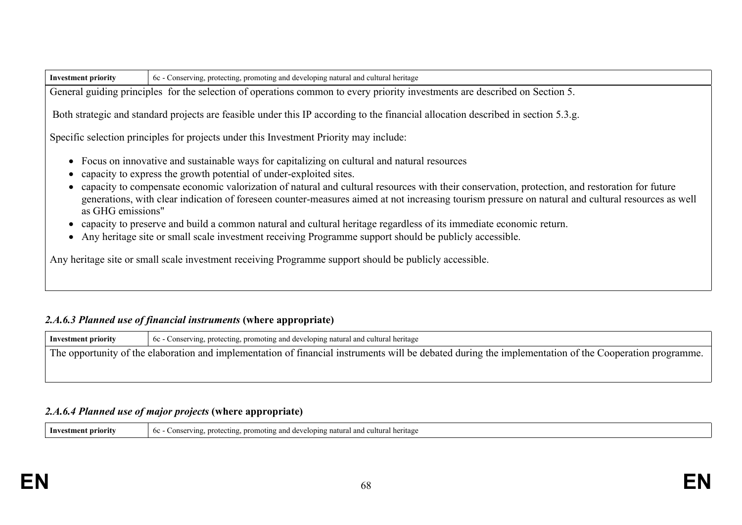| <b>Investment priority</b> | 6c - Conserving, protecting, promoting and developing natural and cultural heritage                                                                                                                                                                                                                                                                                                                                                                                                                                                                                                                                                                                                                                                                                                                                     |  |  |
|----------------------------|-------------------------------------------------------------------------------------------------------------------------------------------------------------------------------------------------------------------------------------------------------------------------------------------------------------------------------------------------------------------------------------------------------------------------------------------------------------------------------------------------------------------------------------------------------------------------------------------------------------------------------------------------------------------------------------------------------------------------------------------------------------------------------------------------------------------------|--|--|
|                            | General guiding principles for the selection of operations common to every priority investments are described on Section 5.                                                                                                                                                                                                                                                                                                                                                                                                                                                                                                                                                                                                                                                                                             |  |  |
|                            | Both strategic and standard projects are feasible under this IP according to the financial allocation described in section 5.3.g.                                                                                                                                                                                                                                                                                                                                                                                                                                                                                                                                                                                                                                                                                       |  |  |
|                            | Specific selection principles for projects under this Investment Priority may include:                                                                                                                                                                                                                                                                                                                                                                                                                                                                                                                                                                                                                                                                                                                                  |  |  |
| as GHG emissions"          | • Focus on innovative and sustainable ways for capitalizing on cultural and natural resources<br>capacity to express the growth potential of under-exploited sites.<br>capacity to compensate economic valorization of natural and cultural resources with their conservation, protection, and restoration for future<br>generations, with clear indication of foreseen counter-measures aimed at not increasing tourism pressure on natural and cultural resources as well<br>capacity to preserve and build a common natural and cultural heritage regardless of its immediate economic return.<br>• Any heritage site or small scale investment receiving Programme support should be publicly accessible.<br>Any heritage site or small scale investment receiving Programme support should be publicly accessible. |  |  |

## *2.A.6.3 Planned use of financial instruments* **(where appropriate)**

**Investment priority** 6c - Conserving, protecting, promoting and developing natural and cultural heritage The opportunity of the elaboration and implementation of financial instruments will be debated during the implementation of the Cooperation programme.

## *2.A.6.4 Planned use of major projects* **(where appropriate)**

| Investm<br>† nrıorıtv | eveloping natural<br>and<br>I heritage<br>noting and de<br>pror<br>- profecting<br><sub>60</sub><br>71 n o<br>∴onser |
|-----------------------|----------------------------------------------------------------------------------------------------------------------|
|-----------------------|----------------------------------------------------------------------------------------------------------------------|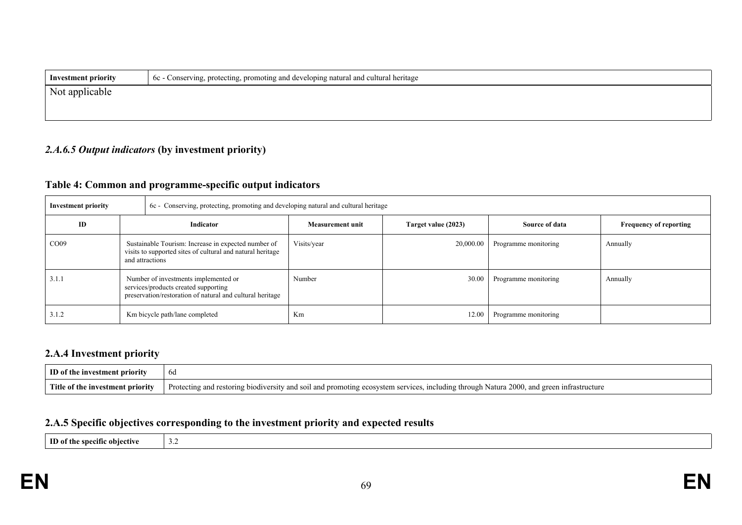| <b>Investment priority</b> | 6c - Conserving, protecting, promoting and developing natural and cultural heritage |  |
|----------------------------|-------------------------------------------------------------------------------------|--|
| Not applicable             |                                                                                     |  |
|                            |                                                                                     |  |

## *2.A.6.5 Output indicators* **(by investment priority)**

## **Table 4: Common and programme-specific output indicators**

| <b>Investment priority</b> |                                                                                                                                           |                                | 6c - Conserving, protecting, promoting and developing natural and cultural heritage |                     |                      |                               |  |
|----------------------------|-------------------------------------------------------------------------------------------------------------------------------------------|--------------------------------|-------------------------------------------------------------------------------------|---------------------|----------------------|-------------------------------|--|
| ID                         | Indicator                                                                                                                                 |                                | Measurement unit                                                                    | Target value (2023) | Source of data       | <b>Frequency of reporting</b> |  |
| CO <sub>09</sub>           | Sustainable Tourism: Increase in expected number of<br>visits to supported sites of cultural and natural heritage<br>and attractions      |                                | Visits/year                                                                         | 20,000.00           | Programme monitoring | Annually                      |  |
| 3.1.1                      | Number of investments implemented or<br>services/products created supporting<br>preservation/restoration of natural and cultural heritage |                                | Number                                                                              | 30.00               | Programme monitoring | Annually                      |  |
| 3.1.2                      |                                                                                                                                           | Km bicycle path/lane completed | Km                                                                                  | 12.00               | Programme monitoring |                               |  |

## **2.A.4 Investment priority**

| ID of the investment priority    | bd                                                                                                                                       |
|----------------------------------|------------------------------------------------------------------------------------------------------------------------------------------|
| Title of the investment priority | Protecting and restoring biodiversity and soil and promoting ecosystem services, including through Natura 2000, and green infrastructure |

## **2.A.5 Specific objectives corresponding to the investment priority and expected results**

**ID of the specific objective** 3.2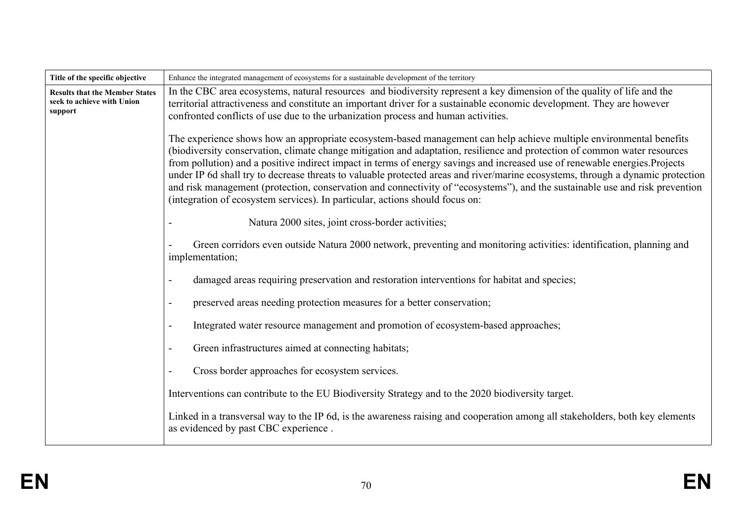| Title of the specific objective                                                | Enhance the integrated management of ecosystems for a sustainable development of the territory                                                                                                                                                                                                                                                                                                                                                                                                                                                                                                                                                                                                                                     |  |
|--------------------------------------------------------------------------------|------------------------------------------------------------------------------------------------------------------------------------------------------------------------------------------------------------------------------------------------------------------------------------------------------------------------------------------------------------------------------------------------------------------------------------------------------------------------------------------------------------------------------------------------------------------------------------------------------------------------------------------------------------------------------------------------------------------------------------|--|
| <b>Results that the Member States</b><br>seek to achieve with Union<br>support | In the CBC area ecosystems, natural resources and biodiversity represent a key dimension of the quality of life and the<br>territorial attractiveness and constitute an important driver for a sustainable economic development. They are however<br>confronted conflicts of use due to the urbanization process and human activities.                                                                                                                                                                                                                                                                                                                                                                                             |  |
|                                                                                | The experience shows how an appropriate ecosystem-based management can help achieve multiple environmental benefits<br>(biodiversity conservation, climate change mitigation and adaptation, resilience and protection of common water resources<br>from pollution) and a positive indirect impact in terms of energy savings and increased use of renewable energies. Projects<br>under IP 6d shall try to decrease threats to valuable protected areas and river/marine ecosystems, through a dynamic protection<br>and risk management (protection, conservation and connectivity of "ecosystems"), and the sustainable use and risk prevention<br>(integration of ecosystem services). In particular, actions should focus on: |  |
|                                                                                | Natura 2000 sites, joint cross-border activities;                                                                                                                                                                                                                                                                                                                                                                                                                                                                                                                                                                                                                                                                                  |  |
|                                                                                | Green corridors even outside Natura 2000 network, preventing and monitoring activities: identification, planning and<br>implementation;                                                                                                                                                                                                                                                                                                                                                                                                                                                                                                                                                                                            |  |
|                                                                                | damaged areas requiring preservation and restoration interventions for habitat and species;<br>$\overline{\phantom{a}}$                                                                                                                                                                                                                                                                                                                                                                                                                                                                                                                                                                                                            |  |
|                                                                                | preserved areas needing protection measures for a better conservation;<br>$\blacksquare$                                                                                                                                                                                                                                                                                                                                                                                                                                                                                                                                                                                                                                           |  |
|                                                                                | Integrated water resource management and promotion of ecosystem-based approaches;<br>$\blacksquare$                                                                                                                                                                                                                                                                                                                                                                                                                                                                                                                                                                                                                                |  |
|                                                                                | Green infrastructures aimed at connecting habitats;<br>$\overline{\phantom{a}}$                                                                                                                                                                                                                                                                                                                                                                                                                                                                                                                                                                                                                                                    |  |
|                                                                                | Cross border approaches for ecosystem services.<br>$\blacksquare$                                                                                                                                                                                                                                                                                                                                                                                                                                                                                                                                                                                                                                                                  |  |
|                                                                                | Interventions can contribute to the EU Biodiversity Strategy and to the 2020 biodiversity target.                                                                                                                                                                                                                                                                                                                                                                                                                                                                                                                                                                                                                                  |  |
|                                                                                | Linked in a transversal way to the IP 6d, is the awareness raising and cooperation among all stakeholders, both key elements<br>as evidenced by past CBC experience.                                                                                                                                                                                                                                                                                                                                                                                                                                                                                                                                                               |  |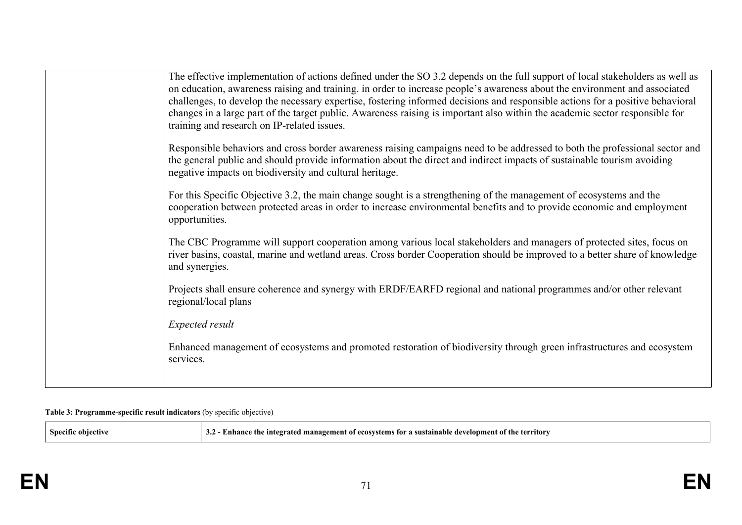| The effective implementation of actions defined under the SO 3.2 depends on the full support of local stakeholders as well as<br>on education, awareness raising and training. in order to increase people's awareness about the environment and associated<br>challenges, to develop the necessary expertise, fostering informed decisions and responsible actions for a positive behavioral<br>changes in a large part of the target public. Awareness raising is important also within the academic sector responsible for<br>training and research on IP-related issues. |
|------------------------------------------------------------------------------------------------------------------------------------------------------------------------------------------------------------------------------------------------------------------------------------------------------------------------------------------------------------------------------------------------------------------------------------------------------------------------------------------------------------------------------------------------------------------------------|
| Responsible behaviors and cross border awareness raising campaigns need to be addressed to both the professional sector and<br>the general public and should provide information about the direct and indirect impacts of sustainable tourism avoiding<br>negative impacts on biodiversity and cultural heritage.                                                                                                                                                                                                                                                            |
| For this Specific Objective 3.2, the main change sought is a strengthening of the management of ecosystems and the<br>cooperation between protected areas in order to increase environmental benefits and to provide economic and employment<br>opportunities.                                                                                                                                                                                                                                                                                                               |
| The CBC Programme will support cooperation among various local stakeholders and managers of protected sites, focus on<br>river basins, coastal, marine and wetland areas. Cross border Cooperation should be improved to a better share of knowledge<br>and synergies.                                                                                                                                                                                                                                                                                                       |
| Projects shall ensure coherence and synergy with ERDF/EARFD regional and national programmes and/or other relevant<br>regional/local plans                                                                                                                                                                                                                                                                                                                                                                                                                                   |
| <b>Expected result</b>                                                                                                                                                                                                                                                                                                                                                                                                                                                                                                                                                       |
| Enhanced management of ecosystems and promoted restoration of biodiversity through green infrastructures and ecosystem<br>services.                                                                                                                                                                                                                                                                                                                                                                                                                                          |
|                                                                                                                                                                                                                                                                                                                                                                                                                                                                                                                                                                              |

#### **Table 3: Programme-specific result indicators** (by specific objective)

| - Snecifi. | $\sim$ e integrated management of ecosystems for a sustainable development $\sigma$ .<br>∠ot th<br>: ferritor<br>the<br>т п<br>шиг<br>ے ت |
|------------|-------------------------------------------------------------------------------------------------------------------------------------------|
|------------|-------------------------------------------------------------------------------------------------------------------------------------------|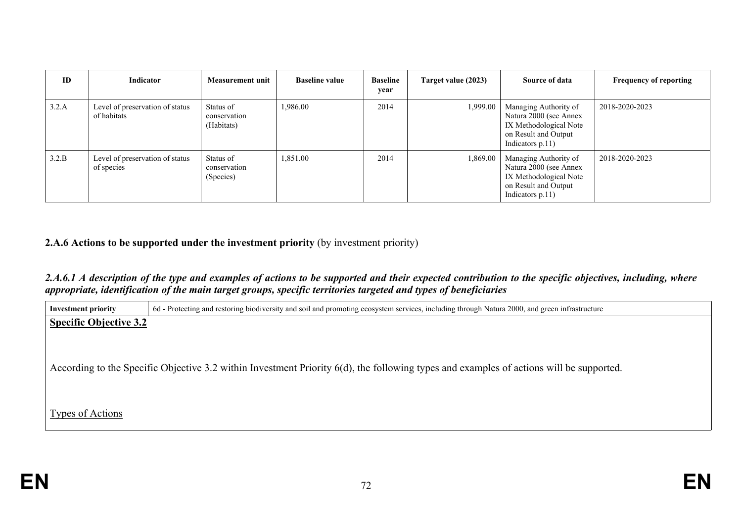| <b>ID</b> | Indicator                                      | <b>Measurement unit</b>                 | <b>Baseline value</b> | <b>Baseline</b><br>year | Target value (2023) | Source of data                                                                                                           | <b>Frequency of reporting</b> |
|-----------|------------------------------------------------|-----------------------------------------|-----------------------|-------------------------|---------------------|--------------------------------------------------------------------------------------------------------------------------|-------------------------------|
| 3.2.A     | Level of preservation of status<br>of habitats | Status of<br>conservation<br>(Habitats) | 1,986.00              | 2014                    | 1,999.00            | Managing Authority of<br>Natura 2000 (see Annex<br>IX Methodological Note<br>on Result and Output<br>Indicators $p.11$ ) | 2018-2020-2023                |
| 3.2.B     | Level of preservation of status<br>of species  | Status of<br>conservation<br>(Species)  | 1,851.00              | 2014                    | 1,869.00            | Managing Authority of<br>Natura 2000 (see Annex<br>IX Methodological Note<br>on Result and Output<br>Indicators $p.11$ ) | 2018-2020-2023                |

## **2.A.6 Actions to be supported under the investment priority** (by investment priority)

### 2.A.6.1 A description of the type and examples of actions to be supported and their expected contribution to the specific objectives, including, where *appropriate, identification of the main target groups, specific territories targeted and types of beneficiaries*

| <b>Investment priority</b>    | 6d - Protecting and restoring biodiversity and soil and promoting ecosystem services, including through Natura 2000, and green infrastructure |  |  |  |  |
|-------------------------------|-----------------------------------------------------------------------------------------------------------------------------------------------|--|--|--|--|
| <b>Specific Objective 3.2</b> |                                                                                                                                               |  |  |  |  |
|                               |                                                                                                                                               |  |  |  |  |
|                               |                                                                                                                                               |  |  |  |  |
|                               |                                                                                                                                               |  |  |  |  |
|                               | According to the Specific Objective 3.2 within Investment Priority 6(d), the following types and examples of actions will be supported.       |  |  |  |  |
|                               |                                                                                                                                               |  |  |  |  |
|                               |                                                                                                                                               |  |  |  |  |
| Types of Actions              |                                                                                                                                               |  |  |  |  |
|                               |                                                                                                                                               |  |  |  |  |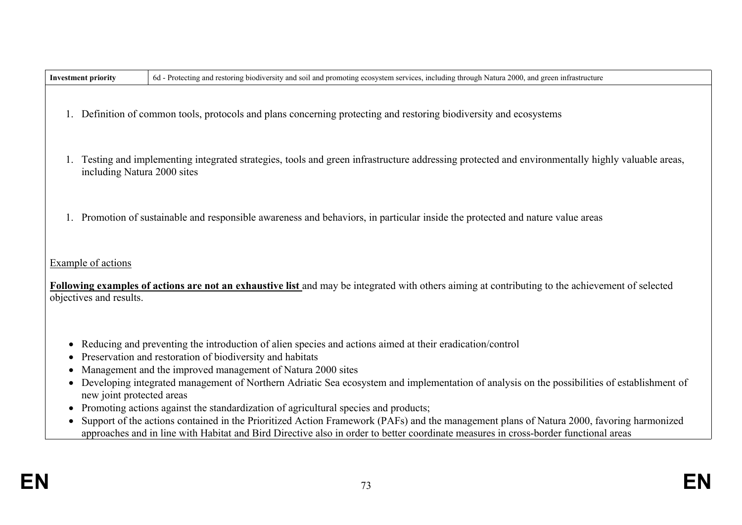| <b>Investment priority</b>                                                                      | 6d - Protecting and restoring biodiversity and soil and promoting ecosystem services, including through Natura 2000, and green infrastructure                                                                                                                                                                                                                                                                                                                                                                                                                                                                                                                                                                                                                 |
|-------------------------------------------------------------------------------------------------|---------------------------------------------------------------------------------------------------------------------------------------------------------------------------------------------------------------------------------------------------------------------------------------------------------------------------------------------------------------------------------------------------------------------------------------------------------------------------------------------------------------------------------------------------------------------------------------------------------------------------------------------------------------------------------------------------------------------------------------------------------------|
|                                                                                                 | 1. Definition of common tools, protocols and plans concerning protecting and restoring biodiversity and ecosystems                                                                                                                                                                                                                                                                                                                                                                                                                                                                                                                                                                                                                                            |
| including Natura 2000 sites                                                                     | Testing and implementing integrated strategies, tools and green infrastructure addressing protected and environmentally highly valuable areas,                                                                                                                                                                                                                                                                                                                                                                                                                                                                                                                                                                                                                |
|                                                                                                 | 1. Promotion of sustainable and responsible awareness and behaviors, in particular inside the protected and nature value areas                                                                                                                                                                                                                                                                                                                                                                                                                                                                                                                                                                                                                                |
| Example of actions<br>objectives and results.                                                   | Following examples of actions are not an exhaustive list and may be integrated with others aiming at contributing to the achievement of selected                                                                                                                                                                                                                                                                                                                                                                                                                                                                                                                                                                                                              |
| $\bullet$<br>٠<br>$\bullet$<br>$\bullet$<br>new joint protected areas<br>$\bullet$<br>$\bullet$ | Reducing and preventing the introduction of alien species and actions aimed at their eradication/control<br>Preservation and restoration of biodiversity and habitats<br>Management and the improved management of Natura 2000 sites<br>Developing integrated management of Northern Adriatic Sea ecosystem and implementation of analysis on the possibilities of establishment of<br>Promoting actions against the standardization of agricultural species and products;<br>Support of the actions contained in the Prioritized Action Framework (PAFs) and the management plans of Natura 2000, favoring harmonized<br>approaches and in line with Habitat and Bird Directive also in order to better coordinate measures in cross-border functional areas |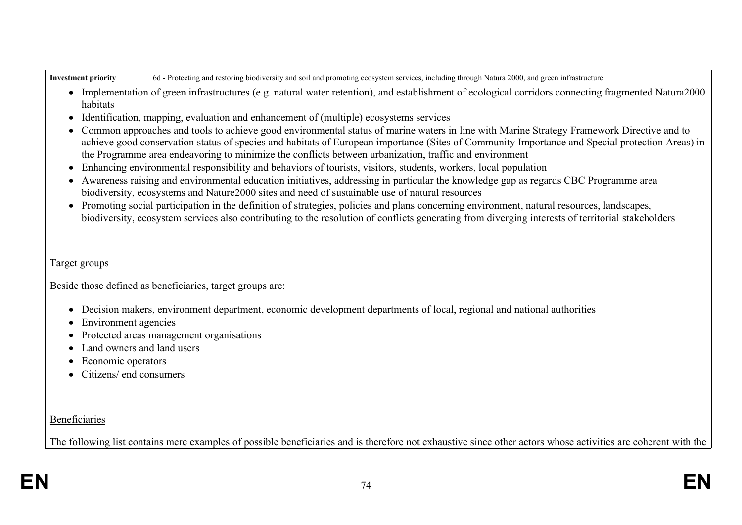| <b>Investment priority</b>                                                                                                                                                                                                                         | 6d - Protecting and restoring biodiversity and soil and promoting ecosystem services, including through Natura 2000, and green infrastructure                                                                                                                                                                                                                                                          |  |  |  |
|----------------------------------------------------------------------------------------------------------------------------------------------------------------------------------------------------------------------------------------------------|--------------------------------------------------------------------------------------------------------------------------------------------------------------------------------------------------------------------------------------------------------------------------------------------------------------------------------------------------------------------------------------------------------|--|--|--|
| habitats                                                                                                                                                                                                                                           | • Implementation of green infrastructures (e.g. natural water retention), and establishment of ecological corridors connecting fragmented Natura2000                                                                                                                                                                                                                                                   |  |  |  |
| $\bullet$                                                                                                                                                                                                                                          | Identification, mapping, evaluation and enhancement of (multiple) ecosystems services                                                                                                                                                                                                                                                                                                                  |  |  |  |
| $\bullet$                                                                                                                                                                                                                                          | Common approaches and tools to achieve good environmental status of marine waters in line with Marine Strategy Framework Directive and to<br>achieve good conservation status of species and habitats of European importance (Sites of Community Importance and Special protection Areas) in<br>the Programme area endeavoring to minimize the conflicts between urbanization, traffic and environment |  |  |  |
| $\bullet$                                                                                                                                                                                                                                          | Enhancing environmental responsibility and behaviors of tourists, visitors, students, workers, local population                                                                                                                                                                                                                                                                                        |  |  |  |
| Awareness raising and environmental education initiatives, addressing in particular the knowledge gap as regards CBC Programme area<br>$\bullet$<br>biodiversity, ecosystems and Nature2000 sites and need of sustainable use of natural resources |                                                                                                                                                                                                                                                                                                                                                                                                        |  |  |  |
| $\bullet$                                                                                                                                                                                                                                          | Promoting social participation in the definition of strategies, policies and plans concerning environment, natural resources, landscapes,<br>biodiversity, ecosystem services also contributing to the resolution of conflicts generating from diverging interests of territorial stakeholders                                                                                                         |  |  |  |
| Target groups                                                                                                                                                                                                                                      |                                                                                                                                                                                                                                                                                                                                                                                                        |  |  |  |
|                                                                                                                                                                                                                                                    |                                                                                                                                                                                                                                                                                                                                                                                                        |  |  |  |
|                                                                                                                                                                                                                                                    | Beside those defined as beneficiaries, target groups are:                                                                                                                                                                                                                                                                                                                                              |  |  |  |
| $\bullet$<br>• Environment agencies                                                                                                                                                                                                                | Decision makers, environment department, economic development departments of local, regional and national authorities                                                                                                                                                                                                                                                                                  |  |  |  |

- Protected areas management organisations
- Land owners and land users
- Economic operators
- Citizens/ end consumers

**Beneficiaries** 

The following list contains mere examples of possible beneficiaries and is therefore not exhaustive since other actors whose activities are coherent with the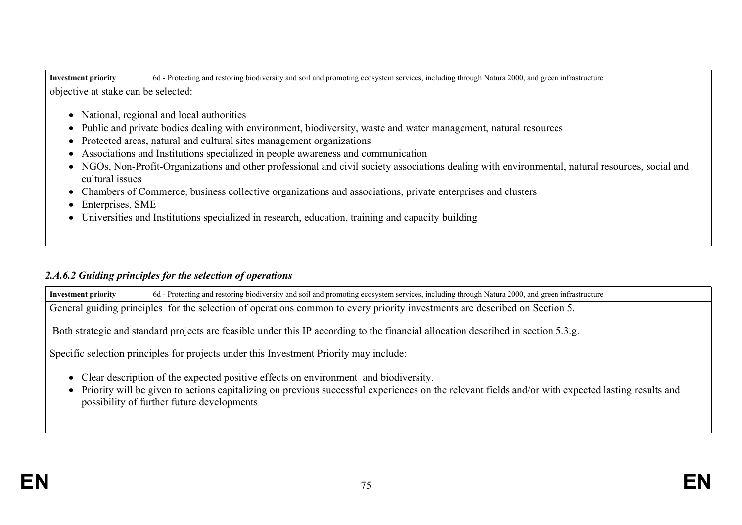| objective at stake can be selected:<br>• National, regional and local authorities<br>Public and private bodies dealing with environment, biodiversity, waste and water management, natural resources<br>$\bullet$<br>Protected areas, natural and cultural sites management organizations<br>$\bullet$<br>Associations and Institutions specialized in people awareness and communication<br>$\bullet$<br>• NGOs, Non-Profit-Organizations and other professional and civil society associations dealing with environmental, natural resources, social and<br>cultural issues |  |
|-------------------------------------------------------------------------------------------------------------------------------------------------------------------------------------------------------------------------------------------------------------------------------------------------------------------------------------------------------------------------------------------------------------------------------------------------------------------------------------------------------------------------------------------------------------------------------|--|
|                                                                                                                                                                                                                                                                                                                                                                                                                                                                                                                                                                               |  |
|                                                                                                                                                                                                                                                                                                                                                                                                                                                                                                                                                                               |  |
|                                                                                                                                                                                                                                                                                                                                                                                                                                                                                                                                                                               |  |
|                                                                                                                                                                                                                                                                                                                                                                                                                                                                                                                                                                               |  |
|                                                                                                                                                                                                                                                                                                                                                                                                                                                                                                                                                                               |  |
|                                                                                                                                                                                                                                                                                                                                                                                                                                                                                                                                                                               |  |
| • Chambers of Commerce, business collective organizations and associations, private enterprises and clusters                                                                                                                                                                                                                                                                                                                                                                                                                                                                  |  |
| Enterprises, SME<br>$\bullet$                                                                                                                                                                                                                                                                                                                                                                                                                                                                                                                                                 |  |
| • Universities and Institutions specialized in research, education, training and capacity building                                                                                                                                                                                                                                                                                                                                                                                                                                                                            |  |

# *2.A.6.2 Guiding principles for the selection of operations*

| <b>Investment priority</b>                                                                                                                                                                                                                                                               | 6d - Protecting and restoring biodiversity and soil and promoting ecosystem services, including through Natura 2000, and green infrastructure |  |  |  |  |
|------------------------------------------------------------------------------------------------------------------------------------------------------------------------------------------------------------------------------------------------------------------------------------------|-----------------------------------------------------------------------------------------------------------------------------------------------|--|--|--|--|
| General guiding principles for the selection of operations common to every priority investments are described on Section 5.                                                                                                                                                              |                                                                                                                                               |  |  |  |  |
| Both strategic and standard projects are feasible under this IP according to the financial allocation described in section 5.3.g.                                                                                                                                                        |                                                                                                                                               |  |  |  |  |
| Specific selection principles for projects under this Investment Priority may include:                                                                                                                                                                                                   |                                                                                                                                               |  |  |  |  |
| • Clear description of the expected positive effects on environment and biodiversity.<br>Priority will be given to actions capitalizing on previous successful experiences on the relevant fields and/or with expected lasting results and<br>possibility of further future developments |                                                                                                                                               |  |  |  |  |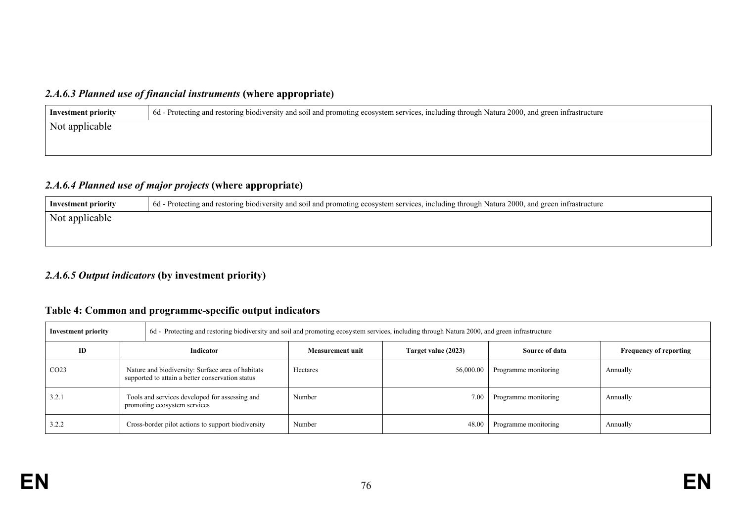## *2.A.6.3 Planned use of financial instruments* **(where appropriate)**

| Investment priority | 6d - Protecting and restoring biodiversity and soil and promoting ecosystem services, including through Natura 2000, and green infrastructure |
|---------------------|-----------------------------------------------------------------------------------------------------------------------------------------------|
| Not applicable      |                                                                                                                                               |
|                     |                                                                                                                                               |

#### *2.A.6.4 Planned use of major projects* **(where appropriate)**

| Investment priority | 6d - Protecting and restoring biodiversity and soil and promoting ecosystem services, including through Natura 2000, and green infrastructure |
|---------------------|-----------------------------------------------------------------------------------------------------------------------------------------------|
| Not applicable      |                                                                                                                                               |
|                     |                                                                                                                                               |
|                     |                                                                                                                                               |

## *2.A.6.5 Output indicators* **(by investment priority)**

## **Table 4: Common and programme-specific output indicators**

| Investment priority |                  | 6d - Protecting and restoring biodiversity and soil and promoting ecosystem services, including through Natura 2000, and green infrastructure |                         |                     |                      |                               |  |
|---------------------|------------------|-----------------------------------------------------------------------------------------------------------------------------------------------|-------------------------|---------------------|----------------------|-------------------------------|--|
|                     | ID               | Indicator                                                                                                                                     | <b>Measurement unit</b> | Target value (2023) | Source of data       | <b>Frequency of reporting</b> |  |
|                     | CO <sub>23</sub> | Nature and biodiversity: Surface area of habitats<br>supported to attain a better conservation status                                         | Hectares                | 56,000.00           | Programme monitoring | Annually                      |  |
|                     | 3.2.1            | Tools and services developed for assessing and<br>promoting ecosystem services                                                                | Number                  | 7.00                | Programme monitoring | Annually                      |  |
|                     | 3.2.2            | Cross-border pilot actions to support biodiversity                                                                                            | Number                  | 48.00               | Programme monitoring | Annually                      |  |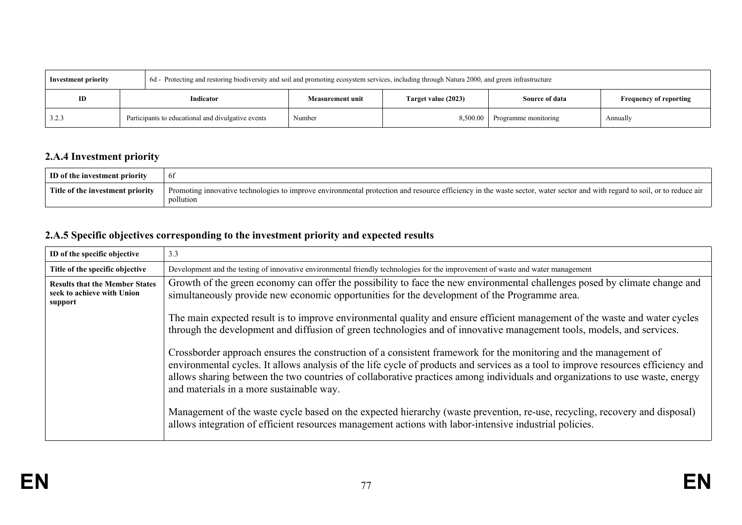| Investment priority |                                                    |        | 6d - Protecting and restoring biodiversity and soil and promoting ecosystem services, including through Natura 2000, and green infrastructure |                     |                      |                               |
|---------------------|----------------------------------------------------|--------|-----------------------------------------------------------------------------------------------------------------------------------------------|---------------------|----------------------|-------------------------------|
| ID                  | Indicator                                          |        | <b>Measurement unit</b>                                                                                                                       | Target value (2023) | Source of data       | <b>Frequency of reporting</b> |
| 3.2.3               | Participants to educational and divulgative events | Number |                                                                                                                                               | 8,500.00            | Programme monitoring | Annually                      |

## **2.A.4 Investment priority**

| ID of the investment priority    | -01                                                                                                                                                                                    |
|----------------------------------|----------------------------------------------------------------------------------------------------------------------------------------------------------------------------------------|
| Title of the investment priority | Promoting innovative technologies to improve environmental protection and resource efficiency in the waste sector, water sector and with regard to soil, or to reduce air<br>pollution |

## **2.A.5 Specific objectives corresponding to the investment priority and expected results**

| ID of the specific objective                                                   | 3.3                                                                                                                                                                                                                                                                                                                                                                                                                               |
|--------------------------------------------------------------------------------|-----------------------------------------------------------------------------------------------------------------------------------------------------------------------------------------------------------------------------------------------------------------------------------------------------------------------------------------------------------------------------------------------------------------------------------|
| Title of the specific objective                                                | Development and the testing of innovative environmental friendly technologies for the improvement of waste and water management                                                                                                                                                                                                                                                                                                   |
| <b>Results that the Member States</b><br>seek to achieve with Union<br>support | Growth of the green economy can offer the possibility to face the new environmental challenges posed by climate change and<br>simultaneously provide new economic opportunities for the development of the Programme area.                                                                                                                                                                                                        |
|                                                                                | The main expected result is to improve environmental quality and ensure efficient management of the waste and water cycles<br>through the development and diffusion of green technologies and of innovative management tools, models, and services.                                                                                                                                                                               |
|                                                                                | Crossborder approach ensures the construction of a consistent framework for the monitoring and the management of<br>environmental cycles. It allows analysis of the life cycle of products and services as a tool to improve resources efficiency and<br>allows sharing between the two countries of collaborative practices among individuals and organizations to use waste, energy<br>and materials in a more sustainable way. |
|                                                                                | Management of the waste cycle based on the expected hierarchy (waste prevention, re-use, recycling, recovery and disposal)<br>allows integration of efficient resources management actions with labor-intensive industrial policies.                                                                                                                                                                                              |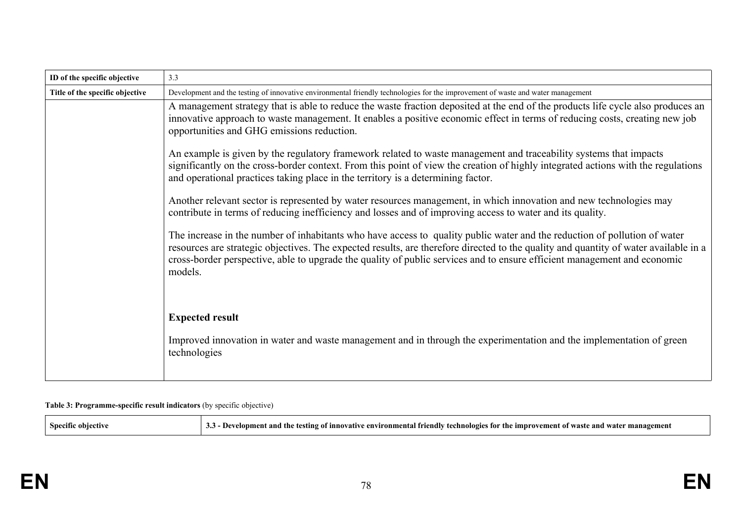| ID of the specific objective    | 3.3                                                                                                                                                                                                                                                                                                                                                                                                      |
|---------------------------------|----------------------------------------------------------------------------------------------------------------------------------------------------------------------------------------------------------------------------------------------------------------------------------------------------------------------------------------------------------------------------------------------------------|
| Title of the specific objective | Development and the testing of innovative environmental friendly technologies for the improvement of waste and water management                                                                                                                                                                                                                                                                          |
|                                 | A management strategy that is able to reduce the waste fraction deposited at the end of the products life cycle also produces an<br>innovative approach to waste management. It enables a positive economic effect in terms of reducing costs, creating new job<br>opportunities and GHG emissions reduction.                                                                                            |
|                                 | An example is given by the regulatory framework related to waste management and traceability systems that impacts<br>significantly on the cross-border context. From this point of view the creation of highly integrated actions with the regulations<br>and operational practices taking place in the territory is a determining factor.                                                               |
|                                 | Another relevant sector is represented by water resources management, in which innovation and new technologies may<br>contribute in terms of reducing inefficiency and losses and of improving access to water and its quality.                                                                                                                                                                          |
|                                 | The increase in the number of inhabitants who have access to quality public water and the reduction of pollution of water<br>resources are strategic objectives. The expected results, are therefore directed to the quality and quantity of water available in a<br>cross-border perspective, able to upgrade the quality of public services and to ensure efficient management and economic<br>models. |
|                                 | <b>Expected result</b><br>Improved innovation in water and waste management and in through the experimentation and the implementation of green<br>technologies                                                                                                                                                                                                                                           |

#### **Table 3: Programme-specific result indicators** (by specific objective)

| $\tilde{\phantom{a}}$<br>Sneo<br>etiv<br>. | ≅ment<br>ımnı<br>men<br>nm.<br>VΩTΔ<br>ano<br>. .<br>- INNOV<br>rec n no<br>ш<br>wasu<br>VV 21 I<br>ັ້ |
|--------------------------------------------|--------------------------------------------------------------------------------------------------------|
|--------------------------------------------|--------------------------------------------------------------------------------------------------------|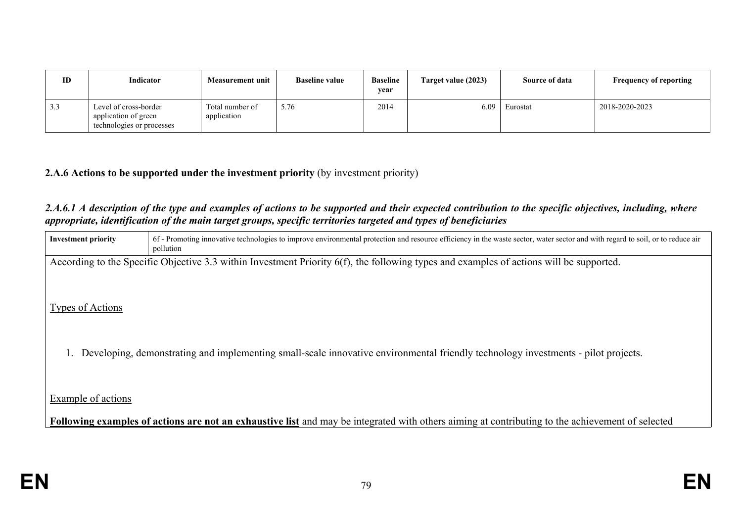| ID  | Indicator                                                                  | <b>Measurement unit</b>        | <b>Baseline value</b> | <b>Baseline</b><br>year | Target value (2023) | <b>Source of data</b> | <b>Frequency of reporting</b> |
|-----|----------------------------------------------------------------------------|--------------------------------|-----------------------|-------------------------|---------------------|-----------------------|-------------------------------|
| 3.3 | Level of cross-border<br>application of green<br>technologies or processes | Total number of<br>application | 5.76                  | 2014                    | 6.09                | Eurostat              | 2018-2020-2023                |

### **2.A.6 Actions to be supported under the investment priority** (by investment priority)

#### 2.A.6.1 A description of the type and examples of actions to be supported and their expected contribution to the specific objectives, including, where *appropriate, identification of the main target groups, specific territories targeted and types of beneficiaries*

| <b>Investment priority</b>                                                                                                              | 6f - Promoting innovative technologies to improve environmental protection and resource efficiency in the waste sector, water sector and with regard to soil, or to reduce air<br>pollution |  |  |  |  |
|-----------------------------------------------------------------------------------------------------------------------------------------|---------------------------------------------------------------------------------------------------------------------------------------------------------------------------------------------|--|--|--|--|
| According to the Specific Objective 3.3 within Investment Priority 6(f), the following types and examples of actions will be supported. |                                                                                                                                                                                             |  |  |  |  |
|                                                                                                                                         |                                                                                                                                                                                             |  |  |  |  |
| Types of Actions                                                                                                                        |                                                                                                                                                                                             |  |  |  |  |
|                                                                                                                                         |                                                                                                                                                                                             |  |  |  |  |
|                                                                                                                                         | Developing, demonstrating and implementing small-scale innovative environmental friendly technology investments - pilot projects.                                                           |  |  |  |  |
|                                                                                                                                         |                                                                                                                                                                                             |  |  |  |  |
|                                                                                                                                         |                                                                                                                                                                                             |  |  |  |  |
| Example of actions                                                                                                                      |                                                                                                                                                                                             |  |  |  |  |
|                                                                                                                                         | Following examples of actions are not an exhaustive list and may be integrated with others aiming at contributing to the achievement of selected                                            |  |  |  |  |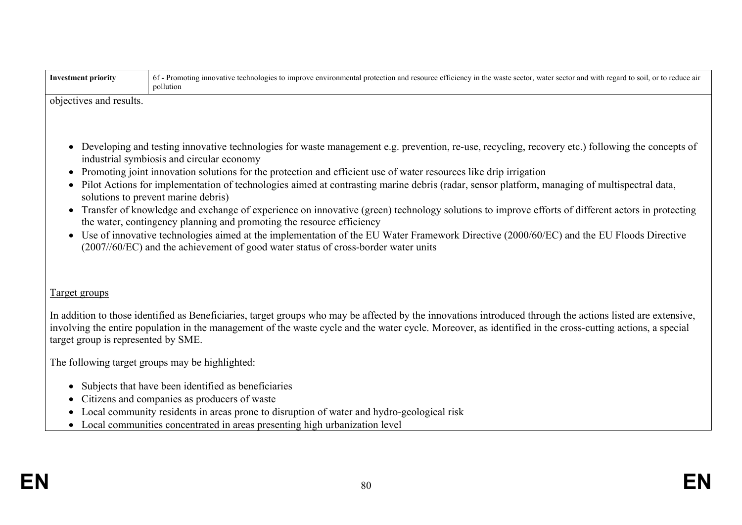| <b>Investment priority</b>                                    | 6f - Promoting innovative technologies to improve environmental protection and resource efficiency in the waste sector, water sector and with regard to soil, or to reduce air<br>pollution                                                                                                                                                                                                                                                                                                                                                                                                                                                                                                                                                                                                                                                                                                                                                                             |
|---------------------------------------------------------------|-------------------------------------------------------------------------------------------------------------------------------------------------------------------------------------------------------------------------------------------------------------------------------------------------------------------------------------------------------------------------------------------------------------------------------------------------------------------------------------------------------------------------------------------------------------------------------------------------------------------------------------------------------------------------------------------------------------------------------------------------------------------------------------------------------------------------------------------------------------------------------------------------------------------------------------------------------------------------|
| objectives and results.                                       |                                                                                                                                                                                                                                                                                                                                                                                                                                                                                                                                                                                                                                                                                                                                                                                                                                                                                                                                                                         |
| $\bullet$<br>$\bullet$<br>$\bullet$<br>$\bullet$<br>$\bullet$ | Developing and testing innovative technologies for waste management e.g. prevention, re-use, recycling, recovery etc.) following the concepts of<br>industrial symbiosis and circular economy<br>Promoting joint innovation solutions for the protection and efficient use of water resources like drip irrigation<br>Pilot Actions for implementation of technologies aimed at contrasting marine debris (radar, sensor platform, managing of multispectral data,<br>solutions to prevent marine debris)<br>Transfer of knowledge and exchange of experience on innovative (green) technology solutions to improve efforts of different actors in protecting<br>the water, contingency planning and promoting the resource efficiency<br>Use of innovative technologies aimed at the implementation of the EU Water Framework Directive (2000/60/EC) and the EU Floods Directive<br>(2007//60/EC) and the achievement of good water status of cross-border water units |
| <b>Target groups</b>                                          |                                                                                                                                                                                                                                                                                                                                                                                                                                                                                                                                                                                                                                                                                                                                                                                                                                                                                                                                                                         |
| target group is represented by SME.                           | In addition to those identified as Beneficiaries, target groups who may be affected by the innovations introduced through the actions listed are extensive,<br>involving the entire population in the management of the waste cycle and the water cycle. Moreover, as identified in the cross-cutting actions, a special                                                                                                                                                                                                                                                                                                                                                                                                                                                                                                                                                                                                                                                |
|                                                               | The following target groups may be highlighted:                                                                                                                                                                                                                                                                                                                                                                                                                                                                                                                                                                                                                                                                                                                                                                                                                                                                                                                         |
| $\bullet$                                                     | Subjects that have been identified as beneficiaries<br>Citizens and companies as producers of waste<br>Local community residents in areas prone to disruption of water and hydro-geological risk<br>• Local communities concentrated in areas presenting high urbanization level                                                                                                                                                                                                                                                                                                                                                                                                                                                                                                                                                                                                                                                                                        |
|                                                               |                                                                                                                                                                                                                                                                                                                                                                                                                                                                                                                                                                                                                                                                                                                                                                                                                                                                                                                                                                         |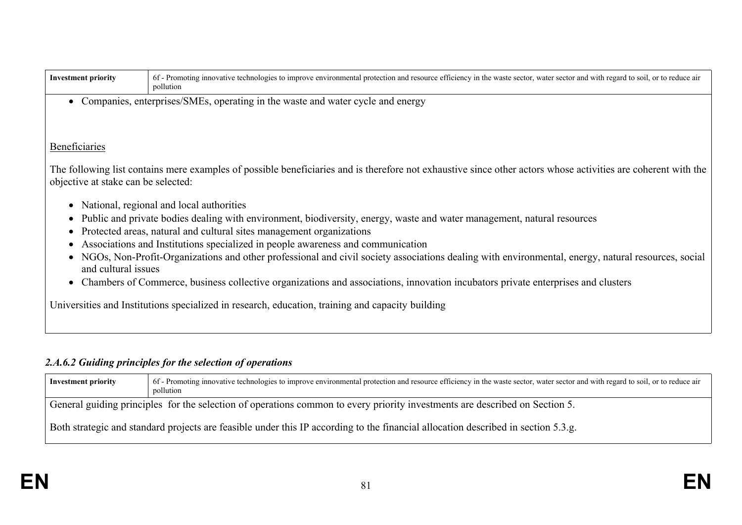| <b>Investment priority</b>          | 6f - Promoting innovative technologies to improve environmental protection and resource efficiency in the waste sector, water sector and with regard to soil, or to reduce air<br>pollution |
|-------------------------------------|---------------------------------------------------------------------------------------------------------------------------------------------------------------------------------------------|
|                                     | Companies, enterprises/SMEs, operating in the waste and water cycle and energy                                                                                                              |
|                                     |                                                                                                                                                                                             |
|                                     |                                                                                                                                                                                             |
| Beneficiaries                       |                                                                                                                                                                                             |
| objective at stake can be selected: | The following list contains mere examples of possible beneficiaries and is therefore not exhaustive since other actors whose activities are coherent with the                               |
|                                     | National, regional and local authorities                                                                                                                                                    |
|                                     | Public and private bodies dealing with environment, biodiversity, energy, waste and water management, natural resources                                                                     |
| $\bullet$                           | Protected areas, natural and cultural sites management organizations                                                                                                                        |
| $\bullet$                           | Associations and Institutions specialized in people awareness and communication                                                                                                             |
| and cultural issues                 | NGOs, Non-Profit-Organizations and other professional and civil society associations dealing with environmental, energy, natural resources, social                                          |
| $\bullet$                           | Chambers of Commerce, business collective organizations and associations, innovation incubators private enterprises and clusters                                                            |
|                                     | Universities and Institutions specialized in research, education, training and capacity building                                                                                            |

# *2.A.6.2 Guiding principles for the selection of operations*

| 6f - Promoting innovative technologies to improve environmental protection and resource efficiency in the waste sector, water sector and with regard to soil, or to reduce air<br><b>Investment priority</b><br>pollution |  |  |  |  |  |
|---------------------------------------------------------------------------------------------------------------------------------------------------------------------------------------------------------------------------|--|--|--|--|--|
| General guiding principles for the selection of operations common to every priority investments are described on Section 5.                                                                                               |  |  |  |  |  |
| Both strategic and standard projects are feasible under this IP according to the financial allocation described in section 5.3.g.                                                                                         |  |  |  |  |  |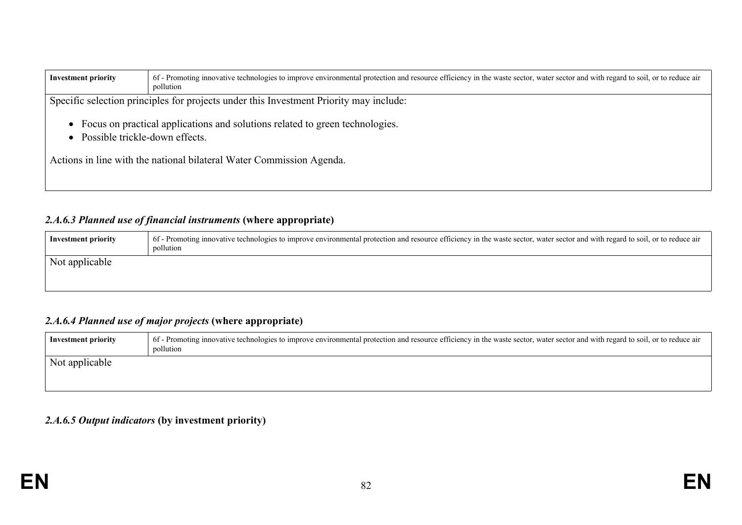| <b>Investment priority</b>                                                                                     | 6f - Promoting innovative technologies to improve environmental protection and resource efficiency in the waste sector, water sector and with regard to soil, or to reduce air<br>pollution |  |  |  |  |  |  |
|----------------------------------------------------------------------------------------------------------------|---------------------------------------------------------------------------------------------------------------------------------------------------------------------------------------------|--|--|--|--|--|--|
|                                                                                                                | Specific selection principles for projects under this Investment Priority may include:                                                                                                      |  |  |  |  |  |  |
| Focus on practical applications and solutions related to green technologies.<br>Possible trickle-down effects. |                                                                                                                                                                                             |  |  |  |  |  |  |
|                                                                                                                | Actions in line with the national bilateral Water Commission Agenda.                                                                                                                        |  |  |  |  |  |  |

## *2.A.6.3 Planned use of financial instruments* **(where appropriate)**

| Not applicable | <b>Investment priority</b> | 6f - Promoting innovative technologies to improve environmental protection and resource efficiency in the waste sector, water sector and with regard to soil, or to reduce air<br>pollution |  |
|----------------|----------------------------|---------------------------------------------------------------------------------------------------------------------------------------------------------------------------------------------|--|
|                |                            |                                                                                                                                                                                             |  |

## *2.A.6.4 Planned use of major projects* **(where appropriate)**

| <b>Investment priority</b> | 6f - Promoting innovative technologies to improve environmental protection and resource efficiency in the waste sector, water sector and with regard to soil, or to reduce air<br>pollution |
|----------------------------|---------------------------------------------------------------------------------------------------------------------------------------------------------------------------------------------|
| Not applicable             |                                                                                                                                                                                             |
|                            |                                                                                                                                                                                             |

### *2.A.6.5 Output indicators* **(by investment priority)**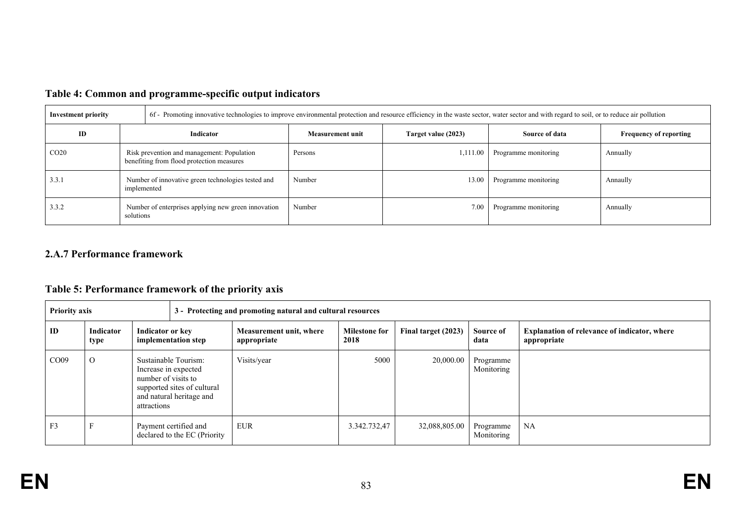| <b>Investment priority</b> |                                                                                         | 6f - Promoting innovative technologies to improve environmental protection and resource efficiency in the waste sector, water sector and with regard to soil, or to reduce air pollution |                     |                      |                               |  |  |  |
|----------------------------|-----------------------------------------------------------------------------------------|------------------------------------------------------------------------------------------------------------------------------------------------------------------------------------------|---------------------|----------------------|-------------------------------|--|--|--|
| ID                         | Indicator                                                                               | Measurement unit                                                                                                                                                                         | Target value (2023) | Source of data       | <b>Frequency of reporting</b> |  |  |  |
| CO <sub>20</sub>           | Risk prevention and management: Population<br>benefiting from flood protection measures | Persons                                                                                                                                                                                  | 1,111.00            | Programme monitoring | Annually                      |  |  |  |
| 3.3.1                      | Number of innovative green technologies tested and<br>implemented                       | Number                                                                                                                                                                                   | 13.00               | Programme monitoring | Annaully                      |  |  |  |
| 3.3.2                      | Number of enterprises applying new green innovation<br>solutions                        | Number                                                                                                                                                                                   | 7.00                | Programme monitoring | Annually                      |  |  |  |

## **Table 4: Common and programme-specific output indicators**

## **2.A.7 Performance framework**

## **Table 5: Performance framework of the priority axis**

| <b>Priority axis</b><br>3 - Protecting and promoting natural and cultural resources |                          |                                                                                                                                               |                                                       |                                        |                              |                     |                         |                                                                    |
|-------------------------------------------------------------------------------------|--------------------------|-----------------------------------------------------------------------------------------------------------------------------------------------|-------------------------------------------------------|----------------------------------------|------------------------------|---------------------|-------------------------|--------------------------------------------------------------------|
| ID                                                                                  | <b>Indicator</b><br>type | Indicator or key<br>implementation step                                                                                                       |                                                       | Measurement unit, where<br>appropriate | <b>Milestone for</b><br>2018 | Final target (2023) | Source of<br>data       | <b>Explanation of relevance of indicator, where</b><br>appropriate |
| CO <sub>09</sub>                                                                    | $\Omega$                 | Sustainable Tourism:<br>Increase in expected<br>number of visits to<br>supported sites of cultural<br>and natural heritage and<br>attractions |                                                       | Visits/year                            | 5000                         | 20,000.00           | Programme<br>Monitoring |                                                                    |
| F <sub>3</sub>                                                                      |                          |                                                                                                                                               | Payment certified and<br>declared to the EC (Priority | <b>EUR</b>                             | 3.342.732,47                 | 32,088,805.00       | Programme<br>Monitoring | NA                                                                 |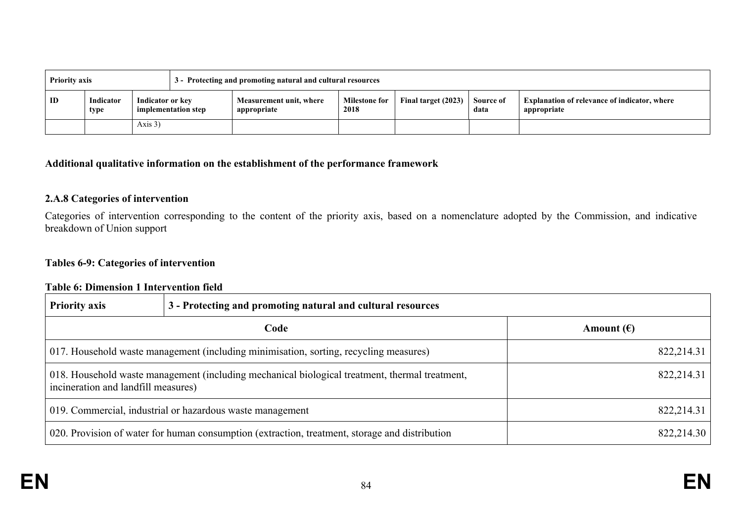| <b>Priority axis</b> |                   | 3 - Protecting and promoting natural and cultural resources |                     |                                        |                              |                     |                   |                                                                    |
|----------------------|-------------------|-------------------------------------------------------------|---------------------|----------------------------------------|------------------------------|---------------------|-------------------|--------------------------------------------------------------------|
| ID                   | Indicator<br>type | Indicator or key                                            | implementation step | Measurement unit, where<br>appropriate | <b>Milestone for</b><br>2018 | Final target (2023) | Source of<br>data | <b>Explanation of relevance of indicator, where</b><br>appropriate |
|                      |                   | Axis $3)$                                                   |                     |                                        |                              |                     |                   |                                                                    |

#### **Additional qualitative information on the establishment of the performance framework**

#### **2.A.8 Categories of intervention**

Categories of intervention corresponding to the content of the priority axis, based on a nomenclature adopted by the Commission, and indicative breakdown of Union support

#### **Tables 6-9: Categories of intervention**

#### **Table 6: Dimension 1 Intervention field**

| <b>Priority axis</b>                                                                                                                  | 3 - Protecting and promoting natural and cultural resources |                     |
|---------------------------------------------------------------------------------------------------------------------------------------|-------------------------------------------------------------|---------------------|
| Code                                                                                                                                  |                                                             | Amount $(\epsilon)$ |
| 017. Household waste management (including minimisation, sorting, recycling measures)                                                 |                                                             | 822,214.31          |
| 018. Household waste management (including mechanical biological treatment, thermal treatment,<br>incineration and landfill measures) |                                                             | 822,214.31          |
| 019. Commercial, industrial or hazardous waste management                                                                             |                                                             | 822,214.31          |
| 020. Provision of water for human consumption (extraction, treatment, storage and distribution                                        |                                                             | 822,214.30          |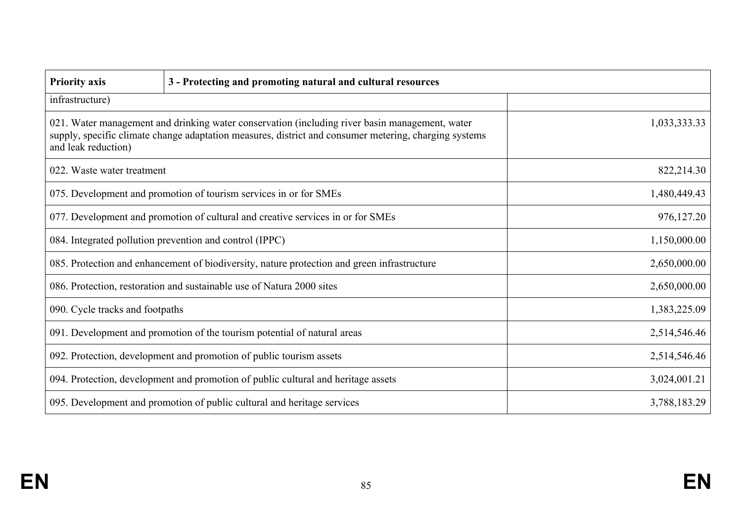| <b>Priority axis</b>                                                                                                                                                                                                           | 3 - Protecting and promoting natural and cultural resources                     |              |  |
|--------------------------------------------------------------------------------------------------------------------------------------------------------------------------------------------------------------------------------|---------------------------------------------------------------------------------|--------------|--|
| infrastructure)                                                                                                                                                                                                                |                                                                                 |              |  |
| 021. Water management and drinking water conservation (including river basin management, water<br>supply, specific climate change adaptation measures, district and consumer metering, charging systems<br>and leak reduction) |                                                                                 | 1,033,333.33 |  |
| 022. Waste water treatment                                                                                                                                                                                                     |                                                                                 | 822,214.30   |  |
|                                                                                                                                                                                                                                | 075. Development and promotion of tourism services in or for SMEs               | 1,480,449.43 |  |
|                                                                                                                                                                                                                                | 077. Development and promotion of cultural and creative services in or for SMEs | 976,127.20   |  |
| 084. Integrated pollution prevention and control (IPPC)                                                                                                                                                                        |                                                                                 | 1,150,000.00 |  |
| 085. Protection and enhancement of biodiversity, nature protection and green infrastructure                                                                                                                                    |                                                                                 | 2,650,000.00 |  |
| 086. Protection, restoration and sustainable use of Natura 2000 sites                                                                                                                                                          |                                                                                 | 2,650,000.00 |  |
| 090. Cycle tracks and footpaths                                                                                                                                                                                                |                                                                                 | 1,383,225.09 |  |
| 091. Development and promotion of the tourism potential of natural areas                                                                                                                                                       |                                                                                 | 2,514,546.46 |  |
| 092. Protection, development and promotion of public tourism assets                                                                                                                                                            |                                                                                 | 2,514,546.46 |  |
| 094. Protection, development and promotion of public cultural and heritage assets                                                                                                                                              |                                                                                 | 3,024,001.21 |  |
| 095. Development and promotion of public cultural and heritage services                                                                                                                                                        |                                                                                 | 3,788,183.29 |  |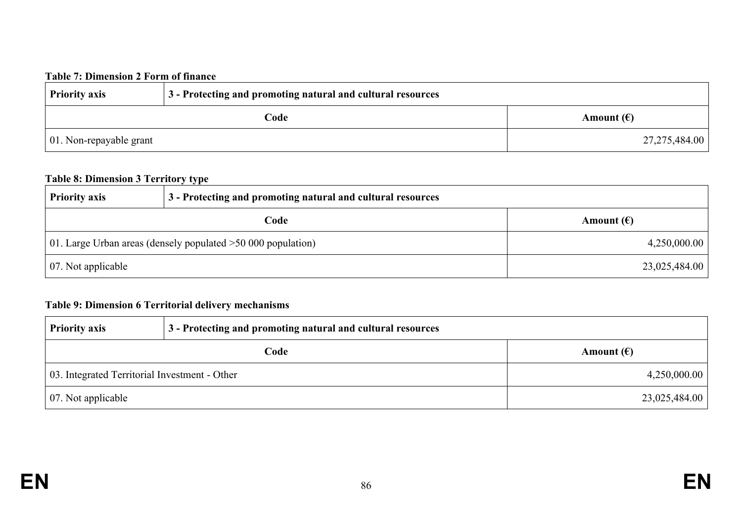## **Table 7: Dimension 2 Form of finance**

| <b>Priority axis</b>            | 3 - Protecting and promoting natural and cultural resources |                     |
|---------------------------------|-------------------------------------------------------------|---------------------|
| Code                            |                                                             | Amount $(\epsilon)$ |
| $\vert$ 01. Non-repayable grant |                                                             | 27,275,484.00       |

#### **Table 8: Dimension 3 Territory type**

| <b>Priority axis</b>                                          | 3 - Protecting and promoting natural and cultural resources |                     |
|---------------------------------------------------------------|-------------------------------------------------------------|---------------------|
| Code                                                          |                                                             | Amount $(\epsilon)$ |
| 01. Large Urban areas (densely populated $>50000$ population) |                                                             | 4,250,000.00        |
| 07. Not applicable                                            |                                                             | 23,025,484.00       |

## **Table 9: Dimension 6 Territorial delivery mechanisms**

| <b>Priority axis</b>                          | 3 - Protecting and promoting natural and cultural resources |                     |
|-----------------------------------------------|-------------------------------------------------------------|---------------------|
| Code                                          |                                                             | Amount $(\epsilon)$ |
| 03. Integrated Territorial Investment - Other |                                                             | 4,250,000.00        |
| $\vert$ 07. Not applicable                    |                                                             | 23,025,484.00       |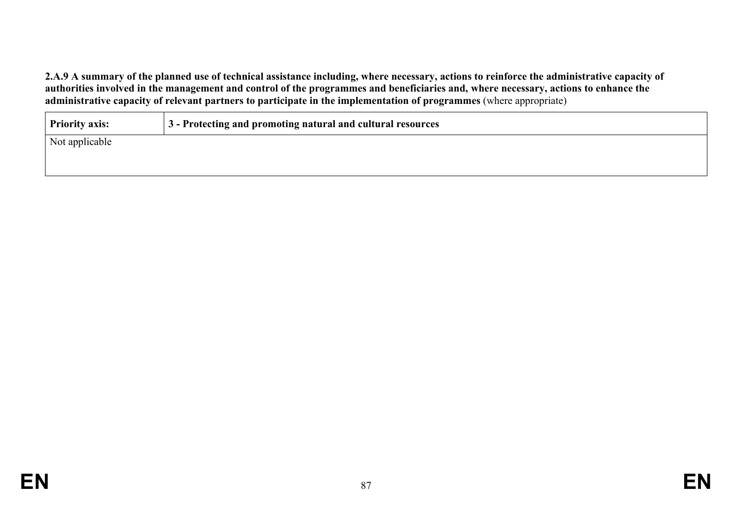2.A.9 A summary of the planned use of technical assistance including, where necessary, actions to reinforce the administrative capacity of authorities involved in the management and control of the programmes and beneficiaries and, where necessary, actions to enhance the **administrative capacity of relevant partners to participate in the implementation of programmes** (where appropriate)

| Priority axis: | 3 - Protecting and promoting natural and cultural resources |
|----------------|-------------------------------------------------------------|
| Not applicable |                                                             |
|                |                                                             |
|                |                                                             |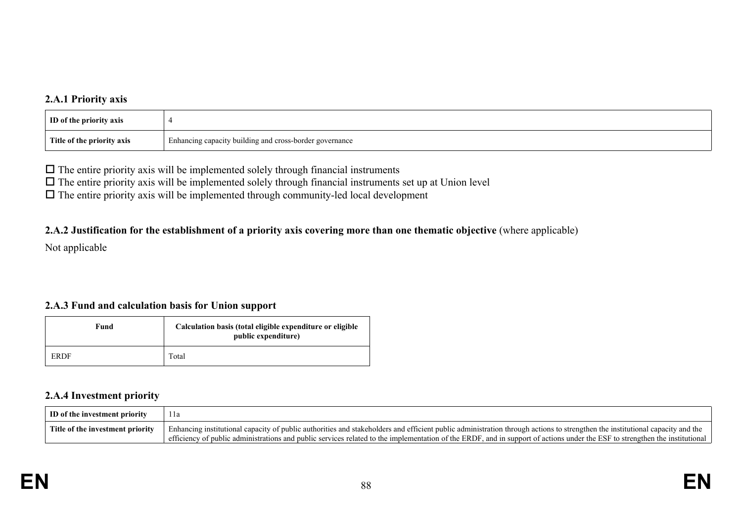### **2.A.1 Priority axis**

| <b>ID</b> of the priority axis |                                                         |
|--------------------------------|---------------------------------------------------------|
| Title of the priority axis     | Enhancing capacity building and cross-border governance |

 $\Box$  The entire priority axis will be implemented solely through financial instruments

 $\Box$  The entire priority axis will be implemented solely through financial instruments set up at Union level

 $\Box$  The entire priority axis will be implemented through community-led local development

#### 2.A.2 Justification for the establishment of a priority axis covering more than one thematic objective (where applicable)

Not applicable

### **2.A.3 Fund and calculation basis for Union support**

| Fund        | Calculation basis (total eligible expenditure or eligible<br>public expenditure) |
|-------------|----------------------------------------------------------------------------------|
| <b>ERDF</b> | Total                                                                            |

### **2.A.4 Investment priority**

| ID of the investment priority    | 1 l a                                                                                                                                                                        |
|----------------------------------|------------------------------------------------------------------------------------------------------------------------------------------------------------------------------|
| Title of the investment priority | Enhancing institutional capacity of public authorities and stakeholders and efficient public administration through actions to strengthen the institutional capacity and the |
|                                  | efficiency of public administrations and public services related to the implementation of the ERDF, and in support of actions under the ESF to strengthen the institutional  |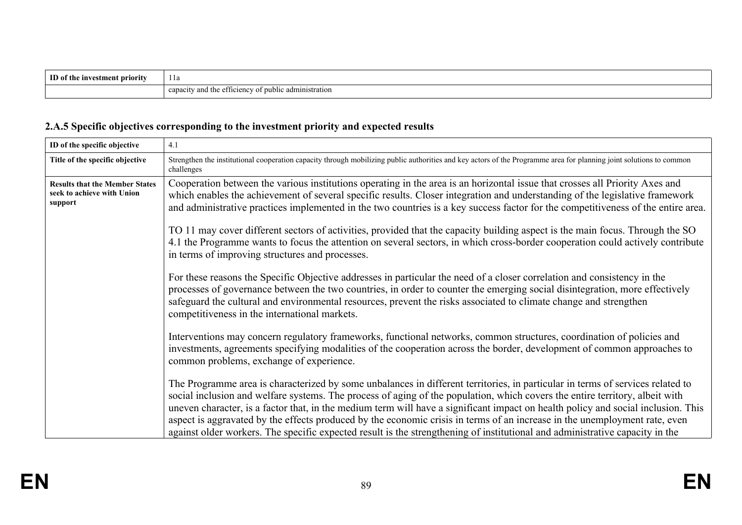| ID of the investment priority | 1 l a                                                                 |
|-------------------------------|-----------------------------------------------------------------------|
|                               |                                                                       |
|                               | y and the efficiency of public administration<br>0.000<br><br>capacit |

# **2.A.5 Specific objectives corresponding to the investment priority and expected results**

| ID of the specific objective                                                   | 4.1                                                                                                                                                                                                                                                                                                                                                                                                                                                                                                                                                                                                                                                               |
|--------------------------------------------------------------------------------|-------------------------------------------------------------------------------------------------------------------------------------------------------------------------------------------------------------------------------------------------------------------------------------------------------------------------------------------------------------------------------------------------------------------------------------------------------------------------------------------------------------------------------------------------------------------------------------------------------------------------------------------------------------------|
| Title of the specific objective                                                | Strengthen the institutional cooperation capacity through mobilizing public authorities and key actors of the Programme area for planning joint solutions to common<br>challenges                                                                                                                                                                                                                                                                                                                                                                                                                                                                                 |
| <b>Results that the Member States</b><br>seek to achieve with Union<br>support | Cooperation between the various institutions operating in the area is an horizontal issue that crosses all Priority Axes and<br>which enables the achievement of several specific results. Closer integration and understanding of the legislative framework<br>and administrative practices implemented in the two countries is a key success factor for the competitiveness of the entire area.                                                                                                                                                                                                                                                                 |
|                                                                                | TO 11 may cover different sectors of activities, provided that the capacity building aspect is the main focus. Through the SO<br>4.1 the Programme wants to focus the attention on several sectors, in which cross-border cooperation could actively contribute<br>in terms of improving structures and processes.                                                                                                                                                                                                                                                                                                                                                |
|                                                                                | For these reasons the Specific Objective addresses in particular the need of a closer correlation and consistency in the<br>processes of governance between the two countries, in order to counter the emerging social disintegration, more effectively<br>safeguard the cultural and environmental resources, prevent the risks associated to climate change and strengthen<br>competitiveness in the international markets.                                                                                                                                                                                                                                     |
|                                                                                | Interventions may concern regulatory frameworks, functional networks, common structures, coordination of policies and<br>investments, agreements specifying modalities of the cooperation across the border, development of common approaches to<br>common problems, exchange of experience.                                                                                                                                                                                                                                                                                                                                                                      |
|                                                                                | The Programme area is characterized by some unbalances in different territories, in particular in terms of services related to<br>social inclusion and welfare systems. The process of aging of the population, which covers the entire territory, albeit with<br>uneven character, is a factor that, in the medium term will have a significant impact on health policy and social inclusion. This<br>aspect is aggravated by the effects produced by the economic crisis in terms of an increase in the unemployment rate, even<br>against older workers. The specific expected result is the strengthening of institutional and administrative capacity in the |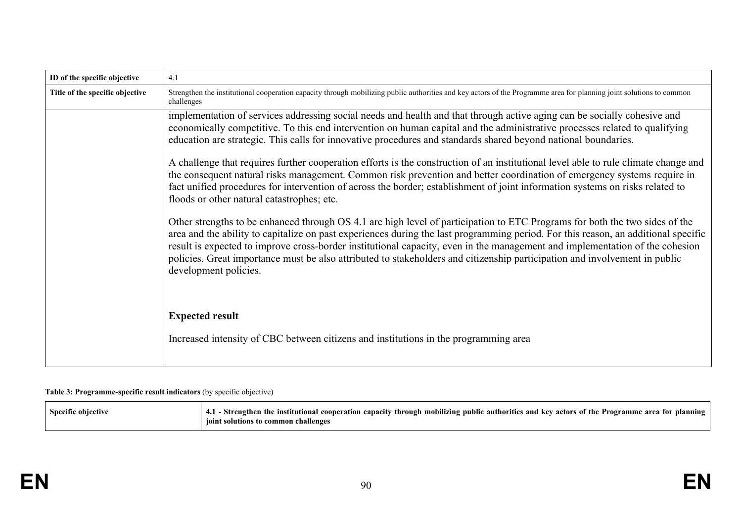| ID of the specific objective    | 4.1                                                                                                                                                                                                                                                                                                                                                                                                                                                                                                                                                      |
|---------------------------------|----------------------------------------------------------------------------------------------------------------------------------------------------------------------------------------------------------------------------------------------------------------------------------------------------------------------------------------------------------------------------------------------------------------------------------------------------------------------------------------------------------------------------------------------------------|
| Title of the specific objective | Strengthen the institutional cooperation capacity through mobilizing public authorities and key actors of the Programme area for planning joint solutions to common<br>challenges                                                                                                                                                                                                                                                                                                                                                                        |
|                                 | implementation of services addressing social needs and health and that through active aging can be socially cohesive and<br>economically competitive. To this end intervention on human capital and the administrative processes related to qualifying<br>education are strategic. This calls for innovative procedures and standards shared beyond national boundaries.                                                                                                                                                                                 |
|                                 | A challenge that requires further cooperation efforts is the construction of an institutional level able to rule climate change and<br>the consequent natural risks management. Common risk prevention and better coordination of emergency systems require in<br>fact unified procedures for intervention of across the border; establishment of joint information systems on risks related to<br>floods or other natural catastrophes; etc.                                                                                                            |
|                                 | Other strengths to be enhanced through OS 4.1 are high level of participation to ETC Programs for both the two sides of the<br>area and the ability to capitalize on past experiences during the last programming period. For this reason, an additional specific<br>result is expected to improve cross-border institutional capacity, even in the management and implementation of the cohesion<br>policies. Great importance must be also attributed to stakeholders and citizenship participation and involvement in public<br>development policies. |
|                                 | <b>Expected result</b><br>Increased intensity of CBC between citizens and institutions in the programming area                                                                                                                                                                                                                                                                                                                                                                                                                                           |

#### **Table 3: Programme-specific result indicators** (by specific objective)

| <b>Specific objective</b> | - Strengthen the institutional cooperation capacity through mobilizing public authorities and key actors of the Programme area for planning |
|---------------------------|---------------------------------------------------------------------------------------------------------------------------------------------|
|                           | olutions to common challenges                                                                                                               |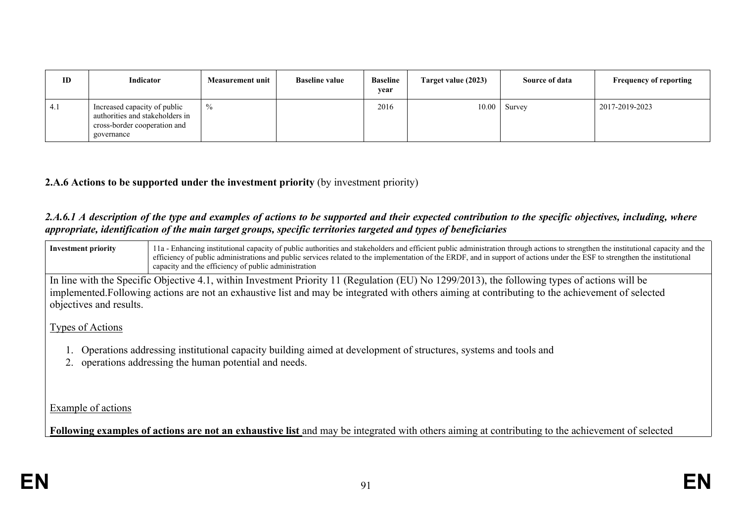| ID  | Indicator                                                                                                     | <b>Measurement unit</b> | <b>Baseline value</b> | <b>Baseline</b><br>year | Target value (2023) | Source of data | <b>Frequency of reporting</b> |
|-----|---------------------------------------------------------------------------------------------------------------|-------------------------|-----------------------|-------------------------|---------------------|----------------|-------------------------------|
| 4.1 | Increased capacity of public<br>authorities and stakeholders in<br>cross-border cooperation and<br>governance | $\frac{0}{0}$           |                       | 2016                    |                     | $10.00$ Survey | 2017-2019-2023                |

### **2.A.6 Actions to be supported under the investment priority** (by investment priority)

#### 2.A.6.1 A description of the type and examples of actions to be supported and their expected contribution to the specific objectives, including, where *appropriate, identification of the main target groups, specific territories targeted and types of beneficiaries*

| <b>Investment priority</b>                                                                                                                                                 | 11a - Enhancing institutional capacity of public authorities and stakeholders and efficient public administration through actions to strengthen the institutional capacity and the<br>efficiency of public administrations and public services related to the implementation of the ERDF, and in support of actions under the ESF to strengthen the institutional<br>capacity and the efficiency of public administration |  |  |  |  |
|----------------------------------------------------------------------------------------------------------------------------------------------------------------------------|---------------------------------------------------------------------------------------------------------------------------------------------------------------------------------------------------------------------------------------------------------------------------------------------------------------------------------------------------------------------------------------------------------------------------|--|--|--|--|
|                                                                                                                                                                            | In line with the Specific Objective 4.1, within Investment Priority 11 (Regulation (EU) No 1299/2013), the following types of actions will be                                                                                                                                                                                                                                                                             |  |  |  |  |
| objectives and results.                                                                                                                                                    | implemented. Following actions are not an exhaustive list and may be integrated with others aiming at contributing to the achievement of selected                                                                                                                                                                                                                                                                         |  |  |  |  |
| Types of Actions                                                                                                                                                           |                                                                                                                                                                                                                                                                                                                                                                                                                           |  |  |  |  |
| Operations addressing institutional capacity building aimed at development of structures, systems and tools and<br>2. operations addressing the human potential and needs. |                                                                                                                                                                                                                                                                                                                                                                                                                           |  |  |  |  |
| Example of actions                                                                                                                                                         |                                                                                                                                                                                                                                                                                                                                                                                                                           |  |  |  |  |

**Following examples of actions are not an exhaustive list** and may be integrated with others aiming at contributing to the achievement of selected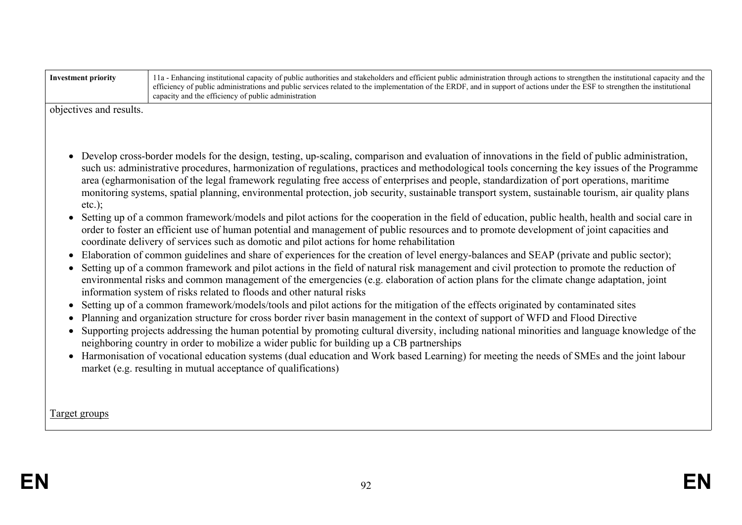| objectives and results. |                                                                                                                                                                                                                                                                                                                                                                                                                                                                                                                                                                                                                                                                                                                                                               |
|-------------------------|---------------------------------------------------------------------------------------------------------------------------------------------------------------------------------------------------------------------------------------------------------------------------------------------------------------------------------------------------------------------------------------------------------------------------------------------------------------------------------------------------------------------------------------------------------------------------------------------------------------------------------------------------------------------------------------------------------------------------------------------------------------|
| $etc.$ );               | Develop cross-border models for the design, testing, up-scaling, comparison and evaluation of innovations in the field of public administration,<br>such us: administrative procedures, harmonization of regulations, practices and methodological tools concerning the key issues of the Programme<br>area (egharmonisation of the legal framework regulating free access of enterprises and people, standardization of port operations, maritime<br>monitoring systems, spatial planning, environmental protection, job security, sustainable transport system, sustainable tourism, air quality plans<br>Setting up of a common framework/models and pilot actions for the cooperation in the field of education, public health, health and social care in |
| $\bullet$               | order to foster an efficient use of human potential and management of public resources and to promote development of joint capacities and<br>coordinate delivery of services such as domotic and pilot actions for home rehabilitation<br>Elaboration of common guidelines and share of experiences for the creation of level energy-balances and SEAP (private and public sector);                                                                                                                                                                                                                                                                                                                                                                           |
|                         | Setting up of a common framework and pilot actions in the field of natural risk management and civil protection to promote the reduction of<br>environmental risks and common management of the emergencies (e.g. elaboration of action plans for the climate change adaptation, joint<br>information system of risks related to floods and other natural risks                                                                                                                                                                                                                                                                                                                                                                                               |
|                         | Setting up of a common framework/models/tools and pilot actions for the mitigation of the effects originated by contaminated sites                                                                                                                                                                                                                                                                                                                                                                                                                                                                                                                                                                                                                            |
| $\bullet$               | Planning and organization structure for cross border river basin management in the context of support of WFD and Flood Directive<br>Supporting projects addressing the human potential by promoting cultural diversity, including national minorities and language knowledge of the<br>neighboring country in order to mobilize a wider public for building up a CB partnerships                                                                                                                                                                                                                                                                                                                                                                              |
|                         | • Harmonisation of vocational education systems (dual education and Work based Learning) for meeting the needs of SMEs and the joint labour<br>market (e.g. resulting in mutual acceptance of qualifications)                                                                                                                                                                                                                                                                                                                                                                                                                                                                                                                                                 |
|                         |                                                                                                                                                                                                                                                                                                                                                                                                                                                                                                                                                                                                                                                                                                                                                               |
| <u>Target groups</u>    |                                                                                                                                                                                                                                                                                                                                                                                                                                                                                                                                                                                                                                                                                                                                                               |

**Investment priority** 11a - Enhancing institutional capacity of public authorities and stakeholders and efficient public administration through actions to strengthen the institutional capacity and the

capacity and the efficiency of public administration

efficiency of public administrations and public services related to the implementation of the ERDF, and in support of actions under the ESF to strengthen the institutional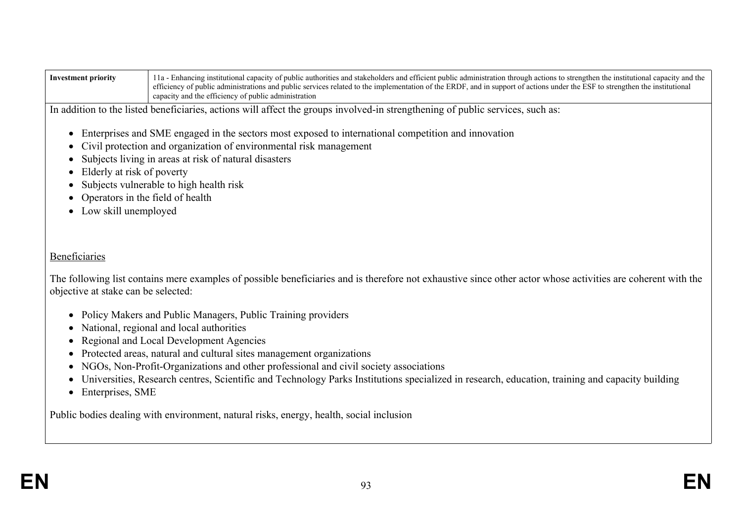| Investment priority | 1 a - Enhancing institutional capacity of public authorities and stakeholders and efficient public administration through actions to strengthen the institutional capacity and the |
|---------------------|------------------------------------------------------------------------------------------------------------------------------------------------------------------------------------|
|                     | efficiency of public administrations and public services related to the implementation of the ERDF, and in support of actions under the ESF to strengthen the institutional        |
|                     | capacity and the efficiency of public administration                                                                                                                               |

In addition to the listed beneficiaries, actions will affect the groups involved-in strengthening of public services, such as:

- Enterprises and SME engaged in the sectors most exposed to international competition and innovation
- Civil protection and organization of environmental risk management
- Subjects living in areas at risk of natural disasters
- Elderly at risk of poverty
- Subjects vulnerable to high health risk
- Operators in the field of health
- Low skill unemployed

#### Beneficiaries

The following list contains mere examples of possible beneficiaries and is therefore not exhaustive since other actor whose activities are coherent with the objective at stake can be selected:

- Policy Makers and Public Managers, Public Training providers
- National, regional and local authorities
- Regional and Local Development Agencies
- Protected areas, natural and cultural sites management organizations
- NGOs, Non-Profit-Organizations and other professional and civil society associations
- Universities, Research centres, Scientific and Technology Parks Institutions specialized in research, education, training and capacity building
- Enterprises, SME

Public bodies dealing with environment, natural risks, energy, health, social inclusion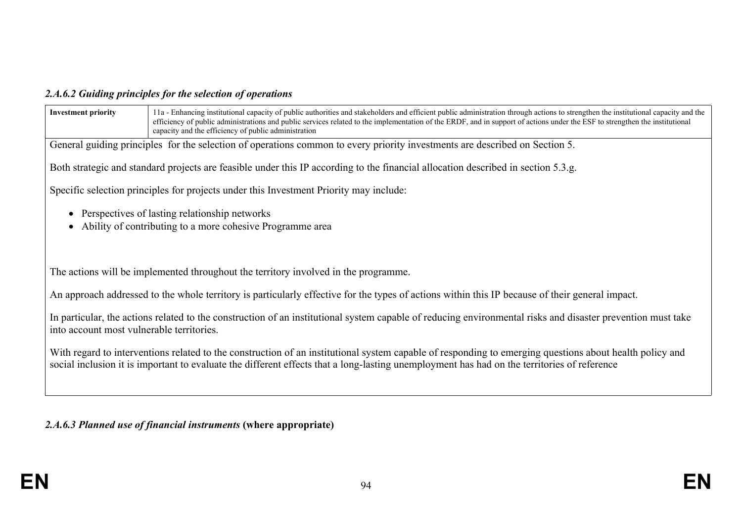## *2.A.6.2 Guiding principles for the selection of operations*

| <b>Investment priority</b>                | 11a - Enhancing institutional capacity of public authorities and stakeholders and efficient public administration through actions to strengthen the institutional capacity and the<br>efficiency of public administrations and public services related to the implementation of the ERDF, and in support of actions under the ESF to strengthen the institutional<br>capacity and the efficiency of public administration |
|-------------------------------------------|---------------------------------------------------------------------------------------------------------------------------------------------------------------------------------------------------------------------------------------------------------------------------------------------------------------------------------------------------------------------------------------------------------------------------|
|                                           | General guiding principles for the selection of operations common to every priority investments are described on Section 5.                                                                                                                                                                                                                                                                                               |
|                                           | Both strategic and standard projects are feasible under this IP according to the financial allocation described in section 5.3.g.                                                                                                                                                                                                                                                                                         |
|                                           | Specific selection principles for projects under this Investment Priority may include:                                                                                                                                                                                                                                                                                                                                    |
|                                           | Perspectives of lasting relationship networks<br>Ability of contributing to a more cohesive Programme area                                                                                                                                                                                                                                                                                                                |
|                                           | The actions will be implemented throughout the territory involved in the programme.                                                                                                                                                                                                                                                                                                                                       |
|                                           | An approach addressed to the whole territory is particularly effective for the types of actions within this IP because of their general impact.                                                                                                                                                                                                                                                                           |
| into account most vulnerable territories. | In particular, the actions related to the construction of an institutional system capable of reducing environmental risks and disaster prevention must take                                                                                                                                                                                                                                                               |
|                                           | With regard to interventions related to the construction of an institutional system capable of responding to emerging questions about health policy and<br>social inclusion it is important to evaluate the different effects that a long-lasting unemployment has had on the territories of reference                                                                                                                    |
|                                           |                                                                                                                                                                                                                                                                                                                                                                                                                           |

*2.A.6.3 Planned use of financial instruments* **(where appropriate)**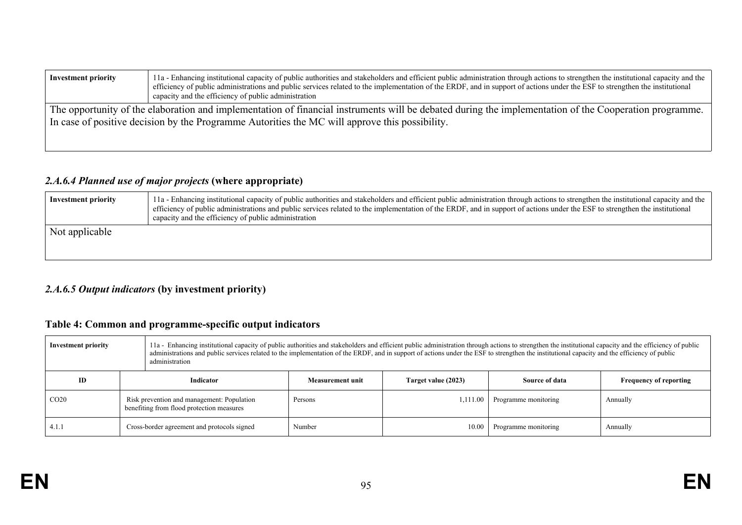| <b>Investment priority</b>                                                                                                                                                                                                                               | 11a - Enhancing institutional capacity of public authorities and stakeholders and efficient public administration through actions to strengthen the institutional capacity and the<br>efficiency of public administrations and public services related to the implementation of the ERDF, and in support of actions under the ESF to strengthen the institutional<br>capacity and the efficiency of public administration |  |  |  |
|----------------------------------------------------------------------------------------------------------------------------------------------------------------------------------------------------------------------------------------------------------|---------------------------------------------------------------------------------------------------------------------------------------------------------------------------------------------------------------------------------------------------------------------------------------------------------------------------------------------------------------------------------------------------------------------------|--|--|--|
| The opportunity of the elaboration and implementation of financial instruments will be debated during the implementation of the Cooperation programme.<br>In case of positive decision by the Programme Autorities the MC will approve this possibility. |                                                                                                                                                                                                                                                                                                                                                                                                                           |  |  |  |
|                                                                                                                                                                                                                                                          |                                                                                                                                                                                                                                                                                                                                                                                                                           |  |  |  |

## *2.A.6.4 Planned use of major projects* **(where appropriate)**

| <b>Investment priority</b> | 11a - Enhancing institutional capacity of public authorities and stakeholders and efficient public administration through actions to strengthen the institutional capacity and the<br>efficiency of public administrations and public services related to the implementation of the ERDF, and in support of actions under the ESF to strengthen the institutional<br>capacity and the efficiency of public administration |
|----------------------------|---------------------------------------------------------------------------------------------------------------------------------------------------------------------------------------------------------------------------------------------------------------------------------------------------------------------------------------------------------------------------------------------------------------------------|
| Not applicable             |                                                                                                                                                                                                                                                                                                                                                                                                                           |

## *2.A.6.5 Output indicators* **(by investment priority)**

## **Table 4: Common and programme-specific output indicators**

| <b>Investment priority</b> |                                                                                         | 11a - Enhancing institutional capacity of public authorities and stakeholders and efficient public administration through actions to strengthen the institutional capacity and the efficiency of public<br>administrations and public services related to the implementation of the ERDF, and in support of actions under the ESF to strengthen the institutional capacity and the efficiency of public<br>administration |                  |                     |                      |                               |
|----------------------------|-----------------------------------------------------------------------------------------|---------------------------------------------------------------------------------------------------------------------------------------------------------------------------------------------------------------------------------------------------------------------------------------------------------------------------------------------------------------------------------------------------------------------------|------------------|---------------------|----------------------|-------------------------------|
| ID                         |                                                                                         | Indicator                                                                                                                                                                                                                                                                                                                                                                                                                 | Measurement unit | Target value (2023) | Source of data       | <b>Frequency of reporting</b> |
| CO <sub>20</sub>           | Risk prevention and management: Population<br>benefiting from flood protection measures |                                                                                                                                                                                                                                                                                                                                                                                                                           | Persons          | 1,111.00            | Programme monitoring | Annually                      |
| 4.1.1                      | Cross-border agreement and protocols signed                                             |                                                                                                                                                                                                                                                                                                                                                                                                                           | Number           | 10.00               | Programme monitoring | Annually                      |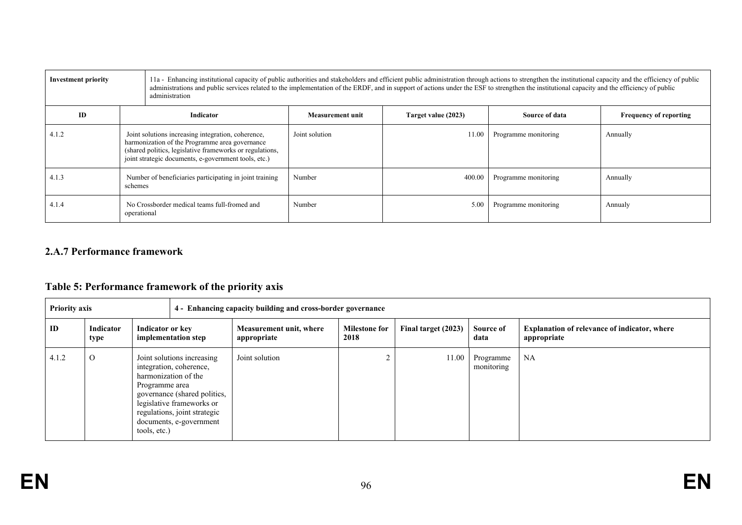| <b>Investment priority</b>                                           |                                                                                                                                                                                                                          | 11a - Enhancing institutional capacity of public authorities and stakeholders and efficient public administration through actions to strengthen the institutional capacity and the efficiency of public<br>administrations and public services related to the implementation of the ERDF, and in support of actions under the ESF to strengthen the institutional capacity and the efficiency of public<br>administration |                         |                      |                      |                               |  |
|----------------------------------------------------------------------|--------------------------------------------------------------------------------------------------------------------------------------------------------------------------------------------------------------------------|---------------------------------------------------------------------------------------------------------------------------------------------------------------------------------------------------------------------------------------------------------------------------------------------------------------------------------------------------------------------------------------------------------------------------|-------------------------|----------------------|----------------------|-------------------------------|--|
| ID                                                                   | Indicator                                                                                                                                                                                                                |                                                                                                                                                                                                                                                                                                                                                                                                                           | <b>Measurement unit</b> | Target value (2023)  | Source of data       | <b>Frequency of reporting</b> |  |
| 4.1.2                                                                | Joint solutions increasing integration, coherence,<br>harmonization of the Programme area governance<br>(shared politics, legislative frameworks or regulations,<br>joint strategic documents, e-government tools, etc.) |                                                                                                                                                                                                                                                                                                                                                                                                                           | Joint solution          | 11.00                | Programme monitoring | Annually                      |  |
| 4.1.3                                                                | Number of beneficiaries participating in joint training<br>schemes                                                                                                                                                       |                                                                                                                                                                                                                                                                                                                                                                                                                           | Number                  | 400.00               | Programme monitoring | Annually                      |  |
| No Crossborder medical teams full-fromed and<br>4.1.4<br>operational |                                                                                                                                                                                                                          | Number                                                                                                                                                                                                                                                                                                                                                                                                                    | 5.00                    | Programme monitoring | Annualy              |                               |  |

## **2.A.7 Performance framework**

## **Table 5: Performance framework of the priority axis**

|       | <b>Priority axis</b><br>4 - Enhancing capacity building and cross-border governance |                                                                                                                                                                                                                                         |                                        |                              |                     |                         |                                                                    |
|-------|-------------------------------------------------------------------------------------|-----------------------------------------------------------------------------------------------------------------------------------------------------------------------------------------------------------------------------------------|----------------------------------------|------------------------------|---------------------|-------------------------|--------------------------------------------------------------------|
| ID    | Indicator<br>type                                                                   | Indicator or key<br>implementation step                                                                                                                                                                                                 | Measurement unit, where<br>appropriate | <b>Milestone for</b><br>2018 | Final target (2023) | Source of<br>data       | <b>Explanation of relevance of indicator, where</b><br>appropriate |
| 4.1.2 | $\mathcal{O}$                                                                       | Joint solutions increasing<br>integration, coherence,<br>harmonization of the<br>Programme area<br>governance (shared politics,<br>legislative frameworks or<br>regulations, joint strategic<br>documents, e-government<br>tools, etc.) | Joint solution                         |                              | 11.00               | Programme<br>monitoring | NA                                                                 |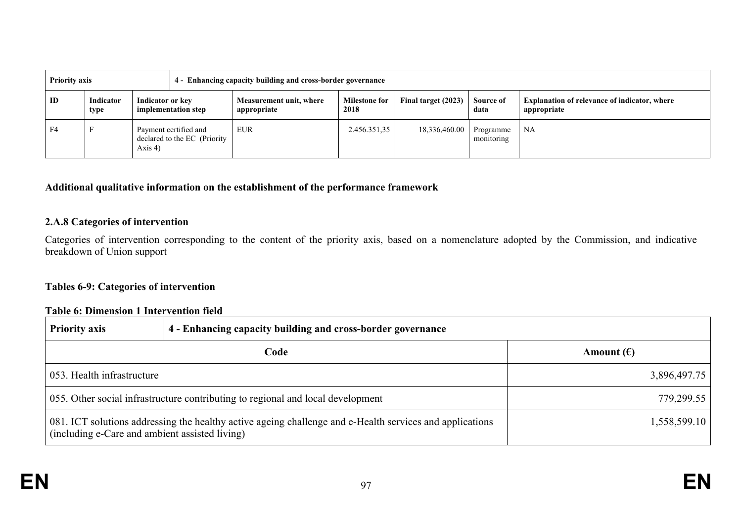| <b>Priority axis</b> |                   |                                                                     | 4 - Enhancing capacity building and cross-border governance |                              |                     |                         |                                                                    |
|----------------------|-------------------|---------------------------------------------------------------------|-------------------------------------------------------------|------------------------------|---------------------|-------------------------|--------------------------------------------------------------------|
| ID                   | Indicator<br>type | Indicator or key<br>implementation step                             | Measurement unit, where<br>appropriate                      | <b>Milestone for</b><br>2018 | Final target (2023) | Source of<br>data       | <b>Explanation of relevance of indicator, where</b><br>appropriate |
| F4                   |                   | Payment certified and<br>declared to the EC (Priority<br>Axis $4$ ) | <b>EUR</b>                                                  | 2.456.351.35                 | 18,336,460.00       | Programme<br>monitoring | <b>NA</b>                                                          |

#### **Additional qualitative information on the establishment of the performance framework**

#### **2.A.8 Categories of intervention**

Categories of intervention corresponding to the content of the priority axis, based on a nomenclature adopted by the Commission, and indicative breakdown of Union support

#### **Tables 6-9: Categories of intervention**

#### **Table 6: Dimension 1 Intervention field**

| <b>Priority axis</b>                                                                                                                                       | 4 - Enhancing capacity building and cross-border governance |                     |
|------------------------------------------------------------------------------------------------------------------------------------------------------------|-------------------------------------------------------------|---------------------|
|                                                                                                                                                            | Code                                                        | Amount $(\epsilon)$ |
| 053. Health infrastructure                                                                                                                                 |                                                             | 3,896,497.75        |
| 055. Other social infrastructure contributing to regional and local development                                                                            | 779,299.55                                                  |                     |
| 081. ICT solutions addressing the healthy active ageing challenge and e-Health services and applications<br>(including e-Care and ambient assisted living) |                                                             | 1,558,599.10        |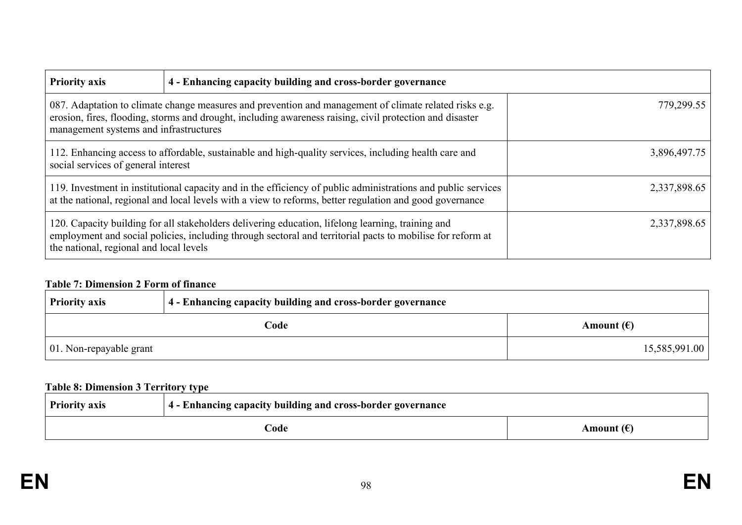| <b>Priority axis</b>                                                                                                                                                                                                                                         | 4 - Enhancing capacity building and cross-border governance |              |
|--------------------------------------------------------------------------------------------------------------------------------------------------------------------------------------------------------------------------------------------------------------|-------------------------------------------------------------|--------------|
| 087. Adaptation to climate change measures and prevention and management of climate related risks e.g.<br>erosion, fires, flooding, storms and drought, including awareness raising, civil protection and disaster<br>management systems and infrastructures |                                                             | 779,299.55   |
| 112. Enhancing access to affordable, sustainable and high-quality services, including health care and<br>social services of general interest                                                                                                                 |                                                             | 3,896,497.75 |
| 119. Investment in institutional capacity and in the efficiency of public administrations and public services<br>at the national, regional and local levels with a view to reforms, better regulation and good governance                                    |                                                             | 2,337,898.65 |
| 120. Capacity building for all stakeholders delivering education, lifelong learning, training and<br>employment and social policies, including through sectoral and territorial pacts to mobilise for reform at<br>the national, regional and local levels   |                                                             | 2,337,898.65 |

## **Table 7: Dimension 2 Form of finance**

| <b>Priority axis</b>            | 4 - Enhancing capacity building and cross-border governance |                     |
|---------------------------------|-------------------------------------------------------------|---------------------|
| Code                            |                                                             | Amount $(\epsilon)$ |
| $\vert$ 01. Non-repayable grant |                                                             | 15,585,991.00       |

## **Table 8: Dimension 3 Territory type**

| <b>Priority axis</b>        | .<br><sup>1</sup> 4 - Enhancing capacity building and cross-border governance |  |
|-----------------------------|-------------------------------------------------------------------------------|--|
| Amount $(\epsilon)$<br>Code |                                                                               |  |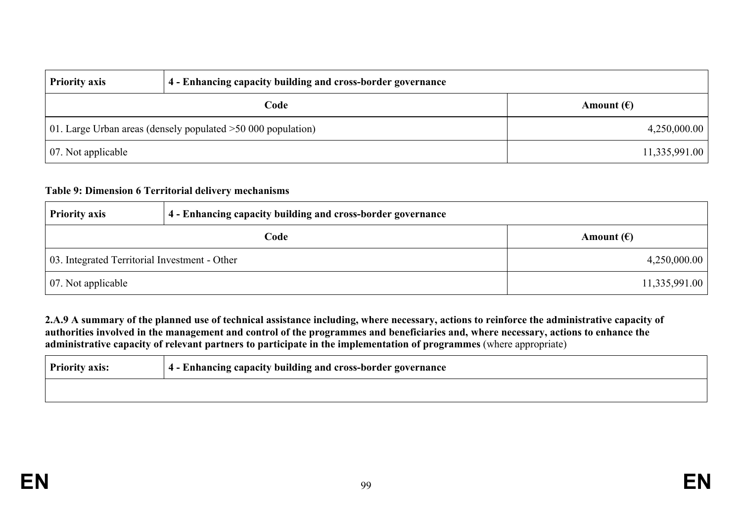| <b>Priority axis</b>                                           | 4 - Enhancing capacity building and cross-border governance |                     |
|----------------------------------------------------------------|-------------------------------------------------------------|---------------------|
| Code                                                           |                                                             | Amount $(\epsilon)$ |
| 01. Large Urban areas (densely populated $>50,000$ population) |                                                             | 4,250,000.00        |
| $\vert$ 07. Not applicable                                     |                                                             | 11,335,991.00       |

#### **Table 9: Dimension 6 Territorial delivery mechanisms**

| <b>Priority axis</b>                          | 4 - Enhancing capacity building and cross-border governance |                     |
|-----------------------------------------------|-------------------------------------------------------------|---------------------|
|                                               | Code                                                        | Amount $(\epsilon)$ |
| 03. Integrated Territorial Investment - Other |                                                             | 4,250,000.00        |
| $\vert$ 07. Not applicable                    |                                                             | 11,335,991.00       |

2.A.9 A summary of the planned use of technical assistance including, where necessary, actions to reinforce the administrative capacity of authorities involved in the management and control of the programmes and beneficiaries and, where necessary, actions to enhance the **administrative capacity of relevant partners to participate in the implementation of programmes** (where appropriate)

| <b>Priority axis:</b> | 4 - Enhancing capacity building and cross-border governance |
|-----------------------|-------------------------------------------------------------|
|                       |                                                             |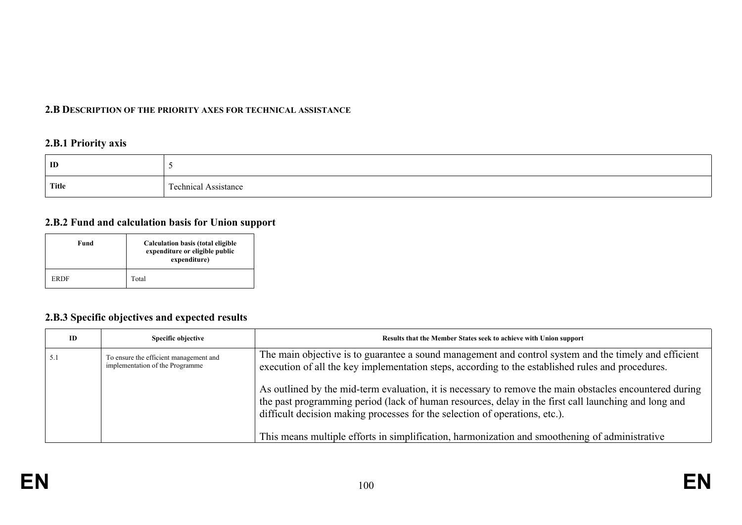#### **2.B DESCRIPTION OF THE PRIORITY AXES FOR TECHNICAL ASSISTANCE**

## **2.B.1 Priority axis**

| ID    |                              |
|-------|------------------------------|
| Title | --<br>echnical<br>Assistance |

#### **2.B.2 Fund and calculation basis for Union support**

| Fund        | Calculation basis (total eligible<br>expenditure or eligible public<br>expenditure) |  |
|-------------|-------------------------------------------------------------------------------------|--|
| <b>ERDF</b> | Total                                                                               |  |

## **2.B.3 Specific objectives and expected results**

| ID  | Specific objective                                                        | Results that the Member States seek to achieve with Union support                                                                                                                                                                                                                                                                                                                                |
|-----|---------------------------------------------------------------------------|--------------------------------------------------------------------------------------------------------------------------------------------------------------------------------------------------------------------------------------------------------------------------------------------------------------------------------------------------------------------------------------------------|
| 5.1 | To ensure the efficient management and<br>implementation of the Programme | The main objective is to guarantee a sound management and control system and the timely and efficient<br>execution of all the key implementation steps, according to the established rules and procedures.                                                                                                                                                                                       |
|     |                                                                           | As outlined by the mid-term evaluation, it is necessary to remove the main obstacles encountered during<br>the past programming period (lack of human resources, delay in the first call launching and long and<br>difficult decision making processes for the selection of operations, etc.).<br>This means multiple efforts in simplification, harmonization and smoothening of administrative |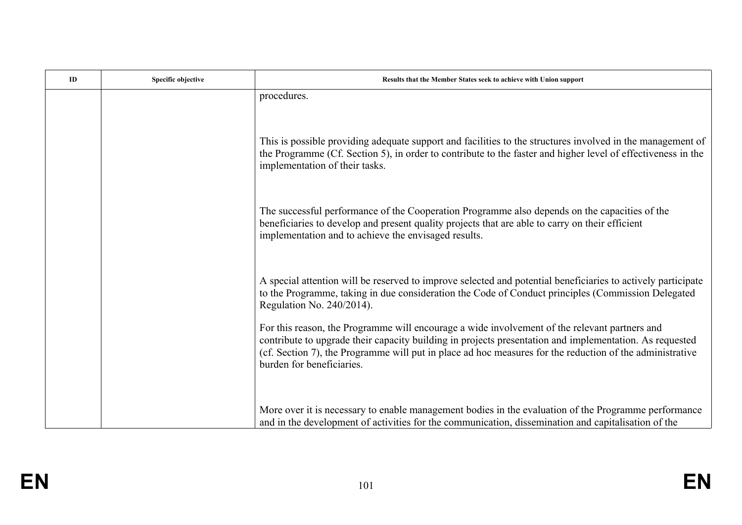| ID | Specific objective | Results that the Member States seek to achieve with Union support                                                                                                                                                                                                                                                                                 |
|----|--------------------|---------------------------------------------------------------------------------------------------------------------------------------------------------------------------------------------------------------------------------------------------------------------------------------------------------------------------------------------------|
|    |                    | procedures.                                                                                                                                                                                                                                                                                                                                       |
|    |                    | This is possible providing adequate support and facilities to the structures involved in the management of<br>the Programme (Cf. Section 5), in order to contribute to the faster and higher level of effectiveness in the<br>implementation of their tasks.                                                                                      |
|    |                    | The successful performance of the Cooperation Programme also depends on the capacities of the<br>beneficiaries to develop and present quality projects that are able to carry on their efficient<br>implementation and to achieve the envisaged results.                                                                                          |
|    |                    | A special attention will be reserved to improve selected and potential beneficiaries to actively participate<br>to the Programme, taking in due consideration the Code of Conduct principles (Commission Delegated<br>Regulation No. 240/2014).                                                                                                   |
|    |                    | For this reason, the Programme will encourage a wide involvement of the relevant partners and<br>contribute to upgrade their capacity building in projects presentation and implementation. As requested<br>(cf. Section 7), the Programme will put in place ad hoc measures for the reduction of the administrative<br>burden for beneficiaries. |
|    |                    | More over it is necessary to enable management bodies in the evaluation of the Programme performance<br>and in the development of activities for the communication, dissemination and capitalisation of the                                                                                                                                       |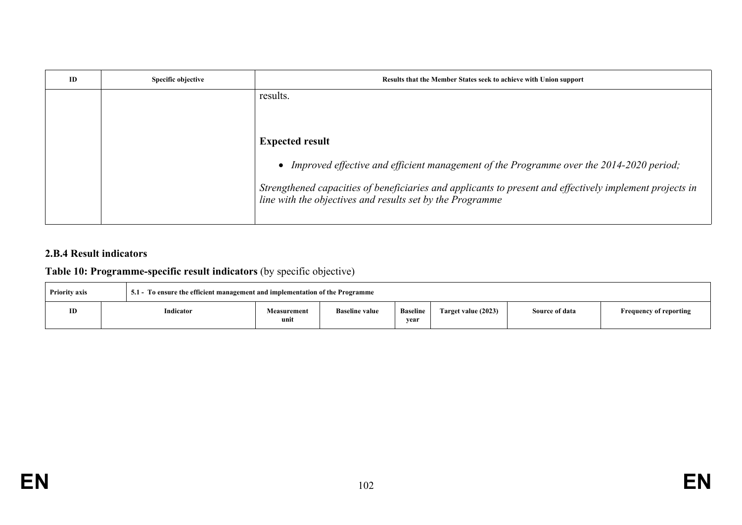| ID | Specific objective | Results that the Member States seek to achieve with Union support                                                                                                     |
|----|--------------------|-----------------------------------------------------------------------------------------------------------------------------------------------------------------------|
|    |                    | results.                                                                                                                                                              |
|    |                    |                                                                                                                                                                       |
|    |                    | <b>Expected result</b>                                                                                                                                                |
|    |                    | Improved effective and efficient management of the Programme over the 2014-2020 period;<br>$\bullet$                                                                  |
|    |                    | Strengthened capacities of beneficiaries and applicants to present and effectively implement projects in<br>line with the objectives and results set by the Programme |

## **2.B.4 Result indicators**

# **Table 10: Programme-specific result indicators** (by specific objective)

| 5.1 - To ensure the efficient management and implementation of the Programme<br><b>Priority axis</b> |           |                            |                       |                         |                     |                |                               |
|------------------------------------------------------------------------------------------------------|-----------|----------------------------|-----------------------|-------------------------|---------------------|----------------|-------------------------------|
| ID                                                                                                   | Indicator | <b>Measurement</b><br>unit | <b>Baseline value</b> | <b>Baseline</b><br>vear | Target value (2023) | Source of data | <b>Frequency of reporting</b> |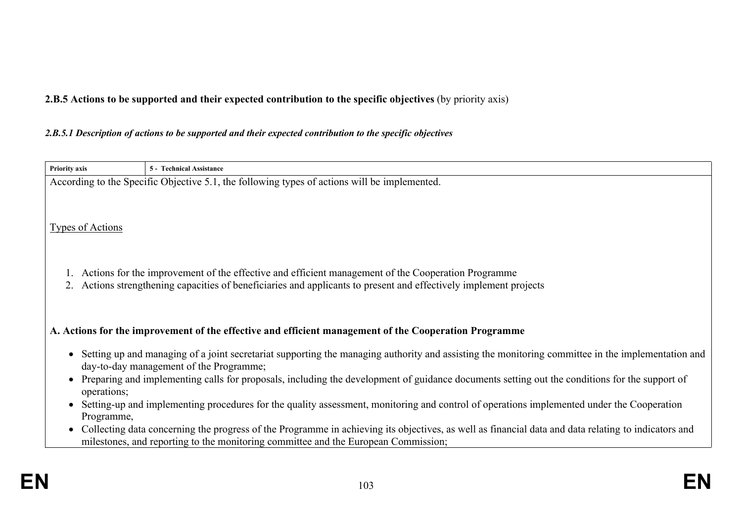**2.B.5 Actions to be supported and their expected contribution to the specific objectives** (by priority axis)

#### *2.B.5.1 Description of actions to be supported and their expected contribution to the specific objectives*

| According to the Specific Objective 5.1, the following types of actions will be implemented. |                                                                                                                                                       |  |  |  |  |
|----------------------------------------------------------------------------------------------|-------------------------------------------------------------------------------------------------------------------------------------------------------|--|--|--|--|
|                                                                                              |                                                                                                                                                       |  |  |  |  |
|                                                                                              |                                                                                                                                                       |  |  |  |  |
| <b>Types of Actions</b>                                                                      |                                                                                                                                                       |  |  |  |  |
|                                                                                              |                                                                                                                                                       |  |  |  |  |
|                                                                                              |                                                                                                                                                       |  |  |  |  |
|                                                                                              | Actions for the improvement of the effective and efficient management of the Cooperation Programme                                                    |  |  |  |  |
|                                                                                              | Actions strengthening capacities of beneficiaries and applicants to present and effectively implement projects                                        |  |  |  |  |
|                                                                                              |                                                                                                                                                       |  |  |  |  |
|                                                                                              |                                                                                                                                                       |  |  |  |  |
|                                                                                              | A. Actions for the improvement of the effective and efficient management of the Cooperation Programme                                                 |  |  |  |  |
|                                                                                              |                                                                                                                                                       |  |  |  |  |
|                                                                                              | Setting up and managing of a joint secretariat supporting the managing authority and assisting the monitoring committee in the implementation and     |  |  |  |  |
| day-to-day management of the Programme;                                                      |                                                                                                                                                       |  |  |  |  |
| operations;                                                                                  | Preparing and implementing calls for proposals, including the development of guidance documents setting out the conditions for the support of         |  |  |  |  |
|                                                                                              | Setting-up and implementing procedures for the quality assessment, monitoring and control of operations implemented under the Cooperation             |  |  |  |  |
| Programme,                                                                                   |                                                                                                                                                       |  |  |  |  |
|                                                                                              | • Collecting data concerning the progress of the Programme in achieving its objectives, as well as financial data and data relating to indicators and |  |  |  |  |
|                                                                                              | milestones, and reporting to the monitoring committee and the European Commission;                                                                    |  |  |  |  |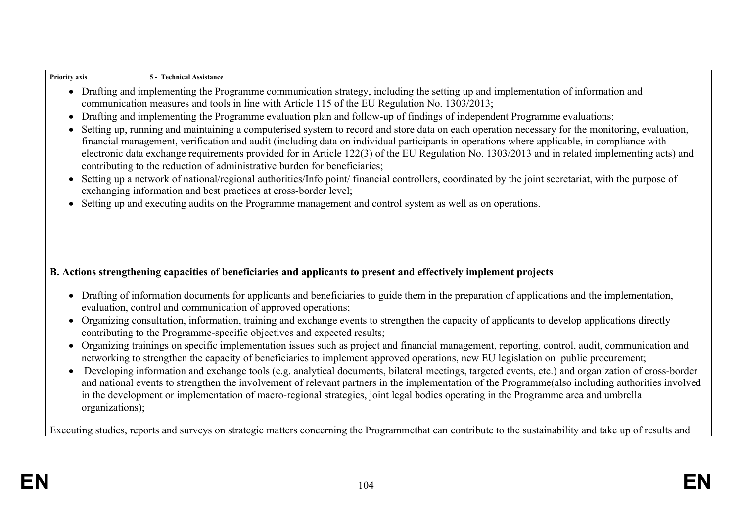| • Drafting and implementing the Programme communication strategy, including the setting up and implementation of information and<br>communication measures and tools in line with Article 115 of the EU Regulation No. 1303/2013;<br>• Drafting and implementing the Programme evaluation plan and follow-up of findings of independent Programme evaluations;<br>• Setting up, running and maintaining a computerised system to record and store data on each operation necessary for the monitoring, evaluation,<br>financial management, verification and audit (including data on individual participants in operations where applicable, in compliance with<br>electronic data exchange requirements provided for in Article 122(3) of the EU Regulation No. 1303/2013 and in related implementing acts) and<br>contributing to the reduction of administrative burden for beneficiaries;<br>• Setting up a network of national/regional authorities/Info point/ financial controllers, coordinated by the joint secretariat, with the purpose of<br>exchanging information and best practices at cross-border level;<br>• Setting up and executing audits on the Programme management and control system as well as on operations.<br>B. Actions strengthening capacities of beneficiaries and applicants to present and effectively implement projects<br>• Drafting of information documents for applicants and beneficiaries to guide them in the preparation of applications and the implementation,<br>evaluation, control and communication of approved operations; |
|---------------------------------------------------------------------------------------------------------------------------------------------------------------------------------------------------------------------------------------------------------------------------------------------------------------------------------------------------------------------------------------------------------------------------------------------------------------------------------------------------------------------------------------------------------------------------------------------------------------------------------------------------------------------------------------------------------------------------------------------------------------------------------------------------------------------------------------------------------------------------------------------------------------------------------------------------------------------------------------------------------------------------------------------------------------------------------------------------------------------------------------------------------------------------------------------------------------------------------------------------------------------------------------------------------------------------------------------------------------------------------------------------------------------------------------------------------------------------------------------------------------------------------------------------------------------------------|
|                                                                                                                                                                                                                                                                                                                                                                                                                                                                                                                                                                                                                                                                                                                                                                                                                                                                                                                                                                                                                                                                                                                                                                                                                                                                                                                                                                                                                                                                                                                                                                                 |
|                                                                                                                                                                                                                                                                                                                                                                                                                                                                                                                                                                                                                                                                                                                                                                                                                                                                                                                                                                                                                                                                                                                                                                                                                                                                                                                                                                                                                                                                                                                                                                                 |
|                                                                                                                                                                                                                                                                                                                                                                                                                                                                                                                                                                                                                                                                                                                                                                                                                                                                                                                                                                                                                                                                                                                                                                                                                                                                                                                                                                                                                                                                                                                                                                                 |
|                                                                                                                                                                                                                                                                                                                                                                                                                                                                                                                                                                                                                                                                                                                                                                                                                                                                                                                                                                                                                                                                                                                                                                                                                                                                                                                                                                                                                                                                                                                                                                                 |
|                                                                                                                                                                                                                                                                                                                                                                                                                                                                                                                                                                                                                                                                                                                                                                                                                                                                                                                                                                                                                                                                                                                                                                                                                                                                                                                                                                                                                                                                                                                                                                                 |
|                                                                                                                                                                                                                                                                                                                                                                                                                                                                                                                                                                                                                                                                                                                                                                                                                                                                                                                                                                                                                                                                                                                                                                                                                                                                                                                                                                                                                                                                                                                                                                                 |
| • Organizing consultation, information, training and exchange events to strengthen the capacity of applicants to develop applications directly<br>contributing to the Programme-specific objectives and expected results;                                                                                                                                                                                                                                                                                                                                                                                                                                                                                                                                                                                                                                                                                                                                                                                                                                                                                                                                                                                                                                                                                                                                                                                                                                                                                                                                                       |
| Organizing trainings on specific implementation issues such as project and financial management, reporting, control, audit, communication and<br>networking to strengthen the capacity of beneficiaries to implement approved operations, new EU legislation on public procurement;                                                                                                                                                                                                                                                                                                                                                                                                                                                                                                                                                                                                                                                                                                                                                                                                                                                                                                                                                                                                                                                                                                                                                                                                                                                                                             |
| Developing information and exchange tools (e.g. analytical documents, bilateral meetings, targeted events, etc.) and organization of cross-border<br>and national events to strengthen the involvement of relevant partners in the implementation of the Programme(also including authorities involved<br>in the development or implementation of macro-regional strategies, joint legal bodies operating in the Programme area and umbrella                                                                                                                                                                                                                                                                                                                                                                                                                                                                                                                                                                                                                                                                                                                                                                                                                                                                                                                                                                                                                                                                                                                                    |
| Executing studies, reports and surveys on strategic matters concerning the Programmethat can contribute to the sustainability and take up of results and                                                                                                                                                                                                                                                                                                                                                                                                                                                                                                                                                                                                                                                                                                                                                                                                                                                                                                                                                                                                                                                                                                                                                                                                                                                                                                                                                                                                                        |
|                                                                                                                                                                                                                                                                                                                                                                                                                                                                                                                                                                                                                                                                                                                                                                                                                                                                                                                                                                                                                                                                                                                                                                                                                                                                                                                                                                                                                                                                                                                                                                                 |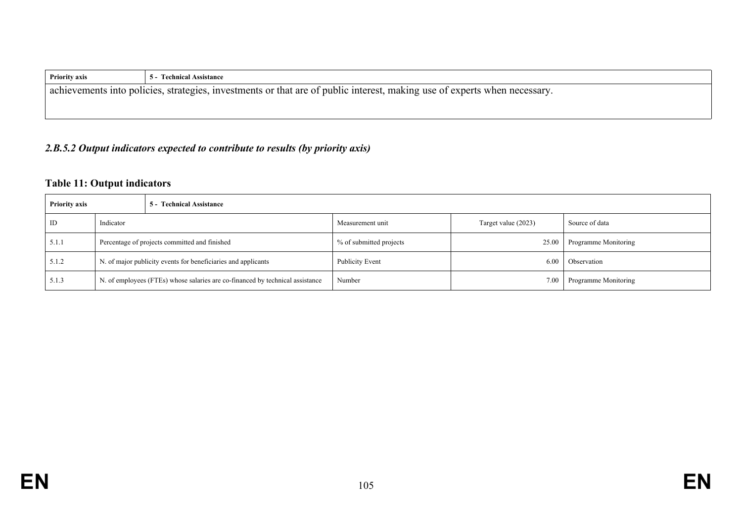| <b>Priority axis</b>                                                                                                      | 5 - Technical Assistance |  |
|---------------------------------------------------------------------------------------------------------------------------|--------------------------|--|
| achievements into policies, strategies, investments or that are of public interest, making use of experts when necessary. |                          |  |
|                                                                                                                           |                          |  |

## *2.B.5.2 Output indicators expected to contribute to results (by priority axis)*

## **Table 11: Output indicators**

| <b>Priority axis</b> | 5 - Technical Assistance                                                      |  |                         |                     |                      |
|----------------------|-------------------------------------------------------------------------------|--|-------------------------|---------------------|----------------------|
| ID                   | Indicator                                                                     |  | Measurement unit        | Target value (2023) | Source of data       |
| 5.1.1                | Percentage of projects committed and finished                                 |  | % of submitted projects | 25.00               | Programme Monitoring |
| 5.1.2                | N. of major publicity events for beneficiaries and applicants                 |  | <b>Publicity Event</b>  | 6.00                | <b>Observation</b>   |
| 5.1.3                | N. of employees (FTEs) whose salaries are co-financed by technical assistance |  | Number                  | 7.00                | Programme Monitoring |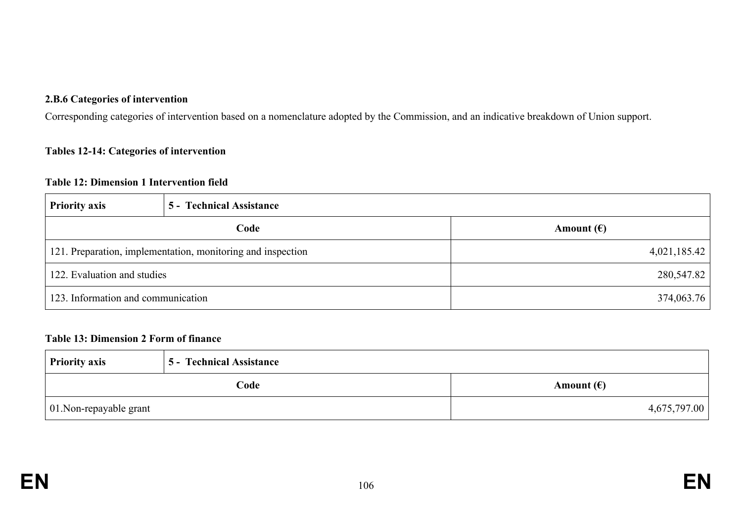#### **2.B.6 Categories of intervention**

Corresponding categories of intervention based on a nomenclature adopted by the Commission, and an indicative breakdown of Union support.

### **Tables 12-14: Categories of intervention**

#### **Table 12: Dimension 1 Intervention field**

| <b>Priority axis</b>               | 5 - Technical Assistance                                    |                     |  |
|------------------------------------|-------------------------------------------------------------|---------------------|--|
|                                    | Code                                                        | Amount $(\epsilon)$ |  |
|                                    | 121. Preparation, implementation, monitoring and inspection | 4,021,185.42        |  |
| 122. Evaluation and studies        |                                                             | 280,547.82          |  |
| 123. Information and communication |                                                             | 374,063.76          |  |

#### **Table 13: Dimension 2 Form of finance**

| <b>Priority axis</b>            | <b>5 - Technical Assistance</b> |                     |
|---------------------------------|---------------------------------|---------------------|
| Code                            |                                 | Amount $(\epsilon)$ |
| $\vert$ 01. Non-repayable grant |                                 | 4,675,797.00        |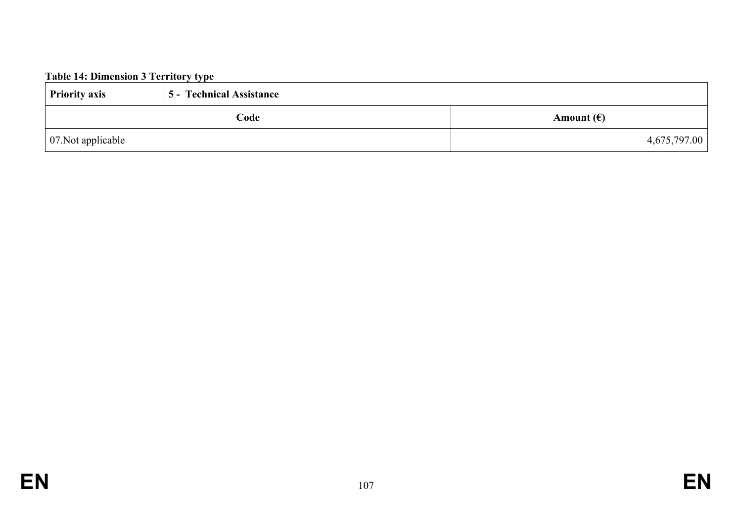# **Table 14: Dimension 3 Territory type**

| <b>Priority axis</b>       | 5 - Technical Assistance |                     |
|----------------------------|--------------------------|---------------------|
|                            | Code                     | Amount $(\epsilon)$ |
| $\vert$ 07. Not applicable |                          | 4,675,797.00        |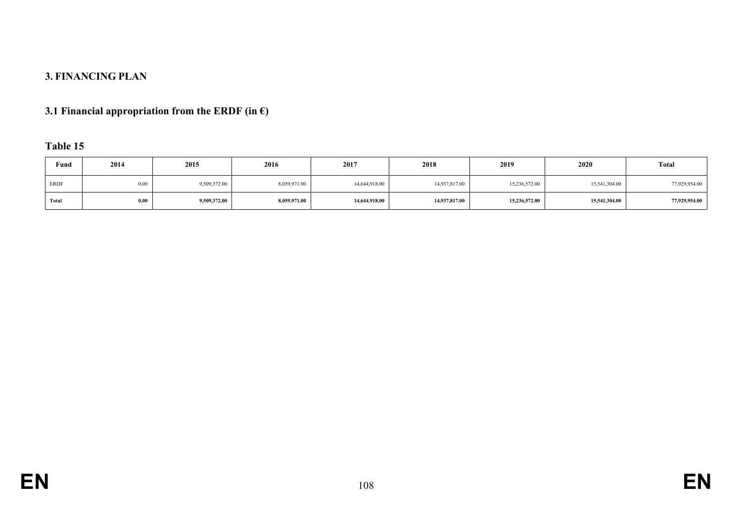# **3. FINANCING PLAN**

# **3.1 Financial appropriation from the ERDF (in €)**

### **Table 15**

| Fund        | 2014 | 2015         | 2016         | 2017          | 2018          | 2019          | 2020          | <b>Total</b>  |
|-------------|------|--------------|--------------|---------------|---------------|---------------|---------------|---------------|
| <b>ERDF</b> | 0.00 | 9,509,372.00 | 8,059,971.00 | 14,644,918.00 | 14,937,817.00 | 15,236,572.00 | 15,541,304.00 | 77,929,954.00 |
| Total       | 0.00 | 9,509,372.00 | 8,059,971.00 | 14,644,918.00 | 14,937,817.00 | 15,236,572.00 | 15,541,304.00 | 77,929,954.00 |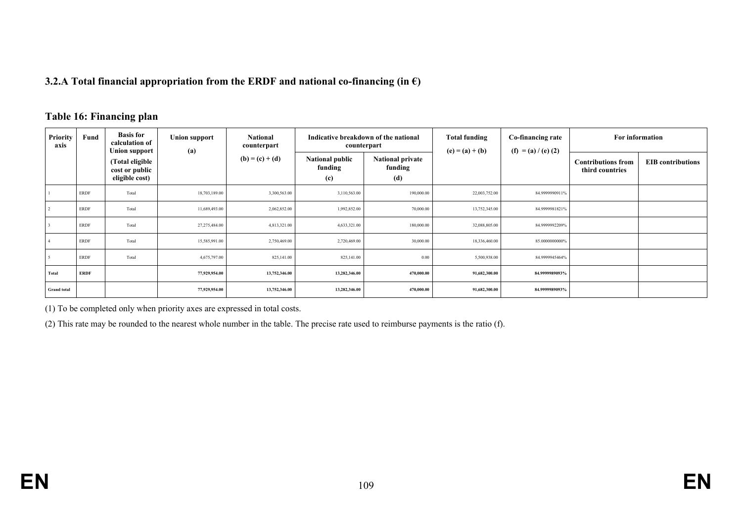#### **3.2.A Total financial appropriation from the ERDF and national co-financing (in €)**

#### **Table 16: Financing plan**

| <b>Priority</b><br>axis | Fund        | <b>Basis for</b><br>calculation of<br><b>Union support</b> | <b>Union support</b><br>(a) | <b>National</b><br>counterpart |                                          | Indicative breakdown of the national<br>counterpart | <b>Total funding</b><br>$(e) = (a) + (b)$ | Co-financing rate<br>$(f) = (a) / (e) (2)$ | For information                              |                          |
|-------------------------|-------------|------------------------------------------------------------|-----------------------------|--------------------------------|------------------------------------------|-----------------------------------------------------|-------------------------------------------|--------------------------------------------|----------------------------------------------|--------------------------|
|                         |             | (Total eligible<br>cost or public<br>eligible cost)        |                             | $(b) = (c) + (d)$              | <b>National public</b><br>funding<br>(c) | <b>National private</b><br>funding<br>(d)           |                                           |                                            | <b>Contributions from</b><br>third countries | <b>EIB</b> contributions |
|                         | ERDF        | Total                                                      | 18,703,189.00               | 3,300,563.00                   | 3,110,563.00                             | 190,000.00                                          | 22,003,752.00                             | 84.9999990911%                             |                                              |                          |
|                         | ERDF        | Total                                                      | 11,689,493.00               | 2,062,852.00                   | 1,992,852.00                             | 70,000.00                                           | 13,752,345.00                             | 84.9999981821%                             |                                              |                          |
|                         | <b>ERDF</b> | Total                                                      | 27,275,484.00               | 4,813,321.00                   | 4,633,321.00                             | 180,000.00                                          | 32,088,805.00                             | 84.9999992209%                             |                                              |                          |
|                         | ERDF        | Total                                                      | 15,585,991.00               | 2,750,469.00                   | 2,720,469.00                             | 30,000.00                                           | 18,336,460.00                             | 85.0000000000%                             |                                              |                          |
|                         | <b>ERDF</b> | Total                                                      | 4,675,797.00                | 825,141.00                     | 825,141.00                               | 0.00                                                | 5,500,938.00                              | 84.9999945464%                             |                                              |                          |
| Total                   | <b>ERDF</b> |                                                            | 77,929,954.00               | 13,752,346.00                  | 13,282,346.00                            | 470,000.00                                          | 91,682,300.00                             | 84.9999989093%                             |                                              |                          |
| <b>Grand</b> total      |             |                                                            | 77,929,954.00               | 13,752,346.00                  | 13,282,346.00                            | 470,000.00                                          | 91,682,300.00                             | 84.9999989093%                             |                                              |                          |

(1) To be completed only when priority axes are expressed in total costs.

(2) This rate may be rounded to the nearest whole number in the table. The precise rate used to reimburse payments is the ratio (f).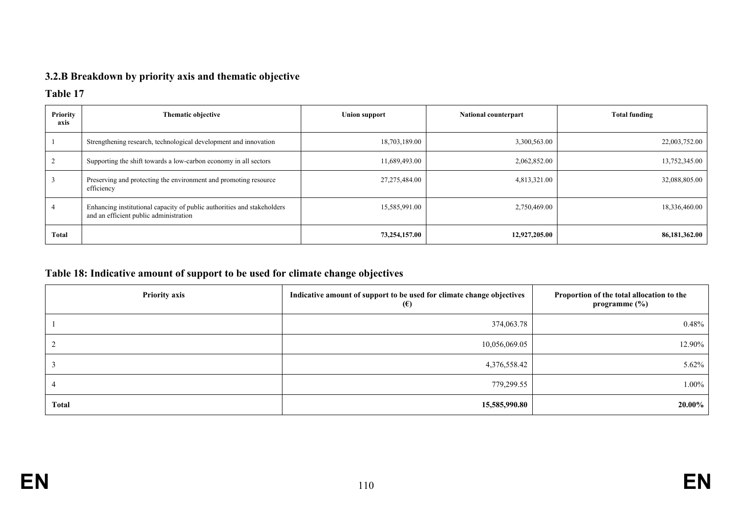# **3.2.B Breakdown by priority axis and thematic objective**

#### **Table 17**

| <b>Priority</b><br>axis | <b>Thematic objective</b>                                                                                         | <b>Union support</b> | <b>National counterpart</b> | <b>Total funding</b> |
|-------------------------|-------------------------------------------------------------------------------------------------------------------|----------------------|-----------------------------|----------------------|
|                         | Strengthening research, technological development and innovation                                                  | 18,703,189.00        | 3,300,563.00                | 22,003,752.00        |
|                         | Supporting the shift towards a low-carbon economy in all sectors                                                  | 11,689,493.00        | 2,062,852.00                | 13,752,345.00        |
|                         | Preserving and protecting the environment and promoting resource<br>efficiency                                    | 27,275,484.00        | 4,813,321.00                | 32,088,805.00        |
|                         | Enhancing institutional capacity of public authorities and stakeholders<br>and an efficient public administration | 15,585,991.00        | 2,750,469.00                | 18,336,460.00        |
| Total                   |                                                                                                                   | 73,254,157.00        | 12,927,205.00               | 86,181,362.00        |

# **Table 18: Indicative amount of support to be used for climate change objectives**

| <b>Priority axis</b> | Indicative amount of support to be used for climate change objectives<br>$\epsilon$ | Proportion of the total allocation to the<br>programme $(\%)$ |
|----------------------|-------------------------------------------------------------------------------------|---------------------------------------------------------------|
|                      | 374,063.78                                                                          | $0.48\%$                                                      |
|                      | 10,056,069.05                                                                       | 12.90%                                                        |
|                      | 4,376,558.42                                                                        | 5.62%                                                         |
|                      | 779,299.55                                                                          | 1.00%                                                         |
| Total                | 15,585,990.80                                                                       | $20.00\%$                                                     |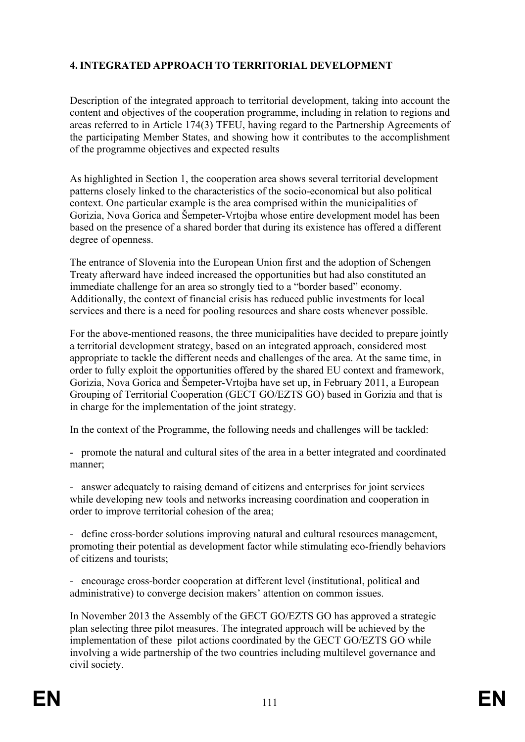## **4. INTEGRATED APPROACH TO TERRITORIAL DEVELOPMENT**

Description of the integrated approach to territorial development, taking into account the content and objectives of the cooperation programme, including in relation to regions and areas referred to in Article 174(3) TFEU, having regard to the Partnership Agreements of the participating Member States, and showing how it contributes to the accomplishment of the programme objectives and expected results

As highlighted in Section 1, the cooperation area shows several territorial development patterns closely linked to the characteristics of the socio-economical but also political context. One particular example is the area comprised within the municipalities of Gorizia, Nova Gorica and Šempeter-Vrtojba whose entire development model has been based on the presence of a shared border that during its existence has offered a different degree of openness.

The entrance of Slovenia into the European Union first and the adoption of Schengen Treaty afterward have indeed increased the opportunities but had also constituted an immediate challenge for an area so strongly tied to a "border based" economy. Additionally, the context of financial crisis has reduced public investments for local services and there is a need for pooling resources and share costs whenever possible.

For the above-mentioned reasons, the three municipalities have decided to prepare jointly a territorial development strategy, based on an integrated approach, considered most appropriate to tackle the different needs and challenges of the area. At the same time, in order to fully exploit the opportunities offered by the shared EU context and framework, Gorizia, Nova Gorica and Šempeter-Vrtojba have set up, in February 2011, a European Grouping of Territorial Cooperation (GECT GO/EZTS GO) based in Gorizia and that is in charge for the implementation of the joint strategy.

In the context of the Programme, the following needs and challenges will be tackled:

- promote the natural and cultural sites of the area in a better integrated and coordinated manner;

- answer adequately to raising demand of citizens and enterprises for joint services while developing new tools and networks increasing coordination and cooperation in order to improve territorial cohesion of the area;

- define cross-border solutions improving natural and cultural resources management, promoting their potential as development factor while stimulating eco-friendly behaviors of citizens and tourists;

- encourage cross-border cooperation at different level (institutional, political and administrative) to converge decision makers' attention on common issues.

In November 2013 the Assembly of the GECT GO/EZTS GO has approved a strategic plan selecting three pilot measures. The integrated approach will be achieved by the implementation of these pilot actions coordinated by the GECT GO/EZTS GO while involving a wide partnership of the two countries including multilevel governance and civil society.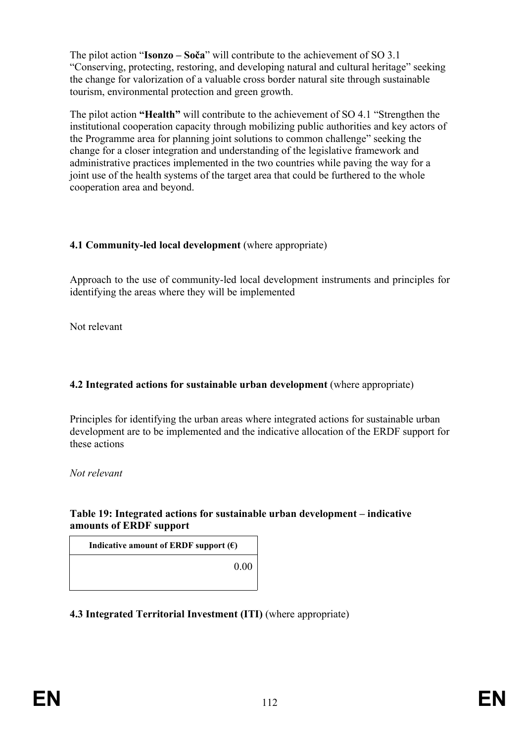The pilot action "**Isonzo – Soča**" will contribute to the achievement of SO 3.1 "Conserving, protecting, restoring, and developing natural and cultural heritage" seeking the change for valorization of a valuable cross border natural site through sustainable tourism, environmental protection and green growth.

The pilot action **"Health"** will contribute to the achievement of SO 4.1 "Strengthen the institutional cooperation capacity through mobilizing public authorities and key actors of the Programme area for planning joint solutions to common challenge" seeking the change for a closer integration and understanding of the legislative framework and administrative practices implemented in the two countries while paving the way for a joint use of the health systems of the target area that could be furthered to the whole cooperation area and beyond.

#### **4.1 Community-led local development** (where appropriate)

Approach to the use of community-led local development instruments and principles for identifying the areas where they will be implemented

Not relevant

## **4.2 Integrated actions for sustainable urban development** (where appropriate)

Principles for identifying the urban areas where integrated actions for sustainable urban development are to be implemented and the indicative allocation of the ERDF support for these actions

*Not relevant*

### **Table 19: Integrated actions for sustainable urban development – indicative amounts of ERDF support**

**Indicative amount of ERDF support**  $(\epsilon)$ 

0.00

# **4.3 Integrated Territorial Investment (ITI)** (where appropriate)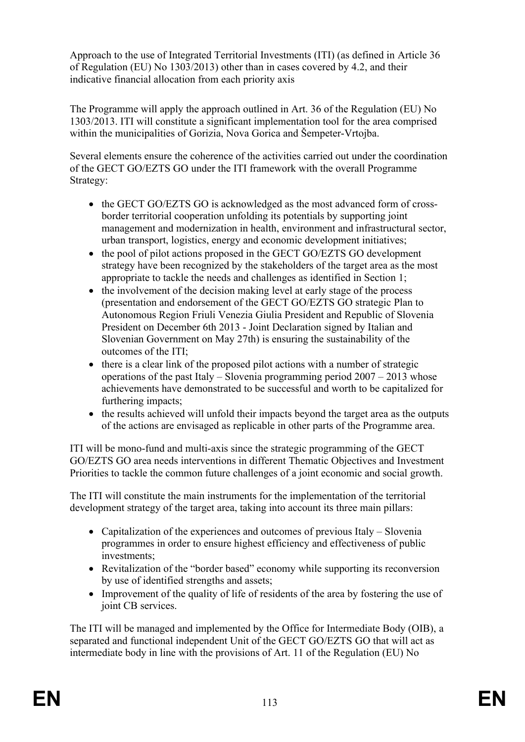Approach to the use of Integrated Territorial Investments (ITI) (as defined in Article 36 of Regulation (EU) No 1303/2013) other than in cases covered by 4.2, and their indicative financial allocation from each priority axis

The Programme will apply the approach outlined in Art. 36 of the Regulation (EU) No 1303/2013. ITI will constitute a significant implementation tool for the area comprised within the municipalities of Gorizia, Nova Gorica and Šempeter-Vrtojba.

Several elements ensure the coherence of the activities carried out under the coordination of the GECT GO/EZTS GO under the ITI framework with the overall Programme Strategy:

- the GECT GO/EZTS GO is acknowledged as the most advanced form of crossborder territorial cooperation unfolding its potentials by supporting joint management and modernization in health, environment and infrastructural sector, urban transport, logistics, energy and economic development initiatives;
- the pool of pilot actions proposed in the GECT GO/EZTS GO development strategy have been recognized by the stakeholders of the target area as the most appropriate to tackle the needs and challenges as identified in Section 1;
- the involvement of the decision making level at early stage of the process (presentation and endorsement of the GECT GO/EZTS GO strategic Plan to Autonomous Region Friuli Venezia Giulia President and Republic of Slovenia President on December 6th 2013 - Joint Declaration signed by Italian and Slovenian Government on May 27th) is ensuring the sustainability of the outcomes of the ITI;
- $\bullet$  there is a clear link of the proposed pilot actions with a number of strategic operations of the past Italy – Slovenia programming period 2007 – 2013 whose achievements have demonstrated to be successful and worth to be capitalized for furthering impacts;
- the results achieved will unfold their impacts beyond the target area as the outputs of the actions are envisaged as replicable in other parts of the Programme area.

ITI will be mono-fund and multi-axis since the strategic programming of the GECT GO/EZTS GO area needs interventions in different Thematic Objectives and Investment Priorities to tackle the common future challenges of a joint economic and social growth.

The ITI will constitute the main instruments for the implementation of the territorial development strategy of the target area, taking into account its three main pillars:

- Capitalization of the experiences and outcomes of previous Italy Slovenia programmes in order to ensure highest efficiency and effectiveness of public investments;
- Revitalization of the "border based" economy while supporting its reconversion by use of identified strengths and assets;
- Improvement of the quality of life of residents of the area by fostering the use of joint CB services.

The ITI will be managed and implemented by the Office for Intermediate Body (OIB), a separated and functional independent Unit of the GECT GO/EZTS GO that will act as intermediate body in line with the provisions of Art. 11 of the Regulation (EU) No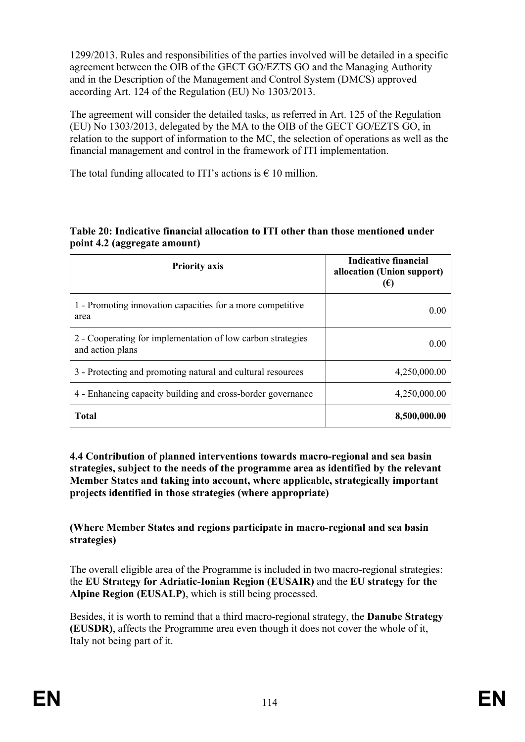1299/2013. Rules and responsibilities of the parties involved will be detailed in a specific agreement between the OIB of the GECT GO/EZTS GO and the Managing Authority and in the Description of the Management and Control System (DMCS) approved according Art. 124 of the Regulation (EU) No 1303/2013.

The agreement will consider the detailed tasks, as referred in Art. 125 of the Regulation (EU) No 1303/2013, delegated by the MA to the OIB of the GECT GO/EZTS GO, in relation to the support of information to the MC, the selection of operations as well as the financial management and control in the framework of ITI implementation.

The total funding allocated to ITI's actions is  $\epsilon$  10 million.

| <b>Priority axis</b>                                                            | Indicative financial<br>allocation (Union support)<br>$(\epsilon)$ |
|---------------------------------------------------------------------------------|--------------------------------------------------------------------|
| 1 - Promoting innovation capacities for a more competitive<br>area              | $0.00^{\circ}$                                                     |
| 2 - Cooperating for implementation of low carbon strategies<br>and action plans | 0.00                                                               |
| 3 - Protecting and promoting natural and cultural resources                     | 4,250,000.00                                                       |
| 4 - Enhancing capacity building and cross-border governance                     | 4,250,000.00                                                       |
| <b>Total</b>                                                                    | 8,500,000.00                                                       |

#### **Table 20: Indicative financial allocation to ITI other than those mentioned under point 4.2 (aggregate amount)**

**4.4 Contribution of planned interventions towards macro-regional and sea basin strategies, subject to the needs of the programme area as identified by the relevant Member States and taking into account, where applicable, strategically important projects identified in those strategies (where appropriate)**

**(Where Member States and regions participate in macro-regional and sea basin strategies)**

The overall eligible area of the Programme is included in two macro-regional strategies: the **EU Strategy for Adriatic-Ionian Region (EUSAIR)** and the **EU strategy for the Alpine Region (EUSALP)**, which is still being processed.

Besides, it is worth to remind that a third macro-regional strategy, the **Danube Strategy (EUSDR)**, affects the Programme area even though it does not cover the whole of it, Italy not being part of it.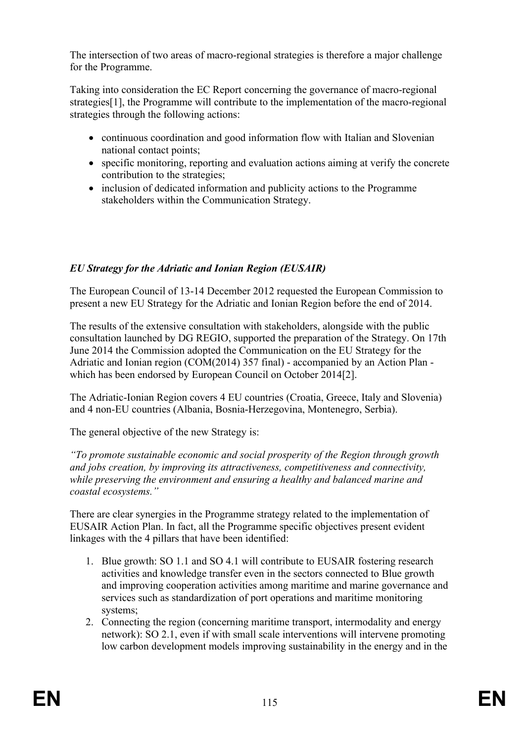The intersection of two areas of macro-regional strategies is therefore a major challenge for the Programme.

Taking into consideration the EC Report concerning the governance of macro-regional strategies[1], the Programme will contribute to the implementation of the macro-regional strategies through the following actions:

- continuous coordination and good information flow with Italian and Slovenian national contact points;
- specific monitoring, reporting and evaluation actions aiming at verify the concrete contribution to the strategies;
- inclusion of dedicated information and publicity actions to the Programme stakeholders within the Communication Strategy.

### *EU Strategy for the Adriatic and Ionian Region (EUSAIR)*

The European Council of 13-14 December 2012 requested the European Commission to present a new EU Strategy for the Adriatic and Ionian Region before the end of 2014.

The results of the extensive consultation with stakeholders, alongside with the public consultation launched by DG REGIO, supported the preparation of the Strategy. On 17th June 2014 the Commission adopted the Communication on the EU Strategy for the Adriatic and Ionian region (COM(2014) 357 final) - accompanied by an Action Plan which has been endorsed by European Council on October 2014[2].

The Adriatic-Ionian Region covers 4 EU countries (Croatia, Greece, Italy and Slovenia) and 4 non-EU countries (Albania, Bosnia-Herzegovina, Montenegro, Serbia).

The general objective of the new Strategy is:

*"To promote sustainable economic and social prosperity of the Region through growth and jobs creation, by improving its attractiveness, competitiveness and connectivity, while preserving the environment and ensuring a healthy and balanced marine and coastal ecosystems."*

There are clear synergies in the Programme strategy related to the implementation of EUSAIR Action Plan. In fact, all the Programme specific objectives present evident linkages with the 4 pillars that have been identified:

- 1. Blue growth: SO 1.1 and SO 4.1 will contribute to EUSAIR fostering research activities and knowledge transfer even in the sectors connected to Blue growth and improving cooperation activities among maritime and marine governance and services such as standardization of port operations and maritime monitoring systems;
- 2. Connecting the region (concerning maritime transport, intermodality and energy network): SO 2.1, even if with small scale interventions will intervene promoting low carbon development models improving sustainability in the energy and in the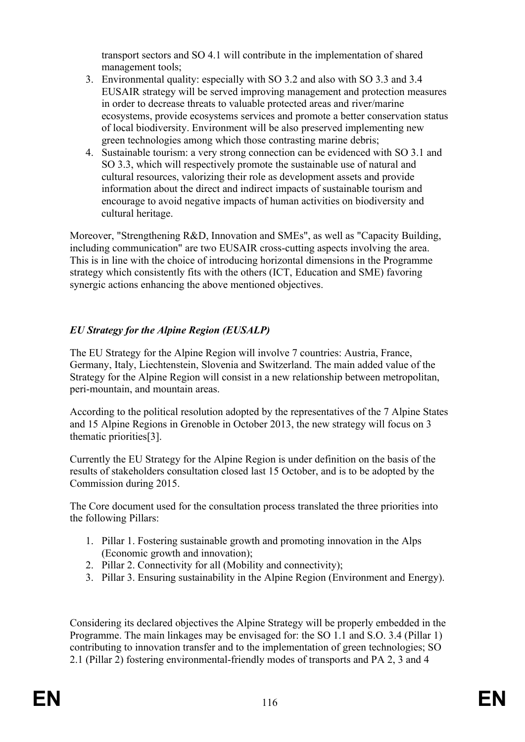transport sectors and SO 4.1 will contribute in the implementation of shared management tools;

- 3. Environmental quality: especially with SO 3.2 and also with SO 3.3 and 3.4 EUSAIR strategy will be served improving management and protection measures in order to decrease threats to valuable protected areas and river/marine ecosystems, provide ecosystems services and promote a better conservation status of local biodiversity. Environment will be also preserved implementing new green technologies among which those contrasting marine debris;
- 4. Sustainable tourism: a very strong connection can be evidenced with SO 3.1 and SO 3.3, which will respectively promote the sustainable use of natural and cultural resources, valorizing their role as development assets and provide information about the direct and indirect impacts of sustainable tourism and encourage to avoid negative impacts of human activities on biodiversity and cultural heritage.

Moreover, "Strengthening R&D, Innovation and SMEs", as well as "Capacity Building, including communication" are two EUSAIR cross-cutting aspects involving the area. This is in line with the choice of introducing horizontal dimensions in the Programme strategy which consistently fits with the others (ICT, Education and SME) favoring synergic actions enhancing the above mentioned objectives.

## *EU Strategy for the Alpine Region (EUSALP)*

The EU Strategy for the Alpine Region will involve 7 countries: Austria, France, Germany, Italy, Liechtenstein, Slovenia and Switzerland. The main added value of the Strategy for the Alpine Region will consist in a new relationship between metropolitan, peri-mountain, and mountain areas.

According to the political resolution adopted by the representatives of the 7 Alpine States and 15 Alpine Regions in Grenoble in October 2013, the new strategy will focus on 3 thematic priorities[3].

Currently the EU Strategy for the Alpine Region is under definition on the basis of the results of stakeholders consultation closed last 15 October, and is to be adopted by the Commission during 2015.

The Core document used for the consultation process translated the three priorities into the following Pillars:

- 1. Pillar 1. Fostering sustainable growth and promoting innovation in the Alps (Economic growth and innovation);
- 2. Pillar 2. Connectivity for all (Mobility and connectivity);
- 3. Pillar 3. Ensuring sustainability in the Alpine Region (Environment and Energy).

Considering its declared objectives the Alpine Strategy will be properly embedded in the Programme. The main linkages may be envisaged for: the SO 1.1 and S.O. 3.4 (Pillar 1) contributing to innovation transfer and to the implementation of green technologies; SO 2.1 (Pillar 2) fostering environmental-friendly modes of transports and PA 2, 3 and 4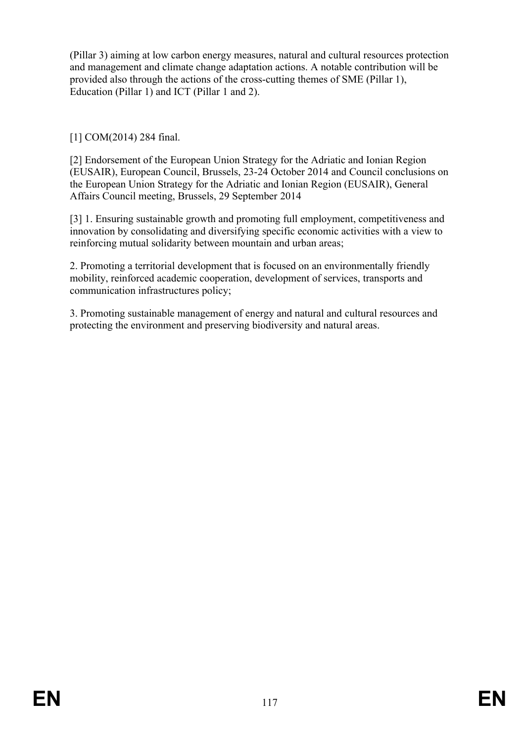(Pillar 3) aiming at low carbon energy measures, natural and cultural resources protection and management and climate change adaptation actions. A notable contribution will be provided also through the actions of the cross-cutting themes of SME (Pillar 1), Education (Pillar 1) and ICT (Pillar 1 and 2).

[1] COM(2014) 284 final.

[2] Endorsement of the European Union Strategy for the Adriatic and Ionian Region (EUSAIR), European Council, Brussels, 23-24 October 2014 and Council conclusions on the European Union Strategy for the Adriatic and Ionian Region (EUSAIR), General Affairs Council meeting, Brussels, 29 September 2014

[3] 1. Ensuring sustainable growth and promoting full employment, competitiveness and innovation by consolidating and diversifying specific economic activities with a view to reinforcing mutual solidarity between mountain and urban areas;

2. Promoting a territorial development that is focused on an environmentally friendly mobility, reinforced academic cooperation, development of services, transports and communication infrastructures policy;

3. Promoting sustainable management of energy and natural and cultural resources and protecting the environment and preserving biodiversity and natural areas.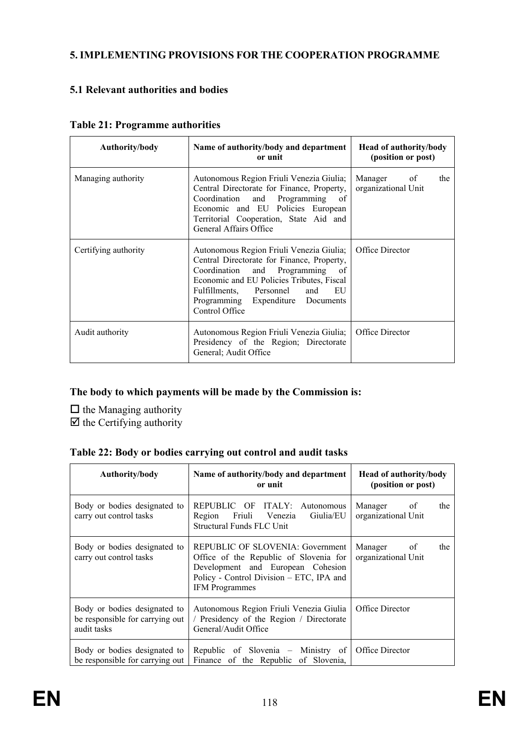### **5. IMPLEMENTING PROVISIONS FOR THE COOPERATION PROGRAMME**

### **5.1 Relevant authorities and bodies**

| Authority/body       | Name of authority/body and department<br>or unit                                                                                                                                                                                                                   | <b>Head of authority/body</b><br>(position or post) |  |  |
|----------------------|--------------------------------------------------------------------------------------------------------------------------------------------------------------------------------------------------------------------------------------------------------------------|-----------------------------------------------------|--|--|
| Managing authority   | Autonomous Region Friuli Venezia Giulia;<br>Central Directorate for Finance, Property,<br>Coordination and Programming of<br>Economic and EU Policies European<br>Territorial Cooperation, State Aid and<br>General Affairs Office                                 | Manager of<br>the<br>organizational Unit            |  |  |
| Certifying authority | Autonomous Region Friuli Venezia Giulia;<br>Central Directorate for Finance, Property,<br>Coordination and Programming of<br>Economic and EU Policies Tributes, Fiscal<br>Fulfillments, Personnel<br>and EU<br>Programming Expenditure Documents<br>Control Office | Office Director                                     |  |  |
| Audit authority      | Autonomous Region Friuli Venezia Giulia;<br>Presidency of the Region; Directorate<br>General; Audit Office                                                                                                                                                         | Office Director                                     |  |  |

**Table 21: Programme authorities**

### **The body to which payments will be made by the Commission is:**

 $\hfill\Box$  the Managing authority  $\overline{\boxtimes}$  the Certifying authority

|  | Table 22: Body or bodies carrying out control and audit tasks |  |  |  |
|--|---------------------------------------------------------------|--|--|--|
|  |                                                               |  |  |  |

| Authority/body                                                                 | Name of authority/body and department<br>or unit                                                                                                                                     | <b>Head of authority/body</b><br>(position or post) |
|--------------------------------------------------------------------------------|--------------------------------------------------------------------------------------------------------------------------------------------------------------------------------------|-----------------------------------------------------|
| Body or bodies designated to<br>carry out control tasks                        | REPUBLIC OF ITALY: Autonomous<br>Giulia/EU<br>Region Friuli Venezia<br>Structural Funds FLC Unit                                                                                     | Manager of<br>the<br>organizational Unit            |
| Body or bodies designated to<br>carry out control tasks                        | REPUBLIC OF SLOVENIA: Government<br>Office of the Republic of Slovenia for<br>Development and European Cohesion<br>Policy - Control Division – ETC, IPA and<br><b>IFM</b> Programmes | Manager of<br>the<br>organizational Unit            |
| Body or bodies designated to<br>be responsible for carrying out<br>audit tasks | Autonomous Region Friuli Venezia Giulia<br>/ Presidency of the Region / Directorate<br>General/Audit Office                                                                          | Office Director                                     |
| Body or bodies designated to<br>be responsible for carrying out                | Republic of Slovenia – Ministry of<br>Finance of the Republic of Slovenia,                                                                                                           | Office Director                                     |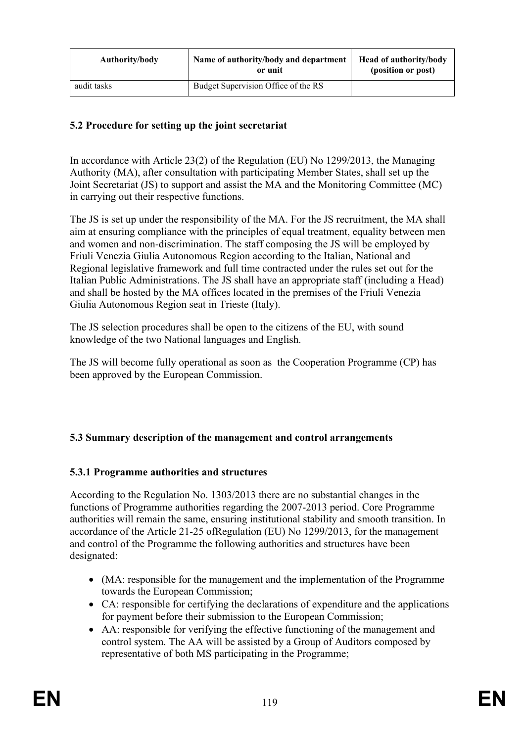| Authority/body | Name of authority/body and department<br>or unit | <b>Head of authority/body</b><br>(position or post) |  |
|----------------|--------------------------------------------------|-----------------------------------------------------|--|
| audit tasks    | Budget Supervision Office of the RS              |                                                     |  |

### **5.2 Procedure for setting up the joint secretariat**

In accordance with Article 23(2) of the Regulation (EU) No 1299/2013, the Managing Authority (MA), after consultation with participating Member States, shall set up the Joint Secretariat (JS) to support and assist the MA and the Monitoring Committee (MC) in carrying out their respective functions.

The JS is set up under the responsibility of the MA. For the JS recruitment, the MA shall aim at ensuring compliance with the principles of equal treatment, equality between men and women and non-discrimination. The staff composing the JS will be employed by Friuli Venezia Giulia Autonomous Region according to the Italian, National and Regional legislative framework and full time contracted under the rules set out for the Italian Public Administrations. The JS shall have an appropriate staff (including a Head) and shall be hosted by the MA offices located in the premises of the Friuli Venezia Giulia Autonomous Region seat in Trieste (Italy).

The JS selection procedures shall be open to the citizens of the EU, with sound knowledge of the two National languages and English.

The JS will become fully operational as soon as the Cooperation Programme (CP) has been approved by the European Commission.

#### **5.3 Summary description of the management and control arrangements**

#### **5.3.1 Programme authorities and structures**

According to the Regulation No. 1303/2013 there are no substantial changes in the functions of Programme authorities regarding the 2007-2013 period. Core Programme authorities will remain the same, ensuring institutional stability and smooth transition. In accordance of the Article 21-25 ofRegulation (EU) No 1299/2013, for the management and control of the Programme the following authorities and structures have been designated:

- (MA: responsible for the management and the implementation of the Programme towards the European Commission;
- CA: responsible for certifying the declarations of expenditure and the applications for payment before their submission to the European Commission;
- AA: responsible for verifying the effective functioning of the management and control system. The AA will be assisted by a Group of Auditors composed by representative of both MS participating in the Programme;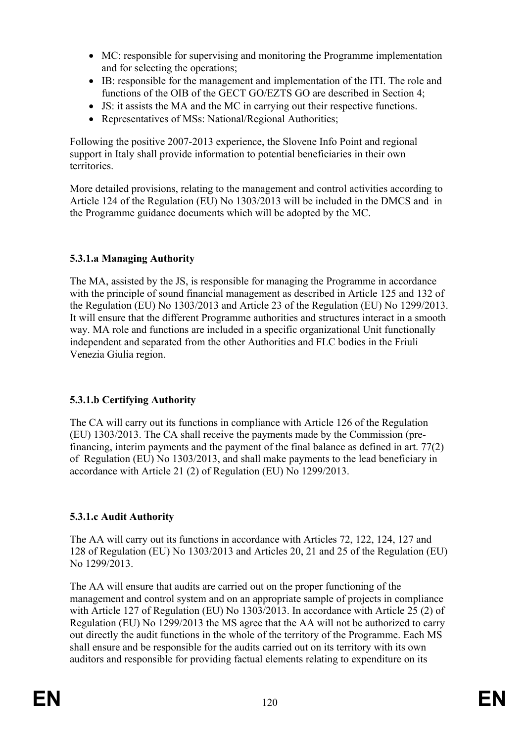- MC: responsible for supervising and monitoring the Programme implementation and for selecting the operations;
- IB: responsible for the management and implementation of the ITI. The role and functions of the OIB of the GECT GO/EZTS GO are described in Section 4;
- JS: it assists the MA and the MC in carrying out their respective functions.
- Representatives of MSs: National/Regional Authorities;

Following the positive 2007-2013 experience, the Slovene Info Point and regional support in Italy shall provide information to potential beneficiaries in their own **territories** 

More detailed provisions, relating to the management and control activities according to Article 124 of the Regulation (EU) No 1303/2013 will be included in the DMCS and in the Programme guidance documents which will be adopted by the MC.

### **5.3.1.a Managing Authority**

The MA, assisted by the JS, is responsible for managing the Programme in accordance with the principle of sound financial management as described in Article 125 and 132 of the Regulation (EU) No 1303/2013 and Article 23 of the Regulation (EU) No 1299/2013. It will ensure that the different Programme authorities and structures interact in a smooth way. MA role and functions are included in a specific organizational Unit functionally independent and separated from the other Authorities and FLC bodies in the Friuli Venezia Giulia region.

#### **5.3.1.b Certifying Authority**

The CA will carry out its functions in compliance with Article 126 of the Regulation (EU) 1303/2013. The CA shall receive the payments made by the Commission (prefinancing, interim payments and the payment of the final balance as defined in art. 77(2) of Regulation (EU) No 1303/2013, and shall make payments to the lead beneficiary in accordance with Article 21 (2) of Regulation (EU) No 1299/2013.

#### **5.3.1.c Audit Authority**

The AA will carry out its functions in accordance with Articles 72, 122, 124, 127 and 128 of Regulation (EU) No 1303/2013 and Articles 20, 21 and 25 of the Regulation (EU) No 1299/2013.

The AA will ensure that audits are carried out on the proper functioning of the management and control system and on an appropriate sample of projects in compliance with Article 127 of Regulation (EU) No 1303/2013. In accordance with Article 25 (2) of Regulation (EU) No 1299/2013 the MS agree that the AA will not be authorized to carry out directly the audit functions in the whole of the territory of the Programme. Each MS shall ensure and be responsible for the audits carried out on its territory with its own auditors and responsible for providing factual elements relating to expenditure on its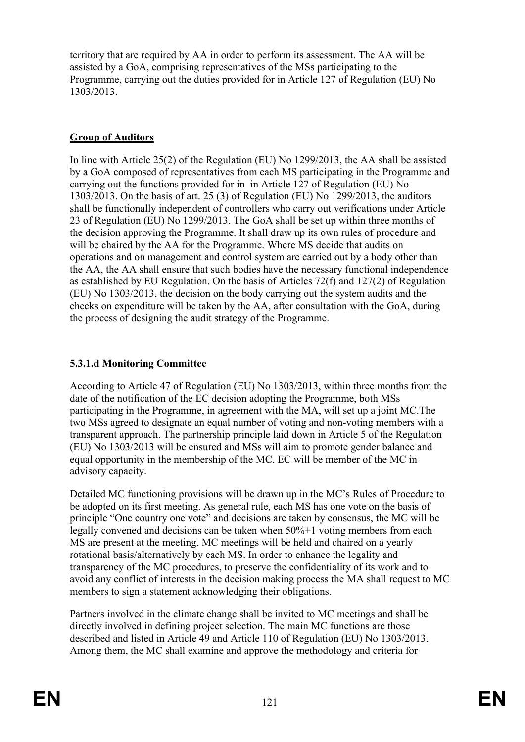territory that are required by AA in order to perform its assessment. The AA will be assisted by a GoA, comprising representatives of the MSs participating to the Programme, carrying out the duties provided for in Article 127 of Regulation (EU) No 1303/2013.

## **Group of Auditors**

In line with Article 25(2) of the Regulation (EU) No 1299/2013, the AA shall be assisted by a GoA composed of representatives from each MS participating in the Programme and carrying out the functions provided for in in Article 127 of Regulation (EU) No 1303/2013. On the basis of art. 25 (3) of Regulation (EU) No 1299/2013, the auditors shall be functionally independent of controllers who carry out verifications under Article 23 of Regulation (EU) No 1299/2013. The GoA shall be set up within three months of the decision approving the Programme. It shall draw up its own rules of procedure and will be chaired by the AA for the Programme. Where MS decide that audits on operations and on management and control system are carried out by a body other than the AA, the AA shall ensure that such bodies have the necessary functional independence as established by EU Regulation. On the basis of Articles 72(f) and 127(2) of Regulation (EU) No 1303/2013, the decision on the body carrying out the system audits and the checks on expenditure will be taken by the AA, after consultation with the GoA, during the process of designing the audit strategy of the Programme.

## **5.3.1.d Monitoring Committee**

According to Article 47 of Regulation (EU) No 1303/2013, within three months from the date of the notification of the EC decision adopting the Programme, both MSs participating in the Programme, in agreement with the MA, will set up a joint MC.The two MSs agreed to designate an equal number of voting and non-voting members with a transparent approach. The partnership principle laid down in Article 5 of the Regulation (EU) No 1303/2013 will be ensured and MSs will aim to promote gender balance and equal opportunity in the membership of the MC. EC will be member of the MC in advisory capacity.

Detailed MC functioning provisions will be drawn up in the MC's Rules of Procedure to be adopted on its first meeting. As general rule, each MS has one vote on the basis of principle "One country one vote" and decisions are taken by consensus, the MC will be legally convened and decisions can be taken when 50%+1 voting members from each MS are present at the meeting. MC meetings will be held and chaired on a yearly rotational basis/alternatively by each MS. In order to enhance the legality and transparency of the MC procedures, to preserve the confidentiality of its work and to avoid any conflict of interests in the decision making process the MA shall request to MC members to sign a statement acknowledging their obligations.

Partners involved in the climate change shall be invited to MC meetings and shall be directly involved in defining project selection. The main MC functions are those described and listed in Article 49 and Article 110 of Regulation (EU) No 1303/2013. Among them, the MC shall examine and approve the methodology and criteria for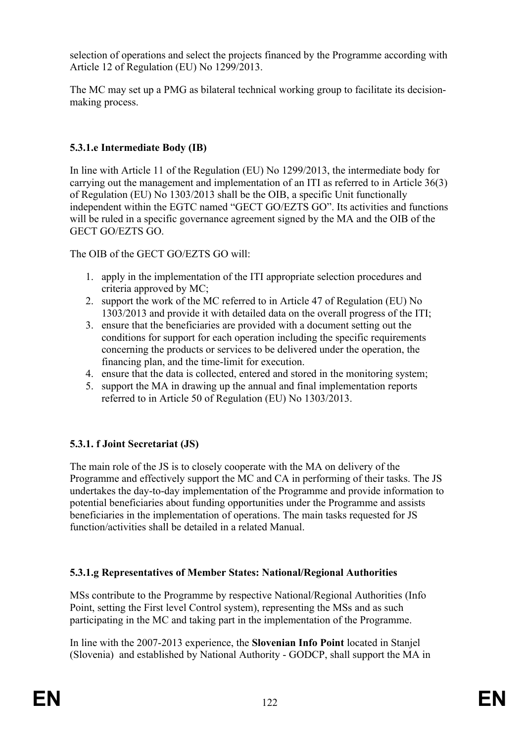selection of operations and select the projects financed by the Programme according with Article 12 of Regulation (EU) No 1299/2013.

The MC may set up a PMG as bilateral technical working group to facilitate its decisionmaking process.

## **5.3.1.e Intermediate Body (IB)**

In line with Article 11 of the Regulation (EU) No 1299/2013, the intermediate body for carrying out the management and implementation of an ITI as referred to in Article 36(3) of Regulation (EU) No 1303/2013 shall be the OIB, a specific Unit functionally independent within the EGTC named "GECT GO/EZTS GO". Its activities and functions will be ruled in a specific governance agreement signed by the MA and the OIB of the GECT GO/EZTS GO.

The OIB of the GECT GO/EZTS GO will:

- 1. apply in the implementation of the ITI appropriate selection procedures and criteria approved by MC;
- 2. support the work of the MC referred to in Article 47 of Regulation (EU) No 1303/2013 and provide it with detailed data on the overall progress of the ITI;
- 3. ensure that the beneficiaries are provided with a document setting out the conditions for support for each operation including the specific requirements concerning the products or services to be delivered under the operation, the financing plan, and the time-limit for execution.
- 4. ensure that the data is collected, entered and stored in the monitoring system;
- 5. support the MA in drawing up the annual and final implementation reports referred to in Article 50 of Regulation (EU) No 1303/2013.

# **5.3.1. f Joint Secretariat (JS)**

The main role of the JS is to closely cooperate with the MA on delivery of the Programme and effectively support the MC and CA in performing of their tasks. The JS undertakes the day-to-day implementation of the Programme and provide information to potential beneficiaries about funding opportunities under the Programme and assists beneficiaries in the implementation of operations. The main tasks requested for JS function/activities shall be detailed in a related Manual.

# **5.3.1.g Representatives of Member States: National/Regional Authorities**

MSs contribute to the Programme by respective National/Regional Authorities (Info Point, setting the First level Control system), representing the MSs and as such participating in the MC and taking part in the implementation of the Programme.

In line with the 2007-2013 experience, the **Slovenian Info Point** located in Stanjel (Slovenia) and established by National Authority - GODCP, shall support the MA in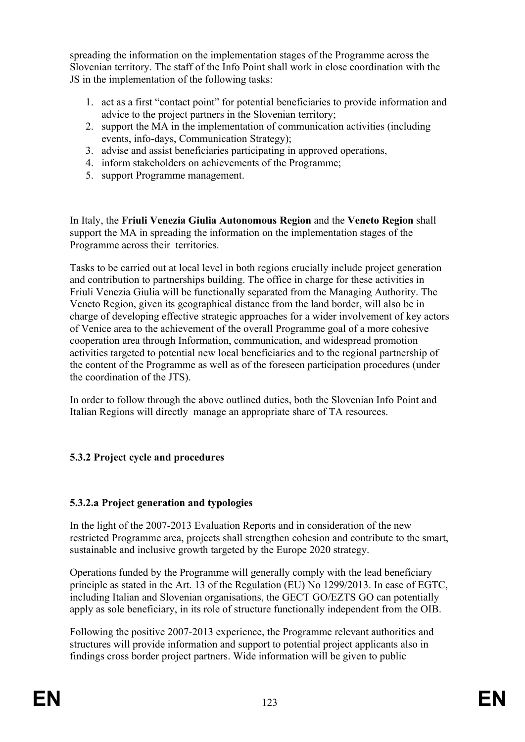spreading the information on the implementation stages of the Programme across the Slovenian territory. The staff of the Info Point shall work in close coordination with the JS in the implementation of the following tasks:

- 1. act as a first "contact point" for potential beneficiaries to provide information and advice to the project partners in the Slovenian territory;
- 2. support the MA in the implementation of communication activities (including events, info-days, Communication Strategy);
- 3. advise and assist beneficiaries participating in approved operations,
- 4. inform stakeholders on achievements of the Programme;
- 5. support Programme management.

In Italy, the **Friuli Venezia Giulia Autonomous Region** and the **Veneto Region** shall support the MA in spreading the information on the implementation stages of the Programme across their territories.

Tasks to be carried out at local level in both regions crucially include project generation and contribution to partnerships building. The office in charge for these activities in Friuli Venezia Giulia will be functionally separated from the Managing Authority. The Veneto Region, given its geographical distance from the land border, will also be in charge of developing effective strategic approaches for a wider involvement of key actors of Venice area to the achievement of the overall Programme goal of a more cohesive cooperation area through Information, communication, and widespread promotion activities targeted to potential new local beneficiaries and to the regional partnership of the content of the Programme as well as of the foreseen participation procedures (under the coordination of the JTS).

In order to follow through the above outlined duties, both the Slovenian Info Point and Italian Regions will directly manage an appropriate share of TA resources.

## **5.3.2 Project cycle and procedures**

#### **5.3.2.a Project generation and typologies**

In the light of the 2007-2013 Evaluation Reports and in consideration of the new restricted Programme area, projects shall strengthen cohesion and contribute to the smart, sustainable and inclusive growth targeted by the Europe 2020 strategy.

Operations funded by the Programme will generally comply with the lead beneficiary principle as stated in the Art. 13 of the Regulation (EU) No 1299/2013. In case of EGTC, including Italian and Slovenian organisations, the GECT GO/EZTS GO can potentially apply as sole beneficiary, in its role of structure functionally independent from the OIB.

Following the positive 2007-2013 experience, the Programme relevant authorities and structures will provide information and support to potential project applicants also in findings cross border project partners. Wide information will be given to public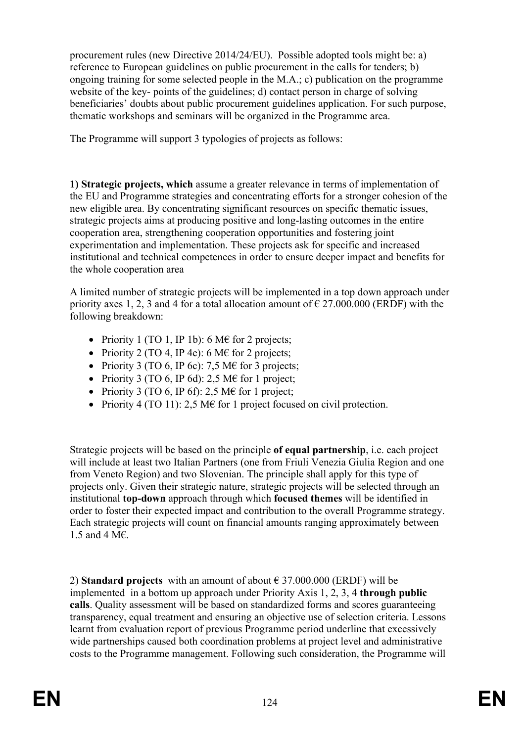procurement rules (new Directive 2014/24/EU). Possible adopted tools might be: a) reference to European guidelines on public procurement in the calls for tenders; b) ongoing training for some selected people in the M.A.; c) publication on the programme website of the key- points of the guidelines; d) contact person in charge of solving beneficiaries' doubts about public procurement guidelines application. For such purpose, thematic workshops and seminars will be organized in the Programme area.

The Programme will support 3 typologies of projects as follows:

**1) Strategic projects, which** assume a greater relevance in terms of implementation of the EU and Programme strategies and concentrating efforts for a stronger cohesion of the new eligible area. By concentrating significant resources on specific thematic issues, strategic projects aims at producing positive and long-lasting outcomes in the entire cooperation area, strengthening cooperation opportunities and fostering joint experimentation and implementation. These projects ask for specific and increased institutional and technical competences in order to ensure deeper impact and benefits for the whole cooperation area

A limited number of strategic projects will be implemented in a top down approach under priority axes 1, 2, 3 and 4 for a total allocation amount of  $\epsilon$  27,000,000 (ERDF) with the following breakdown:

- Priority 1 (TO 1, IP 1b): 6 M $\epsilon$  for 2 projects;
- Priority 2 (TO 4, IP 4e): 6 M $\epsilon$  for 2 projects;
- Priority 3 (TO 6, IP 6c): 7,5 M $\epsilon$  for 3 projects;
- Priority 3 (TO 6, IP 6d): 2,5 M€ for 1 project;
- Priority 3 (TO 6, IP 6f): 2,5 M€ for 1 project;
- Priority 4 (TO 11): 2,5 M $\epsilon$  for 1 project focused on civil protection.

Strategic projects will be based on the principle **of equal partnership**, i.e. each project will include at least two Italian Partners (one from Friuli Venezia Giulia Region and one from Veneto Region) and two Slovenian. The principle shall apply for this type of projects only. Given their strategic nature, strategic projects will be selected through an institutional **top-down** approach through which **focused themes** will be identified in order to foster their expected impact and contribution to the overall Programme strategy. Each strategic projects will count on financial amounts ranging approximately between 1.5 and 4 M€.

2) **Standard projects** with an amount of about € 37.000.000 (ERDF) will be implemented in a bottom up approach under Priority Axis 1, 2, 3, 4 **through public calls**. Quality assessment will be based on standardized forms and scores guaranteeing transparency, equal treatment and ensuring an objective use of selection criteria. Lessons learnt from evaluation report of previous Programme period underline that excessively wide partnerships caused both coordination problems at project level and administrative costs to the Programme management. Following such consideration, the Programme will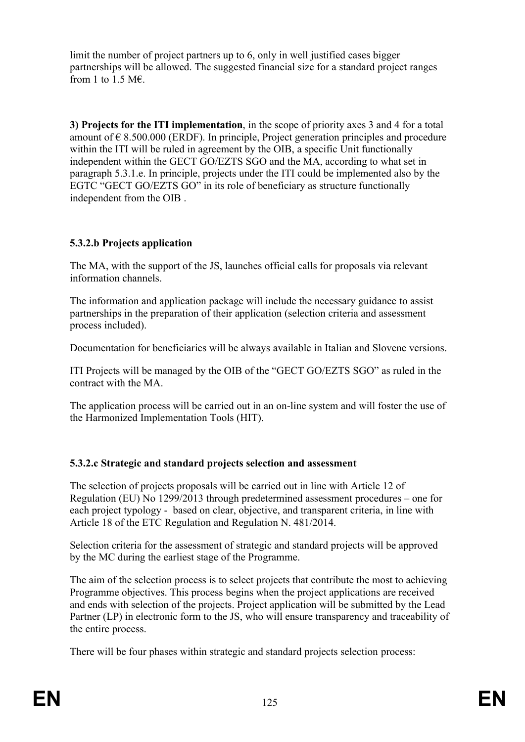limit the number of project partners up to 6, only in well justified cases bigger partnerships will be allowed. The suggested financial size for a standard project ranges from 1 to 1.5 M $\epsilon$ .

**3) Projects for the ITI implementation**, in the scope of priority axes 3 and 4 for a total amount of  $\epsilon$  8.500.000 (ERDF). In principle, Project generation principles and procedure within the ITI will be ruled in agreement by the OIB, a specific Unit functionally independent within the GECT GO/EZTS SGO and the MA, according to what set in paragraph 5.3.1.e. In principle, projects under the ITI could be implemented also by the EGTC "GECT GO/EZTS GO" in its role of beneficiary as structure functionally independent from the OIB .

## **5.3.2.b Projects application**

The MA, with the support of the JS, launches official calls for proposals via relevant information channels.

The information and application package will include the necessary guidance to assist partnerships in the preparation of their application (selection criteria and assessment process included).

Documentation for beneficiaries will be always available in Italian and Slovene versions.

ITI Projects will be managed by the OIB of the "GECT GO/EZTS SGO" as ruled in the contract with the MA.

The application process will be carried out in an on-line system and will foster the use of the Harmonized Implementation Tools (HIT).

# **5.3.2.c Strategic and standard projects selection and assessment**

The selection of projects proposals will be carried out in line with Article 12 of Regulation (EU) No 1299/2013 through predetermined assessment procedures – one for each project typology - based on clear, objective, and transparent criteria, in line with Article 18 of the ETC Regulation and Regulation N. 481/2014.

Selection criteria for the assessment of strategic and standard projects will be approved by the MC during the earliest stage of the Programme.

The aim of the selection process is to select projects that contribute the most to achieving Programme objectives. This process begins when the project applications are received and ends with selection of the projects. Project application will be submitted by the Lead Partner (LP) in electronic form to the JS, who will ensure transparency and traceability of the entire process.

There will be four phases within strategic and standard projects selection process: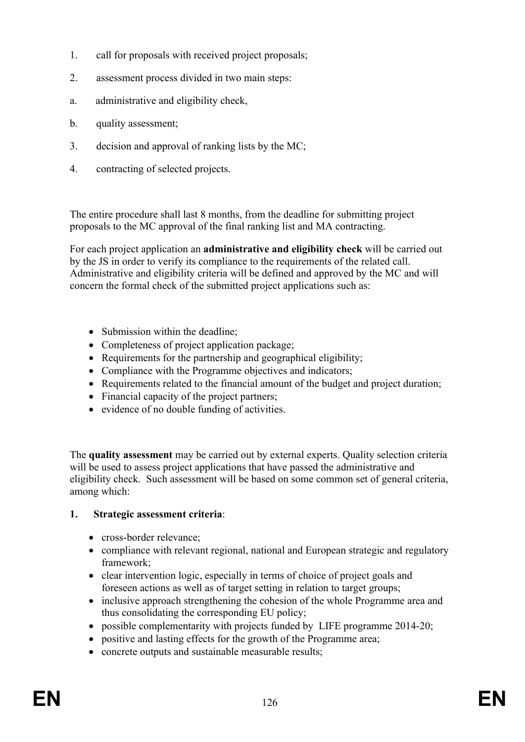- 1. call for proposals with received project proposals;
- 2. assessment process divided in two main steps:
- a. administrative and eligibility check,
- b. quality assessment;
- 3. decision and approval of ranking lists by the MC;
- 4. contracting of selected projects.

The entire procedure shall last 8 months, from the deadline for submitting project proposals to the MC approval of the final ranking list and MA contracting.

For each project application an **administrative and eligibility check** will be carried out by the JS in order to verify its compliance to the requirements of the related call. Administrative and eligibility criteria will be defined and approved by the MC and will concern the formal check of the submitted project applications such as:

- Submission within the deadline;
- Completeness of project application package;
- Requirements for the partnership and geographical eligibility;
- Compliance with the Programme objectives and indicators;
- Requirements related to the financial amount of the budget and project duration;
- Financial capacity of the project partners;
- evidence of no double funding of activities.

The **quality assessment** may be carried out by external experts. Quality selection criteria will be used to assess project applications that have passed the administrative and eligibility check. Such assessment will be based on some common set of general criteria, among which:

#### **1. Strategic assessment criteria**:

- cross-border relevance:
- compliance with relevant regional, national and European strategic and regulatory framework;
- clear intervention logic, especially in terms of choice of project goals and foreseen actions as well as of target setting in relation to target groups;
- inclusive approach strengthening the cohesion of the whole Programme area and thus consolidating the corresponding EU policy;
- possible complementarity with projects funded by LIFE programme 2014-20;
- positive and lasting effects for the growth of the Programme area;
- concrete outputs and sustainable measurable results: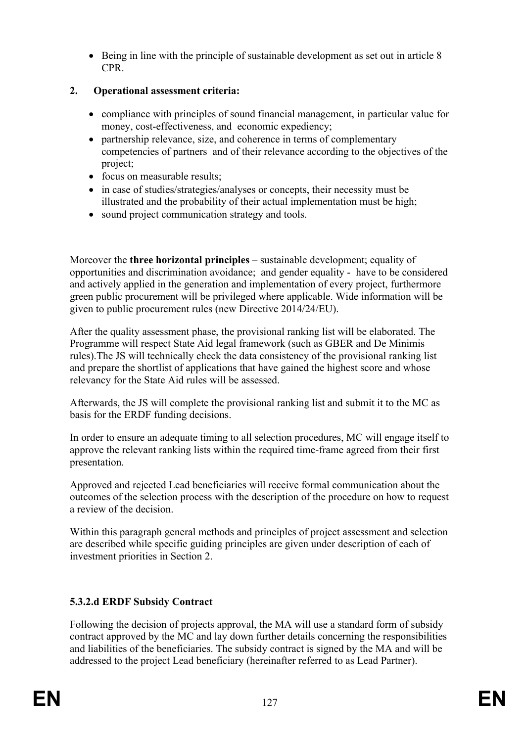Being in line with the principle of sustainable development as set out in article 8 CPR.

## **2. Operational assessment criteria:**

- compliance with principles of sound financial management, in particular value for money, cost-effectiveness, and economic expediency;
- partnership relevance, size, and coherence in terms of complementary competencies of partners and of their relevance according to the objectives of the project;
- focus on measurable results:
- in case of studies/strategies/analyses or concepts, their necessity must be illustrated and the probability of their actual implementation must be high;
- sound project communication strategy and tools.

Moreover the **three horizontal principles** – sustainable development; equality of opportunities and discrimination avoidance; and gender equality - have to be considered and actively applied in the generation and implementation of every project, furthermore green public procurement will be privileged where applicable. Wide information will be given to public procurement rules (new Directive 2014/24/EU).

After the quality assessment phase, the provisional ranking list will be elaborated. The Programme will respect State Aid legal framework (such as GBER and De Minimis rules).The JS will technically check the data consistency of the provisional ranking list and prepare the shortlist of applications that have gained the highest score and whose relevancy for the State Aid rules will be assessed.

Afterwards, the JS will complete the provisional ranking list and submit it to the MC as basis for the ERDF funding decisions.

In order to ensure an adequate timing to all selection procedures, MC will engage itself to approve the relevant ranking lists within the required time-frame agreed from their first presentation.

Approved and rejected Lead beneficiaries will receive formal communication about the outcomes of the selection process with the description of the procedure on how to request a review of the decision.

Within this paragraph general methods and principles of project assessment and selection are described while specific guiding principles are given under description of each of investment priorities in Section 2.

# **5.3.2.d ERDF Subsidy Contract**

Following the decision of projects approval, the MA will use a standard form of subsidy contract approved by the MC and lay down further details concerning the responsibilities and liabilities of the beneficiaries. The subsidy contract is signed by the MA and will be addressed to the project Lead beneficiary (hereinafter referred to as Lead Partner).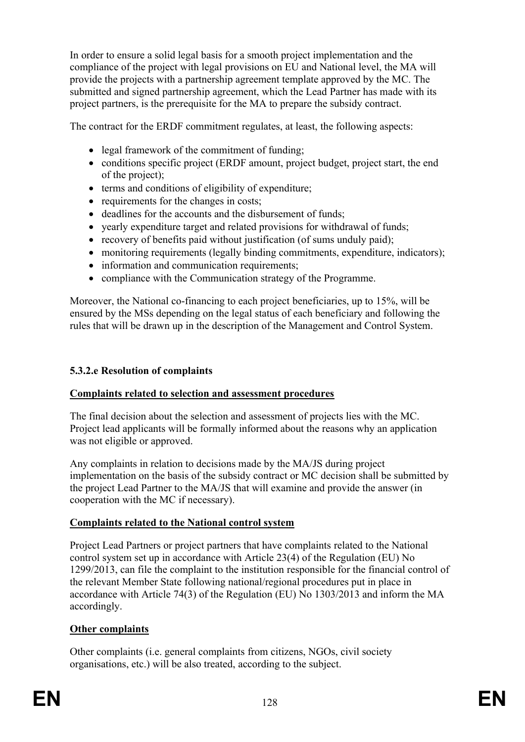In order to ensure a solid legal basis for a smooth project implementation and the compliance of the project with legal provisions on EU and National level, the MA will provide the projects with a partnership agreement template approved by the MC. The submitted and signed partnership agreement, which the Lead Partner has made with its project partners, is the prerequisite for the MA to prepare the subsidy contract.

The contract for the ERDF commitment regulates, at least, the following aspects:

- legal framework of the commitment of funding;
- conditions specific project (ERDF amount, project budget, project start, the end of the project);
- terms and conditions of eligibility of expenditure;
- requirements for the changes in costs;
- deadlines for the accounts and the disbursement of funds;
- yearly expenditure target and related provisions for withdrawal of funds;
- recovery of benefits paid without justification (of sums unduly paid);
- monitoring requirements (legally binding commitments, expenditure, indicators);
- information and communication requirements;
- compliance with the Communication strategy of the Programme.

Moreover, the National co-financing to each project beneficiaries, up to 15%, will be ensured by the MSs depending on the legal status of each beneficiary and following the rules that will be drawn up in the description of the Management and Control System.

#### **5.3.2.e Resolution of complaints**

#### **Complaints related to selection and assessment procedures**

The final decision about the selection and assessment of projects lies with the MC. Project lead applicants will be formally informed about the reasons why an application was not eligible or approved.

Any complaints in relation to decisions made by the MA/JS during project implementation on the basis of the subsidy contract or MC decision shall be submitted by the project Lead Partner to the MA/JS that will examine and provide the answer (in cooperation with the MC if necessary).

## **Complaints related to the National control system**

Project Lead Partners or project partners that have complaints related to the National control system set up in accordance with Article 23(4) of the Regulation (EU) No 1299/2013, can file the complaint to the institution responsible for the financial control of the relevant Member State following national/regional procedures put in place in accordance with Article 74(3) of the Regulation (EU) No 1303/2013 and inform the MA accordingly.

## **Other complaints**

Other complaints (i.e. general complaints from citizens, NGOs, civil society organisations, etc.) will be also treated, according to the subject.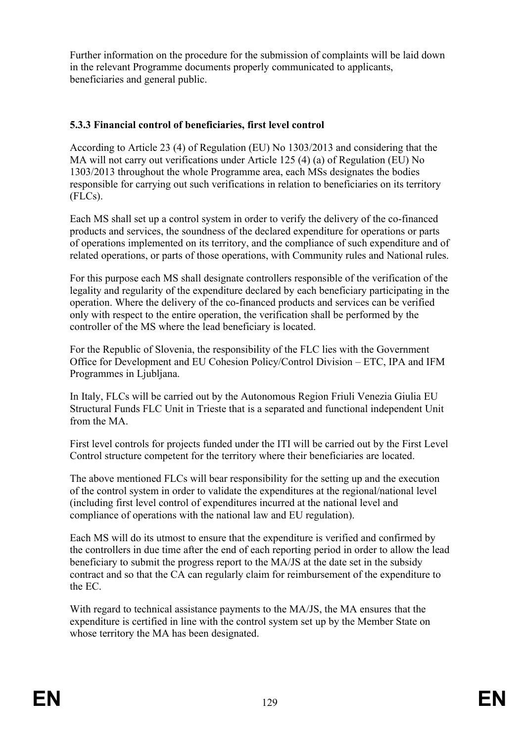Further information on the procedure for the submission of complaints will be laid down in the relevant Programme documents properly communicated to applicants, beneficiaries and general public.

### **5.3.3 Financial control of beneficiaries, first level control**

According to Article 23 (4) of Regulation (EU) No 1303/2013 and considering that the MA will not carry out verifications under Article 125 (4) (a) of Regulation (EU) No 1303/2013 throughout the whole Programme area, each MSs designates the bodies responsible for carrying out such verifications in relation to beneficiaries on its territory (FLCs).

Each MS shall set up a control system in order to verify the delivery of the co-financed products and services, the soundness of the declared expenditure for operations or parts of operations implemented on its territory, and the compliance of such expenditure and of related operations, or parts of those operations, with Community rules and National rules.

For this purpose each MS shall designate controllers responsible of the verification of the legality and regularity of the expenditure declared by each beneficiary participating in the operation. Where the delivery of the co-financed products and services can be verified only with respect to the entire operation, the verification shall be performed by the controller of the MS where the lead beneficiary is located.

For the Republic of Slovenia, the responsibility of the FLC lies with the Government Office for Development and EU Cohesion Policy/Control Division – ETC, IPA and IFM Programmes in Ljubljana.

In Italy, FLCs will be carried out by the Autonomous Region Friuli Venezia Giulia EU Structural Funds FLC Unit in Trieste that is a separated and functional independent Unit from the MA

First level controls for projects funded under the ITI will be carried out by the First Level Control structure competent for the territory where their beneficiaries are located.

The above mentioned FLCs will bear responsibility for the setting up and the execution of the control system in order to validate the expenditures at the regional/national level (including first level control of expenditures incurred at the national level and compliance of operations with the national law and EU regulation).

Each MS will do its utmost to ensure that the expenditure is verified and confirmed by the controllers in due time after the end of each reporting period in order to allow the lead beneficiary to submit the progress report to the MA/JS at the date set in the subsidy contract and so that the CA can regularly claim for reimbursement of the expenditure to the EC.

With regard to technical assistance payments to the MA/JS, the MA ensures that the expenditure is certified in line with the control system set up by the Member State on whose territory the MA has been designated.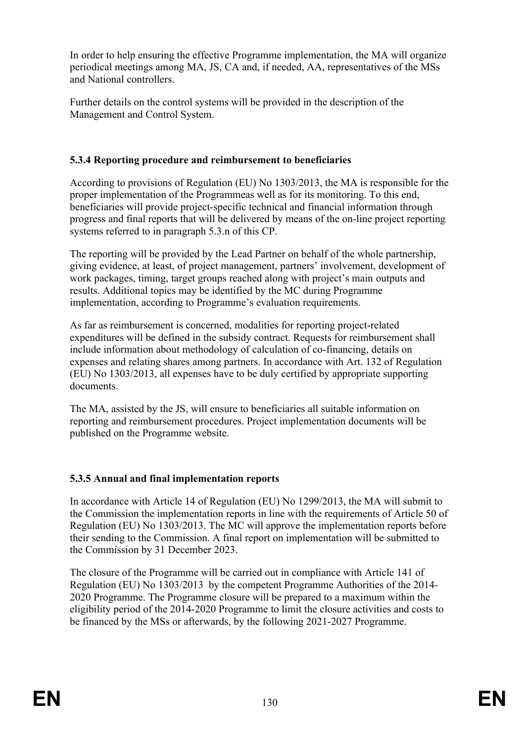In order to help ensuring the effective Programme implementation, the MA will organize periodical meetings among MA, JS, CA and, if needed, AA, representatives of the MSs and National controllers.

Further details on the control systems will be provided in the description of the Management and Control System.

### **5.3.4 Reporting procedure and reimbursement to beneficiaries**

According to provisions of Regulation (EU) No 1303/2013, the MA is responsible for the proper implementation of the Programmeas well as for its monitoring. To this end, beneficiaries will provide project-specific technical and financial information through progress and final reports that will be delivered by means of the on-line project reporting systems referred to in paragraph 5.3.n of this CP.

The reporting will be provided by the Lead Partner on behalf of the whole partnership, giving evidence, at least, of project management, partners' involvement, development of work packages, timing, target groups reached along with project's main outputs and results. Additional topics may be identified by the MC during Programme implementation, according to Programme's evaluation requirements.

As far as reimbursement is concerned, modalities for reporting project-related expenditures will be defined in the subsidy contract. Requests for reimbursement shall include information about methodology of calculation of co-financing, details on expenses and relating shares among partners. In accordance with Art. 132 of Regulation (EU) No 1303/2013, all expenses have to be duly certified by appropriate supporting documents.

The MA, assisted by the JS, will ensure to beneficiaries all suitable information on reporting and reimbursement procedures. Project implementation documents will be published on the Programme website.

## **5.3.5 Annual and final implementation reports**

In accordance with Article 14 of Regulation (EU) No 1299/2013, the MA will submit to the Commission the implementation reports in line with the requirements of Article 50 of Regulation (EU) No 1303/2013. The MC will approve the implementation reports before their sending to the Commission. A final report on implementation will be submitted to the Commission by 31 December 2023.

The closure of the Programme will be carried out in compliance with Article 141 of Regulation (EU) No 1303/2013 by the competent Programme Authorities of the 2014- 2020 Programme. The Programme closure will be prepared to a maximum within the eligibility period of the 2014-2020 Programme to limit the closure activities and costs to be financed by the MSs or afterwards, by the following 2021-2027 Programme.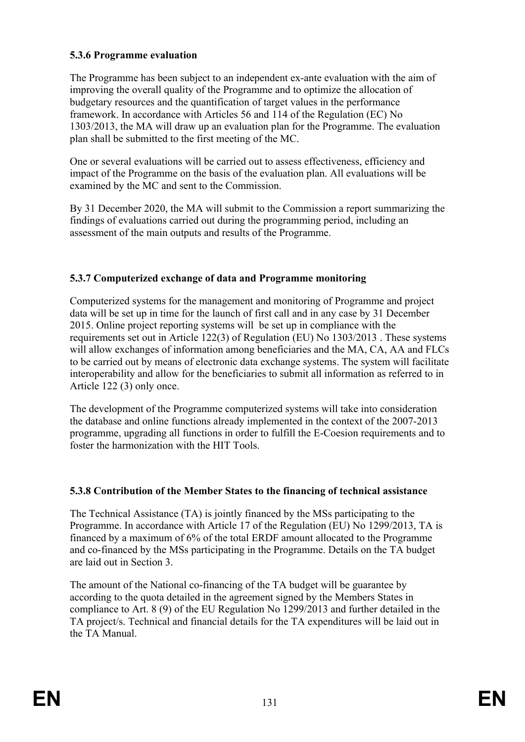## **5.3.6 Programme evaluation**

The Programme has been subject to an independent ex-ante evaluation with the aim of improving the overall quality of the Programme and to optimize the allocation of budgetary resources and the quantification of target values in the performance framework. In accordance with Articles 56 and 114 of the Regulation (EC) No 1303/2013, the MA will draw up an evaluation plan for the Programme. The evaluation plan shall be submitted to the first meeting of the MC.

One or several evaluations will be carried out to assess effectiveness, efficiency and impact of the Programme on the basis of the evaluation plan. All evaluations will be examined by the MC and sent to the Commission.

By 31 December 2020, the MA will submit to the Commission a report summarizing the findings of evaluations carried out during the programming period, including an assessment of the main outputs and results of the Programme.

### **5.3.7 Computerized exchange of data and Programme monitoring**

Computerized systems for the management and monitoring of Programme and project data will be set up in time for the launch of first call and in any case by 31 December 2015. Online project reporting systems will be set up in compliance with the requirements set out in Article 122(3) of Regulation (EU) No 1303/2013 . These systems will allow exchanges of information among beneficiaries and the MA, CA, AA and FLCs to be carried out by means of electronic data exchange systems. The system will facilitate interoperability and allow for the beneficiaries to submit all information as referred to in Article 122 (3) only once.

The development of the Programme computerized systems will take into consideration the database and online functions already implemented in the context of the 2007-2013 programme, upgrading all functions in order to fulfill the E-Coesion requirements and to foster the harmonization with the HIT Tools.

## **5.3.8 Contribution of the Member States to the financing of technical assistance**

The Technical Assistance (TA) is jointly financed by the MSs participating to the Programme. In accordance with Article 17 of the Regulation (EU) No 1299/2013, TA is financed by a maximum of 6% of the total ERDF amount allocated to the Programme and co-financed by the MSs participating in the Programme. Details on the TA budget are laid out in Section 3.

The amount of the National co-financing of the TA budget will be guarantee by according to the quota detailed in the agreement signed by the Members States in compliance to Art. 8 (9) of the EU Regulation No 1299/2013 and further detailed in the TA project/s. Technical and financial details for the TA expenditures will be laid out in the TA Manual.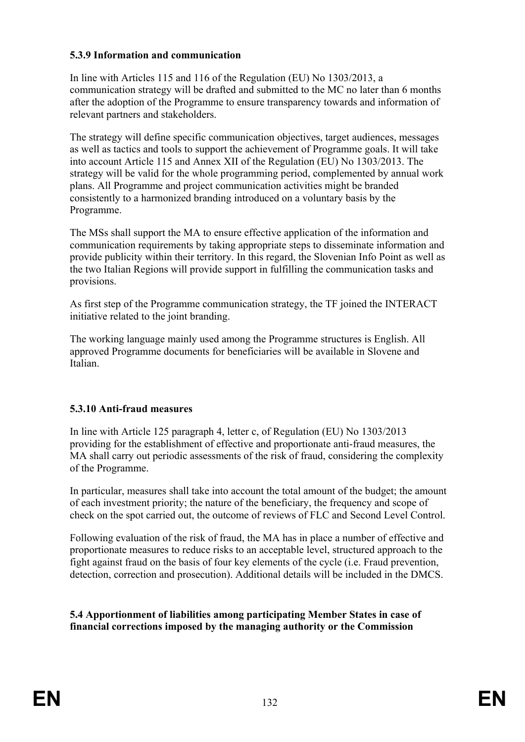#### **5.3.9 Information and communication**

In line with Articles 115 and 116 of the Regulation (EU) No 1303/2013, a communication strategy will be drafted and submitted to the MC no later than 6 months after the adoption of the Programme to ensure transparency towards and information of relevant partners and stakeholders.

The strategy will define specific communication objectives, target audiences, messages as well as tactics and tools to support the achievement of Programme goals. It will take into account Article 115 and Annex XII of the Regulation (EU) No 1303/2013. The strategy will be valid for the whole programming period, complemented by annual work plans. All Programme and project communication activities might be branded consistently to a harmonized branding introduced on a voluntary basis by the Programme.

The MSs shall support the MA to ensure effective application of the information and communication requirements by taking appropriate steps to disseminate information and provide publicity within their territory. In this regard, the Slovenian Info Point as well as the two Italian Regions will provide support in fulfilling the communication tasks and provisions.

As first step of the Programme communication strategy, the TF joined the INTERACT initiative related to the joint branding.

The working language mainly used among the Programme structures is English. All approved Programme documents for beneficiaries will be available in Slovene and Italian.

#### **5.3.10 Anti-fraud measures**

In line with Article 125 paragraph 4, letter c, of Regulation (EU) No 1303/2013 providing for the establishment of effective and proportionate anti-fraud measures, the MA shall carry out periodic assessments of the risk of fraud, considering the complexity of the Programme.

In particular, measures shall take into account the total amount of the budget; the amount of each investment priority; the nature of the beneficiary, the frequency and scope of check on the spot carried out, the outcome of reviews of FLC and Second Level Control.

Following evaluation of the risk of fraud, the MA has in place a number of effective and proportionate measures to reduce risks to an acceptable level, structured approach to the fight against fraud on the basis of four key elements of the cycle (i.e. Fraud prevention, detection, correction and prosecution). Additional details will be included in the DMCS.

**5.4 Apportionment of liabilities among participating Member States in case of financial corrections imposed by the managing authority or the Commission**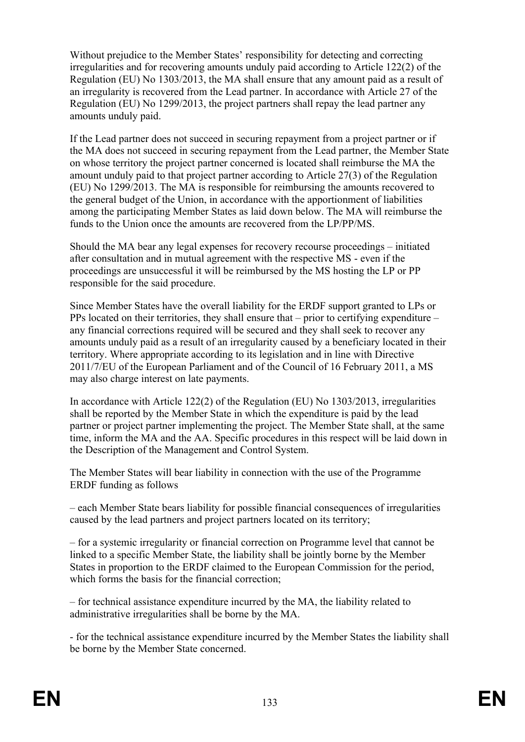Without prejudice to the Member States' responsibility for detecting and correcting irregularities and for recovering amounts unduly paid according to Article 122(2) of the Regulation (EU) No 1303/2013, the MA shall ensure that any amount paid as a result of an irregularity is recovered from the Lead partner. In accordance with Article 27 of the Regulation (EU) No 1299/2013, the project partners shall repay the lead partner any amounts unduly paid.

If the Lead partner does not succeed in securing repayment from a project partner or if the MA does not succeed in securing repayment from the Lead partner, the Member State on whose territory the project partner concerned is located shall reimburse the MA the amount unduly paid to that project partner according to Article 27(3) of the Regulation (EU) No 1299/2013. The MA is responsible for reimbursing the amounts recovered to the general budget of the Union, in accordance with the apportionment of liabilities among the participating Member States as laid down below. The MA will reimburse the funds to the Union once the amounts are recovered from the LP/PP/MS.

Should the MA bear any legal expenses for recovery recourse proceedings – initiated after consultation and in mutual agreement with the respective MS - even if the proceedings are unsuccessful it will be reimbursed by the MS hosting the LP or PP responsible for the said procedure.

Since Member States have the overall liability for the ERDF support granted to LPs or PPs located on their territories, they shall ensure that – prior to certifying expenditure – any financial corrections required will be secured and they shall seek to recover any amounts unduly paid as a result of an irregularity caused by a beneficiary located in their territory. Where appropriate according to its legislation and in line with Directive 2011/7/EU of the European Parliament and of the Council of 16 February 2011, a MS may also charge interest on late payments.

In accordance with Article 122(2) of the Regulation (EU) No 1303/2013, irregularities shall be reported by the Member State in which the expenditure is paid by the lead partner or project partner implementing the project. The Member State shall, at the same time, inform the MA and the AA. Specific procedures in this respect will be laid down in the Description of the Management and Control System.

The Member States will bear liability in connection with the use of the Programme ERDF funding as follows

– each Member State bears liability for possible financial consequences of irregularities caused by the lead partners and project partners located on its territory;

– for a systemic irregularity or financial correction on Programme level that cannot be linked to a specific Member State, the liability shall be jointly borne by the Member States in proportion to the ERDF claimed to the European Commission for the period, which forms the basis for the financial correction;

– for technical assistance expenditure incurred by the MA, the liability related to administrative irregularities shall be borne by the MA.

- for the technical assistance expenditure incurred by the Member States the liability shall be borne by the Member State concerned.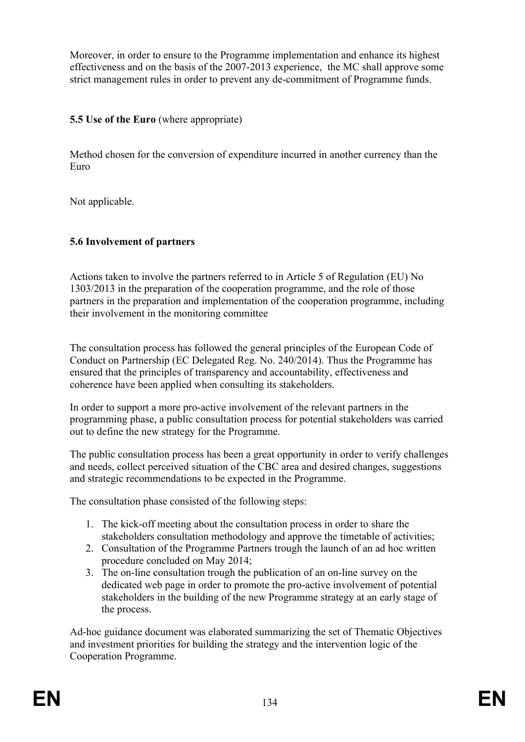Moreover, in order to ensure to the Programme implementation and enhance its highest effectiveness and on the basis of the 2007-2013 experience, the MC shall approve some strict management rules in order to prevent any de-commitment of Programme funds.

### **5.5 Use of the Euro** (where appropriate)

Method chosen for the conversion of expenditure incurred in another currency than the Euro

Not applicable.

## **5.6 Involvement of partners**

Actions taken to involve the partners referred to in Article 5 of Regulation (EU) No 1303/2013 in the preparation of the cooperation programme, and the role of those partners in the preparation and implementation of the cooperation programme, including their involvement in the monitoring committee

The consultation process has followed the general principles of the European Code of Conduct on Partnership (EC Delegated Reg. No. 240/2014). Thus the Programme has ensured that the principles of transparency and accountability, effectiveness and coherence have been applied when consulting its stakeholders.

In order to support a more pro-active involvement of the relevant partners in the programming phase, a public consultation process for potential stakeholders was carried out to define the new strategy for the Programme.

The public consultation process has been a great opportunity in order to verify challenges and needs, collect perceived situation of the CBC area and desired changes, suggestions and strategic recommendations to be expected in the Programme.

The consultation phase consisted of the following steps:

- 1. The kick-off meeting about the consultation process in order to share the stakeholders consultation methodology and approve the timetable of activities;
- 2. Consultation of the Programme Partners trough the launch of an ad hoc written procedure concluded on May 2014;
- 3. The on-line consultation trough the publication of an on-line survey on the dedicated web page in order to promote the pro-active involvement of potential stakeholders in the building of the new Programme strategy at an early stage of the process.

Ad-hoc guidance document was elaborated summarizing the set of Thematic Objectives and investment priorities for building the strategy and the intervention logic of the Cooperation Programme.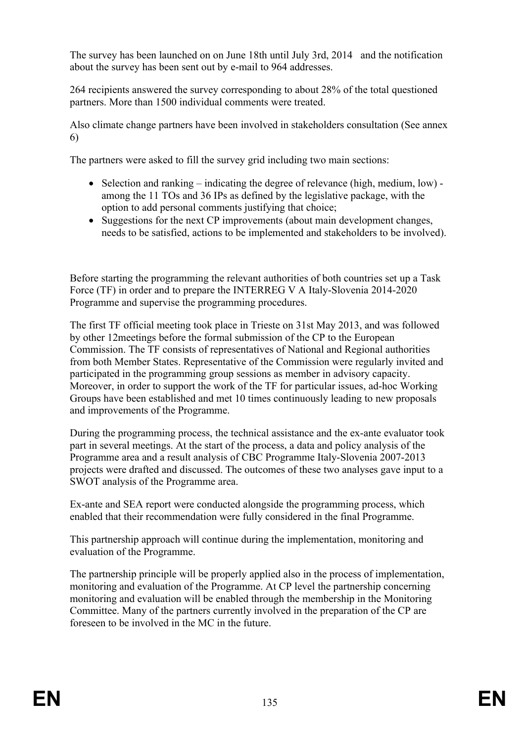The survey has been launched on on June 18th until July 3rd, 2014 and the notification about the survey has been sent out by e-mail to 964 addresses.

264 recipients answered the survey corresponding to about 28% of the total questioned partners. More than 1500 individual comments were treated.

Also climate change partners have been involved in stakeholders consultation (See annex 6)

The partners were asked to fill the survey grid including two main sections:

- $\bullet$  Selection and ranking indicating the degree of relevance (high, medium, low) among the 11 TOs and 36 IPs as defined by the legislative package, with the option to add personal comments justifying that choice;
- Suggestions for the next CP improvements (about main development changes, needs to be satisfied, actions to be implemented and stakeholders to be involved).

Before starting the programming the relevant authorities of both countries set up a Task Force (TF) in order and to prepare the INTERREG V A Italy-Slovenia 2014-2020 Programme and supervise the programming procedures.

The first TF official meeting took place in Trieste on 31st May 2013, and was followed by other 12meetings before the formal submission of the CP to the European Commission. The TF consists of representatives of National and Regional authorities from both Member States. Representative of the Commission were regularly invited and participated in the programming group sessions as member in advisory capacity. Moreover, in order to support the work of the TF for particular issues, ad-hoc Working Groups have been established and met 10 times continuously leading to new proposals and improvements of the Programme.

During the programming process, the technical assistance and the ex-ante evaluator took part in several meetings. At the start of the process, a data and policy analysis of the Programme area and a result analysis of CBC Programme Italy-Slovenia 2007-2013 projects were drafted and discussed. The outcomes of these two analyses gave input to a SWOT analysis of the Programme area.

Ex-ante and SEA report were conducted alongside the programming process, which enabled that their recommendation were fully considered in the final Programme.

This partnership approach will continue during the implementation, monitoring and evaluation of the Programme.

The partnership principle will be properly applied also in the process of implementation, monitoring and evaluation of the Programme. At CP level the partnership concerning monitoring and evaluation will be enabled through the membership in the Monitoring Committee. Many of the partners currently involved in the preparation of the CP are foreseen to be involved in the MC in the future.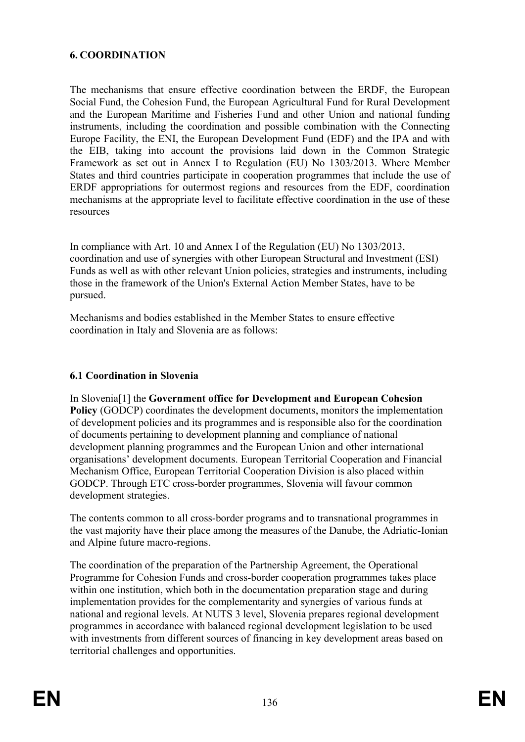### **6. COORDINATION**

The mechanisms that ensure effective coordination between the ERDF, the European Social Fund, the Cohesion Fund, the European Agricultural Fund for Rural Development and the European Maritime and Fisheries Fund and other Union and national funding instruments, including the coordination and possible combination with the Connecting Europe Facility, the ENI, the European Development Fund (EDF) and the IPA and with the EIB, taking into account the provisions laid down in the Common Strategic Framework as set out in Annex I to Regulation (EU) No 1303/2013. Where Member States and third countries participate in cooperation programmes that include the use of ERDF appropriations for outermost regions and resources from the EDF, coordination mechanisms at the appropriate level to facilitate effective coordination in the use of these resources

In compliance with Art. 10 and Annex I of the Regulation (EU) No 1303/2013, coordination and use of synergies with other European Structural and Investment (ESI) Funds as well as with other relevant Union policies, strategies and instruments, including those in the framework of the Union's External Action Member States, have to be pursued.

Mechanisms and bodies established in the Member States to ensure effective coordination in Italy and Slovenia are as follows:

#### **6.1 Coordination in Slovenia**

In Slovenia[1] the **Government office for Development and European Cohesion Policy** (GODCP) coordinates the development documents, monitors the implementation of development policies and its programmes and is responsible also for the coordination of documents pertaining to development planning and compliance of national development planning programmes and the European Union and other international organisations' development documents. European Territorial Cooperation and Financial Mechanism Office, European Territorial Cooperation Division is also placed within GODCP. Through ETC cross-border programmes, Slovenia will favour common development strategies.

The contents common to all cross-border programs and to transnational programmes in the vast majority have their place among the measures of the Danube, the Adriatic-Ionian and Alpine future macro-regions.

The coordination of the preparation of the Partnership Agreement, the Operational Programme for Cohesion Funds and cross-border cooperation programmes takes place within one institution, which both in the documentation preparation stage and during implementation provides for the complementarity and synergies of various funds at national and regional levels. At NUTS 3 level, Slovenia prepares regional development programmes in accordance with balanced regional development legislation to be used with investments from different sources of financing in key development areas based on territorial challenges and opportunities.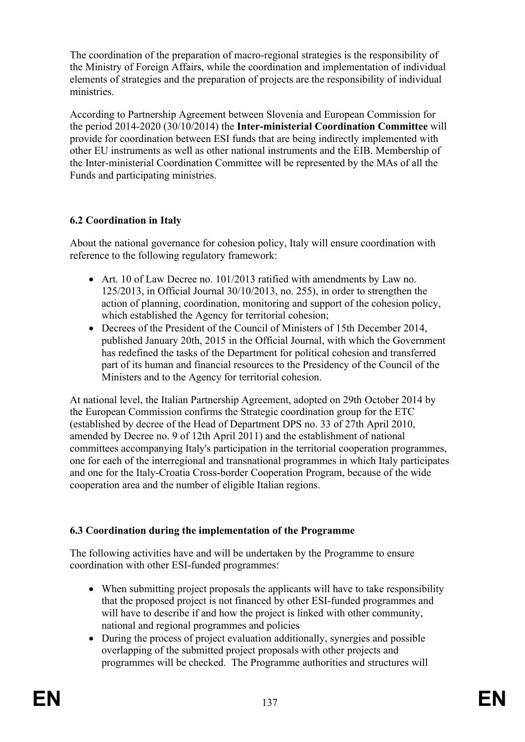The coordination of the preparation of macro-regional strategies is the responsibility of the Ministry of Foreign Affairs, while the coordination and implementation of individual elements of strategies and the preparation of projects are the responsibility of individual ministries.

According to Partnership Agreement between Slovenia and European Commission for the period 2014-2020 (30/10/2014) the **Inter-ministerial Coordination Committee** will provide for coordination between ESI funds that are being indirectly implemented with other EU instruments as well as other national instruments and the EIB. Membership of the Inter-ministerial Coordination Committee will be represented by the MAs of all the Funds and participating ministries.

## **6.2 Coordination in Italy**

About the national governance for cohesion policy, Italy will ensure coordination with reference to the following regulatory framework:

- Art. 10 of Law Decree no. 101/2013 ratified with amendments by Law no. 125/2013, in Official Journal 30/10/2013, no. 255), in order to strengthen the action of planning, coordination, monitoring and support of the cohesion policy, which established the Agency for territorial cohesion;
- Decrees of the President of the Council of Ministers of 15th December 2014, published January 20th, 2015 in the Official Journal, with which the Government has redefined the tasks of the Department for political cohesion and transferred part of its human and financial resources to the Presidency of the Council of the Ministers and to the Agency for territorial cohesion.

At national level, the Italian Partnership Agreement, adopted on 29th October 2014 by the European Commission confirms the Strategic coordination group for the ETC (established by decree of the Head of Department DPS no. 33 of 27th April 2010, amended by Decree no. 9 of 12th April 2011) and the establishment of national committees accompanying Italy's participation in the territorial cooperation programmes, one for each of the interregional and transnational programmes in which Italy participates and one for the Italy-Croatia Cross-border Cooperation Program, because of the wide cooperation area and the number of eligible Italian regions.

## **6.3 Coordination during the implementation of the Programme**

The following activities have and will be undertaken by the Programme to ensure coordination with other ESI-funded programmes:

- When submitting project proposals the applicants will have to take responsibility that the proposed project is not financed by other ESI-funded programmes and will have to describe if and how the project is linked with other community, national and regional programmes and policies
- During the process of project evaluation additionally, synergies and possible overlapping of the submitted project proposals with other projects and programmes will be checked. The Programme authorities and structures will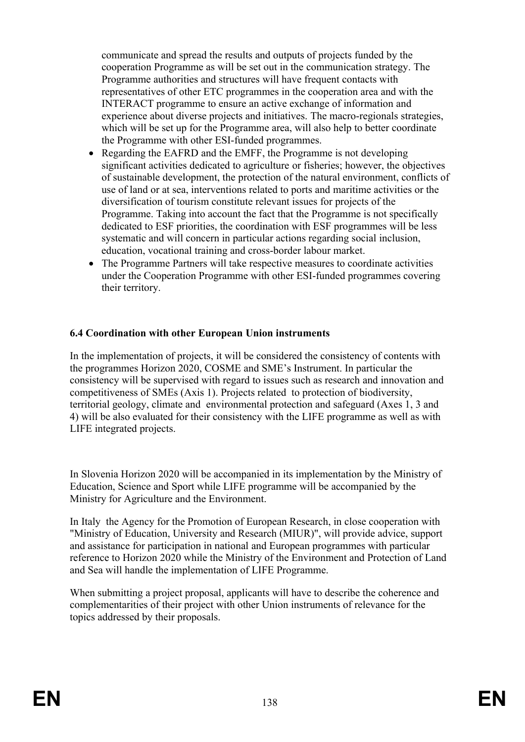communicate and spread the results and outputs of projects funded by the cooperation Programme as will be set out in the communication strategy. The Programme authorities and structures will have frequent contacts with representatives of other ETC programmes in the cooperation area and with the INTERACT programme to ensure an active exchange of information and experience about diverse projects and initiatives. The macro-regionals strategies, which will be set up for the Programme area, will also help to better coordinate the Programme with other ESI-funded programmes.

- Regarding the EAFRD and the EMFF, the Programme is not developing significant activities dedicated to agriculture or fisheries; however, the objectives of sustainable development, the protection of the natural environment, conflicts of use of land or at sea, interventions related to ports and maritime activities or the diversification of tourism constitute relevant issues for projects of the Programme. Taking into account the fact that the Programme is not specifically dedicated to ESF priorities, the coordination with ESF programmes will be less systematic and will concern in particular actions regarding social inclusion, education, vocational training and cross-border labour market.
- The Programme Partners will take respective measures to coordinate activities under the Cooperation Programme with other ESI-funded programmes covering their territory.

#### **6.4 Coordination with other European Union instruments**

In the implementation of projects, it will be considered the consistency of contents with the programmes Horizon 2020, COSME and SME's Instrument. In particular the consistency will be supervised with regard to issues such as research and innovation and competitiveness of SMEs (Axis 1). Projects related to protection of biodiversity, territorial geology, climate and environmental protection and safeguard (Axes 1, 3 and 4) will be also evaluated for their consistency with the LIFE programme as well as with LIFE integrated projects.

In Slovenia Horizon 2020 will be accompanied in its implementation by the Ministry of Education, Science and Sport while LIFE programme will be accompanied by the Ministry for Agriculture and the Environment.

In Italy the Agency for the Promotion of European Research, in close cooperation with "Ministry of Education, University and Research (MIUR)", will provide advice, support and assistance for participation in national and European programmes with particular reference to Horizon 2020 while the Ministry of the Environment and Protection of Land and Sea will handle the implementation of LIFE Programme.

When submitting a project proposal, applicants will have to describe the coherence and complementarities of their project with other Union instruments of relevance for the topics addressed by their proposals.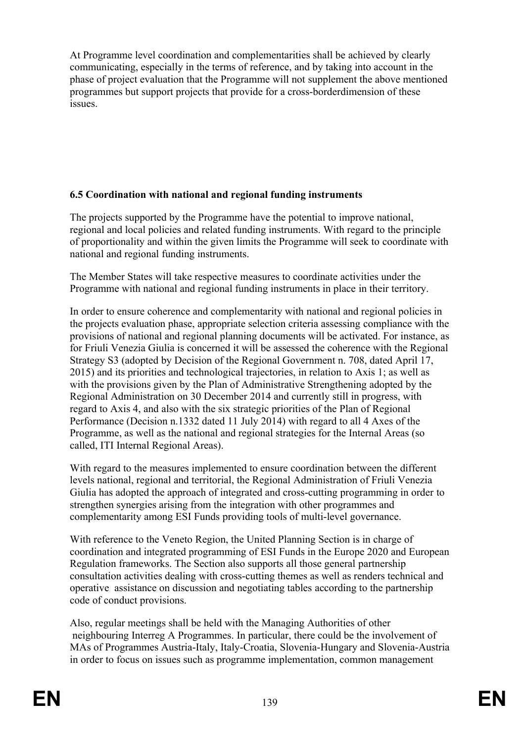At Programme level coordination and complementarities shall be achieved by clearly communicating, especially in the terms of reference, and by taking into account in the phase of project evaluation that the Programme will not supplement the above mentioned programmes but support projects that provide for a cross-borderdimension of these issues.

#### **6.5 Coordination with national and regional funding instruments**

The projects supported by the Programme have the potential to improve national, regional and local policies and related funding instruments. With regard to the principle of proportionality and within the given limits the Programme will seek to coordinate with national and regional funding instruments.

The Member States will take respective measures to coordinate activities under the Programme with national and regional funding instruments in place in their territory.

In order to ensure coherence and complementarity with national and regional policies in the projects evaluation phase, appropriate selection criteria assessing compliance with the provisions of national and regional planning documents will be activated. For instance, as for Friuli Venezia Giulia is concerned it will be assessed the coherence with the Regional Strategy S3 (adopted by Decision of the Regional Government n. 708, dated April 17, 2015) and its priorities and technological trajectories, in relation to Axis 1; as well as with the provisions given by the Plan of Administrative Strengthening adopted by the Regional Administration on 30 December 2014 and currently still in progress, with regard to Axis 4, and also with the six strategic priorities of the Plan of Regional Performance (Decision n.1332 dated 11 July 2014) with regard to all 4 Axes of the Programme, as well as the national and regional strategies for the Internal Areas (so called, ITI Internal Regional Areas).

With regard to the measures implemented to ensure coordination between the different levels national, regional and territorial, the Regional Administration of Friuli Venezia Giulia has adopted the approach of integrated and cross-cutting programming in order to strengthen synergies arising from the integration with other programmes and complementarity among ESI Funds providing tools of multi-level governance.

With reference to the Veneto Region, the United Planning Section is in charge of coordination and integrated programming of ESI Funds in the Europe 2020 and European Regulation frameworks. The Section also supports all those general partnership consultation activities dealing with cross-cutting themes as well as renders technical and operative assistance on discussion and negotiating tables according to the partnership code of conduct provisions.

Also, regular meetings shall be held with the Managing Authorities of other neighbouring Interreg A Programmes. In particular, there could be the involvement of MAs of Programmes Austria-Italy, Italy-Croatia, Slovenia-Hungary and Slovenia-Austria in order to focus on issues such as programme implementation, common management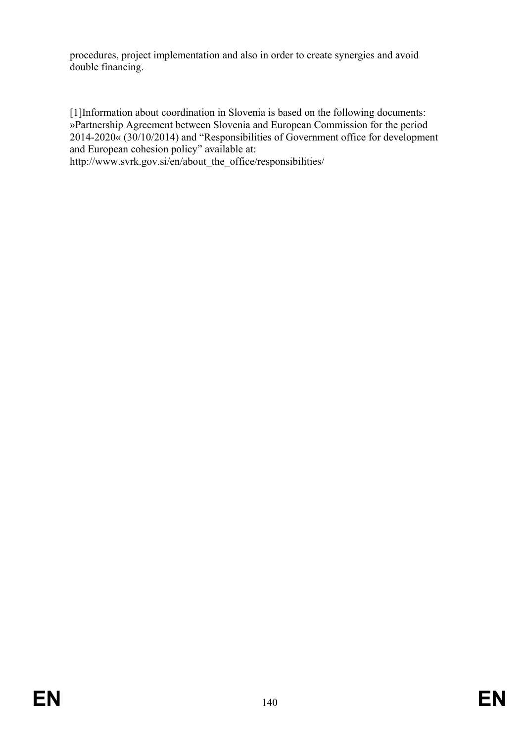procedures, project implementation and also in order to create synergies and avoid double financing.

[1]Information about coordination in Slovenia is based on the following documents: »Partnership Agreement between Slovenia and European Commission for the period 2014-2020« (30/10/2014) and "Responsibilities of Government office for development and European cohesion policy" available at:

http://www.svrk.gov.si/en/about\_the\_office/responsibilities/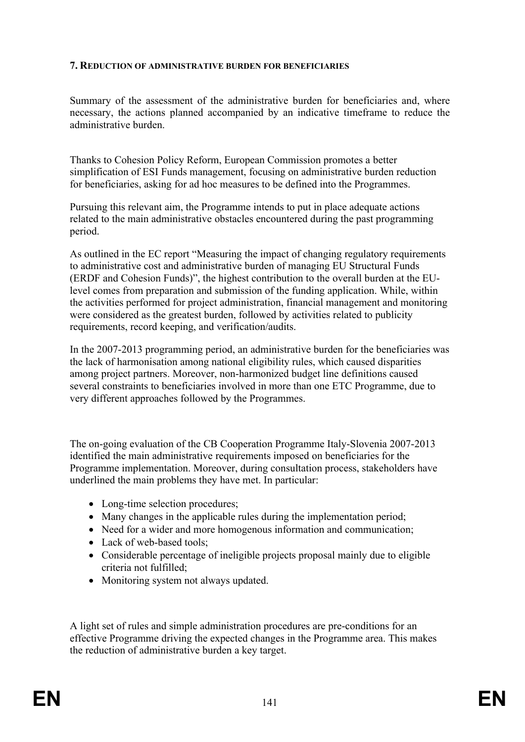#### **7. REDUCTION OF ADMINISTRATIVE BURDEN FOR BENEFICIARIES**

Summary of the assessment of the administrative burden for beneficiaries and, where necessary, the actions planned accompanied by an indicative timeframe to reduce the administrative burden.

Thanks to Cohesion Policy Reform, European Commission promotes a better simplification of ESI Funds management, focusing on administrative burden reduction for beneficiaries, asking for ad hoc measures to be defined into the Programmes.

Pursuing this relevant aim, the Programme intends to put in place adequate actions related to the main administrative obstacles encountered during the past programming period.

As outlined in the EC report "Measuring the impact of changing regulatory requirements to administrative cost and administrative burden of managing EU Structural Funds (ERDF and Cohesion Funds)", the highest contribution to the overall burden at the EUlevel comes from preparation and submission of the funding application. While, within the activities performed for project administration, financial management and monitoring were considered as the greatest burden, followed by activities related to publicity requirements, record keeping, and verification/audits.

In the 2007-2013 programming period, an administrative burden for the beneficiaries was the lack of harmonisation among national eligibility rules, which caused disparities among project partners. Moreover, non-harmonized budget line definitions caused several constraints to beneficiaries involved in more than one ETC Programme, due to very different approaches followed by the Programmes.

The on-going evaluation of the CB Cooperation Programme Italy-Slovenia 2007-2013 identified the main administrative requirements imposed on beneficiaries for the Programme implementation. Moreover, during consultation process, stakeholders have underlined the main problems they have met. In particular:

- Long-time selection procedures;
- Many changes in the applicable rules during the implementation period;
- Need for a wider and more homogenous information and communication;
- Lack of web-based tools:
- Considerable percentage of ineligible projects proposal mainly due to eligible criteria not fulfilled;
- Monitoring system not always updated.

A light set of rules and simple administration procedures are pre-conditions for an effective Programme driving the expected changes in the Programme area. This makes the reduction of administrative burden a key target.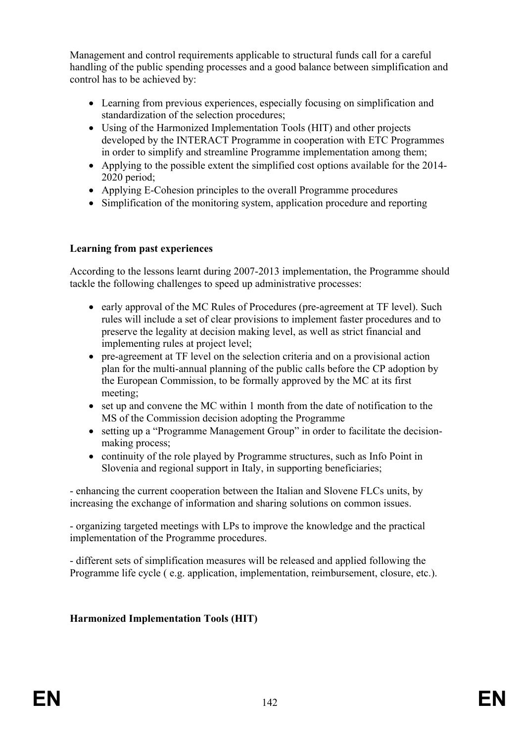Management and control requirements applicable to structural funds call for a careful handling of the public spending processes and a good balance between simplification and control has to be achieved by:

- Learning from previous experiences, especially focusing on simplification and standardization of the selection procedures;
- Using of the Harmonized Implementation Tools (HIT) and other projects developed by the INTERACT Programme in cooperation with ETC Programmes in order to simplify and streamline Programme implementation among them;
- Applying to the possible extent the simplified cost options available for the 2014-2020 period;
- Applying E-Cohesion principles to the overall Programme procedures
- Simplification of the monitoring system, application procedure and reporting

#### **Learning from past experiences**

According to the lessons learnt during 2007-2013 implementation, the Programme should tackle the following challenges to speed up administrative processes:

- early approval of the MC Rules of Procedures (pre-agreement at TF level). Such rules will include a set of clear provisions to implement faster procedures and to preserve the legality at decision making level, as well as strict financial and implementing rules at project level;
- pre-agreement at TF level on the selection criteria and on a provisional action plan for the multi-annual planning of the public calls before the CP adoption by the European Commission, to be formally approved by the MC at its first meeting;
- set up and convene the MC within 1 month from the date of notification to the MS of the Commission decision adopting the Programme
- setting up a "Programme Management Group" in order to facilitate the decisionmaking process;
- continuity of the role played by Programme structures, such as Info Point in Slovenia and regional support in Italy, in supporting beneficiaries;

- enhancing the current cooperation between the Italian and Slovene FLCs units, by increasing the exchange of information and sharing solutions on common issues.

- organizing targeted meetings with LPs to improve the knowledge and the practical implementation of the Programme procedures.

- different sets of simplification measures will be released and applied following the Programme life cycle ( e.g. application, implementation, reimbursement, closure, etc.).

#### **Harmonized Implementation Tools (HIT)**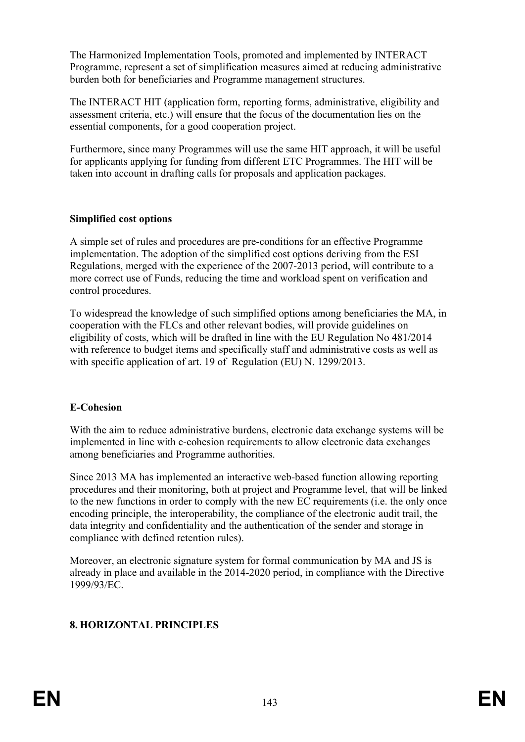The Harmonized Implementation Tools, promoted and implemented by INTERACT Programme, represent a set of simplification measures aimed at reducing administrative burden both for beneficiaries and Programme management structures.

The INTERACT HIT (application form, reporting forms, administrative, eligibility and assessment criteria, etc.) will ensure that the focus of the documentation lies on the essential components, for a good cooperation project.

Furthermore, since many Programmes will use the same HIT approach, it will be useful for applicants applying for funding from different ETC Programmes. The HIT will be taken into account in drafting calls for proposals and application packages.

#### **Simplified cost options**

A simple set of rules and procedures are pre-conditions for an effective Programme implementation. The adoption of the simplified cost options deriving from the ESI Regulations, merged with the experience of the 2007-2013 period, will contribute to a more correct use of Funds, reducing the time and workload spent on verification and control procedures.

To widespread the knowledge of such simplified options among beneficiaries the MA, in cooperation with the FLCs and other relevant bodies, will provide guidelines on eligibility of costs, which will be drafted in line with the EU Regulation No 481/2014 with reference to budget items and specifically staff and administrative costs as well as with specific application of art. 19 of Regulation (EU) N. 1299/2013.

#### **E-Cohesion**

With the aim to reduce administrative burdens, electronic data exchange systems will be implemented in line with e-cohesion requirements to allow electronic data exchanges among beneficiaries and Programme authorities.

Since 2013 MA has implemented an interactive web-based function allowing reporting procedures and their monitoring, both at project and Programme level, that will be linked to the new functions in order to comply with the new EC requirements (i.e. the only once encoding principle, the interoperability, the compliance of the electronic audit trail, the data integrity and confidentiality and the authentication of the sender and storage in compliance with defined retention rules).

Moreover, an electronic signature system for formal communication by MA and JS is already in place and available in the 2014-2020 period, in compliance with the Directive 1999/93/EC.

#### **8. HORIZONTAL PRINCIPLES**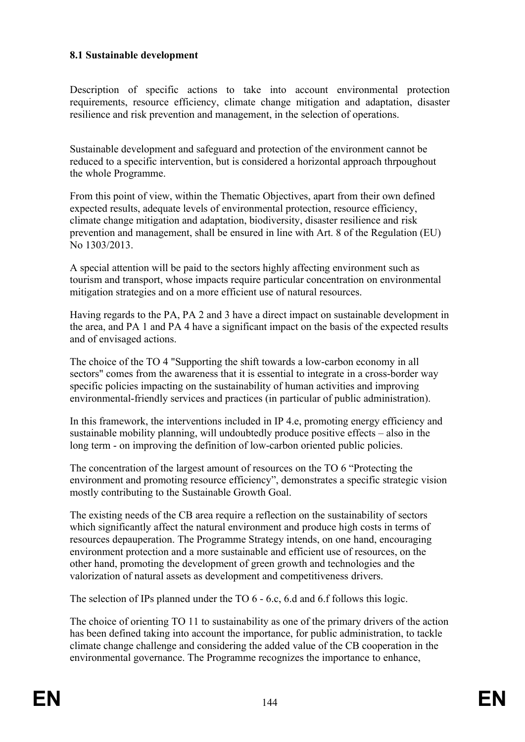## **8.1 Sustainable development**

Description of specific actions to take into account environmental protection requirements, resource efficiency, climate change mitigation and adaptation, disaster resilience and risk prevention and management, in the selection of operations.

Sustainable development and safeguard and protection of the environment cannot be reduced to a specific intervention, but is considered a horizontal approach thrpoughout the whole Programme.

From this point of view, within the Thematic Objectives, apart from their own defined expected results, adequate levels of environmental protection, resource efficiency, climate change mitigation and adaptation, biodiversity, disaster resilience and risk prevention and management, shall be ensured in line with Art. 8 of the Regulation (EU) No 1303/2013.

A special attention will be paid to the sectors highly affecting environment such as tourism and transport, whose impacts require particular concentration on environmental mitigation strategies and on a more efficient use of natural resources.

Having regards to the PA, PA 2 and 3 have a direct impact on sustainable development in the area, and PA 1 and PA 4 have a significant impact on the basis of the expected results and of envisaged actions.

The choice of the TO 4 "Supporting the shift towards a low-carbon economy in all sectors" comes from the awareness that it is essential to integrate in a cross-border way specific policies impacting on the sustainability of human activities and improving environmental-friendly services and practices (in particular of public administration).

In this framework, the interventions included in IP 4.e, promoting energy efficiency and sustainable mobility planning, will undoubtedly produce positive effects – also in the long term - on improving the definition of low-carbon oriented public policies.

The concentration of the largest amount of resources on the TO 6 "Protecting the environment and promoting resource efficiency", demonstrates a specific strategic vision mostly contributing to the Sustainable Growth Goal.

The existing needs of the CB area require a reflection on the sustainability of sectors which significantly affect the natural environment and produce high costs in terms of resources depauperation. The Programme Strategy intends, on one hand, encouraging environment protection and a more sustainable and efficient use of resources, on the other hand, promoting the development of green growth and technologies and the valorization of natural assets as development and competitiveness drivers.

The selection of IPs planned under the TO 6 - 6.c, 6.d and 6.f follows this logic.

The choice of orienting TO 11 to sustainability as one of the primary drivers of the action has been defined taking into account the importance, for public administration, to tackle climate change challenge and considering the added value of the CB cooperation in the environmental governance. The Programme recognizes the importance to enhance,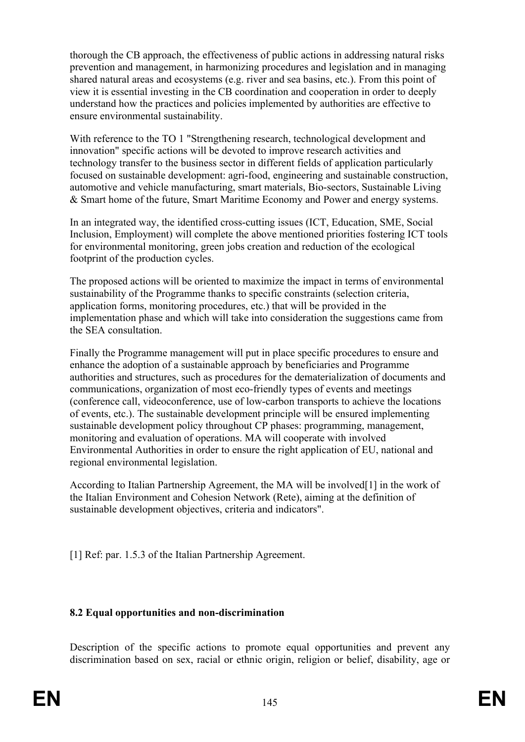thorough the CB approach, the effectiveness of public actions in addressing natural risks prevention and management, in harmonizing procedures and legislation and in managing shared natural areas and ecosystems (e.g. river and sea basins, etc.). From this point of view it is essential investing in the CB coordination and cooperation in order to deeply understand how the practices and policies implemented by authorities are effective to ensure environmental sustainability.

With reference to the TO 1 "Strengthening research, technological development and innovation" specific actions will be devoted to improve research activities and technology transfer to the business sector in different fields of application particularly focused on sustainable development: agri-food, engineering and sustainable construction, automotive and vehicle manufacturing, smart materials, Bio-sectors, Sustainable Living & Smart home of the future, Smart Maritime Economy and Power and energy systems.

In an integrated way, the identified cross-cutting issues (ICT, Education, SME, Social Inclusion, Employment) will complete the above mentioned priorities fostering ICT tools for environmental monitoring, green jobs creation and reduction of the ecological footprint of the production cycles.

The proposed actions will be oriented to maximize the impact in terms of environmental sustainability of the Programme thanks to specific constraints (selection criteria, application forms, monitoring procedures, etc.) that will be provided in the implementation phase and which will take into consideration the suggestions came from the SEA consultation.

Finally the Programme management will put in place specific procedures to ensure and enhance the adoption of a sustainable approach by beneficiaries and Programme authorities and structures, such as procedures for the dematerialization of documents and communications, organization of most eco-friendly types of events and meetings (conference call, videoconference, use of low-carbon transports to achieve the locations of events, etc.). The sustainable development principle will be ensured implementing sustainable development policy throughout CP phases: programming, management, monitoring and evaluation of operations. MA will cooperate with involved Environmental Authorities in order to ensure the right application of EU, national and regional environmental legislation.

According to Italian Partnership Agreement, the MA will be involved[1] in the work of the Italian Environment and Cohesion Network (Rete), aiming at the definition of sustainable development objectives, criteria and indicators".

[1] Ref: par. 1.5.3 of the Italian Partnership Agreement.

#### **8.2 Equal opportunities and non-discrimination**

Description of the specific actions to promote equal opportunities and prevent any discrimination based on sex, racial or ethnic origin, religion or belief, disability, age or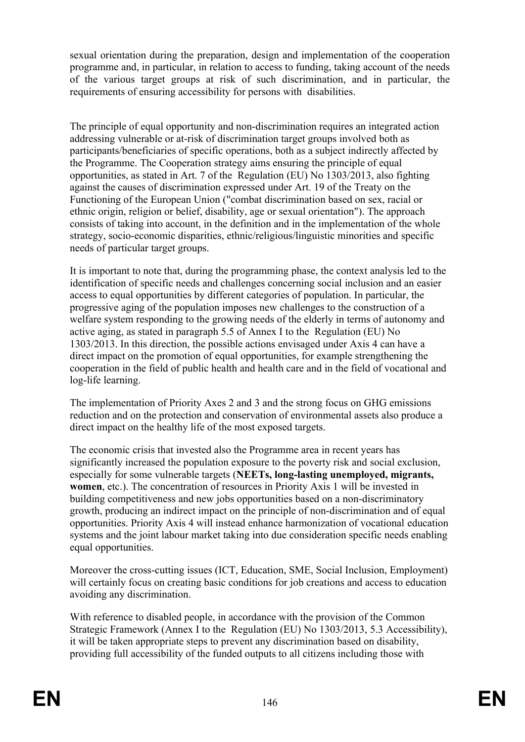sexual orientation during the preparation, design and implementation of the cooperation programme and, in particular, in relation to access to funding, taking account of the needs of the various target groups at risk of such discrimination, and in particular, the requirements of ensuring accessibility for persons with disabilities.

The principle of equal opportunity and non-discrimination requires an integrated action addressing vulnerable or at-risk of discrimination target groups involved both as participants/beneficiaries of specific operations, both as a subject indirectly affected by the Programme. The Cooperation strategy aims ensuring the principle of equal opportunities, as stated in Art. 7 of the Regulation (EU) No 1303/2013, also fighting against the causes of discrimination expressed under Art. 19 of the Treaty on the Functioning of the European Union ("combat discrimination based on sex, racial or ethnic origin, religion or belief, disability, age or sexual orientation"). The approach consists of taking into account, in the definition and in the implementation of the whole strategy, socio-economic disparities, ethnic/religious/linguistic minorities and specific needs of particular target groups.

It is important to note that, during the programming phase, the context analysis led to the identification of specific needs and challenges concerning social inclusion and an easier access to equal opportunities by different categories of population. In particular, the progressive aging of the population imposes new challenges to the construction of a welfare system responding to the growing needs of the elderly in terms of autonomy and active aging, as stated in paragraph 5.5 of Annex I to the Regulation (EU) No 1303/2013. In this direction, the possible actions envisaged under Axis 4 can have a direct impact on the promotion of equal opportunities, for example strengthening the cooperation in the field of public health and health care and in the field of vocational and log-life learning.

The implementation of Priority Axes 2 and 3 and the strong focus on GHG emissions reduction and on the protection and conservation of environmental assets also produce a direct impact on the healthy life of the most exposed targets.

The economic crisis that invested also the Programme area in recent years has significantly increased the population exposure to the poverty risk and social exclusion, especially for some vulnerable targets (**NEETs, long-lasting unemployed, migrants, women**, etc.). The concentration of resources in Priority Axis 1 will be invested in building competitiveness and new jobs opportunities based on a non-discriminatory growth, producing an indirect impact on the principle of non-discrimination and of equal opportunities. Priority Axis 4 will instead enhance harmonization of vocational education systems and the joint labour market taking into due consideration specific needs enabling equal opportunities.

Moreover the cross-cutting issues (ICT, Education, SME, Social Inclusion, Employment) will certainly focus on creating basic conditions for job creations and access to education avoiding any discrimination.

With reference to disabled people, in accordance with the provision of the Common Strategic Framework (Annex I to the Regulation (EU) No 1303/2013, 5.3 Accessibility), it will be taken appropriate steps to prevent any discrimination based on disability, providing full accessibility of the funded outputs to all citizens including those with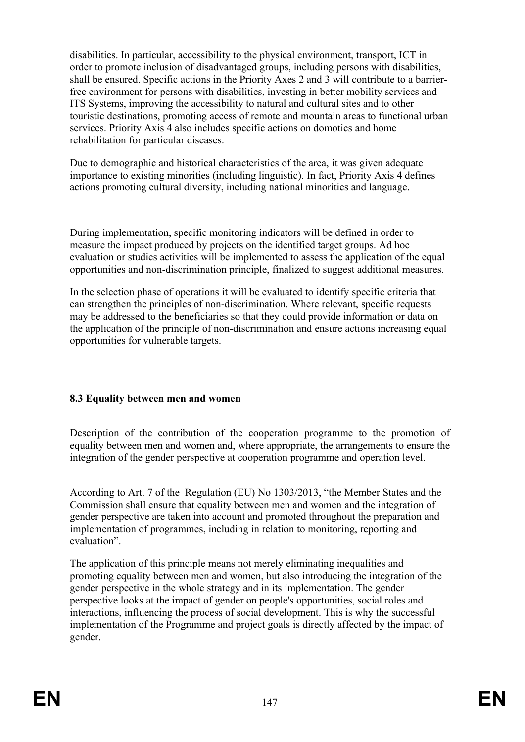disabilities. In particular, accessibility to the physical environment, transport, ICT in order to promote inclusion of disadvantaged groups, including persons with disabilities, shall be ensured. Specific actions in the Priority Axes 2 and 3 will contribute to a barrierfree environment for persons with disabilities, investing in better mobility services and ITS Systems, improving the accessibility to natural and cultural sites and to other touristic destinations, promoting access of remote and mountain areas to functional urban services. Priority Axis 4 also includes specific actions on domotics and home rehabilitation for particular diseases.

Due to demographic and historical characteristics of the area, it was given adequate importance to existing minorities (including linguistic). In fact, Priority Axis 4 defines actions promoting cultural diversity, including national minorities and language.

During implementation, specific monitoring indicators will be defined in order to measure the impact produced by projects on the identified target groups. Ad hoc evaluation or studies activities will be implemented to assess the application of the equal opportunities and non-discrimination principle, finalized to suggest additional measures.

In the selection phase of operations it will be evaluated to identify specific criteria that can strengthen the principles of non-discrimination. Where relevant, specific requests may be addressed to the beneficiaries so that they could provide information or data on the application of the principle of non-discrimination and ensure actions increasing equal opportunities for vulnerable targets.

# **8.3 Equality between men and women**

Description of the contribution of the cooperation programme to the promotion of equality between men and women and, where appropriate, the arrangements to ensure the integration of the gender perspective at cooperation programme and operation level.

According to Art. 7 of the Regulation (EU) No 1303/2013, "the Member States and the Commission shall ensure that equality between men and women and the integration of gender perspective are taken into account and promoted throughout the preparation and implementation of programmes, including in relation to monitoring, reporting and evaluation".

The application of this principle means not merely eliminating inequalities and promoting equality between men and women, but also introducing the integration of the gender perspective in the whole strategy and in its implementation. The gender perspective looks at the impact of gender on people's opportunities, social roles and interactions, influencing the process of social development. This is why the successful implementation of the Programme and project goals is directly affected by the impact of gender.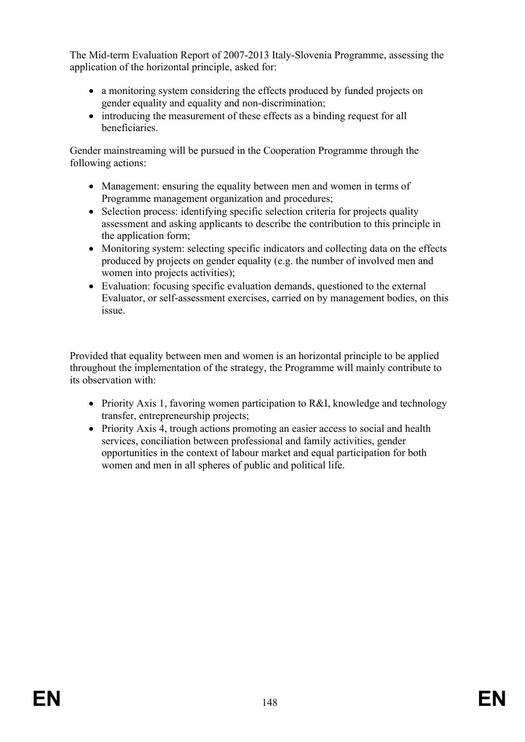The Mid-term Evaluation Report of 2007-2013 Italy-Slovenia Programme, assessing the application of the horizontal principle, asked for:

- a monitoring system considering the effects produced by funded projects on gender equality and equality and non-discrimination;
- introducing the measurement of these effects as a binding request for all beneficiaries.

Gender mainstreaming will be pursued in the Cooperation Programme through the following actions:

- Management: ensuring the equality between men and women in terms of Programme management organization and procedures;
- Selection process: identifying specific selection criteria for projects quality assessment and asking applicants to describe the contribution to this principle in the application form;
- Monitoring system: selecting specific indicators and collecting data on the effects produced by projects on gender equality (e.g. the number of involved men and women into projects activities);
- Evaluation: focusing specific evaluation demands, questioned to the external Evaluator, or self-assessment exercises, carried on by management bodies, on this issue.

Provided that equality between men and women is an horizontal principle to be applied throughout the implementation of the strategy, the Programme will mainly contribute to its observation with:

- Priority Axis 1, favoring women participation to R&I, knowledge and technology transfer, entrepreneurship projects;
- Priority Axis 4, trough actions promoting an easier access to social and health services, conciliation between professional and family activities, gender opportunities in the context of labour market and equal participation for both women and men in all spheres of public and political life.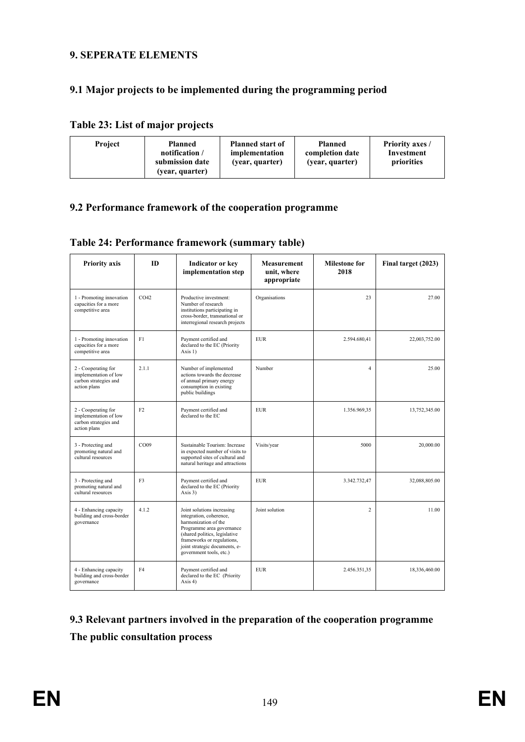#### **9. SEPERATE ELEMENTS**

## **9.1 Major projects to be implemented during the programming period**

## **Table 23: List of major projects**

| <b>Project</b> | <b>Planned</b><br>notification /<br>submission date<br>(year, quarter) | <b>Planned start of</b><br>implementation<br>(year, quarter) | <b>Planned</b><br>completion date<br>(year, quarter) | <b>Priority axes /</b><br>Investment<br>priorities |
|----------------|------------------------------------------------------------------------|--------------------------------------------------------------|------------------------------------------------------|----------------------------------------------------|
|----------------|------------------------------------------------------------------------|--------------------------------------------------------------|------------------------------------------------------|----------------------------------------------------|

#### **9.2 Performance framework of the cooperation programme**

| <b>Priority axis</b>                                                                  | ID               | <b>Indicator or key</b><br>implementation step                                                                                                                                                                                        | Measurement<br>unit, where<br>appropriate | <b>Milestone for</b><br>2018 | Final target (2023) |
|---------------------------------------------------------------------------------------|------------------|---------------------------------------------------------------------------------------------------------------------------------------------------------------------------------------------------------------------------------------|-------------------------------------------|------------------------------|---------------------|
| 1 - Promoting innovation<br>capacities for a more<br>competitive area                 | CO <sub>42</sub> | Productive investment:<br>Number of research<br>institutions participating in<br>cross-border, transnational or<br>interregional research projects                                                                                    | Organisations                             | 23                           | 27.00               |
| 1 - Promoting innovation<br>capacities for a more<br>competitive area                 | F1               | Payment certified and<br><b>EUR</b><br>declared to the EC (Priority<br>Axis $1)$                                                                                                                                                      |                                           | 2.594.680,41                 | 22,003,752.00       |
| 2 - Cooperating for<br>implementation of low<br>carbon strategies and<br>action plans | 2.1.1            | Number of implemented<br>Number<br>actions towards the decrease<br>of annual primary energy<br>consumption in existing<br>public buildings                                                                                            |                                           | $\overline{4}$               | 25.00               |
| 2 - Cooperating for<br>implementation of low<br>carbon strategies and<br>action plans | F2               | Payment certified and<br>declared to the EC                                                                                                                                                                                           | EUR.                                      | 1.356.969,35                 | 13,752,345.00       |
| 3 - Protecting and<br>promoting natural and<br>cultural resources                     | CO09             | Sustainable Tourism: Increase<br>in expected number of visits to<br>supported sites of cultural and<br>natural heritage and attractions                                                                                               | Visits/year                               | 5000                         | 20,000.00           |
| 3 - Protecting and<br>promoting natural and<br>cultural resources                     | F3               | Payment certified and<br>declared to the EC (Priority<br>Axis $3)$                                                                                                                                                                    | <b>EUR</b>                                | 3.342.732,47                 | 32,088,805.00       |
| 4 - Enhancing capacity<br>building and cross-border<br>governance                     | 4.1.2            | Joint solutions increasing<br>integration, coherence,<br>harmonization of the<br>Programme area governance<br>(shared politics, legislative<br>frameworks or regulations.<br>joint strategic documents, e-<br>government tools, etc.) | Joint solution                            | $\overline{2}$               | 11.00               |
| 4 - Enhancing capacity<br>building and cross-border<br>governance                     | F <sub>4</sub>   | Payment certified and<br>declared to the EC (Priority<br>Axis $4$ )                                                                                                                                                                   | <b>EUR</b>                                | 2.456.351,35                 | 18,336,460.00       |

# **9.3 Relevant partners involved in the preparation of the cooperation programme The public consultation process**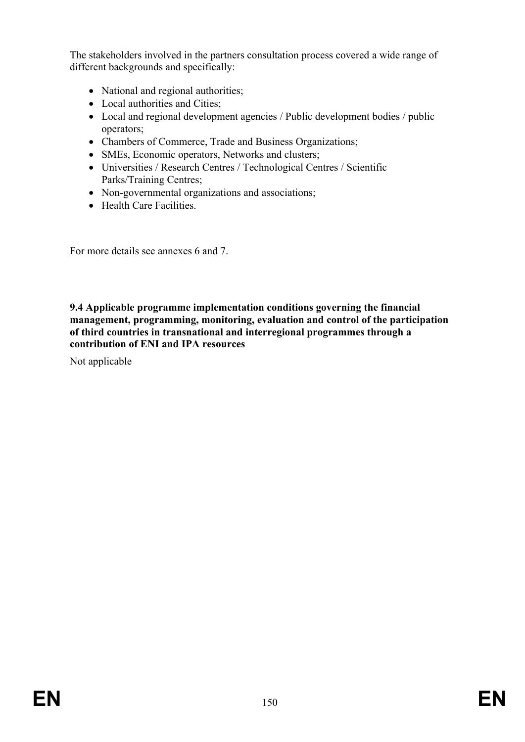The stakeholders involved in the partners consultation process covered a wide range of different backgrounds and specifically:

- National and regional authorities;
- Local authorities and Cities:
- Local and regional development agencies / Public development bodies / public operators;
- Chambers of Commerce, Trade and Business Organizations;
- SMEs, Economic operators, Networks and clusters;
- Universities / Research Centres / Technological Centres / Scientific Parks/Training Centres;
- Non-governmental organizations and associations;
- Health Care Facilities.

For more details see annexes 6 and 7.

**9.4 Applicable programme implementation conditions governing the financial management, programming, monitoring, evaluation and control of the participation of third countries in transnational and interregional programmes through a contribution of ENI and IPA resources**

Not applicable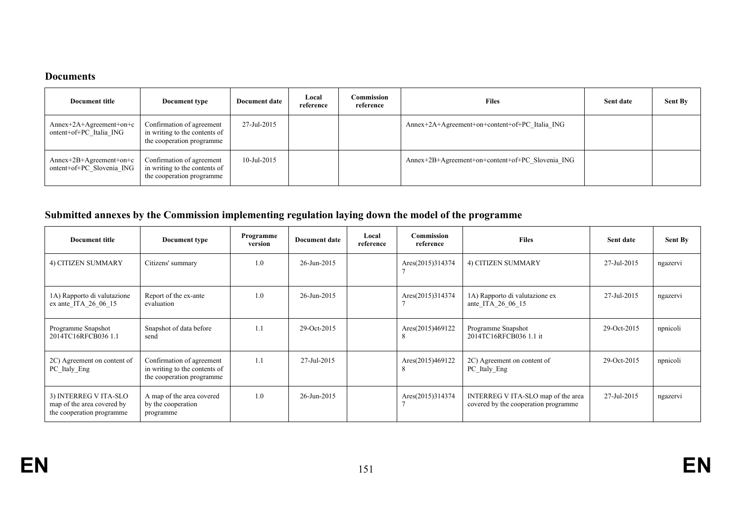#### **Documents**

| Document title                                         | Document type                                                                           | Document date  | Local<br>reference | Commission<br>reference | <b>Files</b>                                     | Sent date | <b>Sent By</b> |
|--------------------------------------------------------|-----------------------------------------------------------------------------------------|----------------|--------------------|-------------------------|--------------------------------------------------|-----------|----------------|
| $Annex+2A+Agreenent+on+c$<br>ontent+of+PC Italia ING   | Confirmation of agreement<br>in writing to the contents of<br>the cooperation programme | 27-Jul-2015    |                    |                         | Annex+2A+Agreement+on+content+of+PC Italia ING   |           |                |
| $Annex+2B+Agreenent+on+c$<br>ontent+of+PC Slovenia ING | Confirmation of agreement<br>in writing to the contents of<br>the cooperation programme | $10$ -Jul-2015 |                    |                         | Annex+2B+Agreement+on+content+of+PC Slovenia ING |           |                |

# **Submitted annexes by the Commission implementing regulation laying down the model of the programme**

| <b>Document title</b>                                                            | Document type                                                                           | Programme<br>version | <b>Document date</b>     | Local<br>reference | Commission<br>reference | <b>Files</b>                                                                | Sent date   | <b>Sent By</b> |
|----------------------------------------------------------------------------------|-----------------------------------------------------------------------------------------|----------------------|--------------------------|--------------------|-------------------------|-----------------------------------------------------------------------------|-------------|----------------|
| 4) CITIZEN SUMMARY                                                               | Citizens' summary                                                                       | 1.0                  | 26-Jun-2015              |                    | Ares(2015)314374        | 4) CITIZEN SUMMARY                                                          | 27-Jul-2015 | ngazervi       |
| 1A) Rapporto di valutazione<br>ex ante ITA 26 06 15                              | Report of the ex-ante<br>evaluation                                                     | 1.0                  | $26 - \text{Jun} - 2015$ |                    | Ares(2015)314374        | 1A) Rapporto di valutazione ex<br>ante ITA 26 06 15                         | 27-Jul-2015 | ngazervi       |
| Programme Snapshot<br>2014TC16RFCB036 1.1                                        | Snapshot of data before<br>send                                                         | 1.1                  | 29-Oct-2015              |                    | Ares(2015)469122<br>8   | Programme Snapshot<br>2014TC16RFCB036 1.1 it                                | 29-Oct-2015 | npnicoli       |
| 2C) Agreement on content of<br>PC Italy Eng                                      | Confirmation of agreement<br>in writing to the contents of<br>the cooperation programme | 1.1                  | 27-Jul-2015              |                    | Ares(2015)469122<br>8   | 2C) Agreement on content of<br>PC Italy Eng                                 | 29-Oct-2015 | npnicoli       |
| 3) INTERREG V ITA-SLO<br>map of the area covered by<br>the cooperation programme | A map of the area covered<br>by the cooperation<br>programme                            | 1.0                  | 26-Jun-2015              |                    | Ares(2015)314374        | INTERREG V ITA-SLO map of the area<br>covered by the cooperation programme. | 27-Jul-2015 | ngazervi       |